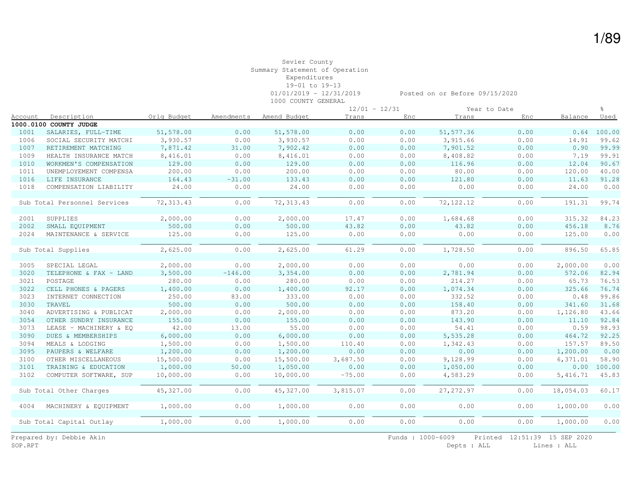|         |                              |             |            |              |          | $12/01 - 12/31$ |            | Year to Date |           |               |
|---------|------------------------------|-------------|------------|--------------|----------|-----------------|------------|--------------|-----------|---------------|
| Account | Description                  | Orig Budget | Amendments | Amend Budget | Trans    | Enc             | Trans      | Enc          | Balance   | Used          |
|         | 1000.0100 COUNTY JUDGE       |             |            |              |          |                 |            |              |           |               |
| 1001    | SALARIES, FULL-TIME          | 51,578.00   | 0.00       | 51,578.00    | 0.00     | 0.00            | 51, 577.36 | 0.00         |           | $0.64$ 100.00 |
| 1006    | SOCIAL SECURITY MATCHI       | 3,930.57    | 0.00       | 3,930.57     | 0.00     | 0.00            | 3,915.66   | 0.00         | 14.91     | 99.62         |
| 1007    | RETIREMENT MATCHING          | 7,871.42    | 31.00      | 7,902.42     | 0.00     | 0.00            | 7,901.52   | 0.00         | 0.90      | 99.99         |
| 1009    | HEALTH INSURANCE MATCH       | 8,416.01    | 0.00       | 8,416.01     | 0.00     | 0.00            | 8,408.82   | 0.00         | 7.19      | 99.91         |
| 1010    | WORKMEN'S COMPENSATION       | 129.00      | 0.00       | 129.00       | 0.00     | 0.00            | 116.96     | 0.00         | 12.04     | 90.67         |
| 1011    | UNEMPLOYEMENT COMPENSA       | 200.00      | 0.00       | 200.00       | 0.00     | 0.00            | 80.00      | 0.00         | 120.00    | 40.00         |
| 1016    | LIFE INSURANCE               | 164.43      | $-31.00$   | 133.43       | 0.00     | 0.00            | 121.80     | 0.00         | 11.63     | 91.28         |
| 1018    | COMPENSATION LIABILITY       | 24.00       | 0.00       | 24.00        | 0.00     | 0.00            | 0.00       | 0.00         | 24.00     | 0.00          |
|         |                              |             |            |              |          |                 |            |              |           |               |
|         | Sub Total Personnel Services | 72,313.43   | 0.00       | 72, 313.43   | 0.00     | 0.00            | 72, 122.12 | 0.00         | 191.31    | 99.74         |
|         |                              |             |            |              |          |                 |            |              |           |               |
| 2001    | SUPPLIES                     | 2,000.00    | 0.00       | 2,000.00     | 17.47    | 0.00            | 1,684.68   | 0.00         | 315.32    | 84.23         |
| 2002    | SMALL EQUIPMENT              | 500.00      | 0.00       | 500.00       | 43.82    | 0.00            | 43.82      | 0.00         | 456.18    | 8.76          |
| 2024    | MAINTENANCE & SERVICE        | 125.00      | 0.00       | 125.00       | 0.00     | 0.00            | 0.00       | 0.00         | 125.00    | 0.00          |
|         |                              |             |            |              |          |                 |            |              |           |               |
|         | Sub Total Supplies           | 2,625.00    | 0.00       | 2,625.00     | 61.29    | 0.00            | 1,728.50   | 0.00         | 896.50    | 65.85         |
|         |                              |             |            |              |          |                 |            |              |           |               |
| 3005    | SPECIAL LEGAL                | 2,000.00    | 0.00       | 2,000.00     | 0.00     | 0.00            | 0.00       | 0.00         | 2,000.00  | 0.00          |
| 3020    | TELEPHONE & FAX - LAND       | 3,500.00    | $-146.00$  | 3,354.00     | 0.00     | 0.00            | 2,781.94   | 0.00         | 572.06    | 82.94         |
| 3021    | POSTAGE                      | 280.00      | 0.00       | 280.00       | 0.00     | 0.00            | 214.27     | 0.00         | 65.73     | 76.53         |
| 3022    | CELL PHONES & PAGERS         | 1,400.00    | 0.00       | 1,400.00     | 92.17    | 0.00            | 1,074.34   | 0.00         | 325.66    | 76.74         |
| 3023    | INTERNET CONNECTION          | 250.00      | 83.00      | 333.00       | 0.00     | 0.00            | 332.52     | 0.00         | 0.48      | 99.86         |
| 3030    | TRAVEL                       | 500.00      | 0.00       | 500.00       | 0.00     | 0.00            | 158.40     | 0.00         | 341.60    | 31.68         |
| 3040    | ADVERTISING & PUBLICAT       | 2,000.00    | 0.00       | 2,000.00     | 0.00     | 0.00            | 873.20     | 0.00         | 1,126.80  | 43.66         |
| 3054    | OTHER SUNDRY INSURANCE       | 155.00      | 0.00       | 155.00       | 0.00     | 0.00            | 143.90     | 0.00         | 11.10     | 92.84         |
| 3073    | LEASE - MACHINERY & EQ       | 42.00       | 13.00      | 55.00        | 0.00     | 0.00            | 54.41      | 0.00         | 0.59      | 98.93         |
| 3090    | DUES & MEMBERSHIPS           | 6,000.00    | 0.00       | 6,000.00     | 0.00     | 0.00            | 5,535.28   | 0.00         | 464.72    | 92.25         |
| 3094    | MEALS & LODGING              | 1,500.00    | 0.00       | 1,500.00     | 110.40   | 0.00            | 1,342.43   | 0.00         | 157.57    | 89.50         |
| 3095    | PAUPERS & WELFARE            | 1,200.00    | 0.00       | 1,200.00     | 0.00     | 0.00            | 0.00       | 0.00         | 1,200.00  | 0.00          |
| 3100    | OTHER MISCELLANEOUS          | 15,500.00   | 0.00       | 15,500.00    | 3,687.50 | 0.00            | 9,128.99   | 0.00         | 6,371.01  | 58.90         |
| 3101    | TRAINING & EDUCATION         | 1,000.00    | 50.00      | 1,050.00     | 0.00     | 0.00            | 1,050.00   | 0.00         | 0.00      | 100.00        |
| 3102    | COMPUTER SOFTWARE, SUP       | 10,000.00   | 0.00       | 10,000.00    | $-75.00$ | 0.00            | 4,583.29   | 0.00         | 5,416.71  | 45.83         |
|         |                              |             |            |              |          |                 |            |              |           |               |
|         | Sub Total Other Charges      | 45,327.00   | 0.00       | 45, 327.00   | 3,815.07 | 0.00            | 27, 272.97 | 0.00         | 18,054.03 | 60.17         |
|         |                              |             |            |              |          |                 |            |              |           |               |
| 4004    | MACHINERY & EOUIPMENT        | 1,000.00    | 0.00       | 1,000.00     | 0.00     | 0.00            | 0.00       | 0.00         | 1,000.00  | 0.00          |
|         |                              |             |            |              |          |                 |            |              |           |               |
|         | Sub Total Capital Outlay     | 1,000.00    | 0.00       | 1,000.00     | 0.00     | 0.00            | 0.00       | 0.00         | 1,000.00  | 0.00          |
|         |                              |             |            |              |          |                 |            |              |           |               |

Prepared by: Debbie Akin Funds : 1000-6009 Printed 12:51:39 15 SEP 2020<br>SOP.RPT Depts : ALL Lines : ALL Lines : ALL

Depts : ALL Lines : ALL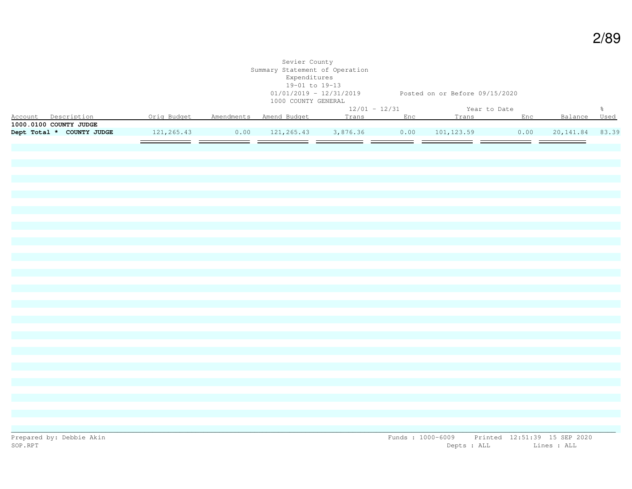|                                                                                                  |                                                                                                 | Sevier County<br>Summary Statement of Operation<br>Expenditures<br>19-01 to 19-13<br>1000 COUNTY GENERAL | 01/01/2019 - 12/31/2019 Posted on or Before 09/15/2020 |  |              |  |               |
|--------------------------------------------------------------------------------------------------|-------------------------------------------------------------------------------------------------|----------------------------------------------------------------------------------------------------------|--------------------------------------------------------|--|--------------|--|---------------|
|                                                                                                  |                                                                                                 |                                                                                                          | $12/01 - 12/31$                                        |  | Year to Date |  | $\frac{6}{6}$ |
| Account Description 6 1 Orig Budget Amendments Amend Budget 1 Trans Enc 1 Trans Enc Balance Used |                                                                                                 |                                                                                                          |                                                        |  |              |  |               |
| 1000.0100 COUNTY JUDGE                                                                           |                                                                                                 |                                                                                                          |                                                        |  |              |  |               |
| Dept Total * COUNTY JUDGE                                                                        | $121, 265.43$ $0.00$ $121, 265.43$ $3, 876.36$ $0.00$ $101, 123.59$ $0.00$ $20, 141.84$ $83.39$ |                                                                                                          |                                                        |  |              |  |               |
|                                                                                                  |                                                                                                 |                                                                                                          |                                                        |  |              |  |               |
|                                                                                                  |                                                                                                 |                                                                                                          |                                                        |  |              |  |               |
|                                                                                                  |                                                                                                 |                                                                                                          |                                                        |  |              |  |               |
|                                                                                                  |                                                                                                 |                                                                                                          |                                                        |  |              |  |               |
|                                                                                                  |                                                                                                 |                                                                                                          |                                                        |  |              |  |               |
|                                                                                                  |                                                                                                 |                                                                                                          |                                                        |  |              |  |               |
|                                                                                                  |                                                                                                 |                                                                                                          |                                                        |  |              |  |               |
|                                                                                                  |                                                                                                 |                                                                                                          |                                                        |  |              |  |               |
|                                                                                                  |                                                                                                 |                                                                                                          |                                                        |  |              |  |               |
|                                                                                                  |                                                                                                 |                                                                                                          |                                                        |  |              |  |               |
|                                                                                                  |                                                                                                 |                                                                                                          |                                                        |  |              |  |               |
|                                                                                                  |                                                                                                 |                                                                                                          |                                                        |  |              |  |               |
|                                                                                                  |                                                                                                 |                                                                                                          |                                                        |  |              |  |               |
|                                                                                                  |                                                                                                 |                                                                                                          |                                                        |  |              |  |               |
|                                                                                                  |                                                                                                 |                                                                                                          |                                                        |  |              |  |               |
|                                                                                                  |                                                                                                 |                                                                                                          |                                                        |  |              |  |               |
|                                                                                                  |                                                                                                 |                                                                                                          |                                                        |  |              |  |               |
|                                                                                                  |                                                                                                 |                                                                                                          |                                                        |  |              |  |               |
|                                                                                                  |                                                                                                 |                                                                                                          |                                                        |  |              |  |               |
|                                                                                                  |                                                                                                 |                                                                                                          |                                                        |  |              |  |               |
|                                                                                                  |                                                                                                 |                                                                                                          |                                                        |  |              |  |               |
|                                                                                                  |                                                                                                 |                                                                                                          |                                                        |  |              |  |               |
|                                                                                                  |                                                                                                 |                                                                                                          |                                                        |  |              |  |               |
|                                                                                                  |                                                                                                 |                                                                                                          |                                                        |  |              |  |               |
|                                                                                                  |                                                                                                 |                                                                                                          |                                                        |  |              |  |               |
|                                                                                                  |                                                                                                 |                                                                                                          |                                                        |  |              |  |               |
|                                                                                                  |                                                                                                 |                                                                                                          |                                                        |  |              |  |               |
|                                                                                                  |                                                                                                 |                                                                                                          |                                                        |  |              |  |               |
|                                                                                                  |                                                                                                 |                                                                                                          |                                                        |  |              |  |               |
|                                                                                                  |                                                                                                 |                                                                                                          |                                                        |  |              |  |               |
|                                                                                                  |                                                                                                 |                                                                                                          |                                                        |  |              |  |               |
|                                                                                                  |                                                                                                 |                                                                                                          |                                                        |  |              |  |               |
|                                                                                                  |                                                                                                 |                                                                                                          |                                                        |  |              |  |               |
|                                                                                                  |                                                                                                 |                                                                                                          |                                                        |  |              |  |               |
|                                                                                                  |                                                                                                 |                                                                                                          |                                                        |  |              |  |               |
|                                                                                                  |                                                                                                 |                                                                                                          |                                                        |  |              |  |               |
|                                                                                                  |                                                                                                 |                                                                                                          |                                                        |  |              |  |               |

2/89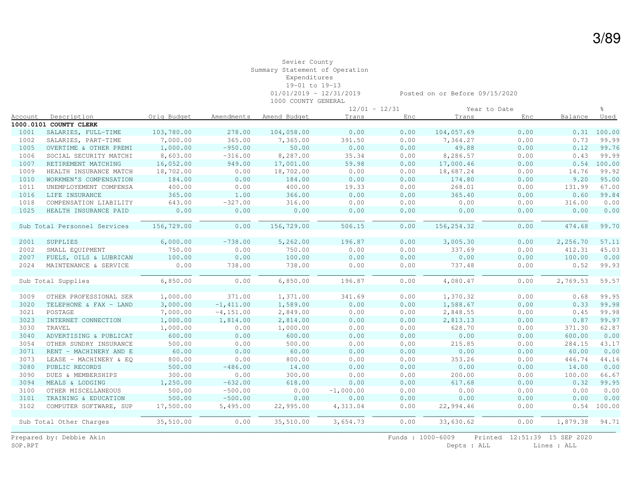|         |                              |             |              |              | $12/01 - 12/31$ |      |             | Year to Date |          |               |
|---------|------------------------------|-------------|--------------|--------------|-----------------|------|-------------|--------------|----------|---------------|
| Account | Description                  | Oria Budget | Amendments   | Amend Budget | Trans           | Enc  | Trans       | Enc          | Balance  | Used          |
|         | 1000.0101 COUNTY CLERK       |             |              |              |                 |      |             |              |          |               |
| 1001    | SALARIES, FULL-TIME          | 103,780.00  | 278.00       | 104,058.00   | 0.00            | 0.00 | 104,057.69  | 0.00         |          | $0.31$ 100.00 |
| 1002    | SALARIES, PART-TIME          | 7,000.00    | 365.00       | 7,365.00     | 391.50          | 0.00 | 7,364.27    | 0.00         | 0.73     | 99.99         |
| 1005    | OVERTIME & OTHER PREMI       | 1,000.00    | $-950.00$    | 50.00        | 0.00            | 0.00 | 49.88       | 0.00         | 0.12     | 99.76         |
| 1006    | SOCIAL SECURITY MATCHI       | 8,603.00    | $-316.00$    | 8,287.00     | 35.34           | 0.00 | 8,286.57    | 0.00         | 0.43     | 99.99         |
| 1007    | RETIREMENT MATCHING          | 16,052.00   | 949.00       | 17,001.00    | 59.98           | 0.00 | 17,000.46   | 0.00         | 0.54     | 100.00        |
| 1009    | HEALTH INSURANCE MATCH       | 18,702.00   | 0.00         | 18,702.00    | 0.00            | 0.00 | 18,687.24   | 0.00         | 14.76    | 99.92         |
| 1010    | WORKMEN'S COMPENSATION       | 184.00      | 0.00         | 184.00       | 0.00            | 0.00 | 174.80      | 0.00         | 9.20     | 95.00         |
| 1011    | UNEMPLOYEMENT COMPENSA       | 400.00      | 0.00         | 400.00       | 19.33           | 0.00 | 268.01      | 0.00         | 131.99   | 67.00         |
| 1016    | LIFE INSURANCE               | 365.00      | 1.00         | 366.00       | 0.00            | 0.00 | 365.40      | 0.00         | 0.60     | 99.84         |
| 1018    | COMPENSATION LIABILITY       | 643.00      | $-327.00$    | 316.00       | 0.00            | 0.00 | 0.00        | 0.00         | 316.00   | 0.00          |
| 1025    | HEALTH INSURANCE PAID        | 0.00        | 0.00         | 0.00         | 0.00            | 0.00 | 0.00        | 0.00         | 0.00     | 0.00          |
|         |                              |             |              |              |                 |      |             |              |          |               |
|         | Sub Total Personnel Services | 156,729.00  | 0.00         | 156,729.00   | 506.15          | 0.00 | 156, 254.32 | 0.00         | 474.68   | 99.70         |
|         |                              |             |              |              |                 |      |             |              |          |               |
| 2001    | SUPPLIES                     | 6,000.00    | $-738.00$    | 5,262.00     | 196.87          | 0.00 | 3,005.30    | 0.00         | 2,256.70 | 57.11         |
| 2002    | SMALL EQUIPMENT              | 750.00      | 0.00         | 750.00       | 0.00            | 0.00 | 337.69      | 0.00         | 412.31   | 45.03         |
| 2007    | FUELS, OILS & LUBRICAN       | 100.00      | 0.00         | 100.00       | 0.00            | 0.00 | 0.00        | 0.00         | 100.00   | 0.00          |
| 2024    | MAINTENANCE & SERVICE        | 0.00        | 738.00       | 738.00       | 0.00            | 0.00 | 737.48      | 0.00         | 0.52     | 99.93         |
|         |                              |             |              |              |                 |      |             |              |          |               |
|         | Sub Total Supplies           | 6,850.00    | 0.00         | 6,850.00     | 196.87          | 0.00 | 4,080.47    | 0.00         | 2,769.53 | 59.57         |
|         |                              |             |              |              |                 |      |             |              |          |               |
| 3009    | OTHER PROFESSIONAL SER       | 1,000.00    | 371.00       | 1,371.00     | 341.69          | 0.00 | 1,370.32    | 0.00         | 0.68     | 99.95         |
| 3020    | TELEPHONE & FAX - LAND       | 3,000.00    | $-1, 411.00$ | 1,589.00     | 0.00            | 0.00 | 1,588.67    | 0.00         | 0.33     | 99.98         |
| 3021    | POSTAGE                      | 7,000.00    | $-4, 151.00$ | 2,849.00     | 0.00            | 0.00 | 2,848.55    | 0.00         | 0.45     | 99.98         |
| 3023    | INTERNET CONNECTION          | 1,000.00    | 1,814.00     | 2,814.00     | 0.00            | 0.00 | 2,813.13    | 0.00         | 0.87     | 99.97         |
| 3030    | TRAVEL                       | 1,000.00    | 0.00         | 1,000.00     | 0.00            | 0.00 | 628.70      | 0.00         | 371.30   | 62.87         |
| 3040    | ADVERTISING & PUBLICAT       | 600.00      | 0.00         | 600.00       | 0.00            | 0.00 | 0.00        | 0.00         | 600.00   | 0.00          |
| 3054    | OTHER SUNDRY INSURANCE       | 500.00      | 0.00         | 500.00       | 0.00            | 0.00 | 215.85      | 0.00         | 284.15   | 43.17         |
| 3071    | RENT - MACHINERY AND E       | 60.00       | 0.00         | 60.00        | 0.00            | 0.00 | 0.00        | 0.00         | 60.00    | 0.00          |
| 3073    | LEASE - MACHINERY & EQ       | 800.00      | 0.00         | 800.00       | 0.00            | 0.00 | 353.26      | 0.00         | 446.74   | 44.16         |
| 3080    | PUBLIC RECORDS               | 500.00      | $-486.00$    | 14.00        | 0.00            | 0.00 | 0.00        | 0.00         | 14.00    | 0.00          |
| 3090    | DUES & MEMBERSHIPS           | 300.00      | 0.00         | 300.00       | 0.00            | 0.00 | 200.00      | 0.00         | 100.00   | 66.67         |
| 3094    | MEALS & LODGING              | 1,250.00    | $-632.00$    | 618.00       | 0.00            | 0.00 | 617.68      | 0.00         | 0.32     | 99.95         |
| 3100    | OTHER MISCELLANEOUS          | 500.00      | $-500.00$    | 0.00         | $-1,000.00$     | 0.00 | 0.00        | 0.00         | 0.00     | 0.00          |
| 3101    | TRAINING & EDUCATION         | 500.00      | $-500.00$    | 0.00         | 0.00            | 0.00 | 0.00        | 0.00         | 0.00     | 0.00          |
| 3102    | COMPUTER SOFTWARE, SUP       | 17,500.00   | 5,495.00     | 22,995.00    | 4,313.04        | 0.00 | 22,994.46   | 0.00         | 0.54     | 100.00        |
|         |                              |             |              |              |                 |      |             |              |          |               |
|         | Sub Total Other Charges      | 35,510.00   | 0.00         | 35,510.00    | 3,654.73        | 0.00 | 33,630.62   | 0.00         | 1,879.38 | 94.71         |
|         |                              |             |              |              |                 |      |             |              |          |               |

Prepared by: Debbie Akin Funds : 1000-6009 Printed 12:51:39 15 SEP 2020<br>SOP.RPT Depts : ALL Lines : ALL Lines : ALL

Depts : ALL Lines : ALL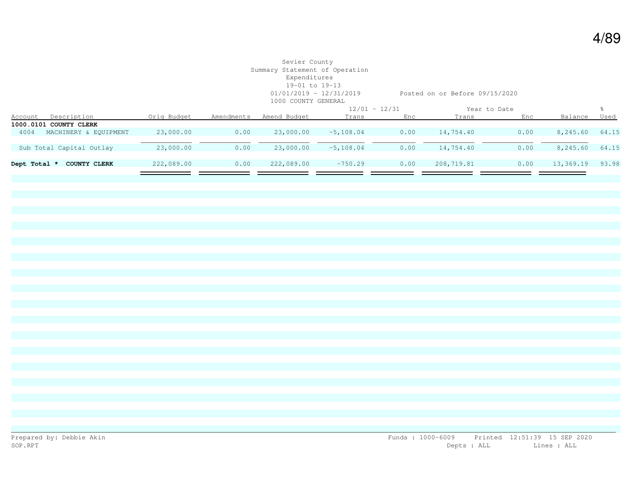# Sevier County Summary Statement of Operation Expenditures 19-01 to 19-13 1000 COUNTY GENERAL

01/01/2019 - 12/31/2019 Posted on or Before 09/15/2020

|                                     |             |            |              |             | $12/01 - 12/31$ |            | Year to Date |           |       |
|-------------------------------------|-------------|------------|--------------|-------------|-----------------|------------|--------------|-----------|-------|
| Description<br><u>Account</u>       | Orig Budget | Amendments | Amend Budget | Trans       | Enc             | Trans      | Enc          | Balance   | Used  |
| 1000.0101 COUNTY CLERK              |             |            |              |             |                 |            |              |           |       |
| MACHINERY & EOUIPMENT<br>4004       | 23,000.00   | 0.00       | 23,000.00    | $-5,108.04$ | 0.00            | 14,754.40  | 0.00         | 8,245.60  | 64.15 |
|                                     |             |            |              |             |                 |            |              |           |       |
| Sub Total Capital Outlay            | 23,000.00   | 0.00       | 23,000.00    | $-5,108.04$ | 0.00            | 14,754.40  | 0.00         | 8,245.60  | 64.15 |
|                                     |             |            |              |             |                 |            |              |           |       |
| Dept Total *<br><b>COUNTY CLERK</b> | 222,089.00  | 0.00       | 222,089.00   | $-750.29$   | 0.00            | 208,719.81 | 0.00         | 13,369.19 | 93.98 |
|                                     |             |            |              |             |                 |            |              |           |       |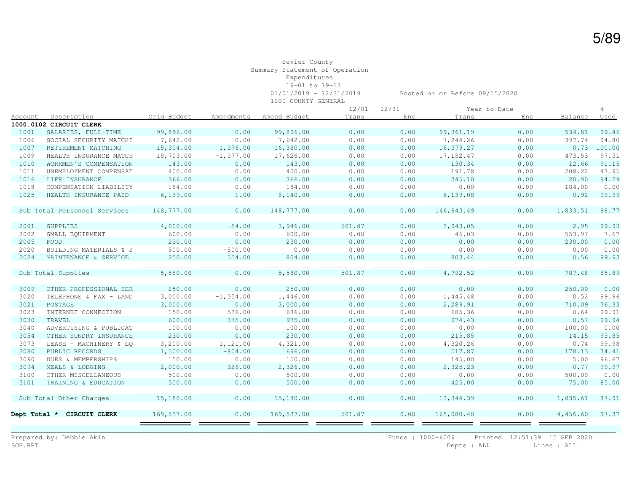|                |                              |             |              |              | $12/01 - 12/31$ |      |             | Year to Date |          | $\approx$ |
|----------------|------------------------------|-------------|--------------|--------------|-----------------|------|-------------|--------------|----------|-----------|
| <u>Account</u> | Description                  | Orig Budget | Amendments   | Amend Budget | Trans           | Enc  | Trans       | Enc          | Balance  | Used      |
|                | 1000.0102 CIRCUIT CLERK      |             |              |              |                 |      |             |              |          |           |
| 1001           | SALARIES, FULL-TIME          | 99,896.00   | 0.00         | 99,896.00    | 0.00            | 0.00 | 99, 361.19  | 0.00         | 534.81   | 99.46     |
| 1006           | SOCIAL SECURITY MATCHI       | 7,642.00    | 0.00         | 7,642.00     | 0.00            | 0.00 | 7,244.26    | 0.00         | 397.74   | 94.80     |
| 1007           | RETIREMENT MATCHING          | 15,304.00   | 1,076.00     | 16,380.00    | 0.00            | 0.00 | 16,379.27   | 0.00         | 0.73     | 100.00    |
| 1009           | HEALTH INSURANCE MATCH       | 18,703.00   | $-1,077.00$  | 17,626.00    | 0.00            | 0.00 | 17, 152.47  | 0.00         | 473.53   | 97.31     |
| 1010           | WORKMEN'S COMPENSATION       | 143.00      | 0.00         | 143.00       | 0.00            | 0.00 | 130.34      | 0.00         | 12.66    | 91.15     |
| 1011           | UNEMPLOYMENT COMPENSAT       | 400.00      | 0.00         | 400.00       | 0.00            | 0.00 | 191.78      | 0.00         | 208.22   | 47.95     |
| 1016           | LIFE INSURANCE               | 366.00      | 0.00         | 366.00       | 0.00            | 0.00 | 345.10      | 0.00         | 20.90    | 94.29     |
| 1018           | COMPENSATION LIABILITY       | 184.00      | 0.00         | 184.00       | 0.00            | 0.00 | 0.00        | 0.00         | 184.00   | 0.00      |
| 1025           | HEALTH INSURANCE PAID        | 6,139.00    | 1.00         | 6,140.00     | 0.00            | 0.00 | 6,139.08    | 0.00         | 0.92     | 99.99     |
|                | Sub Total Personnel Services | 148,777.00  | 0.00         | 148,777.00   | 0.00            | 0.00 | 146, 943.49 | 0.00         | 1,833.51 | 98.77     |
| 2001           | SUPPLIES                     | 4,000.00    | $-54.00$     | 3,946.00     | 501.87          | 0.00 | 3,943.05    | 0.00         | 2.95     | 99.93     |
| 2002           | SMALL EQUIPMENT              | 600.00      | 0.00         | 600.00       | 0.00            | 0.00 | 46.03       | 0.00         | 553.97   | 7.67      |
| 2005           | FOOD                         | 230.00      | 0.00         | 230.00       | 0.00            | 0.00 | 0.00        | 0.00         | 230.00   | 0.00      |
| 2020           | BUILDING MATERIALS & S       | 500.00      | $-500.00$    | 0.00         | 0.00            | 0.00 | 0.00        | 0.00         | 0.00     | 0.00      |
| 2024           | MAINTENANCE & SERVICE        | 250.00      | 554.00       | 804.00       | 0.00            | 0.00 | 803.44      | 0.00         | 0.56     | 99.93     |
|                | Sub Total Supplies           | 5,580.00    | 0.00         | 5,580.00     | 501.87          | 0.00 | 4,792.52    | 0.00         | 787.48   | 85.89     |
| 3009           | OTHER PROFESSIONAL SER       | 250.00      | 0.00         | 250.00       | 0.00            | 0.00 | 0.00        | 0.00         | 250.00   | 0.00      |
| 3020           | TELEPHONE & FAX - LAND       | 3,000.00    | $-1, 554.00$ | 1,446.00     | 0.00            | 0.00 | 1,445.48    | 0.00         | 0.52     | 99.96     |
| 3021           | POSTAGE                      | 3,000.00    | 0.00         | 3,000.00     | 0.00            | 0.00 | 2,289.91    | 0.00         | 710.09   | 76.33     |
| 3023           | INTERNET CONNECTION          | 150.00      | 536.00       | 686.00       | 0.00            | 0.00 | 685.36      | 0.00         | 0.64     | 99.91     |
| 3030           | TRAVEL                       | 600.00      | 375.00       | 975.00       | 0.00            | 0.00 | 974.43      | 0.00         | 0.57     | 99.94     |
| 3040           | ADVERTISING & PUBLICAT       | 100.00      | 0.00         | 100.00       | 0.00            | 0.00 | 0.00        | 0.00         | 100.00   | 0.00      |
| 3054           | OTHER SUNDRY INSURANCE       | 230.00      | 0.00         | 230.00       | 0.00            | 0.00 | 215.85      | 0.00         | 14.15    | 93.85     |
| 3073           | LEASE - MACHINERY & EO       | 3,200.00    | 1,121.00     | 4,321.00     | 0.00            | 0.00 | 4,320.26    | 0.00         | 0.74     | 99.98     |
| 3080           | PUBLIC RECORDS               | 1,500.00    | $-804.00$    | 696.00       | 0.00            | 0.00 | 517.87      | 0.00         | 178.13   | 74.41     |
| 3090           | DUES & MEMBERSHIPS           | 150.00      | 0.00         | 150.00       | 0.00            | 0.00 | 145.00      | 0.00         | 5.00     | 96.67     |
| 3094           | MEALS & LODGING              | 2,000.00    | 326.00       | 2,326.00     | 0.00            | 0.00 | 2,325.23    | 0.00         | 0.77     | 99.97     |
| 3100           | OTHER MISCELLANEOUS          | 500.00      | 0.00         | 500.00       | 0.00            | 0.00 | 0.00        | 0.00         | 500.00   | 0.00      |
| 3101           | TRAINING & EDUCATION         | 500.00      | 0.00         | 500.00       | 0.00            | 0.00 | 425.00      | 0.00         | 75.00    | 85.00     |
|                | Sub Total Other Charges      | 15,180.00   | 0.00         | 15,180.00    | 0.00            | 0.00 | 13, 344.39  | 0.00         | 1,835.61 | 87.91     |
| Dept Total *   | CIRCUIT CLERK                | 169,537.00  | 0.00         | 169,537.00   | 501.87          | 0.00 | 165,080.40  | 0.00         | 4,456.60 | 97.37     |
|                |                              |             |              |              |                 |      |             |              |          |           |

Prepared by: Debbie Akin Funds : 1000-6009 Printed 12:51:39 15 SEP 2020<br>SOP.RPT Depts : ALL Lines : ALL Depts : ALL Lines : ALL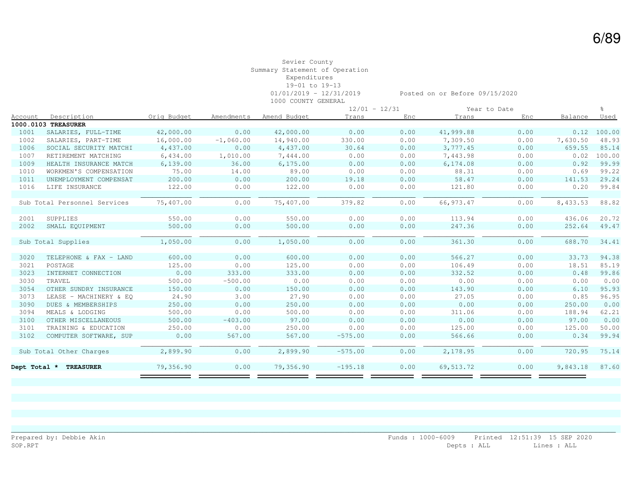|                |                              |             |             |              | $12/01 - 12/31$ |      |            | Year to Date |          | $\approx$ |
|----------------|------------------------------|-------------|-------------|--------------|-----------------|------|------------|--------------|----------|-----------|
| <u>Account</u> | Description                  | Orig Budget | Amendments  | Amend Budget | Trans           | Enc  | Trans      | Enc          | Balance  | Used      |
|                | 1000.0103 TREASURER          |             |             |              |                 |      |            |              |          |           |
| 1001           | SALARIES, FULL-TIME          | 42,000.00   | 0.00        | 42,000.00    | 0.00            | 0.00 | 41,999.88  | 0.00         | 0.12     | 100.00    |
| 1002           | SALARIES, PART-TIME          | 16,000.00   | $-1,060.00$ | 14,940.00    | 330.00          | 0.00 | 7,309.50   | 0.00         | 7,630.50 | 48.93     |
| 1006           | SOCIAL SECURITY MATCHI       | 4,437.00    | 0.00        | 4,437.00     | 30.64           | 0.00 | 3,777.45   | 0.00         | 659.55   | 85.14     |
| 1007           | RETIREMENT MATCHING          | 6,434.00    | 1,010.00    | 7,444.00     | 0.00            | 0.00 | 7,443.98   | 0.00         | 0.02     | 100.00    |
| 1009           | HEALTH INSURANCE MATCH       | 6,139.00    | 36.00       | 6, 175, 00   | 0.00            | 0.00 | 6,174.08   | 0.00         | 0.92     | 99.99     |
| 1010           | WORKMEN'S COMPENSATION       | 75.00       | 14.00       | 89.00        | 0.00            | 0.00 | 88.31      | 0.00         | 0.69     | 99.22     |
| 1011           | UNEMPLOYMENT COMPENSAT       | 200.00      | 0.00        | 200.00       | 19.18           | 0.00 | 58.47      | 0.00         | 141.53   | 29.24     |
| 1016           | LIFE INSURANCE               | 122.00      | 0.00        | 122.00       | 0.00            | 0.00 | 121.80     | 0.00         | 0.20     | 99.84     |
|                | Sub Total Personnel Services | 75,407.00   | 0.00        | 75,407.00    | 379.82          | 0.00 | 66, 973.47 | 0.00         | 8,433.53 | 88.82     |
| 2001           | SUPPLIES                     | 550.00      | 0.00        | 550.00       | 0.00            | 0.00 | 113.94     | 0.00         | 436.06   | 20.72     |
| 2002           | SMALL EQUIPMENT              | 500.00      | 0.00        | 500.00       | 0.00            | 0.00 | 247.36     | 0.00         | 252.64   | 49.47     |
|                | Sub Total Supplies           | 1,050.00    | 0.00        | 1,050.00     | 0.00            | 0.00 | 361.30     | 0.00         | 688.70   | 34.41     |
| 3020           | TELEPHONE & FAX - LAND       | 600.00      | 0.00        | 600.00       | 0.00            | 0.00 | 566.27     | 0.00         | 33.73    | 94.38     |
| 3021           | POSTAGE                      | 125.00      | 0.00        | 125.00       | 0.00            | 0.00 | 106.49     | 0.00         | 18.51    | 85.19     |
| 3023           | INTERNET CONNECTION          | 0.00        | 333.00      | 333.00       | 0.00            | 0.00 | 332.52     | 0.00         | 0.48     | 99.86     |
| 3030           | TRAVEL                       | 500.00      | $-500.00$   | 0.00         | 0.00            | 0.00 | 0.00       | 0.00         | 0.00     | 0.00      |
| 3054           | OTHER SUNDRY INSURANCE       | 150.00      | 0.00        | 150.00       | 0.00            | 0.00 | 143.90     | 0.00         | 6.10     | 95.93     |
| 3073           | LEASE - MACHINERY & EO       | 24.90       | 3.00        | 27.90        | 0.00            | 0.00 | 27.05      | 0.00         | 0.85     | 96.95     |
| 3090           | DUES & MEMBERSHIPS           | 250.00      | 0.00        | 250.00       | 0.00            | 0.00 | 0.00       | 0.00         | 250.00   | 0.00      |
| 3094           | MEALS & LODGING              | 500.00      | 0.00        | 500.00       | 0.00            | 0.00 | 311.06     | 0.00         | 188.94   | 62.21     |
| 3100           | OTHER MISCELLANEOUS          | 500.00      | $-403.00$   | 97.00        | 0.00            | 0.00 | 0.00       | 0.00         | 97.00    | 0.00      |
| 3101           | TRAINING & EDUCATION         | 250.00      | 0.00        | 250.00       | 0.00            | 0.00 | 125.00     | 0.00         | 125.00   | 50.00     |
| 3102           | COMPUTER SOFTWARE, SUP       | 0.00        | 567.00      | 567.00       | $-575.00$       | 0.00 | 566.66     | 0.00         | 0.34     | 99.94     |
|                | Sub Total Other Charges      | 2,899.90    | 0.00        | 2,899.90     | $-575.00$       | 0.00 | 2,178.95   | 0.00         | 720.95   | 75.14     |
| Dept Total *   | <b>TREASURER</b>             | 79,356.90   | 0.00        | 79,356.90    | $-195.18$       | 0.00 | 69,513.72  | 0.00         | 9,843.18 | 87.60     |
|                |                              |             |             |              |                 |      |            |              |          |           |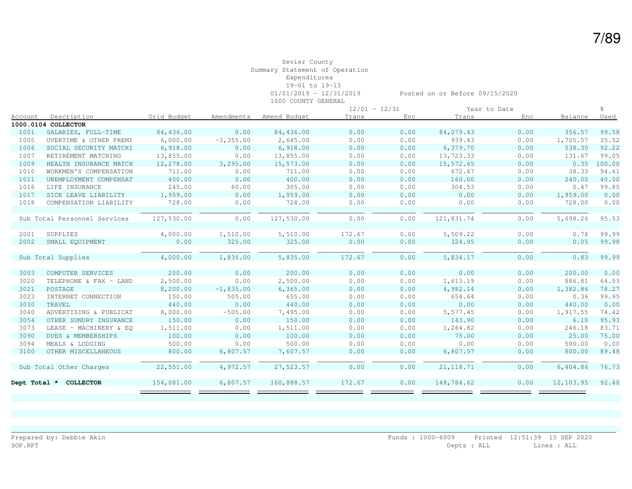|              |                              |             |              |              | $12/01 - 12/31$ |      |            | Year to Date |           | ু      |
|--------------|------------------------------|-------------|--------------|--------------|-----------------|------|------------|--------------|-----------|--------|
| Account      | Description                  | Orig Budget | Amendments   | Amend Budget | Trans           | Enc  | Trans      | Enc          | Balance   | Used   |
|              | 1000.0104 COLLECTOR          |             |              |              |                 |      |            |              |           |        |
| 1001         | SALARIES, FULL-TIME          | 84,436.00   | 0.00         | 84,436.00    | 0.00            | 0.00 | 84,079.43  | 0.00         | 356.57    | 99.58  |
| 1005         | OVERTIME & OTHER PREMI       | 6,000.00    | $-3, 355.00$ | 2,645.00     | 0.00            | 0.00 | 939.43     | 0.00         | 1,705.57  | 35.52  |
| 1006         | SOCIAL SECURITY MATCHI       | 6,918.00    | 0.00         | 6,918.00     | 0.00            | 0.00 | 6,379.70   | 0.00         | 538.30    | 92.22  |
| 1007         | RETIREMENT MATCHING          | 13,855.00   | 0.00         | 13,855.00    | 0.00            | 0.00 | 13,723.33  | 0.00         | 131.67    | 99.05  |
| 1009         | HEALTH INSURANCE MATCH       | 12,278.00   | 3,295.00     | 15,573.00    | 0.00            | 0.00 | 15,572.65  | 0.00         | 0.35      | 100.00 |
| 1010         | WORKMEN'S COMPENSATION       | 711.00      | 0.00         | 711.00       | 0.00            | 0.00 | 672.67     | 0.00         | 38.33     | 94.61  |
| 1011         | UNEMPLOYMENT COMPENSAT       | 400.00      | 0.00         | 400.00       | 0.00            | 0.00 | 160.00     | 0.00         | 240.00    | 40.00  |
| 1016         | LIFE INSURANCE               | 245.00      | 60.00        | 305.00       | 0.00            | 0.00 | 304.53     | 0.00         | 0.47      | 99.85  |
| 1017         | SICK LEAVE LIABILITY         | 1,959.00    | 0.00         | 1,959.00     | 0.00            | 0.00 | 0.00       | 0.00         | 1,959.00  | 0.00   |
| 1018         | COMPENSATION LIABILITY       | 728.00      | 0.00         | 728.00       | 0.00            | 0.00 | 0.00       | 0.00         | 728.00    | 0.00   |
|              |                              |             |              |              |                 |      |            |              |           |        |
|              | Sub Total Personnel Services | 127,530.00  | 0.00         | 127,530.00   | 0.00            | 0.00 | 121,831.74 | 0.00         | 5,698.26  | 95.53  |
|              |                              |             |              |              |                 |      |            |              |           |        |
| 2001         | SUPPLIES                     | 4,000.00    | 1,510.00     | 5,510.00     | 172.67          | 0.00 | 5,509.22   | 0.00         | 0.78      | 99.99  |
| 2002         | SMALL EQUIPMENT              | 0.00        | 325.00       | 325.00       | 0.00            | 0.00 | 324.95     | 0.00         | 0.05      | 99.98  |
|              |                              |             |              |              |                 |      |            |              |           |        |
|              | Sub Total Supplies           | 4,000.00    | 1,835.00     | 5,835.00     | 172.67          | 0.00 | 5,834.17   | 0.00         | 0.83      | 99.99  |
|              |                              |             |              |              |                 |      |            |              |           |        |
| 3003         | COMPUTER SERVICES            | 200.00      | 0.00         | 200.00       | 0.00            | 0.00 | 0.00       | 0.00         | 200.00    | 0.00   |
| 3020         | TELEPHONE & FAX - LAND       | 2,500.00    | 0.00         | 2,500.00     | 0.00            | 0.00 | 1,613.19   | 0.00         | 886.81    | 64.53  |
| 3021         | POSTAGE                      | 8,200.00    | $-1,835.00$  | 6,365.00     | 0.00            | 0.00 | 4,982.14   | 0.00         | 1,382.86  | 78.27  |
| 3023         | INTERNET CONNECTION          | 150.00      | 505.00       | 655.00       | 0.00            | 0.00 | 654.64     | 0.00         | 0.36      | 99.95  |
| 3030         | TRAVEL                       | 440.00      | 0.00         | 440.00       | 0.00            | 0.00 | 0.00       | 0.00         | 440.00    | 0.00   |
| 3040         | ADVERTISING & PUBLICAT       | 8,000.00    | $-505.00$    | 7,495.00     | 0.00            | 0.00 | 5,577.45   | 0.00         | 1,917.55  | 74.42  |
| 3054         | OTHER SUNDRY INSURANCE       | 150.00      | 0.00         | 150.00       | 0.00            | 0.00 | 143.90     | 0.00         | 6.10      | 95.93  |
| 3073         | LEASE - MACHINERY & EQ       | 1,511.00    | 0.00         | 1,511.00     | 0.00            | 0.00 | 1,264.82   | 0.00         | 246.18    | 83.71  |
| 3090         | DUES & MEMBERSHIPS           | 100.00      | 0.00         | 100.00       | 0.00            | 0.00 | 75.00      | 0.00         | 25.00     | 75.00  |
| 3094         | MEALS & LODGING              | 500.00      | 0.00         | 500.00       | 0.00            | 0.00 | 0.00       | 0.00         | 500.00    | 0.00   |
| 3100         | OTHER MISCELLANEOUS          | 800.00      | 6,807.57     | 7,607.57     | 0.00            | 0.00 | 6,807.57   | 0.00         | 800.00    | 89.48  |
|              |                              |             |              |              |                 |      |            |              |           |        |
|              | Sub Total Other Charges      | 22,551.00   | 4,972.57     | 27,523.57    | 0.00            | 0.00 | 21, 118.71 | 0.00         | 6,404.86  | 76.73  |
|              |                              |             |              |              |                 |      |            |              |           |        |
| Dept Total * | <b>COLLECTOR</b>             | 154,081.00  | 6,807.57     | 160,888.57   | 172.67          | 0.00 | 148,784.62 | 0.00         | 12,103.95 | 92.48  |
|              |                              |             |              |              |                 |      |            |              |           |        |

\_\_\_\_\_\_\_\_\_\_\_\_\_\_\_\_\_\_\_\_\_\_\_\_\_\_\_\_\_\_\_\_\_\_\_\_\_\_\_\_\_\_\_\_\_\_\_\_\_\_\_\_\_\_\_\_\_\_\_\_\_\_\_\_\_\_\_\_\_\_\_\_\_\_\_\_\_\_\_\_\_\_\_\_\_\_\_\_\_\_\_\_\_\_\_\_\_\_\_\_\_\_\_\_\_\_\_\_\_\_\_\_\_\_\_\_\_\_\_\_\_\_\_\_\_\_\_\_\_\_\_\_\_\_\_\_\_\_\_\_\_\_\_\_\_\_\_\_\_\_\_\_\_\_

7/89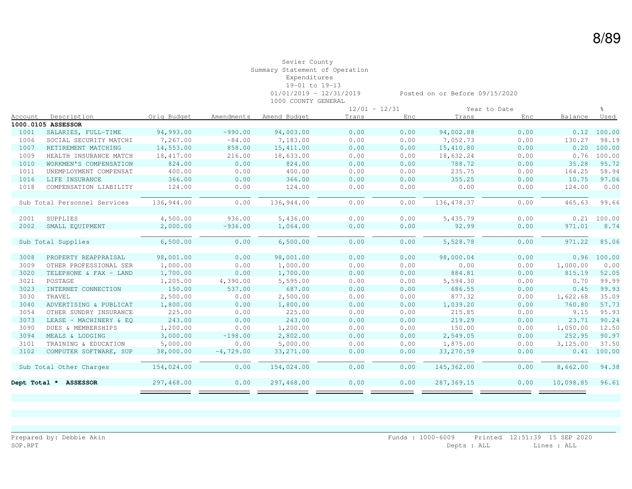|         |                              |             |             |              | $12/01 - 12/31$ |      |             | Year to Date |           | ু             |
|---------|------------------------------|-------------|-------------|--------------|-----------------|------|-------------|--------------|-----------|---------------|
| Account | Description                  | Orig Budget | Amendments  | Amend Budget | Trans           | Enc  | Trans       | Enc          | Balance   | Used          |
|         | 1000.0105 ASSESSOR           |             |             |              |                 |      |             |              |           |               |
| 1001    | SALARIES, FULL-TIME          | 94,993.00   | $-990.00$   | 94,003.00    | 0.00            | 0.00 | 94,002.88   | 0.00         | 0.12      | 100.00        |
| 1006    | SOCIAL SECURITY MATCHI       | 7,267.00    | $-84.00$    | 7,183.00     | 0.00            | 0.00 | 7,052.73    | 0.00         | 130.27    | 98.19         |
| 1007    | RETIREMENT MATCHING          | 14,553.00   | 858.00      | 15,411.00    | 0.00            | 0.00 | 15,410.80   | 0.00         | 0.20      | 100.00        |
| 1009    | HEALTH INSURANCE MATCH       | 18,417.00   | 216.00      | 18,633.00    | 0.00            | 0.00 | 18,632.24   | 0.00         | 0.76      | 100.00        |
| 1010    | WORKMEN'S COMPENSATION       | 824.00      | 0.00        | 824.00       | 0.00            | 0.00 | 788.72      | 0.00         | 35.28     | 95.72         |
| 1011    | UNEMPLOYMENT COMPENSAT       | 400.00      | 0.00        | 400.00       | 0.00            | 0.00 | 235.75      | 0.00         | 164.25    | 58.94         |
| 1016    | LIFE INSURANCE               | 366.00      | 0.00        | 366.00       | 0.00            | 0.00 | 355.25      | 0.00         | 10.75     | 97.06         |
| 1018    | COMPENSATION LIABILITY       | 124.00      | 0.00        | 124.00       | 0.00            | 0.00 | 0.00        | 0.00         | 124.00    | 0.00          |
|         |                              |             |             |              |                 |      |             |              |           |               |
|         | Sub Total Personnel Services | 136,944.00  | 0.00        | 136,944.00   | 0.00            | 0.00 | 136, 478.37 | 0.00         | 465.63    | 99.66         |
|         |                              |             |             |              |                 |      |             |              |           |               |
| 2001    | SUPPLIES                     | 4,500.00    | 936.00      | 5,436.00     | 0.00            | 0.00 | 5,435.79    | 0.00         | 0.21      | 100.00        |
| 2002    | SMALL EQUIPMENT              | 2,000.00    | $-936.00$   | 1,064.00     | 0.00            | 0.00 | 92.99       | 0.00         | 971.01    | 8.74          |
|         |                              |             |             |              |                 |      |             |              |           |               |
|         | Sub Total Supplies           | 6,500.00    | 0.00        | 6,500.00     | 0.00            | 0.00 | 5,528.78    | 0.00         | 971.22    | 85.06         |
|         |                              |             |             |              |                 |      |             |              |           |               |
| 3008    | PROPERTY REAPPRAISAL         | 98,001.00   | 0.00        | 98,001.00    | 0.00            | 0.00 | 98,000.04   | 0.00         |           | $0.96$ 100.00 |
| 3009    | OTHER PROFESSIONAL SER       | 1,000.00    | 0.00        | 1,000.00     | 0.00            | 0.00 | 0.00        | 0.00         | 1,000.00  | 0.00          |
| 3020    | TELEPHONE & FAX - LAND       | 1,700.00    | 0.00        | 1,700.00     | 0.00            | 0.00 | 884.81      | 0.00         | 815.19    | 52.05         |
| 3021    | POSTAGE                      | 1,205.00    | 4,390.00    | 5,595.00     | 0.00            | 0.00 | 5,594.30    | 0.00         | 0.70      | 99.99         |
| 3023    | INTERNET CONNECTION          | 150.00      | 537.00      | 687.00       | 0.00            | 0.00 | 686.55      | 0.00         | 0.45      | 99.93         |
| 3030    | TRAVEL                       | 2,500.00    | 0.00        | 2,500.00     | 0.00            | 0.00 | 877.32      | 0.00         | 1,622.68  | 35.09         |
| 3040    | ADVERTISING & PUBLICAT       | 1,800.00    | 0.00        | 1,800.00     | 0.00            | 0.00 | 1,039.20    | 0.00         | 760.80    | 57.73         |
| 3054    | OTHER SUNDRY INSURANCE       | 225.00      | 0.00        | 225.00       | 0.00            | 0.00 | 215.85      | 0.00         | 9.15      | 95.93         |
| 3073    | LEASE - MACHINERY & EO       | 243.00      | 0.00        | 243.00       | 0.00            | 0.00 | 219.29      | 0.00         | 23.71     | 90.24         |
| 3090    | DUES & MEMBERSHIPS           | 1,200.00    | 0.00        | 1,200.00     | 0.00            | 0.00 | 150.00      | 0.00         | 1,050.00  | 12.50         |
| 3094    | MEALS & LODGING              | 3,000.00    | $-198.00$   | 2,802.00     | 0.00            | 0.00 | 2,549.05    | 0.00         | 252.95    | 90.97         |
| 3101    | TRAINING & EDUCATION         | 5,000.00    | 0.00        | 5,000.00     | 0.00            | 0.00 | 1,875.00    | 0.00         | 3,125.00  | 37.50         |
| 3102    | COMPUTER SOFTWARE, SUP       | 38,000.00   | $-4,729.00$ | 33, 271.00   | 0.00            | 0.00 | 33,270.59   | 0.00         | 0.41      | 100.00        |
|         |                              |             |             |              |                 |      |             |              |           |               |
|         | Sub Total Other Charges      | 154,024.00  | 0.00        | 154,024.00   | 0.00            | 0.00 | 145,362.00  | 0.00         | 8,662.00  | 94.38         |
|         |                              |             |             |              |                 |      |             |              |           |               |
|         | Dept Total * ASSESSOR        | 297,468.00  | 0.00        | 297,468.00   | 0.00            | 0.00 | 287, 369.15 | 0.00         | 10,098.85 | 96.61         |
|         |                              |             |             |              |                 |      |             |              |           |               |

\_\_\_\_\_\_\_\_\_\_\_\_\_\_\_\_\_\_\_\_\_\_\_\_\_\_\_\_\_\_\_\_\_\_\_\_\_\_\_\_\_\_\_\_\_\_\_\_\_\_\_\_\_\_\_\_\_\_\_\_\_\_\_\_\_\_\_\_\_\_\_\_\_\_\_\_\_\_\_\_\_\_\_\_\_\_\_\_\_\_\_\_\_\_\_\_\_\_\_\_\_\_\_\_\_\_\_\_\_\_\_\_\_\_\_\_\_\_\_\_\_\_\_\_\_\_\_\_\_\_\_\_\_\_\_\_\_\_\_\_\_\_\_\_\_\_\_\_\_\_\_\_\_\_

8/89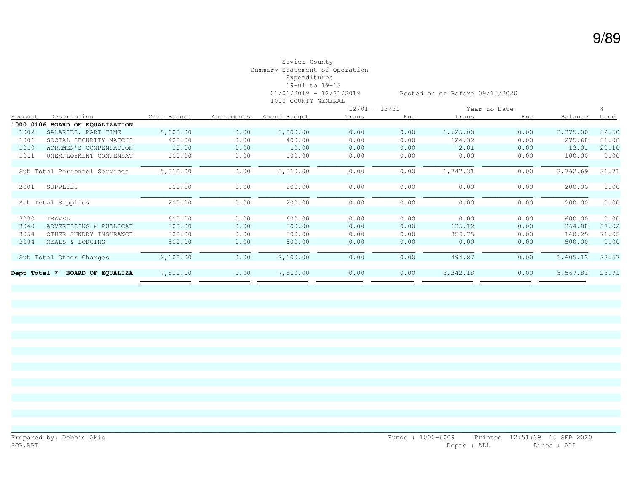|              |                              |             |            |              |       | $12/01 - 12/31$ |          | Year to Date |          |          |
|--------------|------------------------------|-------------|------------|--------------|-------|-----------------|----------|--------------|----------|----------|
| Account      | Description                  | Orig Budget | Amendments | Amend Budget | Trans | Enc.            | Trans    | Enc          | Balance  | Used     |
| 1000.0106    | BOARD OF EQUALIZATION        |             |            |              |       |                 |          |              |          |          |
| 1002         | SALARIES, PART-TIME          | 5,000.00    | 0.00       | 5,000.00     | 0.00  | 0.00            | 1,625.00 | 0.00         | 3,375.00 | 32.50    |
| 1006         | SOCIAL SECURITY MATCHI       | 400.00      | 0.00       | 400.00       | 0.00  | 0.00            | 124.32   | 0.00         | 275.68   | 31.08    |
| 1010         | WORKMEN'S COMPENSATION       | 10.00       | 0.00       | 10.00        | 0.00  | 0.00            | $-2.01$  | 0.00         | 12.01    | $-20.10$ |
| 1011         | UNEMPLOYMENT COMPENSAT       | 100.00      | 0.00       | 100.00       | 0.00  | 0.00            | 0.00     | 0.00         | 100.00   | 0.00     |
|              |                              |             |            |              |       |                 |          |              |          |          |
|              | Sub Total Personnel Services | 5,510.00    | 0.00       | 5,510.00     | 0.00  | 0.00            | 1,747.31 | 0.00         | 3,762.69 | 31.71    |
|              |                              |             |            |              |       |                 |          |              |          |          |
| 2001         | SUPPLIES                     | 200.00      | 0.00       | 200.00       | 0.00  | 0.00            | 0.00     | 0.00         | 200.00   | 0.00     |
|              |                              |             |            |              |       |                 |          |              |          |          |
|              | Sub Total Supplies           | 200.00      | 0.00       | 200.00       | 0.00  | 0.00            | 0.00     | 0.00         | 200.00   | 0.00     |
|              |                              |             |            |              |       |                 |          |              |          |          |
| 3030         | TRAVEL                       | 600.00      | 0.00       | 600.00       | 0.00  | 0.00            | 0.00     | 0.00         | 600.00   | 0.00     |
| 3040         | ADVERTISING & PUBLICAT       | 500.00      | 0.00       | 500.00       | 0.00  | 0.00            | 135.12   | 0.00         | 364.88   | 27.02    |
| 3054         | OTHER SUNDRY INSURANCE       | 500.00      | 0.00       | 500.00       | 0.00  | 0.00            | 359.75   | 0.00         | 140.25   | 71.95    |
| 3094         | MEALS & LODGING              | 500.00      | 0.00       | 500.00       | 0.00  | 0.00            | 0.00     | 0.00         | 500.00   | 0.00     |
|              |                              |             |            |              |       |                 |          |              |          |          |
|              | Sub Total Other Charges      | 2,100.00    | 0.00       | 2,100.00     | 0.00  | 0.00            | 494.87   | 0.00         | 1,605.13 | 23.57    |
|              |                              |             |            |              |       |                 |          |              |          |          |
| Dept Total * | BOARD OF EQUALIZA            | 7,810.00    | 0.00       | 7,810.00     | 0.00  | 0.00            | 2,242.18 | 0.00         | 5,567.82 | 28.71    |
|              |                              |             |            |              |       |                 |          |              |          |          |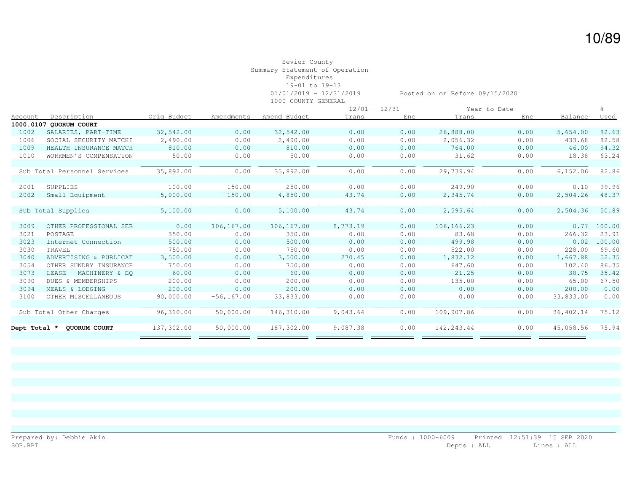|         |                              |             |               |              | $12/01 - 12/31$ |      |             | Year to Date |           |        |
|---------|------------------------------|-------------|---------------|--------------|-----------------|------|-------------|--------------|-----------|--------|
| Account | Description                  | Orig Budget | Amendments    | Amend Budget | Trans           | Enc  | Trans       | Enc          | Balance   | Used   |
|         | 1000.0107 QUORUM COURT       |             |               |              |                 |      |             |              |           |        |
| 1002    | SALARIES, PART-TIME          | 32,542.00   | 0.00          | 32,542.00    | 0.00            | 0.00 | 26,888.00   | 0.00         | 5,654.00  | 82.63  |
| 1006    | SOCIAL SECURITY MATCHI       | 2,490.00    | 0.00          | 2,490.00     | 0.00            | 0.00 | 2,056.32    | 0.00         | 433.68    | 82.58  |
| 1009    | HEALTH INSURANCE MATCH       | 810.00      | 0.00          | 810.00       | 0.00            | 0.00 | 764.00      | 0.00         | 46.00     | 94.32  |
| 1010    | WORKMEN'S COMPENSATION       | 50.00       | 0.00          | 50.00        | 0.00            | 0.00 | 31.62       | 0.00         | 18.38     | 63.24  |
|         |                              |             |               |              |                 |      |             |              |           |        |
|         | Sub Total Personnel Services | 35,892.00   | 0.00          | 35,892.00    | 0.00            | 0.00 | 29,739.94   | 0.00         | 6, 152.06 | 82.86  |
|         |                              |             |               |              |                 |      |             |              |           |        |
| 2001    | SUPPLIES                     | 100.00      | 150.00        | 250.00       | 0.00            | 0.00 | 249.90      | 0.00         | 0.10      | 99.96  |
| 2002    | Small Equipment              | 5,000.00    | $-150.00$     | 4,850.00     | 43.74           | 0.00 | 2,345.74    | 0.00         | 2,504.26  | 48.37  |
|         |                              |             |               |              |                 |      |             |              |           |        |
|         | Sub Total Supplies           | 5,100.00    | 0.00          | 5,100.00     | 43.74           | 0.00 | 2,595.64    | 0.00         | 2,504.36  | 50.89  |
|         |                              |             |               |              |                 |      |             |              |           |        |
| 3009    | OTHER PROFESSIONAL SER       | 0.00        | 106,167.00    | 106,167.00   | 8,773.19        | 0.00 | 106,166.23  | 0.00         | 0.77      | 100.00 |
| 3021    | POSTAGE                      | 350.00      | 0.00          | 350.00       | 0.00            | 0.00 | 83.68       | 0.00         | 266.32    | 23.91  |
| 3023    | Internet Connection          | 500.00      | 0.00          | 500.00       | 0.00            | 0.00 | 499.98      | 0.00         | 0.02      | 100.00 |
| 3030    | TRAVEL                       | 750.00      | 0.00          | 750.00       | 0.00            | 0.00 | 522.00      | 0.00         | 228.00    | 69.60  |
| 3040    | ADVERTISING & PUBLICAT       | 3,500.00    | 0.00          | 3,500.00     | 270.45          | 0.00 | 1,832.12    | 0.00         | 1,667.88  | 52.35  |
| 3054    | OTHER SUNDRY INSURANCE       | 750.00      | 0.00          | 750.00       | 0.00            | 0.00 | 647.60      | 0.00         | 102.40    | 86.35  |
| 3073    | LEASE - MACHINERY & EO       | 60.00       | 0.00          | 60.00        | 0.00            | 0.00 | 21.25       | 0.00         | 38.75     | 35.42  |
| 3090    | DUES & MEMBERSHIPS           | 200.00      | 0.00          | 200.00       | 0.00            | 0.00 | 135.00      | 0.00         | 65.00     | 67.50  |
| 3094    | MEALS & LODGING              | 200.00      | 0.00          | 200.00       | 0.00            | 0.00 | 0.00        | 0.00         | 200.00    | 0.00   |
| 3100    | OTHER MISCELLANEOUS          | 90,000.00   | $-56, 167.00$ | 33,833.00    | 0.00            | 0.00 | 0.00        | 0.00         | 33,833.00 | 0.00   |
|         |                              |             |               |              |                 |      |             |              |           |        |
|         | Sub Total Other Charges      | 96,310.00   | 50,000.00     | 146,310.00   | 9,043.64        | 0.00 | 109,907.86  | 0.00         | 36,402.14 | 75.12  |
|         |                              |             |               |              |                 |      |             |              |           |        |
|         | Dept Total * QUORUM COURT    | 137,302.00  | 50,000.00     | 187,302.00   | 9,087.38        | 0.00 | 142, 243.44 | 0.00         | 45,058.56 | 75.94  |
|         |                              |             |               |              |                 |      |             |              |           |        |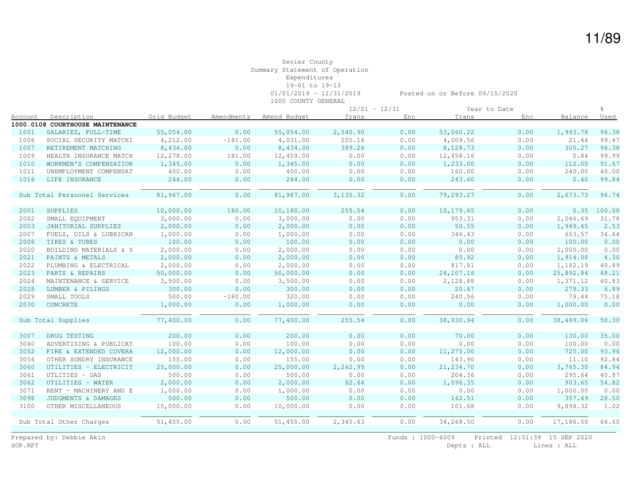|         |                                  |             |            |              | $12/01 - 12/31$ |      |            | Year to Date |           |        |
|---------|----------------------------------|-------------|------------|--------------|-----------------|------|------------|--------------|-----------|--------|
| Account | Description                      | Orig Budget | Amendments | Amend Budget | Trans           | Enc  | Trans      | Enc          | Balance   | Used   |
|         | 1000.0108 COURTHOUSE MAINTENANCE |             |            |              |                 |      |            |              |           |        |
| 1001    | SALARIES, FULL-TIME              | 55,054.00   | 0.00       | 55,054.00    | 2,540.90        | 0.00 | 53,060.22  | 0.00         | 1,993.78  | 96.38  |
| 1006    | SOCIAL SECURITY MATCHI           | 4,212.00    | $-181.00$  | 4,031.00     | 205.16          | 0.00 | 4,009.56   | 0.00         | 21.44     | 99.47  |
| 1007    | RETIREMENT MATCHING              | 8,434.00    | 0.00       | 8,434.00     | 389.26          | 0.00 | 8,128.73   | 0.00         | 305.27    | 96.38  |
| 1009    | HEALTH INSURANCE MATCH           | 12,278.00   | 181.00     | 12,459.00    | 0.00            | 0.00 | 12,458.16  | 0.00         | 0.84      | 99.99  |
| 1010    | WORKMEN'S COMPENSATION           | 1,345.00    | 0.00       | 1,345.00     | 0.00            | 0.00 | 1,233.00   | 0.00         | 112.00    | 91.67  |
| 1011    | UNEMPLOYMENT COMPENSAT           | 400.00      | 0.00       | 400.00       | 0.00            | 0.00 | 160.00     | 0.00         | 240.00    | 40.00  |
| 1016    | LIFE INSURANCE                   | 244.00      | 0.00       | 244.00       | 0.00            | 0.00 | 243.60     | 0.00         | 0.40      | 99.84  |
|         |                                  |             |            |              |                 |      |            |              |           |        |
|         | Sub Total Personnel Services     | 81,967.00   | 0.00       | 81,967.00    | 3, 135.32       | 0.00 | 79,293.27  | 0.00         | 2,673.73  | 96.74  |
|         |                                  |             |            |              |                 |      |            |              |           |        |
| 2001    | SUPPLIES                         | 10,000.00   | 180.00     | 10,180.00    | 255.54          | 0.00 | 10,179.65  | 0.00         | 0.35      | 100.00 |
| 2002    | SMALL EQUIPMENT                  | 3,000.00    | 0.00       | 3,000.00     | 0.00            | 0.00 | 953.31     | 0.00         | 2,046.69  | 31.78  |
| 2003    | JANITORIAL SUPPLIES              | 2,000.00    | 0.00       | 2,000.00     | 0.00            | 0.00 | 50.55      | 0.00         | 1,949.45  | 2.53   |
| 2007    | FUELS, OILS & LUBRICAN           | 1,000.00    | 0.00       | 1,000.00     | 0.00            | 0.00 | 346.43     | 0.00         | 653.57    | 34.64  |
| 2008    | TIRES & TUBES                    | 100.00      | 0.00       | 100.00       | 0.00            | 0.00 | 0.00       | 0.00         | 100.00    | 0.00   |
| 2020    | BUILDING MATERIALS & S           | 2,000.00    | 0.00       | 2,000.00     | 0.00            | 0.00 | 0.00       | 0.00         | 2,000.00  | 0.00   |
| 2021    | PAINTS & METALS                  | 2,000.00    | 0.00       | 2,000.00     | 0.00            | 0.00 | 85.92      | 0.00         | 1,914.08  | 4.30   |
| 2022    | PLUMBING & ELECTRICAL            | 2,000.00    | 0.00       | 2,000.00     | 0.00            | 0.00 | 817.81     | 0.00         | 1,182.19  | 40.89  |
| 2023    | PARTS & REPAIRS                  | 50,000.00   | 0.00       | 50,000.00    | 0.00            | 0.00 | 24,107.16  | 0.00         | 25,892.84 | 48.21  |
| 2024    | MAINTENANCE & SERVICE            | 3,500.00    | 0.00       | 3,500.00     | 0.00            | 0.00 | 2,128.88   | 0.00         | 1,371.12  | 60.83  |
| 2028    | LUMBER & PILINGS                 | 300.00      | 0.00       | 300.00       | 0.00            | 0.00 | 20.67      | 0.00         | 279.33    | 6.89   |
| 2029    | SMALL TOOLS                      | 500.00      | $-180.00$  | 320.00       | 0.00            | 0.00 | 240.56     | 0.00         | 79.44     | 75.18  |
| 2030    | CONCRETE                         | 1,000.00    | 0.00       | 1,000.00     | 0.00            | 0.00 | 0.00       | 0.00         | 1,000.00  | 0.00   |
|         |                                  |             |            |              |                 |      |            |              |           |        |
|         | Sub Total Supplies               | 77,400.00   | 0.00       | 77,400.00    | 255.54          | 0.00 | 38,930.94  | 0.00         | 38,469.06 | 50.30  |
|         |                                  |             |            |              |                 |      |            |              |           |        |
| 3007    | DRUG TESTING                     | 200.00      | 0.00       | 200.00       | 0.00            | 0.00 | 70.00      | 0.00         | 130.00    | 35.00  |
| 3040    | ADVERTISING & PUBLICAT           | 100.00      | 0.00       | 100.00       | 0.00            | 0.00 | 0.00       | 0.00         | 100.00    | 0.00   |
| 3052    | FIRE & EXTENDED COVERA           | 12,000.00   | 0.00       | 12,000.00    | 0.00            | 0.00 | 11,275.00  | 0.00         | 725.00    | 93.96  |
| 3054    | OTHER SUNDRY INSURANCE           | 155.00      | 0.00       | 155.00       | 0.00            | 0.00 | 143.90     | 0.00         | 11.10     | 92.84  |
| 3060    | UTILITIES - ELECTRICIT           | 25,000.00   | 0.00       | 25,000.00    | 2,262.99        | 0.00 | 21, 234.70 | 0.00         | 3,765.30  | 84.94  |
| 3061    | UTLITIES - GAS                   | 500.00      | 0.00       | 500.00       | 0.00            | 0.00 | 204.36     | 0.00         | 295.64    | 40.87  |
| 3062    | UTILITIES - WATER                | 2,000.00    | 0.00       | 2,000.00     | 82.64           | 0.00 | 1,096.35   | 0.00         | 903.65    | 54.82  |
| 3071    | RENT - MACHINERY AND E           | 1,000.00    | 0.00       | 1,000.00     | 0.00            | 0.00 | 0.00       | 0.00         | 1,000.00  | 0.00   |
| 3098    | JUDGMENTS & DAMAGES              | 500.00      | 0.00       | 500.00       | 0.00            | 0.00 | 142.51     | 0.00         | 357.49    | 28.50  |
| 3100    | OTHER MISCELLANEOUS              | 10,000.00   | 0.00       | 10,000.00    | 0.00            | 0.00 | 101.68     | 0.00         | 9,898.32  | 1.02   |
|         |                                  |             |            |              |                 |      |            |              |           |        |
|         | Sub Total Other Charges          | 51,455.00   | 0.00       | 51,455.00    | 2,345.63        | 0.00 | 34,268.50  | 0.00         | 17,186.50 | 66.60  |
|         |                                  |             |            |              |                 |      |            |              |           |        |

Prepared by: Debbie Akin Funds : 1000-6009 Printed 12:51:39 15 SEP 2020<br>SOP.RPT Depts : ALL Lines : ALL Lines : ALL

Depts : ALL Lines : ALL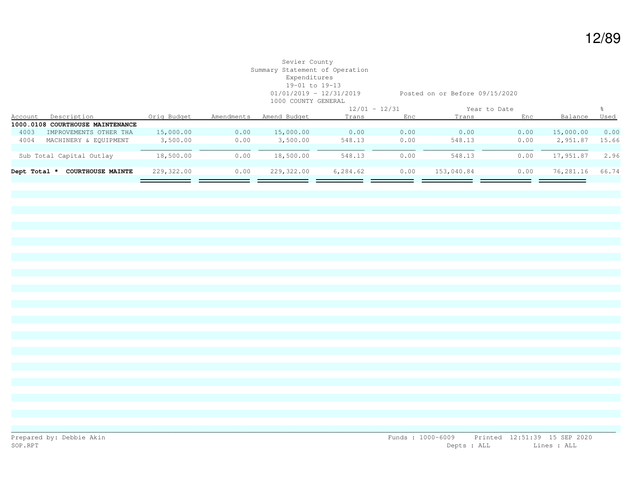|              |                                  |             |            |              | $12/01 - 12/31$ |      |            | Year to Date |           |             |
|--------------|----------------------------------|-------------|------------|--------------|-----------------|------|------------|--------------|-----------|-------------|
| Account      | Description                      | Orig Budget | Amendments | Amend Budget | Trans           | Enc  | Trans      | Enc          | Balance   | <u>Used</u> |
|              | 1000.0108 COURTHOUSE MAINTENANCE |             |            |              |                 |      |            |              |           |             |
| 4003         | IMPROVEMENTS OTHER THA           | 15,000.00   | 0.00       | 15,000.00    | 0.00            | 0.00 | 0.00       | 0.00         | 15,000.00 | 0.00        |
| 4004         | MACHINERY & EOUIPMENT            | 3,500.00    | 0.00       | 3,500.00     | 548.13          | 0.00 | 548.13     | 0.00         | 2,951.87  | 15.66       |
|              |                                  |             |            |              |                 |      |            |              |           |             |
|              | Sub Total Capital Outlay         | 18,500.00   | 0.00       | 18,500.00    | 548.13          | 0.00 | 548.13     | 0.00         | 17,951.87 | 2.96        |
|              |                                  |             |            |              |                 |      |            |              |           |             |
| Dept Total * | <b>COURTHOUSE MAINTE</b>         | 229,322.00  | 0.00       | 229,322.00   | 6,284.62        | 0.00 | 153,040.84 | 0.00         | 76,281.16 | 66.74       |
|              |                                  |             |            |              |                 |      |            |              |           |             |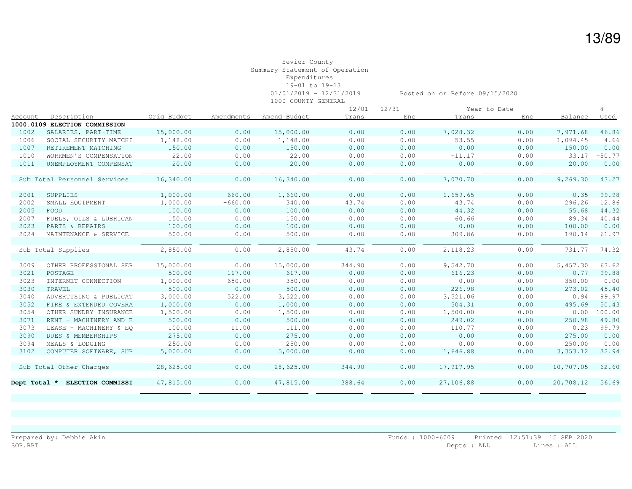|              |                               |             |            |              | $12/01 - 12/31$ |      |           | Year to Date |           | ু        |
|--------------|-------------------------------|-------------|------------|--------------|-----------------|------|-----------|--------------|-----------|----------|
| Account      | Description                   | Orig Budget | Amendments | Amend Budget | Trans           | Enc  | Trans     | Enc          | Balance   | Used     |
|              | 1000.0109 ELECTION COMMISSION |             |            |              |                 |      |           |              |           |          |
| 1002         | SALARIES, PART-TIME           | 15,000.00   | 0.00       | 15,000.00    | 0.00            | 0.00 | 7,028.32  | 0.00         | 7,971.68  | 46.86    |
| 1006         | SOCIAL SECURITY MATCHI        | 1,148.00    | 0.00       | 1,148.00     | 0.00            | 0.00 | 53.55     | 0.00         | 1,094.45  | 4.66     |
| 1007         | RETIREMENT MATCHING           | 150.00      | 0.00       | 150.00       | 0.00            | 0.00 | 0.00      | 0.00         | 150.00    | 0.00     |
| 1010         | WORKMEN'S COMPENSATION        | 22.00       | 0.00       | 22.00        | 0.00            | 0.00 | $-11.17$  | 0.00         | 33.17     | $-50.77$ |
| 1011         | UNEMPLOYMENT COMPENSAT        | 20.00       | 0.00       | 20.00        | 0.00            | 0.00 | 0.00      | 0.00         | 20.00     | 0.00     |
|              |                               |             |            |              |                 |      |           |              |           |          |
|              | Sub Total Personnel Services  | 16,340.00   | 0.00       | 16,340.00    | 0.00            | 0.00 | 7,070.70  | 0.00         | 9,269.30  | 43.27    |
|              |                               |             |            |              |                 |      |           |              |           |          |
| 2001         | SUPPLIES                      | 1,000.00    | 660.00     | 1,660.00     | 0.00            | 0.00 | 1,659.65  | 0.00         | 0.35      | 99.98    |
| 2002         | SMALL EQUIPMENT               | 1,000.00    | $-660.00$  | 340.00       | 43.74           | 0.00 | 43.74     | 0.00         | 296.26    | 12.86    |
| 2005         | FOOD                          | 100.00      | 0.00       | 100.00       | 0.00            | 0.00 | 44.32     | 0.00         | 55.68     | 44.32    |
| 2007         | FUELS, OILS & LUBRICAN        | 150.00      | 0.00       | 150.00       | 0.00            | 0.00 | 60.66     | 0.00         | 89.34     | 40.44    |
| 2023         | PARTS & REPAIRS               | 100.00      | 0.00       | 100.00       | 0.00            | 0.00 | 0.00      | 0.00         | 100.00    | 0.00     |
| 2024         | MAINTENANCE & SERVICE         | 500.00      | 0.00       | 500.00       | 0.00            | 0.00 | 309.86    | 0.00         | 190.14    | 61.97    |
|              |                               |             |            |              |                 |      |           |              |           |          |
|              | Sub Total Supplies            | 2,850.00    | 0.00       | 2,850.00     | 43.74           | 0.00 | 2,118.23  | 0.00         | 731.77    | 74.32    |
|              |                               |             |            |              |                 |      |           |              |           |          |
| 3009         | OTHER PROFESSIONAL SER        | 15,000.00   | 0.00       | 15,000.00    | 344.90          | 0.00 | 9,542.70  | 0.00         | 5,457.30  | 63.62    |
| 3021         | POSTAGE                       | 500.00      | 117.00     | 617.00       | 0.00            | 0.00 | 616.23    | 0.00         | 0.77      | 99.88    |
| 3023         | INTERNET CONNECTION           | 1,000.00    | $-650.00$  | 350.00       | 0.00            | 0.00 | 0.00      | 0.00         | 350.00    | 0.00     |
| 3030         | TRAVEL                        | 500.00      | 0.00       | 500.00       | 0.00            | 0.00 | 226.98    | 0.00         | 273.02    | 45.40    |
| 3040         | ADVERTISING & PUBLICAT        | 3,000.00    | 522.00     | 3,522.00     | 0.00            | 0.00 | 3,521.06  | 0.00         | 0.94      | 99.97    |
| 3052         | FIRE & EXTENDED COVERA        | 1,000.00    | 0.00       | 1,000.00     | 0.00            | 0.00 | 504.31    | 0.00         | 495.69    | 50.43    |
| 3054         | OTHER SUNDRY INSURANCE        | 1,500.00    | 0.00       | 1,500.00     | 0.00            | 0.00 | 1,500.00  | 0.00         | 0.00      | 100.00   |
| 3071         | RENT - MACHINERY AND E        | 500.00      | 0.00       | 500.00       | 0.00            | 0.00 | 249.02    | 0.00         | 250.98    | 49.80    |
| 3073         | LEASE - MACHINERY & EQ        | 100.00      | 11.00      | 111.00       | 0.00            | 0.00 | 110.77    | 0.00         | 0.23      | 99.79    |
| 3090         | DUES & MEMBERSHIPS            | 275.00      | 0.00       | 275.00       | 0.00            | 0.00 | 0.00      | 0.00         | 275.00    | 0.00     |
| 3094         | MEALS & LODGING               | 250.00      | 0.00       | 250.00       | 0.00            | 0.00 | 0.00      | 0.00         | 250.00    | 0.00     |
| 3102         | COMPUTER SOFTWARE, SUP        | 5,000.00    | 0.00       | 5,000.00     | 0.00            | 0.00 | 1,646.88  | 0.00         | 3,353.12  | 32.94    |
|              |                               |             |            |              |                 |      |           |              |           |          |
|              | Sub Total Other Charges       | 28,625.00   | 0.00       | 28,625.00    | 344.90          | 0.00 | 17,917.95 | 0.00         | 10,707.05 | 62.60    |
|              |                               |             |            |              |                 |      |           |              |           |          |
| Dept Total * | ELECTION COMMISSI             | 47,815.00   | 0.00       | 47,815.00    | 388.64          | 0.00 | 27,106.88 | 0.00         | 20,708.12 | 56.69    |
|              |                               |             |            |              |                 |      |           |              |           |          |

\_\_\_\_\_\_\_\_\_\_\_\_\_\_\_\_\_\_\_\_\_\_\_\_\_\_\_\_\_\_\_\_\_\_\_\_\_\_\_\_\_\_\_\_\_\_\_\_\_\_\_\_\_\_\_\_\_\_\_\_\_\_\_\_\_\_\_\_\_\_\_\_\_\_\_\_\_\_\_\_\_\_\_\_\_\_\_\_\_\_\_\_\_\_\_\_\_\_\_\_\_\_\_\_\_\_\_\_\_\_\_\_\_\_\_\_\_\_\_\_\_\_\_\_\_\_\_\_\_\_\_\_\_\_\_\_\_\_\_\_\_\_\_\_\_\_\_\_\_\_\_\_\_\_

13/89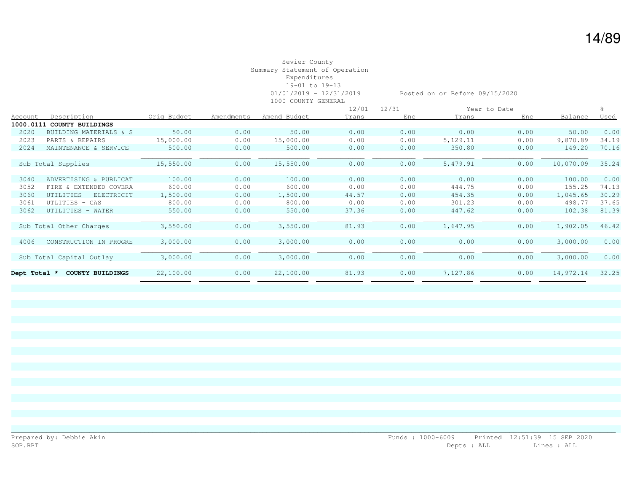|                |                          |             |            |              | $12/01 - 12/31$ |      |          | Year to Date |           |       |
|----------------|--------------------------|-------------|------------|--------------|-----------------|------|----------|--------------|-----------|-------|
| <b>Account</b> | Description              | Orig Budget | Amendments | Amend Budget | Trans           | Enc  | Trans    | Enc          | Balance   | Used  |
| 1000.0111      | COUNTY BUILDINGS         |             |            |              |                 |      |          |              |           |       |
| 2020           | BUILDING MATERIALS & S   | 50.00       | 0.00       | 50.00        | 0.00            | 0.00 | 0.00     | 0.00         | 50.00     | 0.00  |
| 2023           | PARTS & REPAIRS          | 15,000.00   | 0.00       | 15,000.00    | 0.00            | 0.00 | 5,129.11 | 0.00         | 9,870.89  | 34.19 |
| 2024           | MAINTENANCE & SERVICE    | 500.00      | 0.00       | 500.00       | 0.00            | 0.00 | 350.80   | 0.00         | 149.20    | 70.16 |
|                |                          |             |            |              |                 |      |          |              |           |       |
|                | Sub Total Supplies       | 15,550.00   | 0.00       | 15,550.00    | 0.00            | 0.00 | 5,479.91 | 0.00         | 10,070.09 | 35.24 |
|                |                          |             |            |              |                 |      |          |              |           |       |
| 3040           | ADVERTISING & PUBLICAT   | 100.00      | 0.00       | 100.00       | 0.00            | 0.00 | 0.00     | 0.00         | 100.00    | 0.00  |
| 3052           | FIRE & EXTENDED COVERA   | 600.00      | 0.00       | 600.00       | 0.00            | 0.00 | 444.75   | 0.00         | 155.25    | 74.13 |
| 3060           | UTILITIES - ELECTRICIT   | 1,500.00    | 0.00       | 1,500.00     | 44.57           | 0.00 | 454.35   | 0.00         | 1,045.65  | 30.29 |
| 3061           | UTLITIES - GAS           | 800.00      | 0.00       | 800.00       | 0.00            | 0.00 | 301.23   | 0.00         | 498.77    | 37.65 |
| 3062           | UTILITIES - WATER        | 550.00      | 0.00       | 550.00       | 37.36           | 0.00 | 447.62   | 0.00         | 102.38    | 81.39 |
|                |                          |             |            |              |                 |      |          |              |           |       |
|                | Sub Total Other Charges  | 3,550.00    | 0.00       | 3,550.00     | 81.93           | 0.00 | 1,647.95 | 0.00         | 1,902.05  | 46.42 |
|                |                          |             |            |              |                 |      |          |              |           |       |
| 4006           | CONSTRUCTION IN PROGRE   | 3,000.00    | 0.00       | 3,000.00     | 0.00            | 0.00 | 0.00     | 0.00         | 3,000.00  | 0.00  |
|                |                          |             |            |              |                 |      |          |              |           |       |
|                | Sub Total Capital Outlay | 3,000.00    | 0.00       | 3,000.00     | 0.00            | 0.00 | 0.00     | 0.00         | 3,000.00  | 0.00  |
|                |                          |             |            |              |                 |      |          |              |           |       |
| Dept Total *   | COUNTY BUILDINGS         | 22,100.00   | 0.00       | 22,100.00    | 81.93           | 0.00 | 7,127.86 | 0.00         | 14,972.14 | 32.25 |
|                |                          |             |            |              |                 |      |          |              |           |       |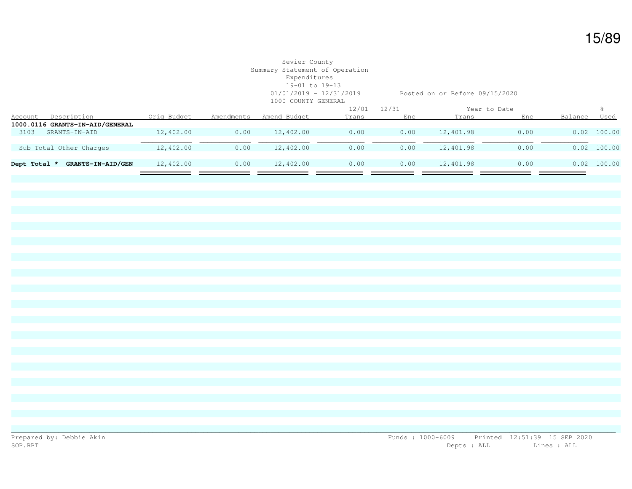# Sevier County Summary Statement of Operation Expenditures 19-01 to 19-13 1000 COUNTY GENERAL

01/01/2019 - 12/31/2019 Posted on or Before 09/15/2020

| Description<br>Account          | Orig Budget | Amendments               | Amend Budget | Trans | Enc  | Trans           | Enc  | Balance      | Used          |
|---------------------------------|-------------|--------------------------|--------------|-------|------|-----------------|------|--------------|---------------|
| 1000.0116 GRANTS-IN-AID/GENERAL |             |                          |              |       |      |                 |      |              |               |
| 3103<br>GRANTS-IN-AID           | 12,402.00   | 0.00                     | 12,402.00    | 0.00  | 0.00 | 12,401.98       | 0.00 |              | $0.02$ 100.00 |
|                                 |             |                          |              |       |      |                 |      |              |               |
| Sub Total Other Charges         | 12,402.00   | 0.00                     | 12,402.00    | 0.00  | 0.00 | 12,401.98       | 0.00 |              | $0.02$ 100.00 |
|                                 |             |                          |              |       |      |                 |      |              |               |
| Dept Total *                    | 12,402.00   | 0.00                     | 12,402.00    | 0.00  | 0.00 | 12,401.98       | 0.00 |              | $0.02$ 100.00 |
|                                 |             |                          |              |       |      |                 |      |              |               |
|                                 |             | <b>GRANTS-IN-AID/GEN</b> |              |       |      | $12/01 - 12/31$ |      | Year to Date |               |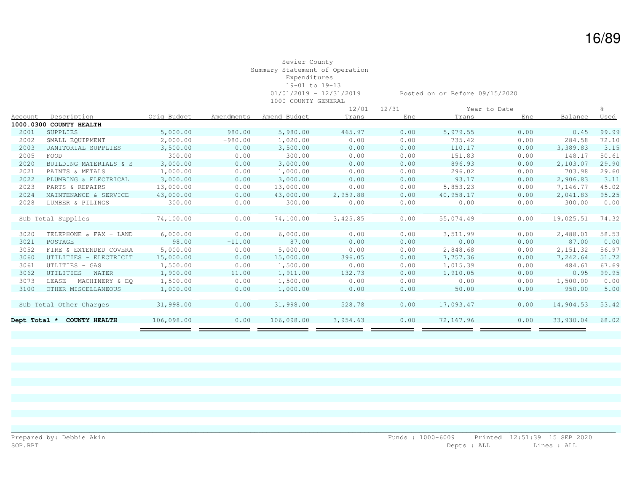|              |                         |             |            |              | $12/01 - 12/31$ |      |           | Year to Date |           |             |
|--------------|-------------------------|-------------|------------|--------------|-----------------|------|-----------|--------------|-----------|-------------|
| Account      | Description             | Orig Budget | Amendments | Amend Budget | Trans           | Enc  | Trans     | Enc          | Balance   | <u>Used</u> |
|              | 1000.0300 COUNTY HEALTH |             |            |              |                 |      |           |              |           |             |
| 2001         | SUPPLIES                | 5,000.00    | 980.00     | 5,980.00     | 465.97          | 0.00 | 5,979.55  | 0.00         | 0.45      | 99.99       |
| 2002         | SMALL EQUIPMENT         | 2,000.00    | $-980.00$  | 1,020.00     | 0.00            | 0.00 | 735.42    | 0.00         | 284.58    | 72.10       |
| 2003         | JANITORIAL SUPPLIES     | 3,500.00    | 0.00       | 3,500.00     | 0.00            | 0.00 | 110.17    | 0.00         | 3,389.83  | 3.15        |
| 2005         | FOOD                    | 300.00      | 0.00       | 300.00       | 0.00            | 0.00 | 151.83    | 0.00         | 148.17    | 50.61       |
| 2020         | BUILDING MATERIALS & S  | 3,000.00    | 0.00       | 3,000.00     | 0.00            | 0.00 | 896.93    | 0.00         | 2,103.07  | 29.90       |
| 2021         | PAINTS & METALS         | 1,000.00    | 0.00       | 1,000.00     | 0.00            | 0.00 | 296.02    | 0.00         | 703.98    | 29.60       |
| 2022         | PLUMBING & ELECTRICAL   | 3,000.00    | 0.00       | 3,000.00     | 0.00            | 0.00 | 93.17     | 0.00         | 2,906.83  | 3.11        |
| 2023         | PARTS & REPAIRS         | 13,000.00   | 0.00       | 13,000.00    | 0.00            | 0.00 | 5,853.23  | 0.00         | 7,146.77  | 45.02       |
| 2024         | MAINTENANCE & SERVICE   | 43,000.00   | 0.00       | 43,000.00    | 2,959.88        | 0.00 | 40,958.17 | 0.00         | 2,041.83  | 95.25       |
| 2028         | LUMBER & PILINGS        | 300.00      | 0.00       | 300.00       | 0.00            | 0.00 | 0.00      | 0.00         | 300.00    | 0.00        |
|              |                         |             |            |              |                 |      |           |              |           |             |
|              | Sub Total Supplies      | 74,100.00   | 0.00       | 74,100.00    | 3,425.85        | 0.00 | 55,074.49 | 0.00         | 19,025.51 | 74.32       |
|              |                         |             |            |              |                 |      |           |              |           |             |
| 3020         | TELEPHONE & FAX - LAND  | 6,000.00    | 0.00       | 6,000.00     | 0.00            | 0.00 | 3,511.99  | 0.00         | 2,488.01  | 58.53       |
| 3021         | POSTAGE                 | 98.00       | $-11.00$   | 87.00        | 0.00            | 0.00 | 0.00      | 0.00         | 87.00     | 0.00        |
| 3052         | FIRE & EXTENDED COVERA  | 5,000.00    | 0.00       | 5,000.00     | 0.00            | 0.00 | 2,848.68  | 0.00         | 2,151.32  | 56.97       |
| 3060         | UTILITIES - ELECTRICIT  | 15,000.00   | 0.00       | 15,000.00    | 396.05          | 0.00 | 7,757.36  | 0.00         | 7,242.64  | 51.72       |
| 3061         | UTLITIES - GAS          | 1,500.00    | 0.00       | 1,500.00     | 0.00            | 0.00 | 1,015.39  | 0.00         | 484.61    | 67.69       |
| 3062         | UTILITIES - WATER       | 1,900.00    | 11.00      | 1,911.00     | 132.73          | 0.00 | 1,910.05  | 0.00         | 0.95      | 99.95       |
| 3073         | LEASE - MACHINERY & EO  | 1,500.00    | 0.00       | 1,500.00     | 0.00            | 0.00 | 0.00      | 0.00         | 1,500.00  | 0.00        |
| 3100         | OTHER MISCELLANEOUS     | 1,000.00    | 0.00       | 1,000.00     | 0.00            | 0.00 | 50.00     | 0.00         | 950.00    | 5.00        |
|              |                         |             |            |              |                 |      |           |              |           |             |
|              | Sub Total Other Charges | 31,998.00   | 0.00       | 31,998.00    | 528.78          | 0.00 | 17,093.47 | 0.00         | 14,904.53 | 53.42       |
|              |                         |             |            |              |                 |      |           |              |           |             |
| Dept Total * | <b>COUNTY HEALTH</b>    | 106,098.00  | 0.00       | 106,098.00   | 3,954.63        | 0.00 | 72,167.96 | 0.00         | 33,930.04 | 68.02       |
|              |                         |             |            |              |                 |      |           |              |           |             |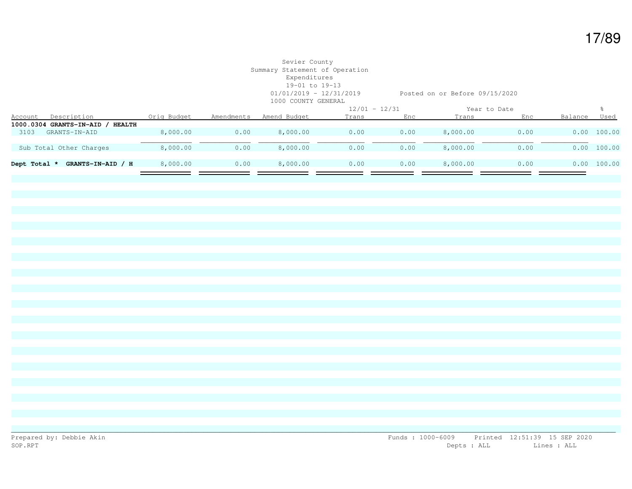# Sevier County Summary Statement of Operation Expenditures 19-01 to 19-13 1000 COUNTY GENERAL

01/01/2019 - 12/31/2019 Posted on or Before 09/15/2020

|         |                                            |             |            | $12/01 - 12/31$ |       |      | Year to Date |      |         |             |
|---------|--------------------------------------------|-------------|------------|-----------------|-------|------|--------------|------|---------|-------------|
| Account | Description                                | Orig Budget | Amendments | Amend Budget    | Trans | Enc  | Trans        | Enc  | Balance | Used        |
|         | 1000.0304 GRANTS-IN-AID /<br><b>HEALTH</b> |             |            |                 |       |      |              |      |         |             |
| 3103    | GRANTS-IN-AID                              | 8,000.00    | 0.00       | 8,000.00        | 0.00  | 0.00 | 8,000.00     | 0.00 | 0.00    | 100.00      |
|         |                                            |             |            |                 |       |      |              |      |         |             |
|         | Sub Total Other Charges                    | 8,000.00    | 0.00       | 8,000.00        | 0.00  | 0.00 | 8,000.00     | 0.00 |         | 0.00 100.00 |
|         |                                            |             |            |                 |       |      |              |      |         |             |
|         | GRANTS-IN-AID / H<br>Dept Total *          | 8,000.00    | 0.00       | 8,000.00        | 0.00  | 0.00 | 8,000.00     | 0.00 |         | 0.00 100.00 |
|         |                                            |             |            |                 |       |      |              |      |         |             |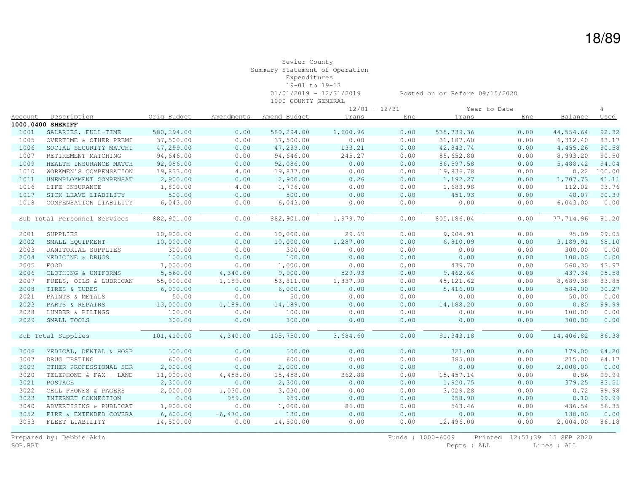1000 COUNTY GENERAL

|         |                              |             |             |              | $12/01 - 12/31$ |      |            | Year to Date |           |             |
|---------|------------------------------|-------------|-------------|--------------|-----------------|------|------------|--------------|-----------|-------------|
| Account | Description                  | Orig Budget | Amendments  | Amend Budget | Trans           | Enc  | Trans      | Enc          | Balance   | <u>Used</u> |
|         | 1000.0400 SHERIFF            |             |             |              |                 |      |            |              |           |             |
| 1001    | SALARIES, FULL-TIME          | 580,294.00  | 0.00        | 580,294.00   | 1,600.96        | 0.00 | 535,739.36 | 0.00         | 44,554.64 | 92.32       |
| 1005    | OVERTIME & OTHER PREMI       | 37,500.00   | 0.00        | 37,500.00    | 0.00            | 0.00 | 31,187.60  | 0.00         | 6,312.40  | 83.17       |
| 1006    | SOCIAL SECURITY MATCHI       | 47,299.00   | 0.00        | 47,299.00    | 133.21          | 0.00 | 42,843.74  | 0.00         | 4,455.26  | 90.58       |
| 1007    | RETIREMENT MATCHING          | 94,646.00   | 0.00        | 94,646.00    | 245.27          | 0.00 | 85,652.80  | 0.00         | 8,993.20  | 90.50       |
| 1009    | HEALTH INSURANCE MATCH       | 92,086.00   | 0.00        | 92,086.00    | 0.00            | 0.00 | 86,597.58  | 0.00         | 5,488.42  | 94.04       |
| 1010    | WORKMEN'S COMPENSATION       | 19,833.00   | 4.00        | 19,837.00    | 0.00            | 0.00 | 19,836.78  | 0.00         | 0.22      | 100.00      |
| 1011    | UNEMPLOYMENT COMPENSAT       | 2,900.00    | 0.00        | 2,900.00     | 0.26            | 0.00 | 1,192.27   | 0.00         | 1,707.73  | 41.11       |
| 1016    | LIFE INSURANCE               | 1,800.00    | $-4.00$     | 1,796.00     | 0.00            | 0.00 | 1,683.98   | 0.00         | 112.02    | 93.76       |
| 1017    | SICK LEAVE LIABILITY         | 500.00      | 0.00        | 500.00       | 0.00            | 0.00 | 451.93     | 0.00         | 48.07     | 90.39       |
| 1018    | COMPENSATION LIABILITY       | 6,043.00    | 0.00        | 6,043.00     | 0.00            | 0.00 | 0.00       | 0.00         | 6,043.00  | 0.00        |
|         |                              |             |             |              |                 |      |            |              |           |             |
|         | Sub Total Personnel Services | 882,901.00  | 0.00        | 882,901.00   | 1,979.70        | 0.00 | 805,186.04 | 0.00         | 77,714.96 | 91.20       |
|         |                              |             |             |              |                 |      |            |              |           |             |
| 2001    | SUPPLIES                     | 10,000.00   | 0.00        | 10,000.00    | 29.69           | 0.00 | 9,904.91   | 0.00         | 95.09     | 99.05       |
| 2002    | SMALL EQUIPMENT              | 10,000.00   | 0.00        | 10,000.00    | 1,287.00        | 0.00 | 6,810.09   | 0.00         | 3,189.91  | 68.10       |
| 2003    | JANITORIAL SUPPLIES          | 300.00      | 0.00        | 300.00       | 0.00            | 0.00 | 0.00       | 0.00         | 300.00    | 0.00        |
| 2004    | MEDICINE & DRUGS             | 100.00      | 0.00        | 100.00       | 0.00            | 0.00 | 0.00       | 0.00         | 100.00    | 0.00        |
| 2005    | FOOD                         | 1,000.00    | 0.00        | 1,000.00     | 0.00            | 0.00 | 439.70     | 0.00         | 560.30    | 43.97       |
| 2006    | CLOTHING & UNIFORMS          | 5,560.00    | 4,340.00    | 9,900.00     | 529.93          | 0.00 | 9,462.66   | 0.00         | 437.34    | 95.58       |
| 2007    | FUELS, OILS & LUBRICAN       | 55,000.00   | $-1,189.00$ | 53,811.00    | 1,837.98        | 0.00 | 45, 121.62 | 0.00         | 8,689.38  | 83.85       |
| 2008    | TIRES & TUBES                | 6,000.00    | 0.00        | 6,000.00     | 0.00            | 0.00 | 5,416.00   | 0.00         | 584.00    | 90.27       |
| 2021    | PAINTS & METALS              | 50.00       | 0.00        | 50.00        | 0.00            | 0.00 | 0.00       | 0.00         | 50.00     | 0.00        |
| 2023    | PARTS & REPAIRS              | 13,000.00   | 1,189.00    | 14,189.00    | 0.00            | 0.00 | 14,188.20  | 0.00         | 0.80      | 99.99       |
| 2028    | LUMBER & PILINGS             | 100.00      | 0.00        | 100.00       | 0.00            | 0.00 | 0.00       | 0.00         | 100.00    | 0.00        |
| 2029    | SMALL TOOLS                  | 300.00      | 0.00        | 300.00       | 0.00            | 0.00 | 0.00       | 0.00         | 300.00    | 0.00        |
|         |                              |             |             |              |                 |      |            |              |           |             |
|         | Sub Total Supplies           | 101,410.00  | 4,340.00    | 105,750.00   | 3,684.60        | 0.00 | 91, 343.18 | 0.00         | 14,406.82 | 86.38       |
|         |                              |             |             |              |                 |      |            |              |           |             |
| 3006    | MEDICAL, DENTAL & HOSP       | 500.00      | 0.00        | 500.00       | 0.00            | 0.00 | 321.00     | 0.00         | 179.00    | 64.20       |
| 3007    | DRUG TESTING                 | 600.00      | 0.00        | 600.00       | 0.00            | 0.00 | 385.00     | 0.00         | 215.00    | 64.17       |
| 3009    | OTHER PROFESSIONAL SER       | 2,000.00    | 0.00        | 2,000.00     | 0.00            | 0.00 | 0.00       | 0.00         | 2,000.00  | 0.00        |
| 3020    | TELEPHONE & FAX - LAND       | 11,000.00   | 4,458.00    | 15,458.00    | 362.88          | 0.00 | 15, 457.14 | 0.00         | 0.86      | 99.99       |
| 3021    | POSTAGE                      | 2,300.00    | 0.00        | 2,300.00     | 0.00            | 0.00 | 1,920.75   | 0.00         | 379.25    | 83.51       |
| 3022    | CELL PHONES & PAGERS         | 2,000.00    | 1,030.00    | 3,030.00     | 0.00            | 0.00 | 3,029.28   | 0.00         | 0.72      | 99.98       |
| 3023    | INTERNET CONNECTION          | 0.00        | 959.00      | 959.00       | 0.00            | 0.00 | 958.90     | 0.00         | 0.10      | 99.99       |
| 3040    | ADVERTISING & PUBLICAT       | 1,000.00    | 0.00        | 1,000.00     | 86.00           | 0.00 | 563.46     | 0.00         | 436.54    | 56.35       |
| 3052    | FIRE & EXTENDED COVERA       | 6,600.00    | $-6,470.00$ | 130.00       | 0.00            | 0.00 | 0.00       | 0.00         | 130.00    | 0.00        |
| 3053    | FLEET LIABILITY              | 14,500.00   | 0.00        | 14,500.00    | 0.00            | 0.00 | 12,496.00  | 0.00         | 2,004.00  | 86.18       |
|         |                              |             |             |              |                 |      |            |              |           |             |

Prepared by: Debbie Akin Funds : 1000-6009 Printed 12:51:39 15 SEP 2020<br>SOP.RPT Depts : ALL Lines : ALL Lines : ALL Depts : ALL Lines : ALL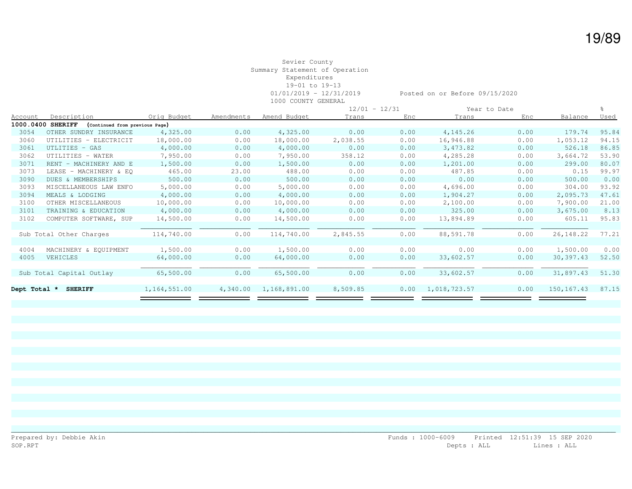|                |                                                     |              |            |              |          | $12/01 - 12/31$ |              | Year to Date |              |             |
|----------------|-----------------------------------------------------|--------------|------------|--------------|----------|-----------------|--------------|--------------|--------------|-------------|
| <b>Account</b> | Description                                         | Orig Budget  | Amendments | Amend Budget | Trans    | Enc             | Trans        | Enc          | Balance      | <u>Used</u> |
|                | 1000.0400 SHERIFF<br>(Continued from previous Page) |              |            |              |          |                 |              |              |              |             |
| 3054           | OTHER SUNDRY INSURANCE                              | 4,325.00     | 0.00       | 4,325.00     | 0.00     | 0.00            | 4,145.26     | 0.00         | 179.74       | 95.84       |
| 3060           | UTILITIES - ELECTRICIT                              | 18,000.00    | 0.00       | 18,000.00    | 2,038.55 | 0.00            | 16,946.88    | 0.00         | 1,053.12     | 94.15       |
| 3061           | UTLITIES - GAS                                      | 4,000.00     | 0.00       | 4,000.00     | 0.00     | 0.00            | 3,473.82     | 0.00         | 526.18       | 86.85       |
| 3062           | UTILITIES - WATER                                   | 7,950.00     | 0.00       | 7,950.00     | 358.12   | 0.00            | 4,285.28     | 0.00         | 3,664.72     | 53.90       |
| 3071           | RENT - MACHINERY AND E                              | 1,500.00     | 0.00       | 1,500.00     | 0.00     | 0.00            | 1,201.00     | 0.00         | 299.00       | 80.07       |
| 3073           | LEASE - MACHINERY & EQ                              | 465.00       | 23.00      | 488.00       | 0.00     | 0.00            | 487.85       | 0.00         | 0.15         | 99.97       |
| 3090           | DUES & MEMBERSHIPS                                  | 500.00       | 0.00       | 500.00       | 0.00     | 0.00            | 0.00         | 0.00         | 500.00       | 0.00        |
| 3093           | MISCELLANEOUS LAW ENFO                              | 5,000.00     | 0.00       | 5,000.00     | 0.00     | 0.00            | 4,696.00     | 0.00         | 304.00       | 93.92       |
| 3094           | MEALS & LODGING                                     | 4,000.00     | 0.00       | 4,000.00     | 0.00     | 0.00            | 1,904.27     | 0.00         | 2,095.73     | 47.61       |
| 3100           | OTHER MISCELLANEOUS                                 | 10,000.00    | 0.00       | 10,000.00    | 0.00     | 0.00            | 2,100.00     | 0.00         | 7,900.00     | 21.00       |
| 3101           | TRAINING & EDUCATION                                | 4,000.00     | 0.00       | 4,000.00     | 0.00     | 0.00            | 325.00       | 0.00         | 3,675.00     | 8.13        |
| 3102           | COMPUTER SOFTWARE, SUP                              | 14,500.00    | 0.00       | 14,500.00    | 0.00     | 0.00            | 13,894.89    | 0.00         | 605.11       | 95.83       |
|                |                                                     |              |            |              |          |                 |              |              |              |             |
|                | Sub Total Other Charges                             | 114,740.00   | 0.00       | 114,740.00   | 2,845.55 | 0.00            | 88,591.78    | 0.00         | 26, 148.22   | 77.21       |
|                |                                                     |              |            |              |          |                 |              |              |              |             |
| 4004           | MACHINERY & EQUIPMENT                               | 1,500.00     | 0.00       | 1,500.00     | 0.00     | 0.00            | 0.00         | 0.00         | 1,500.00     | 0.00        |
| 4005           | VEHICLES                                            | 64,000.00    | 0.00       | 64,000.00    | 0.00     | 0.00            | 33,602.57    | 0.00         | 30,397.43    | 52.50       |
|                |                                                     |              |            |              |          |                 |              |              |              |             |
|                | Sub Total Capital Outlay                            | 65,500.00    | 0.00       | 65,500.00    | 0.00     | 0.00            | 33,602.57    | 0.00         | 31,897.43    | 51.30       |
|                |                                                     |              |            |              |          |                 |              |              |              |             |
| Dept Total *   | <b>SHERIFF</b>                                      | 1,164,551.00 | 4,340.00   | 1,168,891.00 | 8,509.85 | 0.00            | 1,018,723.57 | 0.00         | 150, 167. 43 | 87.15       |
|                |                                                     |              |            |              |          |                 |              |              |              |             |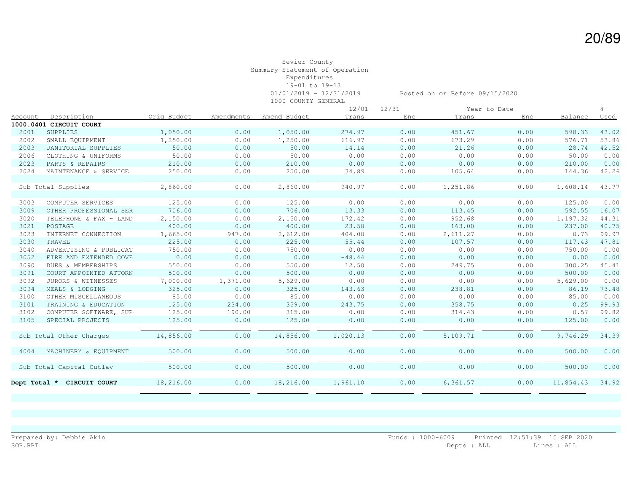|         |                            |             |              |              | $12/01 - 12/31$ |      |          | Year to Date |           | ွေ    |
|---------|----------------------------|-------------|--------------|--------------|-----------------|------|----------|--------------|-----------|-------|
| Account | Description                | Orig Budget | Amendments   | Amend Budget | Trans           | Enc  | Trans    | Enc          | Balance   | Used  |
|         | 1000.0401 CIRCUIT COURT    |             |              |              |                 |      |          |              |           |       |
| 2001    | SUPPLIES                   | 1,050.00    | 0.00         | 1,050.00     | 274.97          | 0.00 | 451.67   | 0.00         | 598.33    | 43.02 |
| 2002    | SMALL EQUIPMENT            | 1,250.00    | 0.00         | 1,250.00     | 616.97          | 0.00 | 673.29   | 0.00         | 576.71    | 53.86 |
| 2003    | JANITORIAL SUPPLIES        | 50.00       | 0.00         | 50.00        | 14.14           | 0.00 | 21.26    | 0.00         | 28.74     | 42.52 |
| 2006    | CLOTHING & UNIFORMS        | 50.00       | 0.00         | 50.00        | 0.00            | 0.00 | 0.00     | 0.00         | 50.00     | 0.00  |
| 2023    | PARTS & REPAIRS            | 210.00      | 0.00         | 210.00       | 0.00            | 0.00 | 0.00     | 0.00         | 210.00    | 0.00  |
| 2024    | MAINTENANCE & SERVICE      | 250.00      | 0.00         | 250.00       | 34.89           | 0.00 | 105.64   | 0.00         | 144.36    | 42.26 |
|         |                            |             |              |              |                 |      |          |              |           |       |
|         | Sub Total Supplies         | 2,860.00    | 0.00         | 2,860.00     | 940.97          | 0.00 | 1,251.86 | 0.00         | 1,608.14  | 43.77 |
|         |                            |             |              |              |                 |      |          |              |           |       |
| 3003    | COMPUTER SERVICES          | 125.00      | 0.00         | 125.00       | 0.00            | 0.00 | 0.00     | 0.00         | 125.00    | 0.00  |
| 3009    | OTHER PROFESSIONAL SER     | 706.00      | 0.00         | 706.00       | 13.33           | 0.00 | 113.45   | 0.00         | 592.55    | 16.07 |
| 3020    | TELEPHONE & FAX - LAND     | 2,150.00    | 0.00         | 2,150.00     | 172.42          | 0.00 | 952.68   | 0.00         | 1,197.32  | 44.31 |
| 3021    | POSTAGE                    | 400.00      | 0.00         | 400.00       | 23.50           | 0.00 | 163.00   | 0.00         | 237.00    | 40.75 |
| 3023    | INTERNET CONNECTION        | 1,665.00    | 947.00       | 2,612.00     | 404.00          | 0.00 | 2,611.27 | 0.00         | 0.73      | 99.97 |
| 3030    | TRAVEL                     | 225.00      | 0.00         | 225.00       | 55.44           | 0.00 | 107.57   | 0.00         | 117.43    | 47.81 |
| 3040    | ADVERTISING & PUBLICAT     | 750.00      | 0.00         | 750.00       | 0.00            | 0.00 | 0.00     | 0.00         | 750.00    | 0.00  |
| 3052    | FIRE AND EXTENDED COVE     | 0.00        | 0.00         | 0.00         | $-48.44$        | 0.00 | 0.00     | 0.00         | 0.00      | 0.00  |
| 3090    | DUES & MEMBERSHIPS         | 550.00      | 0.00         | 550.00       | 12.50           | 0.00 | 249.75   | 0.00         | 300.25    | 45.41 |
| 3091    | COURT-APPOINTED ATTORN     | 500.00      | 0.00         | 500.00       | 0.00            | 0.00 | 0.00     | 0.00         | 500.00    | 0.00  |
| 3092    | JURORS & WITNESSES         | 7,000.00    | $-1, 371.00$ | 5,629.00     | 0.00            | 0.00 | 0.00     | 0.00         | 5,629.00  | 0.00  |
| 3094    | MEALS & LODGING            | 325.00      | 0.00         | 325.00       | 143.63          | 0.00 | 238.81   | 0.00         | 86.19     | 73.48 |
| 3100    | OTHER MISCELLANEOUS        | 85.00       | 0.00         | 85.00        | 0.00            | 0.00 | 0.00     | 0.00         | 85.00     | 0.00  |
| 3101    | TRAINING & EDUCATION       | 125.00      | 234.00       | 359.00       | 243.75          | 0.00 | 358.75   | 0.00         | 0.25      | 99.93 |
| 3102    | COMPUTER SOFTWARE, SUP     | 125.00      | 190.00       | 315.00       | 0.00            | 0.00 | 314.43   | 0.00         | 0.57      | 99.82 |
| 3105    | SPECIAL PROJECTS           | 125.00      | 0.00         | 125.00       | 0.00            | 0.00 | 0.00     | 0.00         | 125.00    | 0.00  |
|         |                            |             |              |              |                 |      |          |              |           |       |
|         | Sub Total Other Charges    | 14,856.00   | 0.00         | 14,856.00    | 1,020.13        | 0.00 | 5,109.71 | 0.00         | 9,746.29  | 34.39 |
| 4004    | MACHINERY & EQUIPMENT      | 500.00      | 0.00         | 500.00       | 0.00            | 0.00 | 0.00     | 0.00         | 500.00    | 0.00  |
|         | Sub Total Capital Outlay   | 500.00      | 0.00         | 500.00       | 0.00            | 0.00 | 0.00     | 0.00         | 500.00    | 0.00  |
|         | Dept Total * CIRCUIT COURT | 18,216.00   | 0.00         | 18,216.00    | 1,961.10        | 0.00 | 6,361.57 | 0.00         | 11,854.43 | 34.92 |
|         |                            |             |              |              |                 |      |          |              |           |       |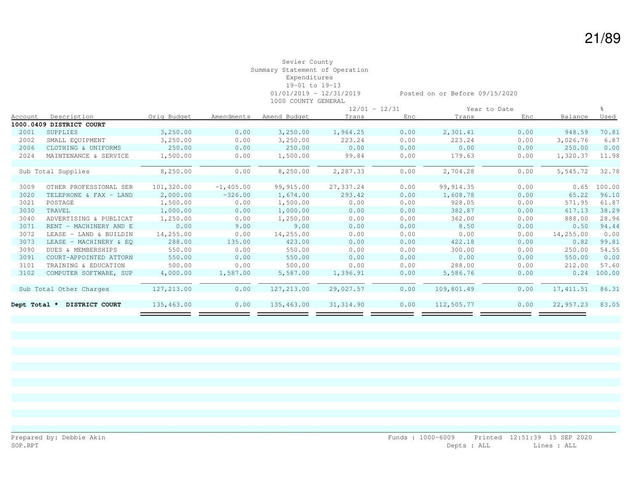|              |                          |             |             |              | $12/01 - 12/31$ |      |            | Year to Date |            |             |
|--------------|--------------------------|-------------|-------------|--------------|-----------------|------|------------|--------------|------------|-------------|
| Account      | Description              | Oria Budget | Amendments  | Amend Budget | Trans           | Enc. | Trans      | Enc          | Balance    | <u>Used</u> |
|              | 1000.0409 DISTRICT COURT |             |             |              |                 |      |            |              |            |             |
| 2001         | SUPPLIES                 | 3,250.00    | 0.00        | 3,250.00     | 1,964.25        | 0.00 | 2,301.41   | 0.00         | 948.59     | 70.81       |
| 2002         | SMALL EQUIPMENT          | 3,250.00    | 0.00        | 3,250.00     | 223.24          | 0.00 | 223.24     | 0.00         | 3,026.76   | 6.87        |
| 2006         | CLOTHING & UNIFORMS      | 250.00      | 0.00        | 250.00       | 0.00            | 0.00 | 0.00       | 0.00         | 250.00     | 0.00        |
| 2024         | MAINTENANCE & SERVICE    | 1,500.00    | 0.00        | 1,500.00     | 99.84           | 0.00 | 179.63     | 0.00         | 1,320.37   | 11.98       |
|              |                          |             |             |              |                 |      |            |              |            |             |
|              | Sub Total Supplies       | 8,250.00    | 0.00        | 8,250.00     | 2,287.33        | 0.00 | 2,704.28   | 0.00         | 5,545.72   | 32.78       |
|              |                          |             |             |              |                 |      |            |              |            |             |
| 3009         | OTHER PROFESSIONAL SER   | 101,320.00  | $-1,405.00$ | 99,915.00    | 27, 337.24      | 0.00 | 99, 914.35 | 0.00         | 0.65       | 100.00      |
| 3020         | TELEPHONE & FAX - LAND   | 2,000.00    | $-326.00$   | 1,674.00     | 293.42          | 0.00 | 1,608.78   | 0.00         | 65.22      | 96.10       |
| 3021         | POSTAGE                  | 1,500.00    | 0.00        | 1,500.00     | 0.00            | 0.00 | 928.05     | 0.00         | 571.95     | 61.87       |
| 3030         | TRAVEL                   | 1,000.00    | 0.00        | 1,000.00     | 0.00            | 0.00 | 382.87     | 0.00         | 617.13     | 38.29       |
| 3040         | ADVERTISING & PUBLICAT   | 1,250.00    | 0.00        | 1,250.00     | 0.00            | 0.00 | 362.00     | 0.00         | 888.00     | 28.96       |
| 3071         | RENT - MACHINERY AND E   | 0.00        | 9.00        | 9.00         | 0.00            | 0.00 | 8.50       | 0.00         | 0.50       | 94.44       |
| 3072         | LEASE - LAND & BUILDIN   | 14,255.00   | 0.00        | 14,255.00    | 0.00            | 0.00 | 0.00       | 0.00         | 14,255.00  | 0.00        |
| 3073         | LEASE - MACHINERY & EO   | 288.00      | 135.00      | 423.00       | 0.00            | 0.00 | 422.18     | 0.00         | 0.82       | 99.81       |
| 3090         | DUES & MEMBERSHIPS       | 550.00      | 0.00        | 550.00       | 0.00            | 0.00 | 300.00     | 0.00         | 250.00     | 54.55       |
| 3091         | COURT-APPOINTED ATTORN   | 550.00      | 0.00        | 550.00       | 0.00            | 0.00 | 0.00       | 0.00         | 550.00     | 0.00        |
| 3101         | TRAINING & EDUCATION     | 500.00      | 0.00        | 500.00       | 0.00            | 0.00 | 288.00     | 0.00         | 212.00     | 57.60       |
| 3102         | COMPUTER SOFTWARE, SUP   | 4,000.00    | 1,587.00    | 5,587.00     | 1,396.91        | 0.00 | 5,586.76   | 0.00         | 0.24       | 100.00      |
|              |                          |             |             |              |                 |      |            |              |            |             |
|              | Sub Total Other Charges  | 127,213.00  | 0.00        | 127, 213.00  | 29,027.57       | 0.00 | 109,801.49 | 0.00         | 17, 411.51 | 86.31       |
|              |                          |             |             |              |                 |      |            |              |            |             |
| Dept Total * | DISTRICT COURT           | 135,463.00  | 0.00        | 135,463.00   | 31, 314.90      | 0.00 | 112,505.77 | 0.00         | 22,957.23  | 83.05       |
|              |                          |             |             |              |                 |      |            |              |            |             |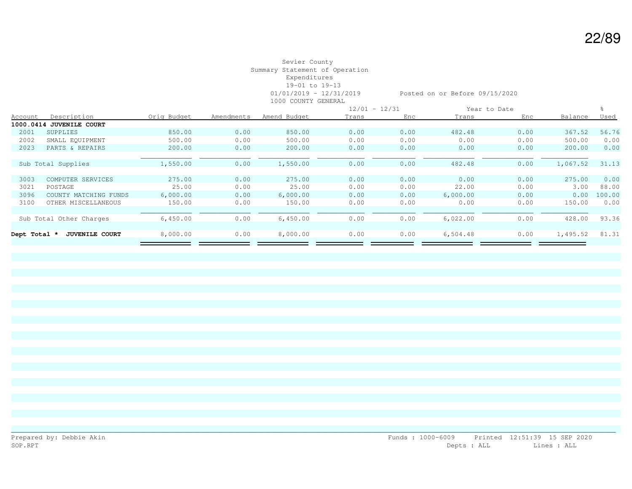|                |                          |             |            |              |       | $12/01 - 12/31$ |          | Year to Date |          |        |
|----------------|--------------------------|-------------|------------|--------------|-------|-----------------|----------|--------------|----------|--------|
| <b>Account</b> | Description              | Oria Budaet | Amendments | Amend Budget | Trans | Enc             | Trans    | Enc          | Balance  | Used   |
|                | 1000.0414 JUVENILE COURT |             |            |              |       |                 |          |              |          |        |
| 2001           | SUPPLIES                 | 850.00      | 0.00       | 850.00       | 0.00  | 0.00            | 482.48   | 0.00         | 367.52   | 56.76  |
| 2002           | SMALL EQUIPMENT          | 500.00      | 0.00       | 500.00       | 0.00  | 0.00            | 0.00     | 0.00         | 500.00   | 0.00   |
| 2023           | PARTS & REPAIRS          | 200.00      | 0.00       | 200.00       | 0.00  | 0.00            | 0.00     | 0.00         | 200.00   | 0.00   |
|                |                          |             |            |              |       |                 |          |              |          |        |
|                | Sub Total Supplies       | 1,550.00    | 0.00       | 1,550.00     | 0.00  | 0.00            | 482.48   | 0.00         | 1,067.52 | 31.13  |
|                |                          |             |            |              |       |                 |          |              |          |        |
| 3003           | COMPUTER SERVICES        | 275.00      | 0.00       | 275.00       | 0.00  | 0.00            | 0.00     | 0.00         | 275.00   | 0.00   |
| 3021           | POSTAGE                  | 25.00       | 0.00       | 25.00        | 0.00  | 0.00            | 22.00    | 0.00         | 3.00     | 88.00  |
| 3096           | COUNTY MATCHING FUNDS    | 6,000.00    | 0.00       | 6,000.00     | 0.00  | 0.00            | 6,000.00 | 0.00         | 0.00     | 100.00 |
| 3100           | OTHER MISCELLANEOUS      | 150.00      | 0.00       | 150.00       | 0.00  | 0.00            | 0.00     | 0.00         | 150.00   | 0.00   |
|                |                          |             |            |              |       |                 |          |              |          |        |
|                | Sub Total Other Charges  | 6,450.00    | 0.00       | 6,450.00     | 0.00  | 0.00            | 6,022.00 | 0.00         | 428.00   | 93.36  |
|                |                          |             |            |              |       |                 |          |              |          |        |
| Dept Total *   | <b>JUVENILE COURT</b>    | 8,000.00    | 0.00       | 8,000.00     | 0.00  | 0.00            | 6,504.48 | 0.00         | 1,495.52 | 81.31  |
|                |                          |             |            |              |       |                 |          |              |          |        |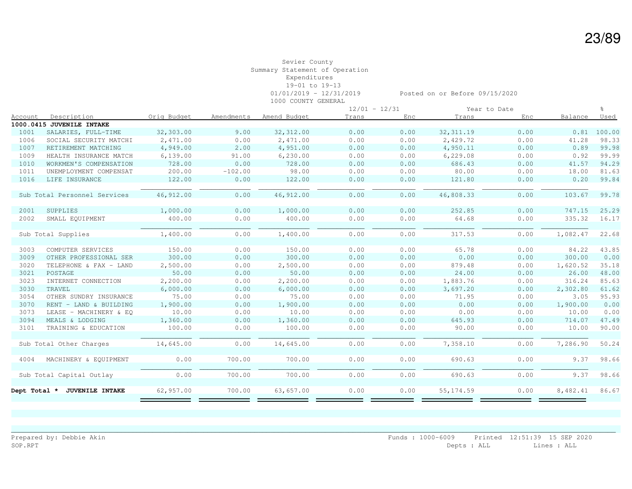|                        |                                                                                                                                                        |            |              |       |      |            |      |              | ু               |
|------------------------|--------------------------------------------------------------------------------------------------------------------------------------------------------|------------|--------------|-------|------|------------|------|--------------|-----------------|
| Description            | Orig Budget                                                                                                                                            | Amendments | Amend Budget | Trans | Enc  | Trans      | Enc  | Balance      | Used            |
|                        |                                                                                                                                                        |            |              |       |      |            |      |              |                 |
| SALARIES, FULL-TIME    | 32,303.00                                                                                                                                              | 9.00       | 32, 312.00   | 0.00  | 0.00 | 32, 311.19 | 0.00 | 0.81         | 100.00          |
| SOCIAL SECURITY MATCHI | 2,471.00                                                                                                                                               | 0.00       | 2,471.00     | 0.00  | 0.00 | 2,429.72   | 0.00 | 41.28        | 98.33           |
| RETIREMENT MATCHING    | 4,949.00                                                                                                                                               | 2.00       | 4,951.00     | 0.00  | 0.00 | 4,950.11   | 0.00 | 0.89         | 99.98           |
| HEALTH INSURANCE MATCH | 6,139.00                                                                                                                                               | 91.00      | 6, 230.00    | 0.00  | 0.00 | 6,229.08   | 0.00 | 0.92         | 99.99           |
| WORKMEN'S COMPENSATION | 728.00                                                                                                                                                 | 0.00       | 728.00       | 0.00  | 0.00 | 686.43     | 0.00 | 41.57        | 94.29           |
| UNEMPLOYMENT COMPENSAT | 200.00                                                                                                                                                 | $-102.00$  | 98.00        | 0.00  | 0.00 | 80.00      | 0.00 | 18.00        | 81.63           |
| LIFE INSURANCE         | 122.00                                                                                                                                                 | 0.00       | 122.00       | 0.00  | 0.00 | 121.80     | 0.00 | 0.20         | 99.84           |
|                        |                                                                                                                                                        |            |              |       |      |            |      |              |                 |
|                        | 46,912.00                                                                                                                                              | 0.00       | 46, 912.00   | 0.00  | 0.00 | 46,808.33  | 0.00 | 103.67       | 99.78           |
|                        |                                                                                                                                                        |            |              |       |      |            |      |              |                 |
| SUPPLIES               | 1,000.00                                                                                                                                               | 0.00       | 1,000.00     | 0.00  | 0.00 | 252.85     | 0.00 | 747.15       | 25.29           |
| SMALL EQUIPMENT        | 400.00                                                                                                                                                 | 0.00       | 400.00       | 0.00  | 0.00 | 64.68      | 0.00 | 335.32       | 16.17           |
|                        |                                                                                                                                                        |            |              |       |      |            |      |              |                 |
|                        | 1,400.00                                                                                                                                               | 0.00       | 1,400.00     | 0.00  | 0.00 | 317.53     | 0.00 | 1,082.47     | 22.68           |
|                        |                                                                                                                                                        |            |              |       |      |            |      |              |                 |
| COMPUTER SERVICES      | 150.00                                                                                                                                                 | 0.00       | 150.00       | 0.00  | 0.00 | 65.78      | 0.00 | 84.22        | 43.85           |
| OTHER PROFESSIONAL SER | 300.00                                                                                                                                                 | 0.00       | 300.00       | 0.00  | 0.00 | 0.00       | 0.00 | 300.00       | 0.00            |
| TELEPHONE & FAX - LAND | 2,500.00                                                                                                                                               | 0.00       | 2,500.00     | 0.00  | 0.00 | 879.48     | 0.00 | 1,620.52     | 35.18           |
| POSTAGE                | 50.00                                                                                                                                                  | 0.00       | 50.00        | 0.00  | 0.00 | 24.00      | 0.00 | 26.00        | 48.00           |
| INTERNET CONNECTION    | 2,200.00                                                                                                                                               | 0.00       | 2,200.00     | 0.00  | 0.00 | 1,883.76   | 0.00 | 316.24       | 85.63           |
| TRAVEL                 | 6,000.00                                                                                                                                               | 0.00       | 6,000.00     | 0.00  | 0.00 | 3,697.20   | 0.00 | 2,302.80     | 61.62           |
| OTHER SUNDRY INSURANCE | 75.00                                                                                                                                                  | 0.00       | 75.00        | 0.00  | 0.00 | 71.95      | 0.00 | 3.05         | 95.93           |
| RENT - LAND & BUILDING | 1,900.00                                                                                                                                               | 0.00       | 1,900.00     | 0.00  | 0.00 | 0.00       | 0.00 | 1,900.00     | 0.00            |
| LEASE - MACHINERY & EO | 10.00                                                                                                                                                  | 0.00       | 10.00        | 0.00  | 0.00 | 0.00       | 0.00 | 10.00        | 0.00            |
| MEALS & LODGING        | 1,360.00                                                                                                                                               | 0.00       | 1,360.00     | 0.00  | 0.00 | 645.93     | 0.00 | 714.07       | 47.49           |
| TRAINING & EDUCATION   | 100.00                                                                                                                                                 | 0.00       | 100.00       | 0.00  | 0.00 | 90.00      | 0.00 | 10.00        | 90.00           |
|                        |                                                                                                                                                        |            |              |       |      |            |      |              |                 |
|                        | 14,645.00                                                                                                                                              | 0.00       | 14,645.00    | 0.00  | 0.00 | 7,358.10   | 0.00 | 7,286.90     | 50.24           |
|                        |                                                                                                                                                        |            |              |       |      |            |      |              |                 |
| MACHINERY & EQUIPMENT  | 0.00                                                                                                                                                   | 700.00     | 700.00       | 0.00  | 0.00 | 690.63     | 0.00 | 9.37         | 98.66           |
|                        |                                                                                                                                                        |            |              |       |      |            |      |              |                 |
|                        | 0.00                                                                                                                                                   | 700.00     | 700.00       | 0.00  | 0.00 | 690.63     | 0.00 | 9.37         | 98.66           |
|                        |                                                                                                                                                        |            |              |       |      |            |      |              |                 |
| <b>JUVENILE INTAKE</b> | 62,957.00                                                                                                                                              | 700.00     | 63,657.00    | 0.00  | 0.00 | 55, 174.59 | 0.00 | 8,482.41     | 86.67           |
|                        |                                                                                                                                                        |            |              |       |      |            |      |              |                 |
|                        | 1000.0415 JUVENILE INTAKE<br>Sub Total Personnel Services<br>Sub Total Supplies<br>Sub Total Other Charges<br>Sub Total Capital Outlay<br>Dept Total * |            |              |       |      |            |      | Year to Date | $12/01 - 12/31$ |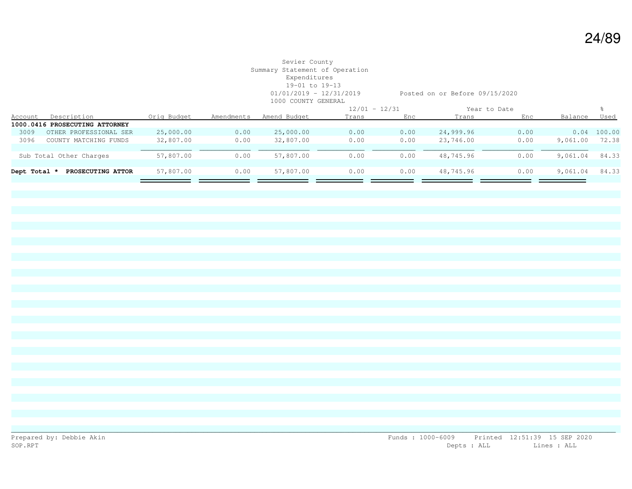| Account | Description            | Orig Budget                                                               | Amendments | Amend Budget | Trans | Enc  | Trans           | Enc  | Balance      | Used   |
|---------|------------------------|---------------------------------------------------------------------------|------------|--------------|-------|------|-----------------|------|--------------|--------|
|         |                        |                                                                           |            |              |       |      |                 |      |              |        |
| 3009    | OTHER PROFESSIONAL SER | 25,000.00                                                                 | 0.00       | 25,000.00    | 0.00  | 0.00 | 24,999.96       | 0.00 | 0.04         | 100.00 |
| 3096    | COUNTY MATCHING FUNDS  | 32,807.00                                                                 | 0.00       | 32,807.00    | 0.00  | 0.00 | 23,746.00       | 0.00 | 9,061.00     | 72.38  |
|         |                        |                                                                           |            |              |       |      |                 |      |              |        |
|         |                        | 57,807.00                                                                 | 0.00       | 57,807.00    | 0.00  | 0.00 | 48,745.96       | 0.00 | 9,061.04     | 84.33  |
|         |                        |                                                                           |            |              |       |      |                 |      |              |        |
|         | PROSECUTING ATTOR      | 57,807.00                                                                 | 0.00       | 57,807.00    | 0.00  | 0.00 | 48,745.96       | 0.00 | 9,061.04     | 84.33  |
|         |                        |                                                                           |            |              |       |      |                 |      |              |        |
|         |                        | 1000.0416 PROSECUTING ATTORNEY<br>Sub Total Other Charges<br>Dept Total * |            |              |       |      | $12/01 - 12/31$ |      | Year to Date |        |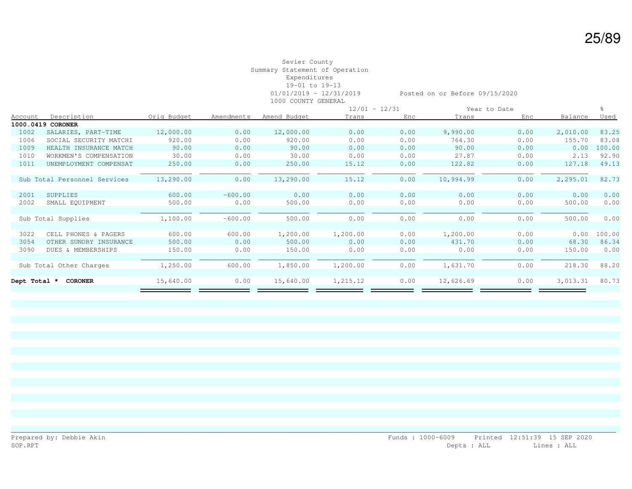|              |                              |             |            |              |          | $12/01 - 12/31$ |           | Year to Date |          |        |
|--------------|------------------------------|-------------|------------|--------------|----------|-----------------|-----------|--------------|----------|--------|
| Account      | Description                  | Orig Budget | Amendments | Amend Budget | Trans    | Enc.            | Trans     | Enc          | Balance  | Used   |
|              | 1000.0419 CORONER            |             |            |              |          |                 |           |              |          |        |
| 1002         | SALARIES, PART-TIME          | 12,000.00   | 0.00       | 12,000.00    | 0.00     | 0.00            | 9,990.00  | 0.00         | 2,010.00 | 83.25  |
| 1006         | SOCIAL SECURITY MATCHI       | 920.00      | 0.00       | 920.00       | 0.00     | 0.00            | 764.30    | 0.00         | 155.70   | 83.08  |
| 1009         | HEALTH INSURANCE MATCH       | 90.00       | 0.00       | 90.00        | 0.00     | 0.00            | 90.00     | 0.00         | 0.00     | 100.00 |
| 1010         | WORKMEN'S COMPENSATION       | 30.00       | 0.00       | 30.00        | 0.00     | 0.00            | 27.87     | 0.00         | 2.13     | 92.90  |
| 1011         | UNEMPLOYMENT COMPENSAT       | 250.00      | 0.00       | 250.00       | 15.12    | 0.00            | 122.82    | 0.00         | 127.18   | 49.13  |
|              |                              |             |            |              |          |                 |           |              |          |        |
|              | Sub Total Personnel Services | 13,290.00   | 0.00       | 13,290.00    | 15.12    | 0.00            | 10,994.99 | 0.00         | 2,295.01 | 82.73  |
|              |                              |             |            |              |          |                 |           |              |          |        |
| 2001         | SUPPLIES                     | 600.00      | $-600.00$  | 0.00         | 0.00     | 0.00            | 0.00      | 0.00         | 0.00     | 0.00   |
| 2002         | SMALL EQUIPMENT              | 500.00      | 0.00       | 500.00       | 0.00     | 0.00            | 0.00      | 0.00         | 500.00   | 0.00   |
|              |                              |             |            |              |          |                 |           |              |          |        |
|              | Sub Total Supplies           | 1,100.00    | $-600.00$  | 500.00       | 0.00     | 0.00            | 0.00      | 0.00         | 500.00   | 0.00   |
|              |                              |             |            |              |          |                 |           |              |          |        |
| 3022         | CELL PHONES & PAGERS         | 600.00      | 600.00     | 1,200.00     | 1,200.00 | 0.00            | 1,200.00  | 0.00         | 0.00     | 100.00 |
| 3054         | OTHER SUNDRY INSURANCE       | 500.00      | 0.00       | 500.00       | 0.00     | 0.00            | 431.70    | 0.00         | 68.30    | 86.34  |
| 3090         | DUES & MEMBERSHIPS           | 150.00      | 0.00       | 150.00       | 0.00     | 0.00            | 0.00      | 0.00         | 150.00   | 0.00   |
|              |                              |             |            |              |          |                 |           |              |          |        |
|              | Sub Total Other Charges      | 1,250.00    | 600.00     | 1,850.00     | 1,200.00 | 0.00            | 1,631.70  | 0.00         | 218.30   | 88.20  |
|              |                              |             |            |              |          |                 |           |              |          |        |
| Dept Total * | <b>CORONER</b>               | 15,640.00   | 0.00       | 15,640.00    | 1,215.12 | 0.00            | 12,626.69 | 0.00         | 3,013.31 | 80.73  |
|              |                              |             |            |              |          |                 |           |              |          |        |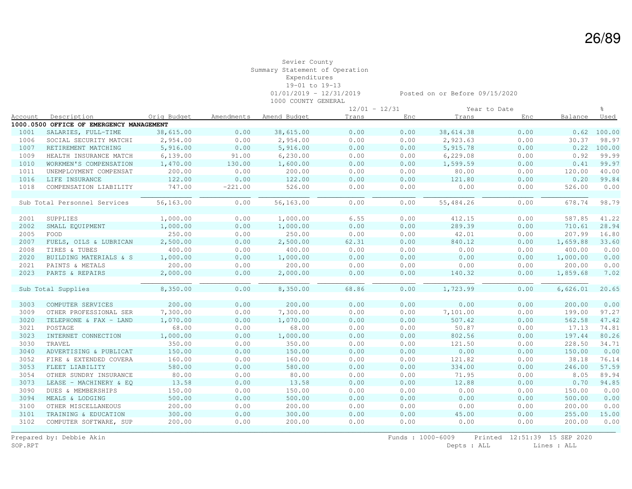|                |                                          |             |            |              |       | $12/01 - 12/31$ |           | Year to Date |          | ÷,            |
|----------------|------------------------------------------|-------------|------------|--------------|-------|-----------------|-----------|--------------|----------|---------------|
| <u>Account</u> | Description                              | Oria Budget | Amendments | Amend Budget | Trans | Enc             | Trans     | Enc          | Balance  | Used          |
|                | 1000.0500 OFFICE OF EMERGENCY MANAGEMENT |             |            |              |       |                 |           |              |          |               |
| 1001           | SALARIES, FULL-TIME                      | 38,615.00   | 0.00       | 38,615.00    | 0.00  | 0.00            | 38,614.38 | 0.00         |          | 0.62 100.00   |
| 1006           | SOCIAL SECURITY MATCHI                   | 2,954.00    | 0.00       | 2,954.00     | 0.00  | 0.00            | 2,923.63  | 0.00         | 30.37    | 98.97         |
| 1007           | RETIREMENT MATCHING                      | 5,916.00    | 0.00       | 5,916.00     | 0.00  | 0.00            | 5,915.78  | 0.00         |          | $0.22$ 100.00 |
| 1009           | HEALTH INSURANCE MATCH                   | 6,139.00    | 91.00      | 6, 230.00    | 0.00  | 0.00            | 6, 229.08 | 0.00         | 0.92     | 99.99         |
| 1010           | WORKMEN'S COMPENSATION                   | 1,470.00    | 130.00     | 1,600.00     | 0.00  | 0.00            | 1,599.59  | 0.00         | 0.41     | 99.97         |
| 1011           | UNEMPLOYMENT COMPENSAT                   | 200.00      | 0.00       | 200.00       | 0.00  | 0.00            | 80.00     | 0.00         | 120.00   | 40.00         |
| 1016           | LIFE INSURANCE                           | 122.00      | 0.00       | 122.00       | 0.00  | 0.00            | 121.80    | 0.00         | 0.20     | 99.84         |
| 1018           | COMPENSATION LIABILITY                   | 747.00      | $-221.00$  | 526.00       | 0.00  | 0.00            | 0.00      | 0.00         | 526.00   | 0.00          |
|                |                                          |             |            |              |       |                 |           |              |          |               |
|                | Sub Total Personnel Services             | 56,163.00   | 0.00       | 56,163.00    | 0.00  | 0.00            | 55,484.26 | 0.00         | 678.74   | 98.79         |
|                |                                          |             |            |              |       |                 |           |              |          |               |
| 2001           | SUPPLIES                                 | 1,000.00    | 0.00       | 1,000.00     | 6.55  | 0.00            | 412.15    | 0.00         | 587.85   | 41.22         |
| 2002           | SMALL EOUIPMENT                          | 1,000.00    | 0.00       | 1,000.00     | 0.00  | 0.00            | 289.39    | 0.00         | 710.61   | 28.94         |
| 2005           | FOOD                                     | 250.00      | 0.00       | 250.00       | 0.00  | 0.00            | 42.01     | 0.00         | 207.99   | 16.80         |
| 2007           | FUELS, OILS & LUBRICAN                   | 2,500.00    | 0.00       | 2,500.00     | 62.31 | 0.00            | 840.12    | 0.00         | 1,659.88 | 33.60         |
| 2008           | TIRES & TUBES                            | 400.00      | 0.00       | 400.00       | 0.00  | 0.00            | 0.00      | 0.00         | 400.00   | 0.00          |
| 2020           | BUILDING MATERIALS & S                   | 1,000.00    | 0.00       | 1,000.00     | 0.00  | 0.00            | 0.00      | 0.00         | 1,000.00 | 0.00          |
| 2021           | PAINTS & METALS                          | 200.00      | 0.00       | 200.00       | 0.00  | 0.00            | 0.00      | 0.00         | 200.00   | 0.00          |
| 2023           | PARTS & REPAIRS                          | 2,000.00    | 0.00       | 2,000.00     | 0.00  | 0.00            | 140.32    | 0.00         | 1,859.68 | 7.02          |
|                |                                          |             |            |              |       |                 |           |              |          |               |
|                | Sub Total Supplies                       | 8,350.00    | 0.00       | 8,350.00     | 68.86 | 0.00            | 1,723.99  | 0.00         | 6,626.01 | 20.65         |
|                |                                          |             |            |              |       |                 |           |              |          |               |
| 3003           | COMPUTER SERVICES                        | 200.00      | 0.00       | 200.00       | 0.00  | 0.00            | 0.00      | 0.00         | 200.00   | 0.00          |
| 3009           | OTHER PROFESSIONAL SER                   | 7,300.00    | 0.00       | 7,300.00     | 0.00  | 0.00            | 7,101.00  | 0.00         | 199.00   | 97.27         |
| 3020           | TELEPHONE & FAX - LAND                   | 1,070.00    | 0.00       | 1,070.00     | 0.00  | 0.00            | 507.42    | 0.00         | 562.58   | 47.42         |
| 3021           | POSTAGE                                  | 68.00       | 0.00       | 68.00        | 0.00  | 0.00            | 50.87     | 0.00         | 17.13    | 74.81         |
| 3023           | INTERNET CONNECTION                      | 1,000.00    | 0.00       | 1,000.00     | 0.00  | 0.00            | 802.56    | 0.00         | 197.44   | 80.26         |
| 3030           | TRAVEL                                   | 350.00      | 0.00       | 350.00       | 0.00  | 0.00            | 121.50    | 0.00         | 228.50   | 34.71         |
| 3040           | ADVERTISING & PUBLICAT                   | 150.00      | 0.00       | 150.00       | 0.00  | 0.00            | 0.00      | 0.00         | 150.00   | 0.00          |
| 3052           | FIRE & EXTENDED COVERA                   | 160.00      | 0.00       | 160.00       | 0.00  | 0.00            | 121.82    | 0.00         | 38.18    | 76.14         |
| 3053           | FLEET LIABILITY                          | 580.00      | 0.00       | 580.00       | 0.00  | 0.00            | 334.00    | 0.00         | 246.00   | 57.59         |
| 3054           | OTHER SUNDRY INSURANCE                   | 80.00       | 0.00       | 80.00        | 0.00  | 0.00            | 71.95     | 0.00         | 8.05     | 89.94         |
| 3073           | LEASE - MACHINERY & EQ                   | 13.58       | 0.00       | 13.58        | 0.00  | 0.00            | 12.88     | 0.00         | 0.70     | 94.85         |
| 3090           | DUES & MEMBERSHIPS                       | 150.00      | 0.00       | 150.00       | 0.00  | 0.00            | 0.00      | 0.00         | 150.00   | 0.00          |
| 3094           | MEALS & LODGING                          | 500.00      | 0.00       | 500.00       | 0.00  | 0.00            | 0.00      | 0.00         | 500.00   | 0.00          |
| 3100           | OTHER MISCELLANEOUS                      | 200.00      | 0.00       | 200.00       | 0.00  | 0.00            | 0.00      | 0.00         | 200.00   | 0.00          |
| 3101           | TRAINING & EDUCATION                     | 300.00      | 0.00       | 300.00       | 0.00  | 0.00            | 45.00     | 0.00         | 255.00   | 15.00         |
| 3102           | COMPUTER SOFTWARE, SUP                   | 200.00      | 0.00       | 200.00       | 0.00  | 0.00            | 0.00      | 0.00         | 200.00   | 0.00          |
|                |                                          |             |            |              |       |                 |           |              |          |               |

Prepared by: Debbie Akin Funds : 1000-6009 Printed 12:51:39 15 SEP 2020 SOP.RPT Depts : ALL Lines : ALL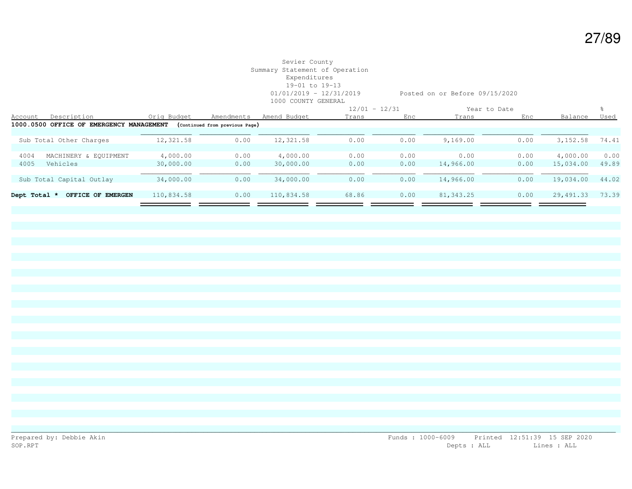|              |                                          |             |                                |              | $12/01 - 12/31$ |      |            | Year to Date |           |             |
|--------------|------------------------------------------|-------------|--------------------------------|--------------|-----------------|------|------------|--------------|-----------|-------------|
| Account      | Description                              | Orig Budget | Amendments                     | Amend Budget | Trans           | Enc  | Trans      | Enc          | Balance   | <u>Used</u> |
|              | 1000.0500 OFFICE OF EMERGENCY MANAGEMENT |             | (Continued from previous Page) |              |                 |      |            |              |           |             |
|              |                                          |             |                                |              |                 |      |            |              |           |             |
|              | Sub Total Other Charges                  | 12,321.58   | 0.00                           | 12,321.58    | 0.00            | 0.00 | 9,169.00   | 0.00         | 3, 152.58 | 74.41       |
|              |                                          |             |                                |              |                 |      |            |              |           |             |
| 4004         | MACHINERY & EQUIPMENT                    | 4,000.00    | 0.00                           | 4,000.00     | 0.00            | 0.00 | 0.00       | 0.00         | 4,000.00  | 0.00        |
| 4005         | Vehicles                                 | 30,000.00   | 0.00                           | 30,000.00    | 0.00            | 0.00 | 14,966.00  | 0.00         | 15,034.00 | 49.89       |
|              |                                          |             |                                |              |                 |      |            |              |           |             |
|              | Sub Total Capital Outlay                 | 34,000.00   | 0.00                           | 34,000.00    | 0.00            | 0.00 | 14,966.00  | 0.00         | 19,034.00 | 44.02       |
|              |                                          |             |                                |              |                 |      |            |              |           |             |
| Dept Total * | OFFICE OF EMERGEN                        | 110,834.58  | 0.00                           | 110,834.58   | 68.86           | 0.00 | 81, 343.25 | 0.00         | 29,491.33 | 73.39       |
|              |                                          |             |                                |              |                 |      |            |              |           |             |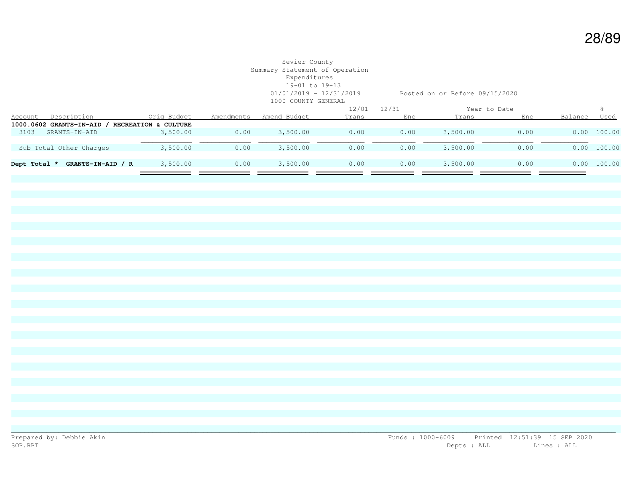# Sevier County Summary Statement of Operation Expenditures 19-01 to 19-13 1000 COUNTY GENERAL

01/01/2019 - 12/31/2019 Posted on or Before 09/15/2020

|              |                           |                      |            | $12/01 - 12/31$ |       | Year to Date |          |      |         |             |
|--------------|---------------------------|----------------------|------------|-----------------|-------|--------------|----------|------|---------|-------------|
| Account      | Description               | Orig Budget          | Amendments | Amend Budget    | Trans | Enc          | Trans    | Enc  | Balance | Used        |
|              | 1000.0602 GRANTS-IN-AID / | RECREATION & CULTURE |            |                 |       |              |          |      |         |             |
| 3103         | GRANTS-IN-AID             | 3,500.00             | 0.00       | 3,500.00        | 0.00  | 0.00         | 3,500.00 | 0.00 |         | 0.00 100.00 |
|              |                           |                      |            |                 |       |              |          |      |         |             |
|              | Sub Total Other Charges   | 3,500.00             | 0.00       | 3,500.00        | 0.00  | 0.00         | 3,500.00 | 0.00 |         | 0.00 100.00 |
|              |                           |                      |            |                 |       |              |          |      |         |             |
| Dept Total * | GRANTS-IN-AID / R         | 3,500.00             | 0.00       | 3,500.00        | 0.00  | 0.00         | 3,500.00 | 0.00 |         | 0.00 100.00 |
|              |                           |                      |            |                 |       |              |          |      |         |             |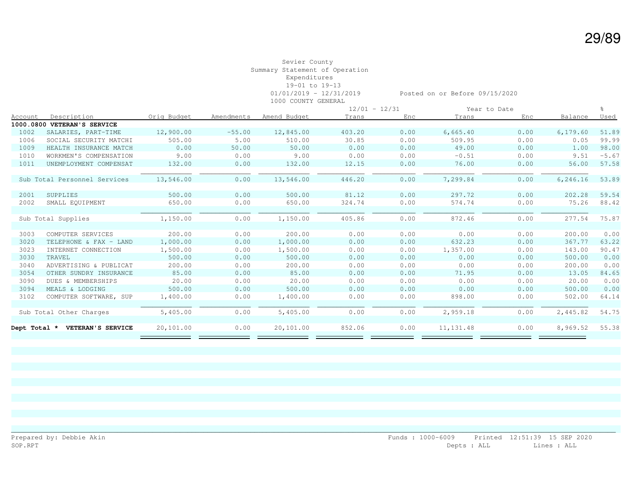|         |                                |             |            |              | $12/01 - 12/31$ |      |            | Year to Date |           |         |
|---------|--------------------------------|-------------|------------|--------------|-----------------|------|------------|--------------|-----------|---------|
| Account | Description                    | Oria Budget | Amendments | Amend Budget | Trans           | Enc  | Trans      | Enc          | Balance   | Used    |
|         | 1000.0800 VETERAN'S SERVICE    |             |            |              |                 |      |            |              |           |         |
| 1002    | SALARIES, PART-TIME            | 12,900.00   | $-55.00$   | 12,845.00    | 403.20          | 0.00 | 6,665.40   | 0.00         | 6, 179.60 | 51.89   |
| 1006    | SOCIAL SECURITY MATCHI         | 505.00      | 5.00       | 510.00       | 30.85           | 0.00 | 509.95     | 0.00         | 0.05      | 99.99   |
| 1009    | HEALTH INSURANCE MATCH         | 0.00        | 50.00      | 50.00        | 0.00            | 0.00 | 49.00      | 0.00         | 1.00      | 98.00   |
| 1010    | WORKMEN'S COMPENSATION         | 9.00        | 0.00       | 9.00         | 0.00            | 0.00 | $-0.51$    | 0.00         | 9.51      | $-5.67$ |
| 1011    | UNEMPLOYMENT COMPENSAT         | 132.00      | 0.00       | 132.00       | 12.15           | 0.00 | 76.00      | 0.00         | 56.00     | 57.58   |
|         |                                |             |            |              |                 |      |            |              |           |         |
|         | Sub Total Personnel Services   | 13,546.00   | 0.00       | 13,546.00    | 446.20          | 0.00 | 7,299.84   | 0.00         | 6,246.16  | 53.89   |
|         |                                |             |            |              |                 |      |            |              |           |         |
| 2001    | SUPPLIES                       | 500.00      | 0.00       | 500.00       | 81.12           | 0.00 | 297.72     | 0.00         | 202.28    | 59.54   |
| 2002    | SMALL EQUIPMENT                | 650.00      | 0.00       | 650.00       | 324.74          | 0.00 | 574.74     | 0.00         | 75.26     | 88.42   |
|         |                                |             |            |              |                 |      |            |              |           |         |
|         | Sub Total Supplies             | 1,150.00    | 0.00       | 1,150.00     | 405.86          | 0.00 | 872.46     | 0.00         | 277.54    | 75.87   |
|         |                                |             |            |              |                 |      |            |              |           |         |
| 3003    | COMPUTER SERVICES              | 200.00      | 0.00       | 200.00       | 0.00            | 0.00 | 0.00       | 0.00         | 200.00    | 0.00    |
| 3020    | TELEPHONE & FAX - LAND         | 1,000.00    | 0.00       | 1,000.00     | 0.00            | 0.00 | 632.23     | 0.00         | 367.77    | 63.22   |
| 3023    | INTERNET CONNECTION            | 1,500.00    | 0.00       | 1,500.00     | 0.00            | 0.00 | 1,357.00   | 0.00         | 143.00    | 90.47   |
| 3030    | TRAVEL                         | 500.00      | 0.00       | 500.00       | 0.00            | 0.00 | 0.00       | 0.00         | 500.00    | 0.00    |
| 3040    | ADVERTISING & PUBLICAT         | 200.00      | 0.00       | 200.00       | 0.00            | 0.00 | 0.00       | 0.00         | 200.00    | 0.00    |
| 3054    | OTHER SUNDRY INSURANCE         | 85.00       | 0.00       | 85.00        | 0.00            | 0.00 | 71.95      | 0.00         | 13.05     | 84.65   |
| 3090    | DUES & MEMBERSHIPS             | 20.00       | 0.00       | 20.00        | 0.00            | 0.00 | 0.00       | 0.00         | 20.00     | 0.00    |
| 3094    | MEALS & LODGING                | 500.00      | 0.00       | 500.00       | 0.00            | 0.00 | 0.00       | 0.00         | 500.00    | 0.00    |
| 3102    | COMPUTER SOFTWARE, SUP         | 1,400.00    | 0.00       | 1,400.00     | 0.00            | 0.00 | 898.00     | 0.00         | 502.00    | 64.14   |
|         |                                |             |            |              |                 |      |            |              |           |         |
|         | Sub Total Other Charges        | 5,405.00    | 0.00       | 5,405.00     | 0.00            | 0.00 | 2,959.18   | 0.00         | 2,445.82  | 54.75   |
|         |                                |             |            |              |                 |      |            |              |           |         |
|         | Dept Total * VETERAN'S SERVICE | 20,101.00   | 0.00       | 20,101.00    | 852.06          | 0.00 | 11, 131.48 | 0.00         | 8,969.52  | 55.38   |
|         |                                |             |            |              |                 |      |            |              |           |         |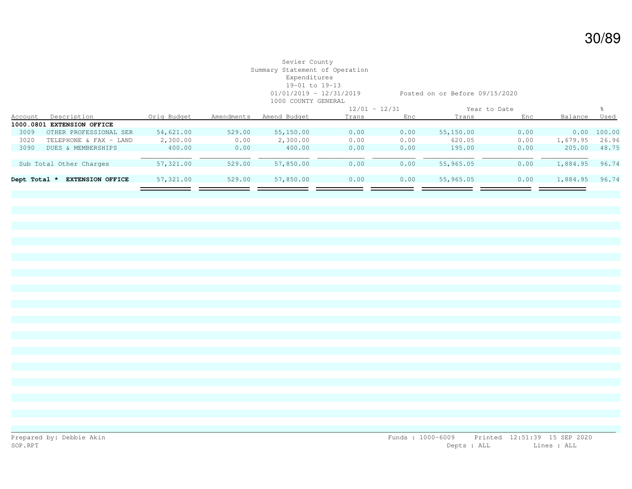|              |                            |             |            |              | $12/01 - 12/31$ |      |           | Year to Date |          |        |
|--------------|----------------------------|-------------|------------|--------------|-----------------|------|-----------|--------------|----------|--------|
| Account      | Description                | Oria Budaet | Amendments | Amend Budget | Trans           | Enc  | Trans     | Enc          | Balance  | Used   |
|              | 1000.0801 EXTENSION OFFICE |             |            |              |                 |      |           |              |          |        |
| 3009         | OTHER PROFESSIONAL SER     | 54,621.00   | 529.00     | 55,150.00    | 0.00            | 0.00 | 55,150.00 | 0.00         | 0.00     | 100.00 |
| 3020         | TELEPHONE & FAX - LAND     | 2,300.00    | 0.00       | 2,300.00     | 0.00            | 0.00 | 620.05    | 0.00         | 1,679.95 | 26.96  |
| 3090         | DUES & MEMBERSHIPS         | 400.00      | 0.00       | 400.00       | 0.00            | 0.00 | 195.00    | 0.00         | 205.00   | 48.75  |
|              |                            |             |            |              |                 |      |           |              |          |        |
|              | Sub Total Other Charges    | 57,321.00   | 529.00     | 57,850.00    | 0.00            | 0.00 | 55,965.05 | 0.00         | 1,884.95 | 96.74  |
|              |                            |             |            |              |                 |      |           |              |          |        |
| Dept Total * | <b>EXTENSION OFFICE</b>    | 57,321.00   | 529.00     | 57,850.00    | 0.00            | 0.00 | 55,965.05 | 0.00         | 1,884.95 | 96.74  |
|              |                            |             |            |              |                 |      |           |              |          |        |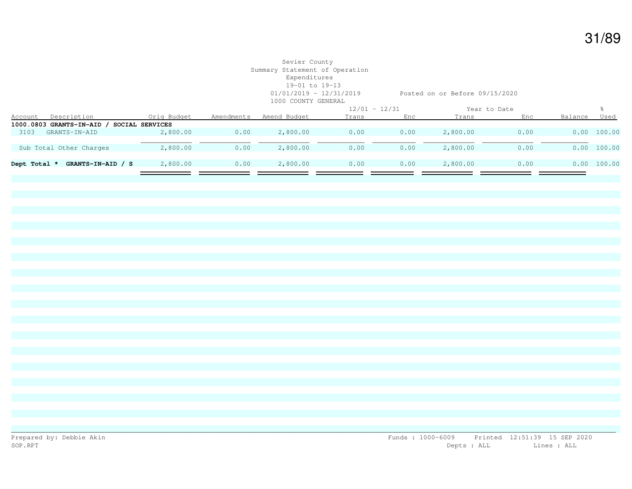# Sevier County Summary Statement of Operation Expenditures 19-01 to 19-13 1000 COUNTY GENERAL

01/01/2019 - 12/31/2019 Posted on or Before 09/15/2020

|                |                                   |                 |            |              | $12/01 - 12/31$ |      | Year to Date |      |         |             |
|----------------|-----------------------------------|-----------------|------------|--------------|-----------------|------|--------------|------|---------|-------------|
| <b>Account</b> | Description                       | Orig Budget     | Amendments | Amend Budget | Trans           | Enc  | Trans        | Enc  | Balance | Used        |
|                | 1000.0803 GRANTS-IN-AID /         | SOCIAL SERVICES |            |              |                 |      |              |      |         |             |
| 3103           | GRANTS-IN-AID                     | 2,800.00        | 0.00       | 2,800.00     | 0.00            | 0.00 | 2,800.00     | 0.00 |         | 0.00 100.00 |
|                |                                   |                 |            |              |                 |      |              |      |         |             |
|                | Sub Total Other Charges           | 2,800.00        | 0.00       | 2,800.00     | 0.00            | 0.00 | 2,800.00     | 0.00 |         | 0.00 100.00 |
|                |                                   |                 |            |              |                 |      |              |      |         |             |
|                | GRANTS-IN-AID / S<br>Dept Total * | 2,800.00        | 0.00       | 2,800.00     | 0.00            | 0.00 | 2,800.00     | 0.00 |         | 0.00 100.00 |
|                |                                   |                 |            |              |                 |      |              |      |         |             |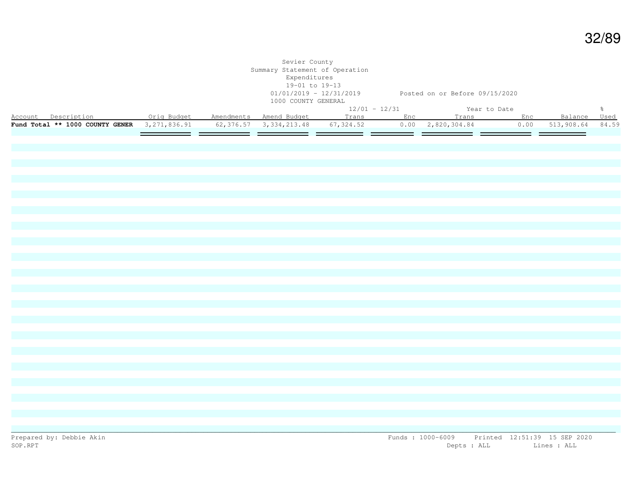| % Account Description Communication Amendments Amend Budget 12/01 - 12/31 The Year to Date<br>Account Description Communication Orig Budget Amendments Amend Budget Trans Enc Trans Enc Balance Used<br>Fund Total ** 1000 COUNTY GENER 3,271,836.91 62,376.57 3,334,213.48 67,324.52 0.00 2,820,304.84 0.00 513,908.64 84.59 |  | Sevier County<br>Summary Statement of Operation<br>Expenditures<br>19-01 to 19-13<br>1000 COUNTY GENERAL |  | 01/01/2019 - 12/31/2019 Posted on or Before 09/15/2020 |  |  |
|-------------------------------------------------------------------------------------------------------------------------------------------------------------------------------------------------------------------------------------------------------------------------------------------------------------------------------|--|----------------------------------------------------------------------------------------------------------|--|--------------------------------------------------------|--|--|
|                                                                                                                                                                                                                                                                                                                               |  |                                                                                                          |  |                                                        |  |  |
|                                                                                                                                                                                                                                                                                                                               |  |                                                                                                          |  |                                                        |  |  |
|                                                                                                                                                                                                                                                                                                                               |  |                                                                                                          |  |                                                        |  |  |
|                                                                                                                                                                                                                                                                                                                               |  |                                                                                                          |  |                                                        |  |  |
|                                                                                                                                                                                                                                                                                                                               |  |                                                                                                          |  |                                                        |  |  |
|                                                                                                                                                                                                                                                                                                                               |  |                                                                                                          |  |                                                        |  |  |
|                                                                                                                                                                                                                                                                                                                               |  |                                                                                                          |  |                                                        |  |  |
|                                                                                                                                                                                                                                                                                                                               |  |                                                                                                          |  |                                                        |  |  |
|                                                                                                                                                                                                                                                                                                                               |  |                                                                                                          |  |                                                        |  |  |
|                                                                                                                                                                                                                                                                                                                               |  |                                                                                                          |  |                                                        |  |  |
|                                                                                                                                                                                                                                                                                                                               |  |                                                                                                          |  |                                                        |  |  |
|                                                                                                                                                                                                                                                                                                                               |  |                                                                                                          |  |                                                        |  |  |
|                                                                                                                                                                                                                                                                                                                               |  |                                                                                                          |  |                                                        |  |  |
|                                                                                                                                                                                                                                                                                                                               |  |                                                                                                          |  |                                                        |  |  |
|                                                                                                                                                                                                                                                                                                                               |  |                                                                                                          |  |                                                        |  |  |
|                                                                                                                                                                                                                                                                                                                               |  |                                                                                                          |  |                                                        |  |  |
|                                                                                                                                                                                                                                                                                                                               |  |                                                                                                          |  |                                                        |  |  |
|                                                                                                                                                                                                                                                                                                                               |  |                                                                                                          |  |                                                        |  |  |
|                                                                                                                                                                                                                                                                                                                               |  |                                                                                                          |  |                                                        |  |  |
|                                                                                                                                                                                                                                                                                                                               |  |                                                                                                          |  |                                                        |  |  |
|                                                                                                                                                                                                                                                                                                                               |  |                                                                                                          |  |                                                        |  |  |
|                                                                                                                                                                                                                                                                                                                               |  |                                                                                                          |  |                                                        |  |  |
|                                                                                                                                                                                                                                                                                                                               |  |                                                                                                          |  |                                                        |  |  |
|                                                                                                                                                                                                                                                                                                                               |  |                                                                                                          |  |                                                        |  |  |
|                                                                                                                                                                                                                                                                                                                               |  |                                                                                                          |  |                                                        |  |  |
|                                                                                                                                                                                                                                                                                                                               |  |                                                                                                          |  |                                                        |  |  |
|                                                                                                                                                                                                                                                                                                                               |  |                                                                                                          |  |                                                        |  |  |
|                                                                                                                                                                                                                                                                                                                               |  |                                                                                                          |  |                                                        |  |  |
|                                                                                                                                                                                                                                                                                                                               |  |                                                                                                          |  |                                                        |  |  |
|                                                                                                                                                                                                                                                                                                                               |  |                                                                                                          |  |                                                        |  |  |
|                                                                                                                                                                                                                                                                                                                               |  |                                                                                                          |  |                                                        |  |  |
|                                                                                                                                                                                                                                                                                                                               |  |                                                                                                          |  |                                                        |  |  |
|                                                                                                                                                                                                                                                                                                                               |  |                                                                                                          |  |                                                        |  |  |
|                                                                                                                                                                                                                                                                                                                               |  |                                                                                                          |  |                                                        |  |  |
|                                                                                                                                                                                                                                                                                                                               |  |                                                                                                          |  |                                                        |  |  |
|                                                                                                                                                                                                                                                                                                                               |  |                                                                                                          |  |                                                        |  |  |
|                                                                                                                                                                                                                                                                                                                               |  |                                                                                                          |  |                                                        |  |  |
|                                                                                                                                                                                                                                                                                                                               |  |                                                                                                          |  |                                                        |  |  |
|                                                                                                                                                                                                                                                                                                                               |  |                                                                                                          |  |                                                        |  |  |
|                                                                                                                                                                                                                                                                                                                               |  |                                                                                                          |  |                                                        |  |  |
|                                                                                                                                                                                                                                                                                                                               |  |                                                                                                          |  |                                                        |  |  |
|                                                                                                                                                                                                                                                                                                                               |  |                                                                                                          |  |                                                        |  |  |

32/89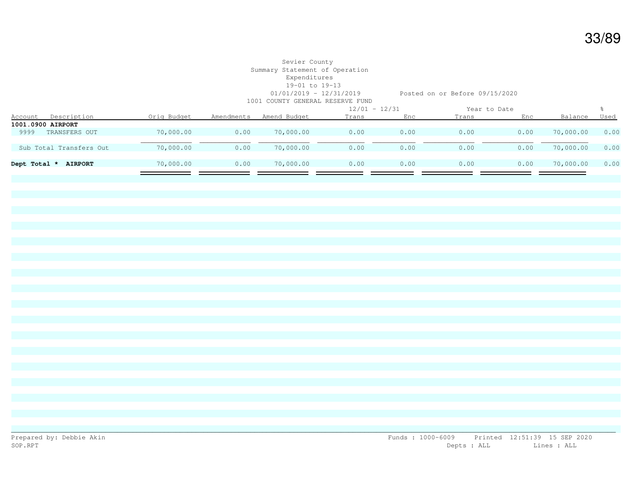|              |                         |             |            | TAAT AANTIT AHNAH TAHAH LAHA TAHA |                 |      |              |      |           |      |
|--------------|-------------------------|-------------|------------|-----------------------------------|-----------------|------|--------------|------|-----------|------|
|              |                         |             |            |                                   | $12/01 - 12/31$ |      | Year to Date |      |           |      |
| Account      | Description             | Orig Budget | Amendments | Amend Budget                      | Trans           | Enc  | Trans        | Enc  | Balance   | Used |
|              | 1001.0900 AIRPORT       |             |            |                                   |                 |      |              |      |           |      |
| 9999         | TRANSFERS OUT           | 70,000.00   | 0.00       | 70,000.00                         | 0.00            | 0.00 | 0.00         | 0.00 | 70,000.00 | 0.00 |
|              |                         |             |            |                                   |                 |      |              |      |           |      |
|              | Sub Total Transfers Out | 70,000.00   | 0.00       | 70,000.00                         | 0.00            | 0.00 | 0.00         | 0.00 | 70,000.00 | 0.00 |
|              |                         |             |            |                                   |                 |      |              |      |           |      |
| Dept Total * | <b>AIRPORT</b>          | 70,000.00   | 0.00       | 70,000.00                         | 0.00            | 0.00 | 0.00         | 0.00 | 70,000.00 | 0.00 |
|              |                         |             |            |                                   |                 |      |              |      |           |      |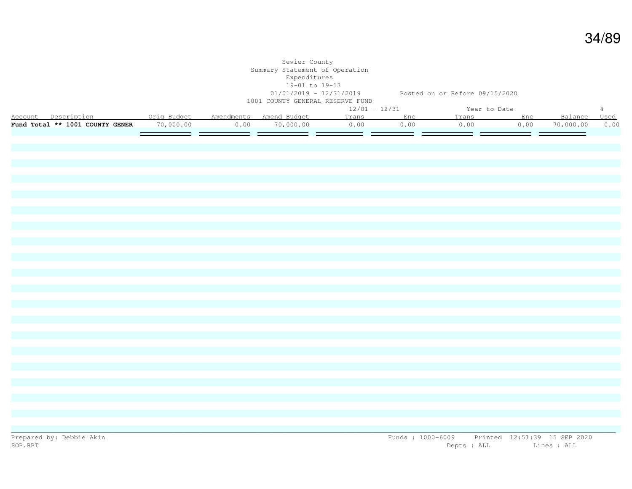|                                               |           |      | Sevier County<br>Summary Statement of Operation<br>Expenditures<br>19-01 to 19-13 | 01/01/2019 - 12/31/2019 Posted on or Before 09/15/2020 |      |              |      |           |               |
|-----------------------------------------------|-----------|------|-----------------------------------------------------------------------------------|--------------------------------------------------------|------|--------------|------|-----------|---------------|
|                                               |           |      | 1001 COUNTY GENERAL RESERVE FUND                                                  |                                                        |      |              |      |           |               |
|                                               |           |      |                                                                                   | $12/01 - 12/31$                                        |      | Year to Date |      |           | $\frac{6}{6}$ |
| Account Description <b>Canada</b> Orig Budget |           |      | Amendments Amend Budget                                                           | Trans                                                  | Enc  | Trans        | Enc  | Balance   | Used          |
| Fund Total ** 1001 COUNTY GENER               | 70,000.00 | 0.00 | 70,000.00                                                                         | 0.00                                                   | 0.00 | 0.00         | 0.00 | 70,000.00 | 0.00          |
|                                               |           | = =  |                                                                                   | = =                                                    | = =  | = =          | = =  |           |               |
|                                               |           |      |                                                                                   |                                                        |      |              |      |           |               |
|                                               |           |      |                                                                                   |                                                        |      |              |      |           |               |
|                                               |           |      |                                                                                   |                                                        |      |              |      |           |               |
|                                               |           |      |                                                                                   |                                                        |      |              |      |           |               |
|                                               |           |      |                                                                                   |                                                        |      |              |      |           |               |
|                                               |           |      |                                                                                   |                                                        |      |              |      |           |               |
|                                               |           |      |                                                                                   |                                                        |      |              |      |           |               |
|                                               |           |      |                                                                                   |                                                        |      |              |      |           |               |
|                                               |           |      |                                                                                   |                                                        |      |              |      |           |               |
|                                               |           |      |                                                                                   |                                                        |      |              |      |           |               |
|                                               |           |      |                                                                                   |                                                        |      |              |      |           |               |
|                                               |           |      |                                                                                   |                                                        |      |              |      |           |               |
|                                               |           |      |                                                                                   |                                                        |      |              |      |           |               |
|                                               |           |      |                                                                                   |                                                        |      |              |      |           |               |
|                                               |           |      |                                                                                   |                                                        |      |              |      |           |               |
|                                               |           |      |                                                                                   |                                                        |      |              |      |           |               |
|                                               |           |      |                                                                                   |                                                        |      |              |      |           |               |
|                                               |           |      |                                                                                   |                                                        |      |              |      |           |               |
|                                               |           |      |                                                                                   |                                                        |      |              |      |           |               |
|                                               |           |      |                                                                                   |                                                        |      |              |      |           |               |
|                                               |           |      |                                                                                   |                                                        |      |              |      |           |               |
|                                               |           |      |                                                                                   |                                                        |      |              |      |           |               |
|                                               |           |      |                                                                                   |                                                        |      |              |      |           |               |
|                                               |           |      |                                                                                   |                                                        |      |              |      |           |               |
|                                               |           |      |                                                                                   |                                                        |      |              |      |           |               |
|                                               |           |      |                                                                                   |                                                        |      |              |      |           |               |
|                                               |           |      |                                                                                   |                                                        |      |              |      |           |               |
|                                               |           |      |                                                                                   |                                                        |      |              |      |           |               |
|                                               |           |      |                                                                                   |                                                        |      |              |      |           |               |
|                                               |           |      |                                                                                   |                                                        |      |              |      |           |               |
|                                               |           |      |                                                                                   |                                                        |      |              |      |           |               |
|                                               |           |      |                                                                                   |                                                        |      |              |      |           |               |
|                                               |           |      |                                                                                   |                                                        |      |              |      |           |               |
|                                               |           |      |                                                                                   |                                                        |      |              |      |           |               |
|                                               |           |      |                                                                                   |                                                        |      |              |      |           |               |
|                                               |           |      |                                                                                   |                                                        |      |              |      |           |               |
|                                               |           |      |                                                                                   |                                                        |      |              |      |           |               |

34/89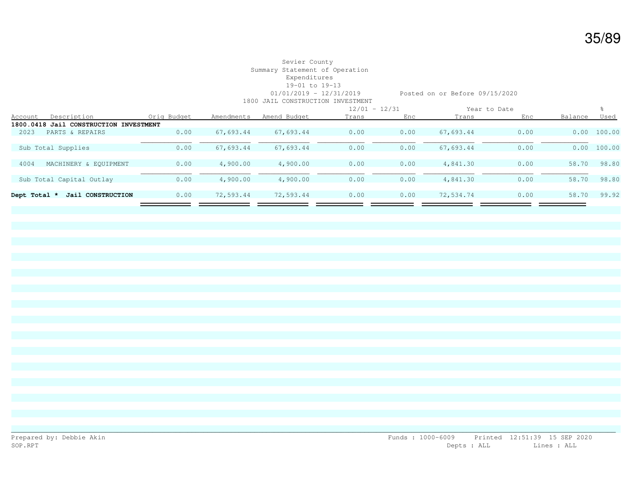|              |                                        |             |            |              | $12/01 - 12/31$ |      | Year to Date |      |         |        |
|--------------|----------------------------------------|-------------|------------|--------------|-----------------|------|--------------|------|---------|--------|
| Account      | Description                            | Orig Budget | Amendments | Amend Budget | Trans           | Enc  | Trans        | Enc  | Balance | Used   |
|              | 1800.0418 Jail CONSTRUCTION INVESTMENT |             |            |              |                 |      |              |      |         |        |
| 2023         | PARTS & REPAIRS                        | 0.00        | 67,693.44  | 67,693.44    | 0.00            | 0.00 | 67,693.44    | 0.00 | 0.00    | 100.00 |
|              |                                        |             |            |              |                 |      |              |      |         |        |
|              | Sub Total Supplies                     | 0.00        | 67,693.44  | 67,693.44    | 0.00            | 0.00 | 67,693.44    | 0.00 | 0.00    | 100.00 |
|              |                                        |             |            |              |                 |      |              |      |         |        |
| 4004         | MACHINERY & EOUIPMENT                  | 0.00        | 4,900.00   | 4,900.00     | 0.00            | 0.00 | 4,841.30     | 0.00 | 58.70   | 98.80  |
|              |                                        |             |            |              |                 |      |              |      |         |        |
|              | Sub Total Capital Outlay               | 0.00        | 4,900.00   | 4,900.00     | 0.00            | 0.00 | 4,841.30     | 0.00 | 58.70   | 98.80  |
|              |                                        |             |            |              |                 |      |              |      |         |        |
| Dept Total * | Jail CONSTRUCTION                      | 0.00        | 72,593.44  | 72,593.44    | 0.00            | 0.00 | 72,534.74    | 0.00 | 58.70   | 99.92  |
|              |                                        |             |            |              |                 |      |              |      |         |        |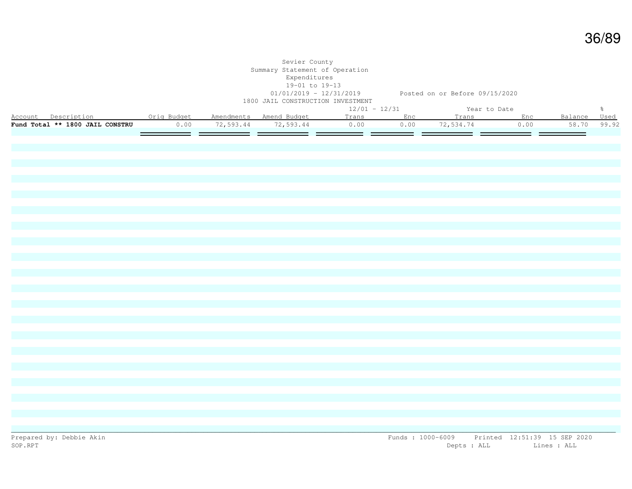|                                                          |      | Sevier County<br>Summary Statement of Operation<br>Expenditures<br>19-01 to 19-13<br>1800 JAIL CONSTRUCTION INVESTMENT |                 | 01/01/2019 - 12/31/2019 Posted on or Before 09/15/2020 |              |      |              |               |
|----------------------------------------------------------|------|------------------------------------------------------------------------------------------------------------------------|-----------------|--------------------------------------------------------|--------------|------|--------------|---------------|
|                                                          |      |                                                                                                                        | $12/01 - 12/31$ |                                                        | Year to Date |      |              | $\frac{6}{6}$ |
| Account Description  Orig Budget Amendments Amend Budget |      |                                                                                                                        | Trans           | Enc                                                    | Trans        | Enc  | Balance Used |               |
| Fund Total ** 1800 JAIL CONSTRU                          | 0.00 | 72,593.44 72,593.44                                                                                                    | 0.00            | 0.00                                                   | 72,534.74    | 0.00 | 58.70        | 99.92         |
|                                                          |      | ___ ______ _____ _____ __                                                                                              |                 |                                                        |              |      |              |               |
|                                                          |      |                                                                                                                        |                 |                                                        |              |      |              |               |
|                                                          |      |                                                                                                                        |                 |                                                        |              |      |              |               |
|                                                          |      |                                                                                                                        |                 |                                                        |              |      |              |               |
|                                                          |      |                                                                                                                        |                 |                                                        |              |      |              |               |
|                                                          |      |                                                                                                                        |                 |                                                        |              |      |              |               |
|                                                          |      |                                                                                                                        |                 |                                                        |              |      |              |               |
|                                                          |      |                                                                                                                        |                 |                                                        |              |      |              |               |
|                                                          |      |                                                                                                                        |                 |                                                        |              |      |              |               |
|                                                          |      |                                                                                                                        |                 |                                                        |              |      |              |               |
|                                                          |      |                                                                                                                        |                 |                                                        |              |      |              |               |
|                                                          |      |                                                                                                                        |                 |                                                        |              |      |              |               |
|                                                          |      |                                                                                                                        |                 |                                                        |              |      |              |               |
|                                                          |      |                                                                                                                        |                 |                                                        |              |      |              |               |
|                                                          |      |                                                                                                                        |                 |                                                        |              |      |              |               |
|                                                          |      |                                                                                                                        |                 |                                                        |              |      |              |               |
|                                                          |      |                                                                                                                        |                 |                                                        |              |      |              |               |
|                                                          |      |                                                                                                                        |                 |                                                        |              |      |              |               |
|                                                          |      |                                                                                                                        |                 |                                                        |              |      |              |               |
|                                                          |      |                                                                                                                        |                 |                                                        |              |      |              |               |
|                                                          |      |                                                                                                                        |                 |                                                        |              |      |              |               |
|                                                          |      |                                                                                                                        |                 |                                                        |              |      |              |               |
|                                                          |      |                                                                                                                        |                 |                                                        |              |      |              |               |
|                                                          |      |                                                                                                                        |                 |                                                        |              |      |              |               |
|                                                          |      |                                                                                                                        |                 |                                                        |              |      |              |               |
|                                                          |      |                                                                                                                        |                 |                                                        |              |      |              |               |
|                                                          |      |                                                                                                                        |                 |                                                        |              |      |              |               |
|                                                          |      |                                                                                                                        |                 |                                                        |              |      |              |               |
|                                                          |      |                                                                                                                        |                 |                                                        |              |      |              |               |
|                                                          |      |                                                                                                                        |                 |                                                        |              |      |              |               |
|                                                          |      |                                                                                                                        |                 |                                                        |              |      |              |               |
|                                                          |      |                                                                                                                        |                 |                                                        |              |      |              |               |
|                                                          |      |                                                                                                                        |                 |                                                        |              |      |              |               |
|                                                          |      |                                                                                                                        |                 |                                                        |              |      |              |               |
|                                                          |      |                                                                                                                        |                 |                                                        |              |      |              |               |
|                                                          |      |                                                                                                                        |                 |                                                        |              |      |              |               |

36/89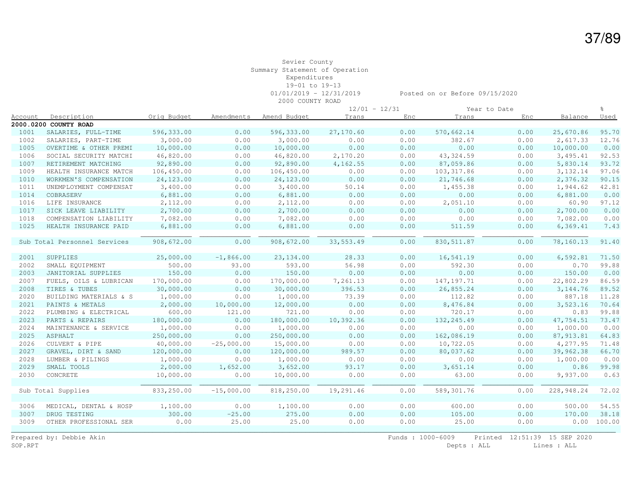#### Sevier County Summary Statement of Operation Expenditures 19-01 to 19-13 01/01/2019 - 12/31/2019 Posted on or Before 09/15/2020

2000 COUNTY ROAD

|                |                              |             |              |              | $12/01 - 12/31$ |      |             | Year to Date |            | ⊱           |
|----------------|------------------------------|-------------|--------------|--------------|-----------------|------|-------------|--------------|------------|-------------|
| <u>Account</u> | Description                  | Orig Budget | Amendments   | Amend Budget | Trans           | Enc  | Trans       | Enc          | Balance    | <u>Used</u> |
|                | 2000.0200 COUNTY ROAD        |             |              |              |                 |      |             |              |            |             |
| 1001           | SALARIES, FULL-TIME          | 596,333.00  | 0.00         | 596,333.00   | 27,170.60       | 0.00 | 570,662.14  | 0.00         | 25,670.86  | 95.70       |
| 1002           | SALARIES, PART-TIME          | 3,000.00    | 0.00         | 3,000.00     | 0.00            | 0.00 | 382.67      | 0.00         | 2,617.33   | 12.76       |
| 1005           | OVERTIME & OTHER PREMI       | 10,000.00   | 0.00         | 10,000.00    | 0.00            | 0.00 | 0.00        | 0.00         | 10,000.00  | 0.00        |
| 1006           | SOCIAL SECURITY MATCHI       | 46,820.00   | 0.00         | 46,820.00    | 2,170.20        | 0.00 | 43, 324.59  | 0.00         | 3,495.41   | 92.53       |
| 1007           | RETIREMENT MATCHING          | 92,890.00   | 0.00         | 92,890.00    | 4,162.55        | 0.00 | 87,059.86   | 0.00         | 5,830.14   | 93.72       |
| 1009           | HEALTH INSURANCE MATCH       | 106,450.00  | 0.00         | 106,450.00   | 0.00            | 0.00 | 103, 317.86 | 0.00         | 3,132.14   | 97.06       |
| 1010           | WORKMEN'S COMPENSATION       | 24,123.00   | 0.00         | 24, 123.00   | 0.00            | 0.00 | 21,746.68   | 0.00         | 2,376.32   | 90.15       |
| 1011           | UNEMPLOYMENT COMPENSAT       | 3,400.00    | 0.00         | 3,400.00     | 50.14           | 0.00 | 1,455.38    | 0.00         | 1,944.62   | 42.81       |
| 1014           | COBRASERV                    | 6,881.00    | 0.00         | 6,881.00     | 0.00            | 0.00 | 0.00        | 0.00         | 6,881.00   | 0.00        |
| 1016           | LIFE INSURANCE               | 2,112.00    | 0.00         | 2,112.00     | 0.00            | 0.00 | 2,051.10    | 0.00         | 60.90      | 97.12       |
| 1017           | SICK LEAVE LIABILITY         | 2,700.00    | 0.00         | 2,700.00     | 0.00            | 0.00 | 0.00        | 0.00         | 2,700.00   | 0.00        |
| 1018           | COMPENSATION LIABILITY       | 7,082.00    | 0.00         | 7,082.00     | 0.00            | 0.00 | 0.00        | 0.00         | 7,082.00   | 0.00        |
| 1025           | HEALTH INSURANCE PAID        | 6,881.00    | 0.00         | 6,881.00     | 0.00            | 0.00 | 511.59      | 0.00         | 6, 369.41  | 7.43        |
|                |                              |             |              |              |                 |      |             |              |            |             |
|                | Sub Total Personnel Services | 908,672.00  | 0.00         | 908,672.00   | 33, 553.49      | 0.00 | 830, 511.87 | 0.00         | 78,160.13  | 91.40       |
|                |                              |             |              |              |                 |      |             |              |            |             |
| 2001           | SUPPLIES                     | 25,000.00   | $-1,866.00$  | 23, 134.00   | 28.33           | 0.00 | 16,541.19   | 0.00         | 6,592.81   | 71.50       |
| 2002           | SMALL EQUIPMENT              | 500.00      | 93.00        | 593.00       | 56.98           | 0.00 | 592.30      | 0.00         | 0.70       | 99.88       |
| 2003           | JANITORIAL SUPPLIES          | 150.00      | 0.00         | 150.00       | 0.00            | 0.00 | 0.00        | 0.00         | 150.00     | 0.00        |
| 2007           | FUELS, OILS & LUBRICAN       | 170,000.00  | 0.00         | 170,000.00   | 7,261.13        | 0.00 | 147, 197.71 | 0.00         | 22,802.29  | 86.59       |
| 2008           | TIRES & TUBES                | 30,000.00   | 0.00         | 30,000.00    | 396.53          | 0.00 | 26,855.24   | 0.00         | 3, 144.76  | 89.52       |
| 2020           | BUILDING MATERIALS & S       | 1,000.00    | 0.00         | 1,000.00     | 73.39           | 0.00 | 112.82      | 0.00         | 887.18     | 11.28       |
| 2021           | PAINTS & METALS              | 2,000.00    | 10,000.00    | 12,000.00    | 0.00            | 0.00 | 8,476.84    | 0.00         | 3,523.16   | 70.64       |
| 2022           | PLUMBING & ELECTRICAL        | 600.00      | 121.00       | 721.00       | 0.00            | 0.00 | 720.17      | 0.00         | 0.83       | 99.88       |
| 2023           | PARTS & REPAIRS              | 180,000.00  | 0.00         | 180,000.00   | 10,392.36       | 0.00 | 132, 245.49 | 0.00         | 47,754.51  | 73.47       |
| 2024           | MAINTENANCE & SERVICE        | 1,000.00    | 0.00         | 1,000.00     | 0.00            | 0.00 | 0.00        | 0.00         | 1,000.00   | 0.00        |
| 2025           | ASPHALT                      | 250,000.00  | 0.00         | 250,000.00   | 0.00            | 0.00 | 162,086.19  | 0.00         | 87, 913.81 | 64.83       |
| 2026           | CULVERT & PIPE               | 40,000.00   | $-25,000.00$ | 15,000.00    | 0.00            | 0.00 | 10,722.05   | 0.00         | 4,277.95   | 71.48       |
| 2027           | GRAVEL, DIRT & SAND          | 120,000.00  | 0.00         | 120,000.00   | 989.57          | 0.00 | 80,037.62   | 0.00         | 39,962.38  | 66.70       |
| 2028           | LUMBER & PILINGS             | 1,000.00    | 0.00         | 1,000.00     | 0.00            | 0.00 | 0.00        | 0.00         | 1,000.00   | 0.00        |
| 2029           | SMALL TOOLS                  | 2,000.00    | 1,652.00     | 3,652.00     | 93.17           | 0.00 | 3,651.14    | 0.00         | 0.86       | 99.98       |
| 2030           | CONCRETE                     | 10,000.00   | 0.00         | 10,000.00    | 0.00            | 0.00 | 63.00       | 0.00         | 9,937.00   | 0.63        |
|                |                              |             |              |              |                 |      |             |              |            |             |
|                | Sub Total Supplies           | 833,250.00  | $-15,000.00$ | 818,250.00   | 19,291.46       | 0.00 | 589,301.76  | 0.00         | 228,948.24 | 72.02       |
|                |                              |             |              |              |                 |      |             |              |            |             |
| 3006           | MEDICAL, DENTAL & HOSP       | 1,100.00    | 0.00         | 1,100.00     | 0.00            | 0.00 | 600.00      | 0.00         | 500.00     | 54.55       |
| 3007           | DRUG TESTING                 | 300.00      | $-25.00$     | 275.00       | 0.00            | 0.00 | 105.00      | 0.00         | 170.00     | 38.18       |
| 3009           | OTHER PROFESSIONAL SER       | 0.00        | 25.00        | 25.00        | 0.00            | 0.00 | 25.00       | 0.00         | 0.00       | 100.00      |
|                |                              |             |              |              |                 |      |             |              |            |             |

Prepared by: Debbie Akin Funds : 1000-6009 Printed 12:51:39 15 SEP 2020<br>SOP.RPT Depts : ALL Lines : ALL Depts : ALL Lines : ALL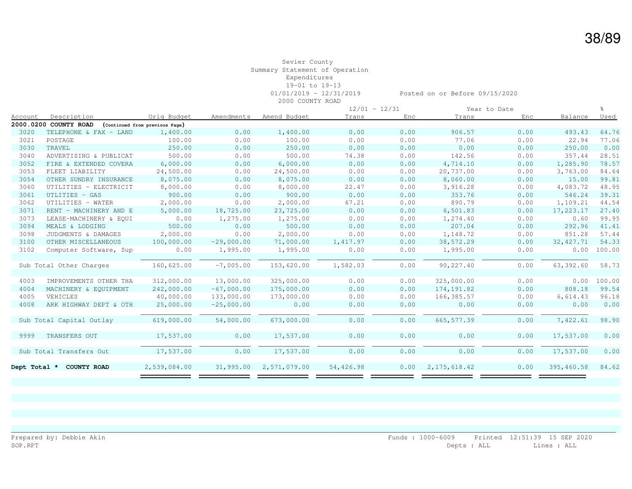#### Sevier County Summary Statement of Operation Expenditures 19-01 to 19-13 01/01/2019 - 12/31/2019 Posted on or Before 09/15/2020 2000 COUNTY ROAD

|              |                          |                                |              |              |           | $12/01 - 12/31$ |                | Year to Date |            |        |
|--------------|--------------------------|--------------------------------|--------------|--------------|-----------|-----------------|----------------|--------------|------------|--------|
| Account      | Description              | Orig Budget                    | Amendments   | Amend Budget | Trans     | Enc             | Trans          | Enc          | Balance    | Used   |
|              | 2000.0200 COUNTY ROAD    | (Continued from previous Page) |              |              |           |                 |                |              |            |        |
| 3020         | TELEPHONE & FAX - LAND   | 1,400.00                       | 0.00         | 1,400.00     | 0.00      | 0.00            | 906.57         | 0.00         | 493.43     | 64.76  |
| 3021         | POSTAGE                  | 100.00                         | 0.00         | 100.00       | 0.00      | 0.00            | 77.06          | 0.00         | 22.94      | 77.06  |
| 3030         | TRAVEL                   | 250.00                         | 0.00         | 250.00       | 0.00      | 0.00            | 0.00           | 0.00         | 250.00     | 0.00   |
| 3040         | ADVERTISING & PUBLICAT   | 500.00                         | 0.00         | 500.00       | 74.38     | 0.00            | 142.56         | 0.00         | 357.44     | 28.51  |
| 3052         | FIRE & EXTENDED COVERA   | 6,000.00                       | 0.00         | 6,000.00     | 0.00      | 0.00            | 4,714.10       | 0.00         | 1,285.90   | 78.57  |
| 3053         | FLEET LIABILITY          | 24,500.00                      | 0.00         | 24,500.00    | 0.00      | 0.00            | 20,737.00      | 0.00         | 3,763.00   | 84.64  |
| 3054         | OTHER SUNDRY INSURANCE   | 8,075.00                       | 0.00         | 8,075.00     | 0.00      | 0.00            | 8,060.00       | 0.00         | 15.00      | 99.81  |
| 3060         | UTILITIES - ELECTRICIT   | 8,000.00                       | 0.00         | 8,000.00     | 22.47     | 0.00            | 3,916.28       | 0.00         | 4,083.72   | 48.95  |
| 3061         | UTLITIES - GAS           | 900.00                         | 0.00         | 900.00       | 0.00      | 0.00            | 353.76         | 0.00         | 546.24     | 39.31  |
| 3062         | UTILITIES - WATER        | 2,000.00                       | 0.00         | 2,000.00     | 67.21     | 0.00            | 890.79         | 0.00         | 1,109.21   | 44.54  |
| 3071         | RENT - MACHINERY AND E   | 5,000.00                       | 18,725.00    | 23,725.00    | 0.00      | 0.00            | 6,501.83       | 0.00         | 17,223.17  | 27.40  |
| 3073         | LEASE-MACHINERY & EOUI   | 0.00                           | 1,275.00     | 1,275.00     | 0.00      | 0.00            | 1,274.40       | 0.00         | 0.60       | 99.95  |
| 3094         | MEALS & LODGING          | 500.00                         | 0.00         | 500.00       | 0.00      | 0.00            | 207.04         | 0.00         | 292.96     | 41.41  |
| 3098         | JUDGMENTS & DAMAGES      | 2,000.00                       | 0.00         | 2,000.00     | 0.00      | 0.00            | 1,148.72       | 0.00         | 851.28     | 57.44  |
| 3100         | OTHER MISCELLANEOUS      | 100,000.00                     | $-29,000.00$ | 71,000.00    | 1,417.97  | 0.00            | 38,572.29      | 0.00         | 32, 427.71 | 54.33  |
| 3102         | Computer Software, Sup   | 0.00                           | 1,995.00     | 1,995.00     | 0.00      | 0.00            | 1,995.00       | 0.00         | 0.00       | 100.00 |
|              |                          |                                |              |              |           |                 |                |              |            |        |
|              | Sub Total Other Charges  | 160,625.00                     | $-7,005.00$  | 153,620.00   | 1,582.03  | 0.00            | 90,227.40      | 0.00         | 63,392.60  | 58.73  |
|              |                          |                                |              |              |           |                 |                |              |            |        |
| 4003         | IMPROVEMENTS OTHER THA   | 312,000.00                     | 13,000.00    | 325,000.00   | 0.00      | 0.00            | 325,000.00     | 0.00         | 0.00       | 100.00 |
| 4004         | MACHINERY & EQUIPMENT    | 242,000.00                     | $-67,000.00$ | 175,000.00   | 0.00      | 0.00            | 174, 191.82    | 0.00         | 808.18     | 99.54  |
| 4005         | VEHICLES                 | 40,000.00                      | 133,000.00   | 173,000.00   | 0.00      | 0.00            | 166, 385.57    | 0.00         | 6,614.43   | 96.18  |
| 4008         | ARK HIGHWAY DEPT & OTH   | 25,000.00                      | $-25,000.00$ | 0.00         | 0.00      | 0.00            | 0.00           | 0.00         | 0.00       | 0.00   |
|              |                          |                                |              |              |           |                 |                |              |            |        |
|              | Sub Total Capital Outlay | 619,000.00                     | 54,000.00    | 673,000.00   | 0.00      | 0.00            | 665, 577.39    | 0.00         | 7,422.61   | 98.90  |
|              |                          |                                |              |              |           |                 |                |              |            |        |
| 9999         | TRANSFERS OUT            | 17,537.00                      | 0.00         | 17,537.00    | 0.00      | 0.00            | 0.00           | 0.00         | 17,537.00  | 0.00   |
|              |                          |                                |              |              |           |                 |                |              |            |        |
|              | Sub Total Transfers Out  | 17,537.00                      | 0.00         | 17,537.00    | 0.00      | 0.00            | 0.00           | 0.00         | 17,537.00  | 0.00   |
|              |                          |                                |              |              |           |                 |                |              |            |        |
| Dept Total * | COUNTY ROAD              | 2,539,084.00                   | 31,995.00    | 2,571,079.00 | 54,426.98 | 0.00            | 2, 175, 618.42 | 0.00         | 395,460.58 | 84.62  |
|              |                          |                                |              |              |           |                 |                |              |            |        |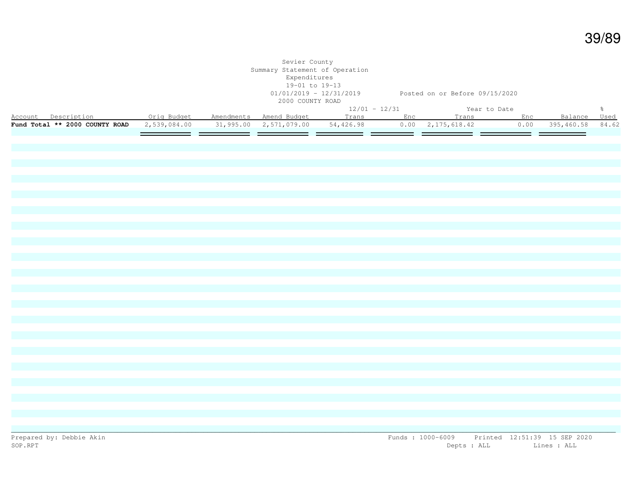| $12/01 - 12/31$<br>Year to Date<br>$\frac{5}{6}$<br>ear to bate<br>Account Description <b>1996 Orig Budget Amendments Amend Budget</b> Trans Enc Trans Enc Balance Used<br>Fund Total ** 2000 COUNTY ROAD 2,539,084.00 31,995.00 2,571,079.00 54,426.98 0.00 2,175,618.42 0.00 395,460.58 84.62 |  | Sevier County<br>Summary Statement of Operation<br>Expenditures<br>19-01 to 19-13<br>2000 COUNTY ROAD |  | 01/01/2019 - 12/31/2019 Posted on or Before 09/15/2020 |  |  |
|-------------------------------------------------------------------------------------------------------------------------------------------------------------------------------------------------------------------------------------------------------------------------------------------------|--|-------------------------------------------------------------------------------------------------------|--|--------------------------------------------------------|--|--|
|                                                                                                                                                                                                                                                                                                 |  |                                                                                                       |  |                                                        |  |  |
|                                                                                                                                                                                                                                                                                                 |  |                                                                                                       |  |                                                        |  |  |
|                                                                                                                                                                                                                                                                                                 |  |                                                                                                       |  |                                                        |  |  |
|                                                                                                                                                                                                                                                                                                 |  |                                                                                                       |  |                                                        |  |  |
|                                                                                                                                                                                                                                                                                                 |  |                                                                                                       |  |                                                        |  |  |
|                                                                                                                                                                                                                                                                                                 |  |                                                                                                       |  |                                                        |  |  |
|                                                                                                                                                                                                                                                                                                 |  |                                                                                                       |  |                                                        |  |  |
|                                                                                                                                                                                                                                                                                                 |  |                                                                                                       |  |                                                        |  |  |
|                                                                                                                                                                                                                                                                                                 |  |                                                                                                       |  |                                                        |  |  |
|                                                                                                                                                                                                                                                                                                 |  |                                                                                                       |  |                                                        |  |  |
|                                                                                                                                                                                                                                                                                                 |  |                                                                                                       |  |                                                        |  |  |
|                                                                                                                                                                                                                                                                                                 |  |                                                                                                       |  |                                                        |  |  |
|                                                                                                                                                                                                                                                                                                 |  |                                                                                                       |  |                                                        |  |  |
|                                                                                                                                                                                                                                                                                                 |  |                                                                                                       |  |                                                        |  |  |
|                                                                                                                                                                                                                                                                                                 |  |                                                                                                       |  |                                                        |  |  |
|                                                                                                                                                                                                                                                                                                 |  |                                                                                                       |  |                                                        |  |  |
|                                                                                                                                                                                                                                                                                                 |  |                                                                                                       |  |                                                        |  |  |
|                                                                                                                                                                                                                                                                                                 |  |                                                                                                       |  |                                                        |  |  |
|                                                                                                                                                                                                                                                                                                 |  |                                                                                                       |  |                                                        |  |  |
|                                                                                                                                                                                                                                                                                                 |  |                                                                                                       |  |                                                        |  |  |
|                                                                                                                                                                                                                                                                                                 |  |                                                                                                       |  |                                                        |  |  |
|                                                                                                                                                                                                                                                                                                 |  |                                                                                                       |  |                                                        |  |  |
|                                                                                                                                                                                                                                                                                                 |  |                                                                                                       |  |                                                        |  |  |
|                                                                                                                                                                                                                                                                                                 |  |                                                                                                       |  |                                                        |  |  |
|                                                                                                                                                                                                                                                                                                 |  |                                                                                                       |  |                                                        |  |  |
|                                                                                                                                                                                                                                                                                                 |  |                                                                                                       |  |                                                        |  |  |
|                                                                                                                                                                                                                                                                                                 |  |                                                                                                       |  |                                                        |  |  |
|                                                                                                                                                                                                                                                                                                 |  |                                                                                                       |  |                                                        |  |  |
|                                                                                                                                                                                                                                                                                                 |  |                                                                                                       |  |                                                        |  |  |
|                                                                                                                                                                                                                                                                                                 |  |                                                                                                       |  |                                                        |  |  |
|                                                                                                                                                                                                                                                                                                 |  |                                                                                                       |  |                                                        |  |  |
|                                                                                                                                                                                                                                                                                                 |  |                                                                                                       |  |                                                        |  |  |
|                                                                                                                                                                                                                                                                                                 |  |                                                                                                       |  |                                                        |  |  |
|                                                                                                                                                                                                                                                                                                 |  |                                                                                                       |  |                                                        |  |  |
|                                                                                                                                                                                                                                                                                                 |  |                                                                                                       |  |                                                        |  |  |
|                                                                                                                                                                                                                                                                                                 |  |                                                                                                       |  |                                                        |  |  |
|                                                                                                                                                                                                                                                                                                 |  |                                                                                                       |  |                                                        |  |  |
|                                                                                                                                                                                                                                                                                                 |  |                                                                                                       |  |                                                        |  |  |
|                                                                                                                                                                                                                                                                                                 |  |                                                                                                       |  |                                                        |  |  |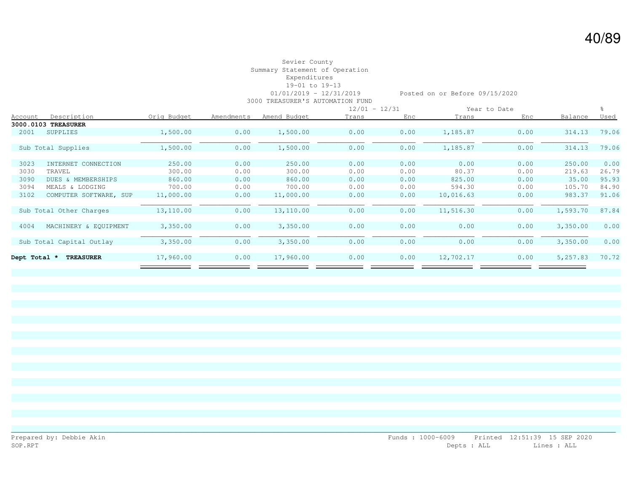## Sevier County Summary Statement of Operation Expenditures 19-01 to 19-13 3000 TREASURER'S AUTOMATION FUND

01/01/2019 - 12/31/2019 Posted on or Before 09/15/2020

|                |                               |             |            |              |       | $12/01 - 12/31$ |           | Year to Date |          |             |
|----------------|-------------------------------|-------------|------------|--------------|-------|-----------------|-----------|--------------|----------|-------------|
| <u>Account</u> | Description                   | Orig Budget | Amendments | Amend Budget | Trans | Enc             | Trans     | Enc          | Balance  | <u>Used</u> |
|                | 3000.0103 TREASURER           |             |            |              |       |                 |           |              |          |             |
| 2001           | SUPPLIES                      | 1,500.00    | 0.00       | 1,500.00     | 0.00  | 0.00            | 1,185.87  | 0.00         | 314.13   | 79.06       |
|                |                               |             |            |              |       |                 |           |              |          |             |
|                | Sub Total Supplies            | 1,500.00    | 0.00       | 1,500.00     | 0.00  | 0.00            | 1,185.87  | 0.00         | 314.13   | 79.06       |
|                |                               |             |            |              |       |                 |           |              |          |             |
| 3023           | INTERNET CONNECTION           | 250.00      | 0.00       | 250.00       | 0.00  | 0.00            | 0.00      | 0.00         | 250.00   | 0.00        |
| 3030           | TRAVEL                        | 300.00      | 0.00       | 300.00       | 0.00  | 0.00            | 80.37     | 0.00         | 219.63   | 26.79       |
| 3090           | <b>DUES &amp; MEMBERSHIPS</b> | 860.00      | 0.00       | 860.00       | 0.00  | 0.00            | 825.00    | 0.00         | 35.00    | 95.93       |
| 3094           | MEALS & LODGING               | 700.00      | 0.00       | 700.00       | 0.00  | 0.00            | 594.30    | 0.00         | 105.70   | 84.90       |
| 3102           | COMPUTER SOFTWARE, SUP        | 11,000.00   | 0.00       | 11,000.00    | 0.00  | 0.00            | 10,016.63 | 0.00         | 983.37   | 91.06       |
|                |                               |             |            |              |       |                 |           |              |          |             |
|                | Sub Total Other Charges       | 13,110.00   | 0.00       | 13,110.00    | 0.00  | 0.00            | 11,516.30 | 0.00         | 1,593.70 | 87.84       |
|                |                               |             |            |              |       |                 |           |              |          |             |
| 4004           | MACHINERY & EQUIPMENT         | 3,350.00    | 0.00       | 3,350.00     | 0.00  | 0.00            | 0.00      | 0.00         | 3,350.00 | 0.00        |
|                |                               |             |            |              |       |                 |           |              |          |             |
|                | Sub Total Capital Outlay      | 3,350.00    | 0.00       | 3,350.00     | 0.00  | 0.00            | 0.00      | 0.00         | 3,350.00 | 0.00        |
|                |                               |             |            |              |       |                 |           |              |          |             |
| Dept Total *   | <b>TREASURER</b>              | 17,960.00   | 0.00       | 17,960.00    | 0.00  | 0.00            | 12,702.17 | 0.00         | 5,257.83 | 70.72       |
|                |                               |             |            |              |       |                 |           |              |          |             |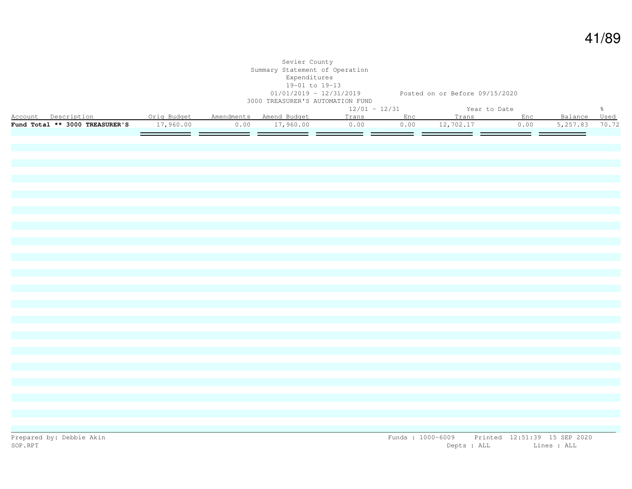|                                                                                             |           | Sevier County<br>Summary Statement of Operation<br>Expenditures<br>19-01 to 19-13<br>3000 TREASURER'S AUTOMATION FUND |                 | 01/01/2019 - 12/31/2019 Posted on or Before 09/15/2020        |      |                                 |               |
|---------------------------------------------------------------------------------------------|-----------|-----------------------------------------------------------------------------------------------------------------------|-----------------|---------------------------------------------------------------|------|---------------------------------|---------------|
|                                                                                             |           |                                                                                                                       | $12/01 - 12/31$ | Year to Date<br>The Tear to bace<br>Trans Trans Enc Trans Enc |      |                                 | $\frac{6}{6}$ |
| Account Description . Orig Budget Amendments Amend Budget<br>Fund Total ** 3000 TREASURER'S | 17,960.00 | $0.00$ 17,960.00                                                                                                      | 0.00            | $0.00$ $12,702.17$                                            | 0.00 | Balance Used<br>5, 257.83 70.72 |               |
|                                                                                             |           |                                                                                                                       |                 |                                                               |      |                                 |               |
|                                                                                             |           |                                                                                                                       |                 |                                                               |      |                                 |               |
|                                                                                             |           |                                                                                                                       |                 |                                                               |      |                                 |               |
|                                                                                             |           |                                                                                                                       |                 |                                                               |      |                                 |               |
|                                                                                             |           |                                                                                                                       |                 |                                                               |      |                                 |               |
|                                                                                             |           |                                                                                                                       |                 |                                                               |      |                                 |               |
|                                                                                             |           |                                                                                                                       |                 |                                                               |      |                                 |               |
|                                                                                             |           |                                                                                                                       |                 |                                                               |      |                                 |               |
|                                                                                             |           |                                                                                                                       |                 |                                                               |      |                                 |               |
|                                                                                             |           |                                                                                                                       |                 |                                                               |      |                                 |               |
|                                                                                             |           |                                                                                                                       |                 |                                                               |      |                                 |               |
|                                                                                             |           |                                                                                                                       |                 |                                                               |      |                                 |               |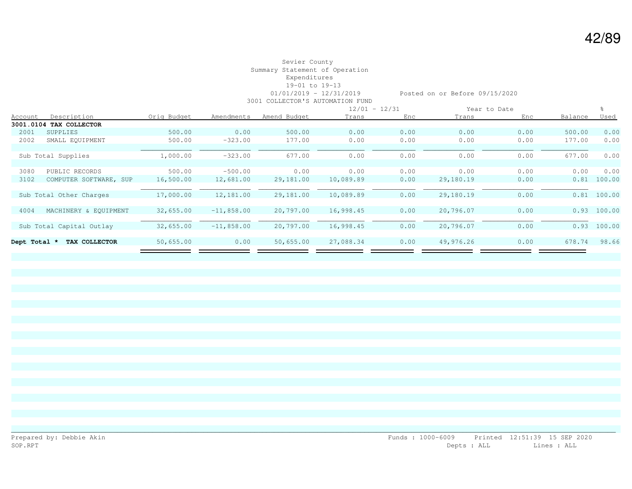## Sevier County Summary Statement of Operation Expenditures 19-01 to 19-13 3001 COLLECTOR'S AUTOMATION FUND

01/01/2019 - 12/31/2019 Posted on or Before 09/15/2020

|                |                          |             |              |              | $12/01 - 12/31$ |      |           | Year to Date |         |               |
|----------------|--------------------------|-------------|--------------|--------------|-----------------|------|-----------|--------------|---------|---------------|
| <b>Account</b> | Description              | Orig Budget | Amendments   | Amend Budget | Trans           | Enc  | Trans     | Enc          | Balance | <u>Used</u>   |
| 3001.0104      | TAX COLLECTOR            |             |              |              |                 |      |           |              |         |               |
| 2001           | SUPPLIES                 | 500.00      | 0.00         | 500.00       | 0.00            | 0.00 | 0.00      | 0.00         | 500.00  | 0.00          |
| 2002           | SMALL EQUIPMENT          | 500.00      | $-323.00$    | 177.00       | 0.00            | 0.00 | 0.00      | 0.00         | 177.00  | 0.00          |
|                | Sub Total Supplies       | 1,000.00    | $-323.00$    | 677.00       | 0.00            | 0.00 | 0.00      | 0.00         | 677.00  | 0.00          |
| 3080           | PUBLIC RECORDS           | 500.00      | $-500.00$    | 0.00         | 0.00            | 0.00 | 0.00      | 0.00         | 0.00    | 0.00          |
| 3102           | COMPUTER SOFTWARE, SUP   | 16,500.00   | 12,681.00    | 29,181.00    | 10,089.89       | 0.00 | 29,180.19 | 0.00         | 0.81    | 100.00        |
|                | Sub Total Other Charges  | 17,000.00   | 12,181.00    | 29,181.00    | 10,089.89       | 0.00 | 29,180.19 | 0.00         | 0.81    | 100.00        |
| 4004           | MACHINERY & EOUIPMENT    | 32,655.00   | $-11,858.00$ | 20,797.00    | 16,998.45       | 0.00 | 20,796.07 | 0.00         |         | $0.93$ 100.00 |
|                | Sub Total Capital Outlay | 32,655.00   | $-11,858.00$ | 20,797.00    | 16,998.45       | 0.00 | 20,796.07 | 0.00         | 0.93    | 100.00        |
| Dept Total *   | TAX COLLECTOR            | 50,655.00   | 0.00         | 50,655.00    | 27,088.34       | 0.00 | 49,976.26 | 0.00         | 678.74  | 98.66         |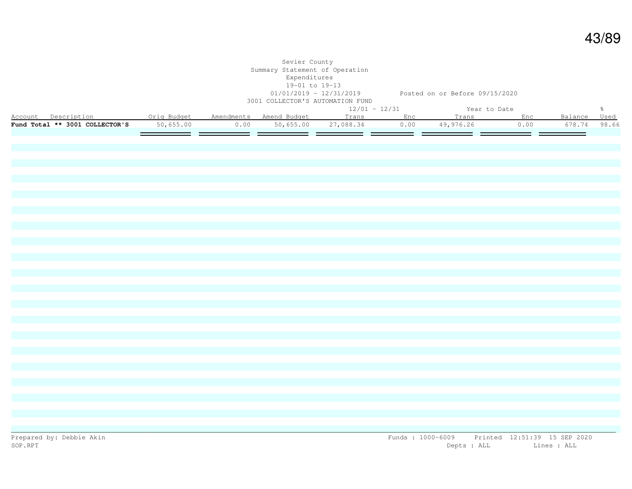|                                                                                                                                     |           | Sevier County<br>Summary Statement of Operation<br>Expenditures<br>19-01 to 19-13 | 01/01/2019 - 12/31/2019 Posted on or Before 09/15/2020<br>3001 COLLECTOR'S AUTOMATION FUND |  |                             |      |                                         |               |
|-------------------------------------------------------------------------------------------------------------------------------------|-----------|-----------------------------------------------------------------------------------|--------------------------------------------------------------------------------------------|--|-----------------------------|------|-----------------------------------------|---------------|
|                                                                                                                                     |           |                                                                                   | $12/01 - 12/31$                                                                            |  | Year to Date                |      |                                         | $\frac{6}{6}$ |
| Account Description <b>1988</b> - Orig Budget Amendments Amend Budget - Trans - Enc - Trans - Enc<br>Fund Total ** 3001 COLLECTOR'S | 50,655.00 |                                                                                   | $0.00$ 50,655.00 27,088.34                                                                 |  | $\overline{0.00}$ 49,976.26 | 0.00 | Balance Used<br>678.74<br>$\sim$ $\sim$ | 98.66         |
|                                                                                                                                     |           |                                                                                   |                                                                                            |  |                             |      |                                         |               |
|                                                                                                                                     |           |                                                                                   |                                                                                            |  |                             |      |                                         |               |
|                                                                                                                                     |           |                                                                                   |                                                                                            |  |                             |      |                                         |               |
|                                                                                                                                     |           |                                                                                   |                                                                                            |  |                             |      |                                         |               |
|                                                                                                                                     |           |                                                                                   |                                                                                            |  |                             |      |                                         |               |
|                                                                                                                                     |           |                                                                                   |                                                                                            |  |                             |      |                                         |               |
|                                                                                                                                     |           |                                                                                   |                                                                                            |  |                             |      |                                         |               |
|                                                                                                                                     |           |                                                                                   |                                                                                            |  |                             |      |                                         |               |
|                                                                                                                                     |           |                                                                                   |                                                                                            |  |                             |      |                                         |               |
|                                                                                                                                     |           |                                                                                   |                                                                                            |  |                             |      |                                         |               |
|                                                                                                                                     |           |                                                                                   |                                                                                            |  |                             |      |                                         |               |
|                                                                                                                                     |           |                                                                                   |                                                                                            |  |                             |      |                                         |               |
|                                                                                                                                     |           |                                                                                   |                                                                                            |  |                             |      |                                         |               |
|                                                                                                                                     |           |                                                                                   |                                                                                            |  |                             |      |                                         |               |
|                                                                                                                                     |           |                                                                                   |                                                                                            |  |                             |      |                                         |               |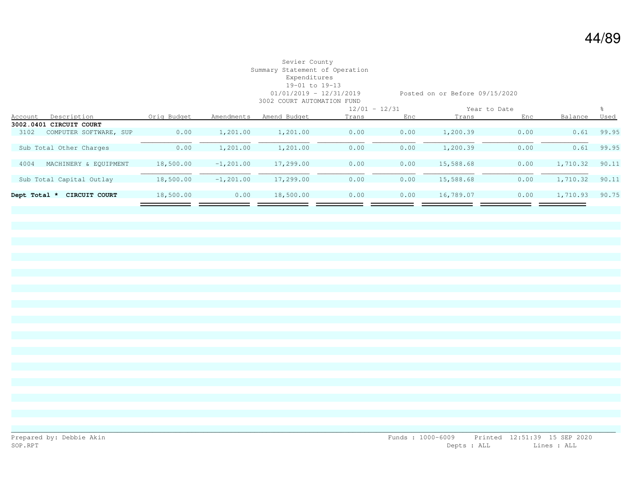# Sevier County Summary Statement of Operation Expenditures 19-01 to 19-13

01/01/2019 - 12/31/2019 Posted on or Before 09/15/2020

|              | 3002 COURT AUTOMATION FUND |             |               |              |                 |      |           |              |          |             |  |
|--------------|----------------------------|-------------|---------------|--------------|-----------------|------|-----------|--------------|----------|-------------|--|
|              |                            |             |               |              | $12/01 - 12/31$ |      |           | Year to Date |          |             |  |
| Account      | Description                | Orig Budget | Amendments    | Amend Budget | Trans           | Enc  | Trans     | Enc          | Balance  | <u>Used</u> |  |
| 3002.0401    | CIRCUIT COURT              |             |               |              |                 |      |           |              |          |             |  |
| 3102         | COMPUTER SOFTWARE, SUP     | 0.00        | 1,201.00      | 1,201.00     | 0.00            | 0.00 | 1,200.39  | 0.00         | 0.61     | 99.95       |  |
|              |                            |             |               |              |                 |      |           |              |          |             |  |
|              | Sub Total Other Charges    | 0.00        | 1,201.00      | 1,201.00     | 0.00            | 0.00 | 1,200.39  | 0.00         | 0.61     | 99.95       |  |
|              |                            |             |               |              |                 |      |           |              |          |             |  |
| 4004         | MACHINERY & EOUIPMENT      | 18,500.00   | $-1, 201, 00$ | 17,299.00    | 0.00            | 0.00 | 15,588.68 | 0.00         | 1,710.32 | 90.11       |  |
|              |                            |             |               |              |                 |      |           |              |          |             |  |
|              | Sub Total Capital Outlay   | 18,500.00   | $-1, 201, 00$ | 17,299.00    | 0.00            | 0.00 | 15,588.68 | 0.00         | 1,710.32 | 90.11       |  |
|              |                            |             |               |              |                 |      |           |              |          |             |  |
| Dept Total * | CIRCUIT COURT              | 18,500.00   | 0.00          | 18,500.00    | 0.00            | 0.00 | 16,789.07 | 0.00         | 1,710.93 | 90.75       |  |
|              |                            |             |               |              |                 |      |           |              |          |             |  |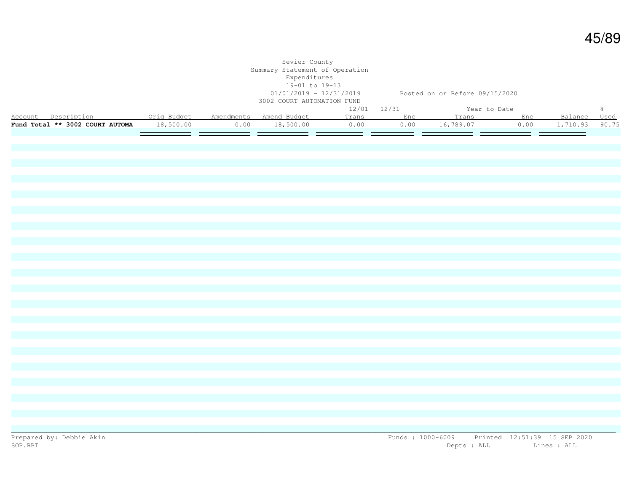|                                                           |           | Sevier County<br>Summary Statement of Operation<br>Expenditures<br>19-01 to 19-13<br>3002 COURT AUTOMATION FUND | 01/01/2019 - 12/31/2019 Posted on or Before 09/15/2020 |     |                     |        |                |               |
|-----------------------------------------------------------|-----------|-----------------------------------------------------------------------------------------------------------------|--------------------------------------------------------|-----|---------------------|--------|----------------|---------------|
|                                                           |           |                                                                                                                 | $12/01 - 12/31$                                        |     | Year to Date        |        |                | $\frac{6}{6}$ |
| Account Description . Orig Budget Amendments Amend Budget |           |                                                                                                                 |                                                        |     | Trans Enc Trans Enc |        | Balance Used   |               |
| Fund Total ** 3002 COURT AUTOMA                           | 18,500.00 | $0.00$ 18,500.00                                                                                                | 0.00                                                   |     | $0.00$ 16,789.07    | 0.00   | 1,710.93 90.75 |               |
|                                                           |           |                                                                                                                 | ___                                                    | ___ |                     | ______ | _____          |               |
|                                                           |           |                                                                                                                 |                                                        |     |                     |        |                |               |
|                                                           |           |                                                                                                                 |                                                        |     |                     |        |                |               |
|                                                           |           |                                                                                                                 |                                                        |     |                     |        |                |               |
|                                                           |           |                                                                                                                 |                                                        |     |                     |        |                |               |
|                                                           |           |                                                                                                                 |                                                        |     |                     |        |                |               |
|                                                           |           |                                                                                                                 |                                                        |     |                     |        |                |               |
|                                                           |           |                                                                                                                 |                                                        |     |                     |        |                |               |
|                                                           |           |                                                                                                                 |                                                        |     |                     |        |                |               |
|                                                           |           |                                                                                                                 |                                                        |     |                     |        |                |               |
|                                                           |           |                                                                                                                 |                                                        |     |                     |        |                |               |
|                                                           |           |                                                                                                                 |                                                        |     |                     |        |                |               |
|                                                           |           |                                                                                                                 |                                                        |     |                     |        |                |               |
|                                                           |           |                                                                                                                 |                                                        |     |                     |        |                |               |
|                                                           |           |                                                                                                                 |                                                        |     |                     |        |                |               |
|                                                           |           |                                                                                                                 |                                                        |     |                     |        |                |               |
|                                                           |           |                                                                                                                 |                                                        |     |                     |        |                |               |
|                                                           |           |                                                                                                                 |                                                        |     |                     |        |                |               |
|                                                           |           |                                                                                                                 |                                                        |     |                     |        |                |               |
|                                                           |           |                                                                                                                 |                                                        |     |                     |        |                |               |
|                                                           |           |                                                                                                                 |                                                        |     |                     |        |                |               |
|                                                           |           |                                                                                                                 |                                                        |     |                     |        |                |               |
|                                                           |           |                                                                                                                 |                                                        |     |                     |        |                |               |
|                                                           |           |                                                                                                                 |                                                        |     |                     |        |                |               |
|                                                           |           |                                                                                                                 |                                                        |     |                     |        |                |               |
|                                                           |           |                                                                                                                 |                                                        |     |                     |        |                |               |
|                                                           |           |                                                                                                                 |                                                        |     |                     |        |                |               |
|                                                           |           |                                                                                                                 |                                                        |     |                     |        |                |               |
|                                                           |           |                                                                                                                 |                                                        |     |                     |        |                |               |
|                                                           |           |                                                                                                                 |                                                        |     |                     |        |                |               |
|                                                           |           |                                                                                                                 |                                                        |     |                     |        |                |               |
|                                                           |           |                                                                                                                 |                                                        |     |                     |        |                |               |
|                                                           |           |                                                                                                                 |                                                        |     |                     |        |                |               |
|                                                           |           |                                                                                                                 |                                                        |     |                     |        |                |               |
|                                                           |           |                                                                                                                 |                                                        |     |                     |        |                |               |
|                                                           |           |                                                                                                                 |                                                        |     |                     |        |                |               |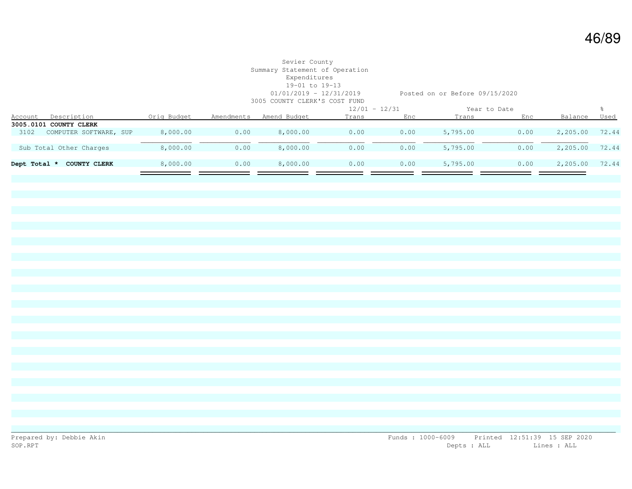#### Sevier County Summary Statement of Operation Expenditures 19-01 to 19-13 01/01/2019 - 12/31/2019 Posted on or Before 09/15/2020 3005 COUNTY CLERK'S COST FUND

|                                     |             |            | ovvo ovvije olimite o ovol romo |       |                 |          |              |          |       |
|-------------------------------------|-------------|------------|---------------------------------|-------|-----------------|----------|--------------|----------|-------|
|                                     |             |            |                                 |       | $12/01 - 12/31$ |          | Year to Date |          |       |
| Description<br><b>Account</b>       | Orig Budget | Amendments | Amend Budget                    | Trans | Enc             | Trans    | Enc          | Balance  | Used  |
| 3005.0101 COUNTY CLERK              |             |            |                                 |       |                 |          |              |          |       |
| COMPUTER SOFTWARE, SUP<br>3102      | 8,000.00    | 0.00       | 8,000.00                        | 0.00  | 0.00            | 5,795.00 | 0.00         | 2,205.00 | 72.44 |
|                                     |             |            |                                 |       |                 |          |              |          |       |
| Sub Total Other Charges             | 8,000.00    | 0.00       | 8,000.00                        | 0.00  | 0.00            | 5,795.00 | 0.00         | 2,205.00 | 72.44 |
|                                     |             |            |                                 |       |                 |          |              |          |       |
| Dept Total *<br><b>COUNTY CLERK</b> | 8,000.00    | 0.00       | 8,000.00                        | 0.00  | 0.00            | 5,795.00 | 0.00         | 2,205.00 | 72.44 |
|                                     |             |            |                                 |       |                 |          |              |          |       |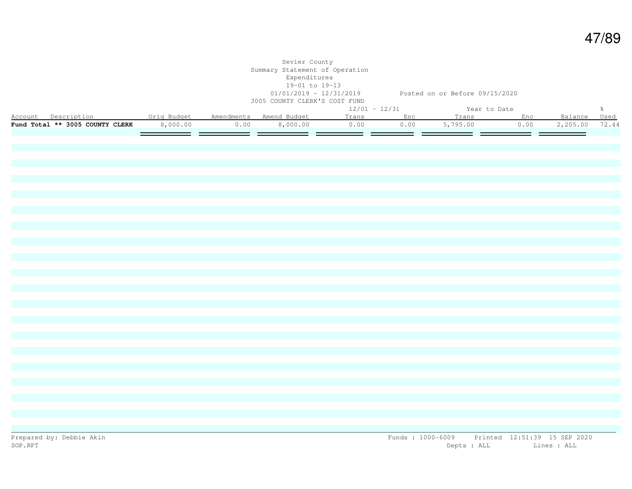|                                                                                            |          |                       | Sevier County<br>Summary Statement of Operation<br>Expenditures<br>19-01 to 19-13<br>3005 COUNTY CLERK'S COST FUND | 01/01/2019 - 12/31/2019 Posted on or Before 09/15/2020 |               |                    |               |              |               |
|--------------------------------------------------------------------------------------------|----------|-----------------------|--------------------------------------------------------------------------------------------------------------------|--------------------------------------------------------|---------------|--------------------|---------------|--------------|---------------|
|                                                                                            |          |                       |                                                                                                                    | $12/01 - 12/31$                                        |               | Year to Date       |               |              | $\frac{5}{6}$ |
| Account Description 0rig Budget Amendments Amend Budget<br>Fund Total ** 3005 COUNTY CLERK |          |                       |                                                                                                                    |                                                        | Trans Enc     | Trans Enc          |               | Balance Used |               |
|                                                                                            | 8,000.00 | 0.00<br><u>e esta</u> | 8,000.00                                                                                                           | 0.00                                                   | 0.00<br>——  — | 5,795.00<br>______ | 0.00<br>——  — | 2,205.00     | 72.44         |
|                                                                                            |          |                       |                                                                                                                    |                                                        |               |                    |               |              |               |
|                                                                                            |          |                       |                                                                                                                    |                                                        |               |                    |               |              |               |
|                                                                                            |          |                       |                                                                                                                    |                                                        |               |                    |               |              |               |
|                                                                                            |          |                       |                                                                                                                    |                                                        |               |                    |               |              |               |
|                                                                                            |          |                       |                                                                                                                    |                                                        |               |                    |               |              |               |
|                                                                                            |          |                       |                                                                                                                    |                                                        |               |                    |               |              |               |
|                                                                                            |          |                       |                                                                                                                    |                                                        |               |                    |               |              |               |
|                                                                                            |          |                       |                                                                                                                    |                                                        |               |                    |               |              |               |
|                                                                                            |          |                       |                                                                                                                    |                                                        |               |                    |               |              |               |
|                                                                                            |          |                       |                                                                                                                    |                                                        |               |                    |               |              |               |
|                                                                                            |          |                       |                                                                                                                    |                                                        |               |                    |               |              |               |
|                                                                                            |          |                       |                                                                                                                    |                                                        |               |                    |               |              |               |
|                                                                                            |          |                       |                                                                                                                    |                                                        |               |                    |               |              |               |
|                                                                                            |          |                       |                                                                                                                    |                                                        |               |                    |               |              |               |
|                                                                                            |          |                       |                                                                                                                    |                                                        |               |                    |               |              |               |
|                                                                                            |          |                       |                                                                                                                    |                                                        |               |                    |               |              |               |
|                                                                                            |          |                       |                                                                                                                    |                                                        |               |                    |               |              |               |
|                                                                                            |          |                       |                                                                                                                    |                                                        |               |                    |               |              |               |
|                                                                                            |          |                       |                                                                                                                    |                                                        |               |                    |               |              |               |
|                                                                                            |          |                       |                                                                                                                    |                                                        |               |                    |               |              |               |
|                                                                                            |          |                       |                                                                                                                    |                                                        |               |                    |               |              |               |
|                                                                                            |          |                       |                                                                                                                    |                                                        |               |                    |               |              |               |
|                                                                                            |          |                       |                                                                                                                    |                                                        |               |                    |               |              |               |
|                                                                                            |          |                       |                                                                                                                    |                                                        |               |                    |               |              |               |
|                                                                                            |          |                       |                                                                                                                    |                                                        |               |                    |               |              |               |
|                                                                                            |          |                       |                                                                                                                    |                                                        |               |                    |               |              |               |
|                                                                                            |          |                       |                                                                                                                    |                                                        |               |                    |               |              |               |
|                                                                                            |          |                       |                                                                                                                    |                                                        |               |                    |               |              |               |
|                                                                                            |          |                       |                                                                                                                    |                                                        |               |                    |               |              |               |
|                                                                                            |          |                       |                                                                                                                    |                                                        |               |                    |               |              |               |
|                                                                                            |          |                       |                                                                                                                    |                                                        |               |                    |               |              |               |
|                                                                                            |          |                       |                                                                                                                    |                                                        |               |                    |               |              |               |
|                                                                                            |          |                       |                                                                                                                    |                                                        |               |                    |               |              |               |
|                                                                                            |          |                       |                                                                                                                    |                                                        |               |                    |               |              |               |
|                                                                                            |          |                       |                                                                                                                    |                                                        |               |                    |               |              |               |
|                                                                                            |          |                       |                                                                                                                    |                                                        |               |                    |               |              |               |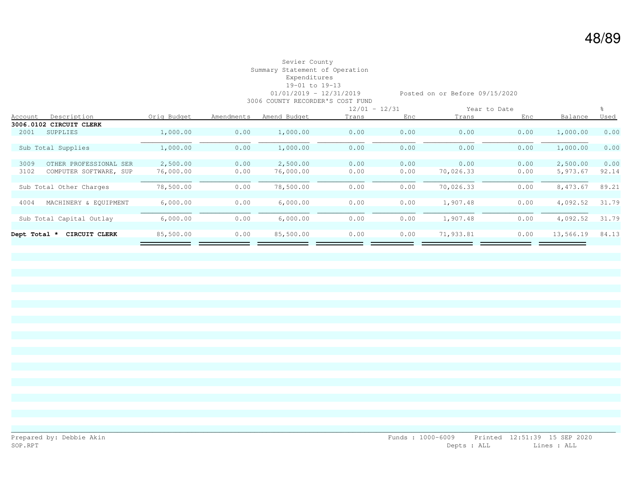## Sevier County Summary Statement of Operation Expenditures 19-01 to 19-13 3006 COUNTY RECORDER'S COST FUND

01/01/2019 - 12/31/2019 Posted on or Before 09/15/2020

|                |                          |             |            |              | $12/01 - 12/31$ |      | Year to Date |      |           |             |
|----------------|--------------------------|-------------|------------|--------------|-----------------|------|--------------|------|-----------|-------------|
| <b>Account</b> | Description              | Orig Budget | Amendments | Amend Budget | Trans           | Enc  | Trans        | Enc  | Balance   | <u>Used</u> |
|                | 3006.0102 CIRCUIT CLERK  |             |            |              |                 |      |              |      |           |             |
| 2001           | <b>SUPPLIES</b>          | 1,000.00    | 0.00       | 1,000.00     | 0.00            | 0.00 | 0.00         | 0.00 | 1,000.00  | 0.00        |
|                |                          |             |            |              |                 |      |              |      |           |             |
|                | Sub Total Supplies       | 1,000.00    | 0.00       | 1,000.00     | 0.00            | 0.00 | 0.00         | 0.00 | 1,000.00  | 0.00        |
|                |                          |             |            |              |                 |      |              |      |           |             |
| 3009           | OTHER PROFESSIONAL SER   | 2,500.00    | 0.00       | 2,500.00     | 0.00            | 0.00 | 0.00         | 0.00 | 2,500.00  | 0.00        |
| 3102           | COMPUTER SOFTWARE, SUP   | 76,000.00   | 0.00       | 76,000.00    | 0.00            | 0.00 | 70,026.33    | 0.00 | 5,973.67  | 92.14       |
|                |                          |             |            |              |                 |      |              |      |           |             |
|                | Sub Total Other Charges  | 78,500.00   | 0.00       | 78,500.00    | 0.00            | 0.00 | 70,026.33    | 0.00 | 8,473.67  | 89.21       |
|                |                          |             |            |              |                 |      |              |      |           |             |
| 4004           | MACHINERY & EOUIPMENT    | 6,000.00    | 0.00       | 6,000.00     | 0.00            | 0.00 | 1,907.48     | 0.00 | 4,092.52  | 31.79       |
|                |                          |             |            |              |                 |      |              |      |           |             |
|                | Sub Total Capital Outlay | 6,000.00    | 0.00       | 6,000.00     | 0.00            | 0.00 | 1,907.48     | 0.00 | 4,092.52  | 31.79       |
|                |                          |             |            |              |                 |      |              |      |           |             |
| Dept Total *   | CIRCUIT CLERK            | 85,500.00   | 0.00       | 85,500.00    | 0.00            | 0.00 | 71,933.81    | 0.00 | 13,566.19 | 84.13       |
|                |                          |             |            |              |                 |      |              |      |           |             |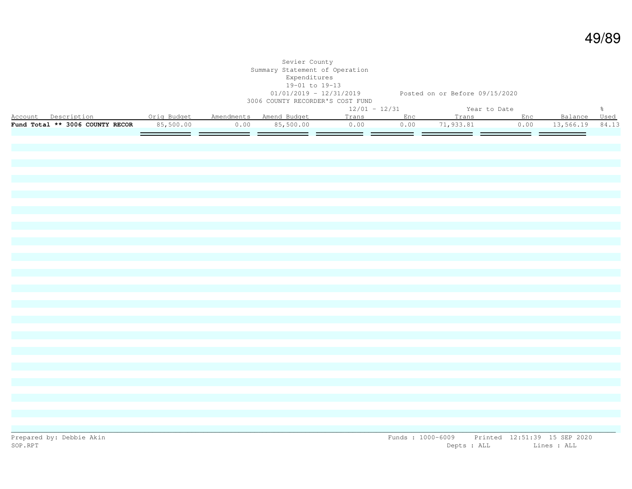|                                                           |           | Sevier County<br>Summary Statement of Operation<br>Expenditures<br>19-01 to 19-13<br>3006 COUNTY RECORDER'S COST FUND |                 | 01/01/2019 - 12/31/2019 Posted on or Before 09/15/2020 |      |                 |               |
|-----------------------------------------------------------|-----------|-----------------------------------------------------------------------------------------------------------------------|-----------------|--------------------------------------------------------|------|-----------------|---------------|
|                                                           |           |                                                                                                                       | $12/01 - 12/31$ | Year to Date                                           |      |                 | $\frac{6}{6}$ |
| Account Description . Orig Budget Amendments Amend Budget |           |                                                                                                                       |                 | Trans Enc Trans Enc                                    |      | Balance Used    |               |
| Fund Total ** 3006 COUNTY RECOR                           | 85,500.00 | $0.00$ 85,500.00                                                                                                      | 0.00            | $\overline{0.00}$ 71,933.81                            | 0.00 | 13,566.19 84.13 |               |
|                                                           |           |                                                                                                                       |                 |                                                        |      |                 |               |
|                                                           |           |                                                                                                                       |                 |                                                        |      |                 |               |
|                                                           |           |                                                                                                                       |                 |                                                        |      |                 |               |
|                                                           |           |                                                                                                                       |                 |                                                        |      |                 |               |
|                                                           |           |                                                                                                                       |                 |                                                        |      |                 |               |
|                                                           |           |                                                                                                                       |                 |                                                        |      |                 |               |
|                                                           |           |                                                                                                                       |                 |                                                        |      |                 |               |
|                                                           |           |                                                                                                                       |                 |                                                        |      |                 |               |
|                                                           |           |                                                                                                                       |                 |                                                        |      |                 |               |
|                                                           |           |                                                                                                                       |                 |                                                        |      |                 |               |
|                                                           |           |                                                                                                                       |                 |                                                        |      |                 |               |
|                                                           |           |                                                                                                                       |                 |                                                        |      |                 |               |
|                                                           |           |                                                                                                                       |                 |                                                        |      |                 |               |
|                                                           |           |                                                                                                                       |                 |                                                        |      |                 |               |
|                                                           |           |                                                                                                                       |                 |                                                        |      |                 |               |
|                                                           |           |                                                                                                                       |                 |                                                        |      |                 |               |
|                                                           |           |                                                                                                                       |                 |                                                        |      |                 |               |
|                                                           |           |                                                                                                                       |                 |                                                        |      |                 |               |
|                                                           |           |                                                                                                                       |                 |                                                        |      |                 |               |
|                                                           |           |                                                                                                                       |                 |                                                        |      |                 |               |
|                                                           |           |                                                                                                                       |                 |                                                        |      |                 |               |
|                                                           |           |                                                                                                                       |                 |                                                        |      |                 |               |
|                                                           |           |                                                                                                                       |                 |                                                        |      |                 |               |
|                                                           |           |                                                                                                                       |                 |                                                        |      |                 |               |
|                                                           |           |                                                                                                                       |                 |                                                        |      |                 |               |
|                                                           |           |                                                                                                                       |                 |                                                        |      |                 |               |
|                                                           |           |                                                                                                                       |                 |                                                        |      |                 |               |
|                                                           |           |                                                                                                                       |                 |                                                        |      |                 |               |
|                                                           |           |                                                                                                                       |                 |                                                        |      |                 |               |
|                                                           |           |                                                                                                                       |                 |                                                        |      |                 |               |
|                                                           |           |                                                                                                                       |                 |                                                        |      |                 |               |
|                                                           |           |                                                                                                                       |                 |                                                        |      |                 |               |
|                                                           |           |                                                                                                                       |                 |                                                        |      |                 |               |
|                                                           |           |                                                                                                                       |                 |                                                        |      |                 |               |
|                                                           |           |                                                                                                                       |                 |                                                        |      |                 |               |
|                                                           |           |                                                                                                                       |                 |                                                        |      |                 |               |
|                                                           |           |                                                                                                                       |                 |                                                        |      |                 |               |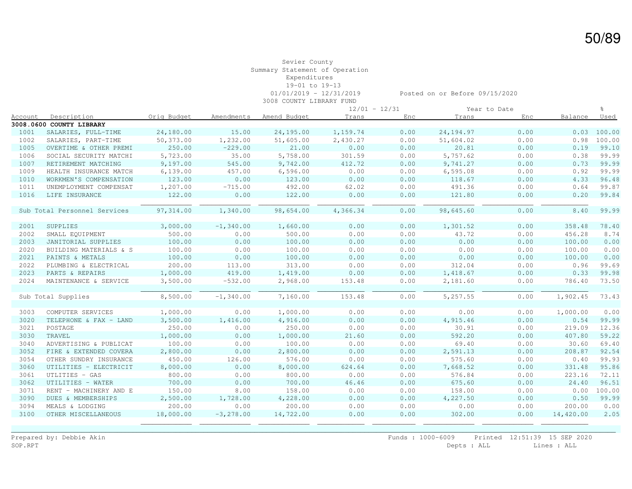#### Sevier County Summary Statement of Operation Expenditures 19-01 to 19-13 01/01/2019 - 12/31/2019 Posted on or Before 09/15/2020 3008 COUNTY LIBRARY FUND

|         |                              |             |              |              | $12/01 - 12/31$ |      |            | Year to Date |           | 읏      |
|---------|------------------------------|-------------|--------------|--------------|-----------------|------|------------|--------------|-----------|--------|
| Account | Description                  | Orig Budget | Amendments   | Amend Budget | Trans           | Enc  | Trans      | Enc          | Balance   | Used   |
|         | 3008.0600 COUNTY LIBRARY     |             |              |              |                 |      |            |              |           |        |
| 1001    | SALARIES, FULL-TIME          | 24,180.00   | 15.00        | 24,195.00    | 1,159.74        | 0.00 | 24, 194.97 | 0.00         | 0.03      | 100.00 |
| 1002    | SALARIES, PART-TIME          | 50,373.00   | 1,232.00     | 51,605.00    | 2,430.27        | 0.00 | 51,604.02  | 0.00         | 0.98      | 100.00 |
| 1005    | OVERTIME & OTHER PREMI       | 250.00      | $-229.00$    | 21.00        | 0.00            | 0.00 | 20.81      | 0.00         | 0.19      | 99.10  |
| 1006    | SOCIAL SECURITY MATCHI       | 5,723.00    | 35.00        | 5,758.00     | 301.59          | 0.00 | 5,757.62   | 0.00         | 0.38      | 99.99  |
| 1007    | RETIREMENT MATCHING          | 9,197.00    | 545.00       | 9,742.00     | 412.72          | 0.00 | 9,741.27   | 0.00         | 0.73      | 99.99  |
| 1009    | HEALTH INSURANCE MATCH       | 6,139.00    | 457.00       | 6,596.00     | 0.00            | 0.00 | 6, 595.08  | 0.00         | 0.92      | 99.99  |
| 1010    | WORKMEN'S COMPENSATION       | 123.00      | 0.00         | 123.00       | 0.00            | 0.00 | 118.67     | 0.00         | 4.33      | 96.48  |
| 1011    | UNEMPLOYMENT COMPENSAT       | 1,207.00    | $-715.00$    | 492.00       | 62.02           | 0.00 | 491.36     | 0.00         | 0.64      | 99.87  |
| 1016    | LIFE INSURANCE               | 122.00      | 0.00         | 122.00       | 0.00            | 0.00 | 121.80     | 0.00         | 0.20      | 99.84  |
|         | Sub Total Personnel Services | 97, 314.00  | 1,340.00     | 98,654.00    | 4,366.34        | 0.00 | 98,645.60  | 0.00         | 8.40      | 99.99  |
| 2001    | SUPPLIES                     | 3,000.00    | $-1,340.00$  | 1,660.00     | 0.00            | 0.00 | 1,301.52   | 0.00         | 358.48    | 78.40  |
| 2002    | SMALL EQUIPMENT              | 500.00      | 0.00         | 500.00       | 0.00            | 0.00 | 43.72      | 0.00         | 456.28    | 8.74   |
| 2003    | JANITORIAL SUPPLIES          | 100.00      | 0.00         | 100.00       | 0.00            | 0.00 | 0.00       | 0.00         | 100.00    | 0.00   |
| 2020    | BUILDING MATERIALS & S       | 100.00      | 0.00         | 100.00       | 0.00            | 0.00 | 0.00       | 0.00         | 100.00    | 0.00   |
| 2021    | PAINTS & METALS              | 100.00      | 0.00         | 100.00       | 0.00            | 0.00 | 0.00       | 0.00         | 100.00    | 0.00   |
| 2022    | PLUMBING & ELECTRICAL        | 200.00      | 113.00       | 313.00       | 0.00            | 0.00 | 312.04     | 0.00         | 0.96      | 99.69  |
| 2023    | PARTS & REPAIRS              | 1,000.00    | 419.00       | 1,419.00     | 0.00            | 0.00 | 1,418.67   | 0.00         | 0.33      | 99.98  |
| 2024    | MAINTENANCE & SERVICE        | 3,500.00    | $-532.00$    | 2,968.00     | 153.48          | 0.00 | 2,181.60   | 0.00         | 786.40    | 73.50  |
|         | Sub Total Supplies           | 8,500.00    | $-1,340.00$  | 7,160.00     | 153.48          | 0.00 | 5,257.55   | 0.00         | 1,902.45  | 73.43  |
|         |                              |             |              |              |                 |      |            |              |           |        |
| 3003    | COMPUTER SERVICES            | 1,000.00    | 0.00         | 1,000.00     | 0.00            | 0.00 | 0.00       | 0.00         | 1,000.00  | 0.00   |
| 3020    | TELEPHONE & FAX - LAND       | 3,500.00    | 1,416.00     | 4,916.00     | 0.00            | 0.00 | 4,915.46   | 0.00         | 0.54      | 99.99  |
| 3021    | POSTAGE                      | 250.00      | 0.00         | 250.00       | 0.00            | 0.00 | 30.91      | 0.00         | 219.09    | 12.36  |
| 3030    | TRAVEL                       | 1,000.00    | 0.00         | 1,000.00     | 21.60           | 0.00 | 592.20     | 0.00         | 407.80    | 59.22  |
| 3040    | ADVERTISING & PUBLICAT       | 100.00      | 0.00         | 100.00       | 0.00            | 0.00 | 69.40      | 0.00         | 30.60     | 69.40  |
| 3052    | FIRE & EXTENDED COVERA       | 2,800.00    | 0.00         | 2,800.00     | 0.00            | 0.00 | 2,591.13   | 0.00         | 208.87    | 92.54  |
| 3054    | OTHER SUNDRY INSURANCE       | 450.00      | 126.00       | 576.00       | 0.00            | 0.00 | 575.60     | 0.00         | 0.40      | 99.93  |
| 3060    | UTILITIES - ELECTRICIT       | 8,000.00    | 0.00         | 8,000.00     | 624.64          | 0.00 | 7,668.52   | 0.00         | 331.48    | 95.86  |
| 3061    | UTLITIES - GAS               | 800.00      | 0.00         | 800.00       | 0.00            | 0.00 | 576.84     | 0.00         | 223.16    | 72.11  |
| 3062    | UTILITIES - WATER            | 700.00      | 0.00         | 700.00       | 46.46           | 0.00 | 675.60     | 0.00         | 24.40     | 96.51  |
| 3071    | RENT - MACHINERY AND E       | 150.00      | 8.00         | 158.00       | 0.00            | 0.00 | 158.00     | 0.00         | 0.00      | 100.00 |
| 3090    | DUES & MEMBERSHIPS           | 2,500.00    | 1,728.00     | 4,228.00     | 0.00            | 0.00 | 4,227.50   | 0.00         | 0.50      | 99.99  |
| 3094    | MEALS & LODGING              | 200.00      | 0.00         | 200.00       | 0.00            | 0.00 | 0.00       | 0.00         | 200.00    | 0.00   |
| 3100    | OTHER MISCELLANEOUS          | 18,000.00   | $-3, 278.00$ | 14,722.00    | 0.00            | 0.00 | 302.00     | 0.00         | 14,420.00 | 2.05   |
|         |                              |             |              |              |                 |      |            |              |           |        |

\_\_\_\_\_\_\_\_\_\_\_\_\_\_\_\_\_\_\_\_\_\_\_\_\_\_\_\_\_\_\_\_\_\_\_\_\_\_\_\_\_\_\_\_\_\_\_\_\_\_\_\_\_\_\_\_\_\_\_\_\_\_\_\_\_\_\_\_\_\_\_\_\_\_\_\_\_\_\_\_\_\_\_\_\_\_\_\_\_\_\_\_\_\_\_\_\_\_\_\_\_\_\_\_\_\_\_\_\_\_\_\_\_\_\_\_\_\_\_\_\_\_\_\_\_\_\_\_\_\_\_\_\_\_\_\_\_\_\_\_\_\_\_\_\_\_\_\_\_\_\_\_\_\_ Prepared by: Debbie Akin Funds : 1000-6009 Printed 12:51:39 15 SEP 2020<br>SOP.RPT Depts : ALL Lines : ALL Depts : ALL Lines : ALL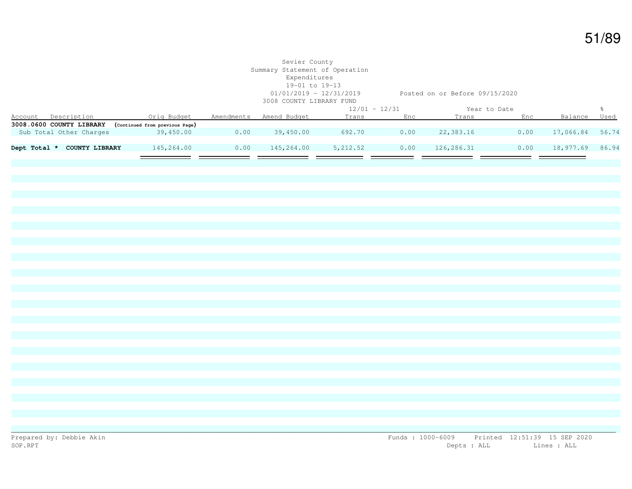### Sevier County Summary Statement of Operation Expenditures 19-01 to 19-13 01/01/2019 - 12/31/2019 Posted on or Before 09/15/2020 3008 COUNTY LIBRARY FUND 12/01 - 12/31 Year to Date % Account Description Orig Budget Amendments Amend Budget Trans Enc Trans Enc Balance Used **3008.0600 COUNTY LIBRARY (Continued from previous Page)** Sub Total Other Charges 39,450.00 0.00 39,450.00 692.70 0.00 22,383.16 0.00 17,066.84 56.74 **Dept Total \* COUNTY LIBRARY** 145,264.00 0.00 145,264.00 5,212.52 0.00 126,286.31 0.00 18,977.69 86.94 —  $\overline{\phantom{0}}$

\_\_\_\_\_\_\_\_\_\_\_\_\_\_\_\_\_\_\_\_\_\_\_\_\_\_\_\_\_\_\_\_\_\_\_\_\_\_\_\_\_\_\_\_\_\_\_\_\_\_\_\_\_\_\_\_\_\_\_\_\_\_\_\_\_\_\_\_\_\_\_\_\_\_\_\_\_\_\_\_\_\_\_\_\_\_\_\_\_\_\_\_\_\_\_\_\_\_\_\_\_\_\_\_\_\_\_\_\_\_\_\_\_\_\_\_\_\_\_\_\_\_\_\_\_\_\_\_\_\_\_\_\_\_\_\_\_\_\_\_\_\_\_\_\_\_\_\_\_\_\_\_\_\_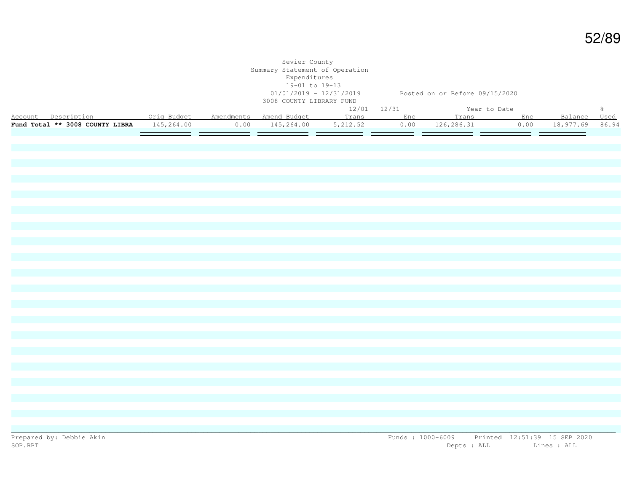|                                               |  | Sevier County<br>Summary Statement of Operation<br>Expenditures<br>19-01 to 19-13<br>3008 COUNTY LIBRARY FUND |                                | 01/01/2019 - 12/31/2019 Posted on or Before 09/15/2020 |      |                 |               |
|-----------------------------------------------|--|---------------------------------------------------------------------------------------------------------------|--------------------------------|--------------------------------------------------------|------|-----------------|---------------|
|                                               |  |                                                                                                               | $12/01 - 12/31$                | Year to Date                                           |      |                 | $\frac{5}{6}$ |
|                                               |  |                                                                                                               |                                |                                                        |      | Balance Used    |               |
| Fund Total ** 3008 COUNTY LIBRA $145, 264.00$ |  |                                                                                                               | $0.00$ $145,264.00$ $5,212.52$ | $0.00$ $126, 286.31$                                   | 0.00 | 18,977.69 86.94 |               |
|                                               |  |                                                                                                               |                                |                                                        |      |                 |               |
|                                               |  |                                                                                                               |                                |                                                        |      |                 |               |
|                                               |  |                                                                                                               |                                |                                                        |      |                 |               |
|                                               |  |                                                                                                               |                                |                                                        |      |                 |               |
|                                               |  |                                                                                                               |                                |                                                        |      |                 |               |
|                                               |  |                                                                                                               |                                |                                                        |      |                 |               |
|                                               |  |                                                                                                               |                                |                                                        |      |                 |               |
|                                               |  |                                                                                                               |                                |                                                        |      |                 |               |
|                                               |  |                                                                                                               |                                |                                                        |      |                 |               |
|                                               |  |                                                                                                               |                                |                                                        |      |                 |               |
|                                               |  |                                                                                                               |                                |                                                        |      |                 |               |
|                                               |  |                                                                                                               |                                |                                                        |      |                 |               |
|                                               |  |                                                                                                               |                                |                                                        |      |                 |               |
|                                               |  |                                                                                                               |                                |                                                        |      |                 |               |
|                                               |  |                                                                                                               |                                |                                                        |      |                 |               |
|                                               |  |                                                                                                               |                                |                                                        |      |                 |               |
|                                               |  |                                                                                                               |                                |                                                        |      |                 |               |
|                                               |  |                                                                                                               |                                |                                                        |      |                 |               |
|                                               |  |                                                                                                               |                                |                                                        |      |                 |               |
|                                               |  |                                                                                                               |                                |                                                        |      |                 |               |
|                                               |  |                                                                                                               |                                |                                                        |      |                 |               |
|                                               |  |                                                                                                               |                                |                                                        |      |                 |               |
|                                               |  |                                                                                                               |                                |                                                        |      |                 |               |
|                                               |  |                                                                                                               |                                |                                                        |      |                 |               |
|                                               |  |                                                                                                               |                                |                                                        |      |                 |               |
|                                               |  |                                                                                                               |                                |                                                        |      |                 |               |
|                                               |  |                                                                                                               |                                |                                                        |      |                 |               |
|                                               |  |                                                                                                               |                                |                                                        |      |                 |               |
|                                               |  |                                                                                                               |                                |                                                        |      |                 |               |
|                                               |  |                                                                                                               |                                |                                                        |      |                 |               |
|                                               |  |                                                                                                               |                                |                                                        |      |                 |               |
|                                               |  |                                                                                                               |                                |                                                        |      |                 |               |
|                                               |  |                                                                                                               |                                |                                                        |      |                 |               |
|                                               |  |                                                                                                               |                                |                                                        |      |                 |               |
|                                               |  |                                                                                                               |                                |                                                        |      |                 |               |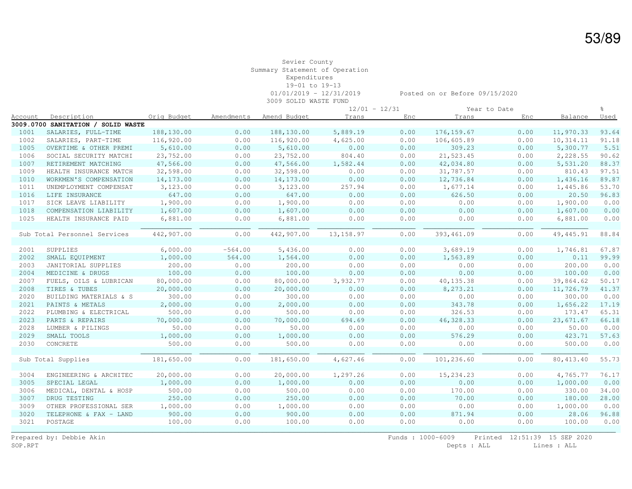#### Sevier County Summary Statement of Operation Expenditures 19-01 to 19-13 01/01/2019 - 12/31/2019 Posted on or Before 09/15/2020 3009 SOLID WASTE FUND

| Description<br>Amendments<br>Amend Budget<br>Trans<br>Balance<br>Account<br>Orig Budget<br>Trans<br>Enc<br>Enc<br>3009.0700 SANITATION / SOLID WASTE<br>188,130.00<br>188,130.00<br>176, 159.67<br>1001<br>SALARIES, FULL-TIME<br>0.00<br>5,889.19<br>0.00<br>0.00<br>11,970.33<br>1002<br>116,920.00<br>0.00<br>116,920.00<br>4,625.00<br>0.00<br>106,605.89<br>0.00<br>SALARIES, PART-TIME<br>10,314.11<br>0.00<br>1005<br>5,610.00<br>0.00<br>5,610.00<br>0.00<br>309.23<br>0.00<br>5,300.77<br>OVERTIME & OTHER PREMI<br>1006<br>23,752.00<br>0.00<br>23,752.00<br>804.40<br>0.00<br>21,523.45<br>0.00<br>2,228.55<br>SOCIAL SECURITY MATCHI<br>1007<br>47,566.00<br>47,566.00<br>0.00<br>0.00<br>RETIREMENT MATCHING<br>0.00<br>1,582.44<br>42,034.80<br>5,531.20<br>0.00<br>0.00<br>810.43<br>1009<br>32,598.00<br>0.00<br>32,598.00<br>0.00<br>31,787.57<br>HEALTH INSURANCE MATCH<br>0.00<br>0.00<br>0.00<br>0.00<br>1010<br>14,173.00<br>14, 173.00<br>12,736.84<br>1,436.16<br>WORKMEN'S COMPENSATION<br>1011<br>3,123.00<br>0.00<br>3,123.00<br>257.94<br>0.00<br>0.00<br>UNEMPLOYMENT COMPENSAT<br>1,677.14<br>1,445.86<br>0.00<br>0.00<br>1016<br>LIFE INSURANCE<br>647.00<br>0.00<br>647.00<br>0.00<br>626.50<br>20.50<br>1017<br>1,900.00<br>0.00<br>1,900.00<br>0.00<br>0.00<br>0.00<br>0.00<br>1,900.00<br>SICK LEAVE LIABILITY<br>1018<br>0.00<br>0.00<br>0.00<br>0.00<br>COMPENSATION LIABILITY<br>1,607.00<br>0.00<br>1,607.00<br>1,607.00<br>1025<br>0.00<br>6,881.00<br>0.00<br>0.00<br>0.00<br>0.00<br>HEALTH INSURANCE PAID<br>6,881.00<br>6,881.00<br>0.00<br>Sub Total Personnel Services<br>442,907.00<br>442,907.00<br>13,158.97<br>0.00<br>393,461.09<br>0.00<br>49, 445.91<br>6,000.00<br>$-564.00$<br>0.00<br>3,689.19<br>0.00<br>2001<br>SUPPLIES<br>5,436.00<br>0.00<br>1,746.81<br>0.00<br>0.00<br>0.00<br>2002<br>1,000.00<br>564.00<br>1,564.00<br>1,563.89<br>0.11<br>SMALL EQUIPMENT<br>200.00<br>0.00<br>200.00<br>0.00<br>0.00<br>0.00<br>0.00<br>200.00<br>2003<br>JANITORIAL SUPPLIES<br>2004<br>100.00<br>0.00<br>100.00<br>0.00<br>0.00<br>0.00<br>0.00<br>100.00<br>MEDICINE & DRUGS<br>80,000.00<br>2007<br>0.00<br>80,000.00<br>3,932.77<br>0.00<br>40, 135.38<br>0.00<br>39,864.62<br>FUELS, OILS & LUBRICAN<br>2008<br>20,000.00<br>0.00<br>20,000.00<br>0.00<br>0.00<br>8,273.21<br>0.00<br>11,726.79<br>TIRES & TUBES<br>2020<br>BUILDING MATERIALS & S<br>300.00<br>0.00<br>300.00<br>0.00<br>0.00<br>0.00<br>0.00<br>300.00<br>2021<br>2,000.00<br>0.00<br>2,000.00<br>0.00<br>0.00<br>343.78<br>0.00<br>1,656.22<br>PAINTS & METALS<br>2022<br>500.00<br>500.00<br>0.00<br>0.00<br>326.53<br>0.00<br>173.47<br>PLUMBING & ELECTRICAL<br>0.00<br>2023<br>70,000.00<br>0.00<br>70,000.00<br>694.69<br>0.00<br>46, 328.33<br>0.00<br>PARTS & REPAIRS<br>23,671.67<br>2028<br>50.00<br>0.00<br>50.00<br>0.00<br>0.00<br>0.00<br>0.00<br>50.00<br>LUMBER & PILINGS | <u>Used</u><br>93.64<br>91.18<br>5.51<br>90.62<br>88.37<br>97.51<br>89.87<br>53.70<br>96.83<br>0.00<br>0.00<br>0.00<br>88.84 |
|---------------------------------------------------------------------------------------------------------------------------------------------------------------------------------------------------------------------------------------------------------------------------------------------------------------------------------------------------------------------------------------------------------------------------------------------------------------------------------------------------------------------------------------------------------------------------------------------------------------------------------------------------------------------------------------------------------------------------------------------------------------------------------------------------------------------------------------------------------------------------------------------------------------------------------------------------------------------------------------------------------------------------------------------------------------------------------------------------------------------------------------------------------------------------------------------------------------------------------------------------------------------------------------------------------------------------------------------------------------------------------------------------------------------------------------------------------------------------------------------------------------------------------------------------------------------------------------------------------------------------------------------------------------------------------------------------------------------------------------------------------------------------------------------------------------------------------------------------------------------------------------------------------------------------------------------------------------------------------------------------------------------------------------------------------------------------------------------------------------------------------------------------------------------------------------------------------------------------------------------------------------------------------------------------------------------------------------------------------------------------------------------------------------------------------------------------------------------------------------------------------------------------------------------------------------------------------------------------------------------------------------------------------------------------------------------------------------------------------------------------------------------------------------------------------------------------------------------------------------------------------------------------------------------|------------------------------------------------------------------------------------------------------------------------------|
|                                                                                                                                                                                                                                                                                                                                                                                                                                                                                                                                                                                                                                                                                                                                                                                                                                                                                                                                                                                                                                                                                                                                                                                                                                                                                                                                                                                                                                                                                                                                                                                                                                                                                                                                                                                                                                                                                                                                                                                                                                                                                                                                                                                                                                                                                                                                                                                                                                                                                                                                                                                                                                                                                                                                                                                                                                                                                                                     |                                                                                                                              |
|                                                                                                                                                                                                                                                                                                                                                                                                                                                                                                                                                                                                                                                                                                                                                                                                                                                                                                                                                                                                                                                                                                                                                                                                                                                                                                                                                                                                                                                                                                                                                                                                                                                                                                                                                                                                                                                                                                                                                                                                                                                                                                                                                                                                                                                                                                                                                                                                                                                                                                                                                                                                                                                                                                                                                                                                                                                                                                                     |                                                                                                                              |
|                                                                                                                                                                                                                                                                                                                                                                                                                                                                                                                                                                                                                                                                                                                                                                                                                                                                                                                                                                                                                                                                                                                                                                                                                                                                                                                                                                                                                                                                                                                                                                                                                                                                                                                                                                                                                                                                                                                                                                                                                                                                                                                                                                                                                                                                                                                                                                                                                                                                                                                                                                                                                                                                                                                                                                                                                                                                                                                     |                                                                                                                              |
|                                                                                                                                                                                                                                                                                                                                                                                                                                                                                                                                                                                                                                                                                                                                                                                                                                                                                                                                                                                                                                                                                                                                                                                                                                                                                                                                                                                                                                                                                                                                                                                                                                                                                                                                                                                                                                                                                                                                                                                                                                                                                                                                                                                                                                                                                                                                                                                                                                                                                                                                                                                                                                                                                                                                                                                                                                                                                                                     |                                                                                                                              |
|                                                                                                                                                                                                                                                                                                                                                                                                                                                                                                                                                                                                                                                                                                                                                                                                                                                                                                                                                                                                                                                                                                                                                                                                                                                                                                                                                                                                                                                                                                                                                                                                                                                                                                                                                                                                                                                                                                                                                                                                                                                                                                                                                                                                                                                                                                                                                                                                                                                                                                                                                                                                                                                                                                                                                                                                                                                                                                                     |                                                                                                                              |
|                                                                                                                                                                                                                                                                                                                                                                                                                                                                                                                                                                                                                                                                                                                                                                                                                                                                                                                                                                                                                                                                                                                                                                                                                                                                                                                                                                                                                                                                                                                                                                                                                                                                                                                                                                                                                                                                                                                                                                                                                                                                                                                                                                                                                                                                                                                                                                                                                                                                                                                                                                                                                                                                                                                                                                                                                                                                                                                     |                                                                                                                              |
|                                                                                                                                                                                                                                                                                                                                                                                                                                                                                                                                                                                                                                                                                                                                                                                                                                                                                                                                                                                                                                                                                                                                                                                                                                                                                                                                                                                                                                                                                                                                                                                                                                                                                                                                                                                                                                                                                                                                                                                                                                                                                                                                                                                                                                                                                                                                                                                                                                                                                                                                                                                                                                                                                                                                                                                                                                                                                                                     |                                                                                                                              |
|                                                                                                                                                                                                                                                                                                                                                                                                                                                                                                                                                                                                                                                                                                                                                                                                                                                                                                                                                                                                                                                                                                                                                                                                                                                                                                                                                                                                                                                                                                                                                                                                                                                                                                                                                                                                                                                                                                                                                                                                                                                                                                                                                                                                                                                                                                                                                                                                                                                                                                                                                                                                                                                                                                                                                                                                                                                                                                                     |                                                                                                                              |
|                                                                                                                                                                                                                                                                                                                                                                                                                                                                                                                                                                                                                                                                                                                                                                                                                                                                                                                                                                                                                                                                                                                                                                                                                                                                                                                                                                                                                                                                                                                                                                                                                                                                                                                                                                                                                                                                                                                                                                                                                                                                                                                                                                                                                                                                                                                                                                                                                                                                                                                                                                                                                                                                                                                                                                                                                                                                                                                     |                                                                                                                              |
|                                                                                                                                                                                                                                                                                                                                                                                                                                                                                                                                                                                                                                                                                                                                                                                                                                                                                                                                                                                                                                                                                                                                                                                                                                                                                                                                                                                                                                                                                                                                                                                                                                                                                                                                                                                                                                                                                                                                                                                                                                                                                                                                                                                                                                                                                                                                                                                                                                                                                                                                                                                                                                                                                                                                                                                                                                                                                                                     |                                                                                                                              |
|                                                                                                                                                                                                                                                                                                                                                                                                                                                                                                                                                                                                                                                                                                                                                                                                                                                                                                                                                                                                                                                                                                                                                                                                                                                                                                                                                                                                                                                                                                                                                                                                                                                                                                                                                                                                                                                                                                                                                                                                                                                                                                                                                                                                                                                                                                                                                                                                                                                                                                                                                                                                                                                                                                                                                                                                                                                                                                                     |                                                                                                                              |
|                                                                                                                                                                                                                                                                                                                                                                                                                                                                                                                                                                                                                                                                                                                                                                                                                                                                                                                                                                                                                                                                                                                                                                                                                                                                                                                                                                                                                                                                                                                                                                                                                                                                                                                                                                                                                                                                                                                                                                                                                                                                                                                                                                                                                                                                                                                                                                                                                                                                                                                                                                                                                                                                                                                                                                                                                                                                                                                     |                                                                                                                              |
|                                                                                                                                                                                                                                                                                                                                                                                                                                                                                                                                                                                                                                                                                                                                                                                                                                                                                                                                                                                                                                                                                                                                                                                                                                                                                                                                                                                                                                                                                                                                                                                                                                                                                                                                                                                                                                                                                                                                                                                                                                                                                                                                                                                                                                                                                                                                                                                                                                                                                                                                                                                                                                                                                                                                                                                                                                                                                                                     |                                                                                                                              |
|                                                                                                                                                                                                                                                                                                                                                                                                                                                                                                                                                                                                                                                                                                                                                                                                                                                                                                                                                                                                                                                                                                                                                                                                                                                                                                                                                                                                                                                                                                                                                                                                                                                                                                                                                                                                                                                                                                                                                                                                                                                                                                                                                                                                                                                                                                                                                                                                                                                                                                                                                                                                                                                                                                                                                                                                                                                                                                                     |                                                                                                                              |
|                                                                                                                                                                                                                                                                                                                                                                                                                                                                                                                                                                                                                                                                                                                                                                                                                                                                                                                                                                                                                                                                                                                                                                                                                                                                                                                                                                                                                                                                                                                                                                                                                                                                                                                                                                                                                                                                                                                                                                                                                                                                                                                                                                                                                                                                                                                                                                                                                                                                                                                                                                                                                                                                                                                                                                                                                                                                                                                     |                                                                                                                              |
|                                                                                                                                                                                                                                                                                                                                                                                                                                                                                                                                                                                                                                                                                                                                                                                                                                                                                                                                                                                                                                                                                                                                                                                                                                                                                                                                                                                                                                                                                                                                                                                                                                                                                                                                                                                                                                                                                                                                                                                                                                                                                                                                                                                                                                                                                                                                                                                                                                                                                                                                                                                                                                                                                                                                                                                                                                                                                                                     | 67.87                                                                                                                        |
|                                                                                                                                                                                                                                                                                                                                                                                                                                                                                                                                                                                                                                                                                                                                                                                                                                                                                                                                                                                                                                                                                                                                                                                                                                                                                                                                                                                                                                                                                                                                                                                                                                                                                                                                                                                                                                                                                                                                                                                                                                                                                                                                                                                                                                                                                                                                                                                                                                                                                                                                                                                                                                                                                                                                                                                                                                                                                                                     | 99.99                                                                                                                        |
|                                                                                                                                                                                                                                                                                                                                                                                                                                                                                                                                                                                                                                                                                                                                                                                                                                                                                                                                                                                                                                                                                                                                                                                                                                                                                                                                                                                                                                                                                                                                                                                                                                                                                                                                                                                                                                                                                                                                                                                                                                                                                                                                                                                                                                                                                                                                                                                                                                                                                                                                                                                                                                                                                                                                                                                                                                                                                                                     | 0.00                                                                                                                         |
|                                                                                                                                                                                                                                                                                                                                                                                                                                                                                                                                                                                                                                                                                                                                                                                                                                                                                                                                                                                                                                                                                                                                                                                                                                                                                                                                                                                                                                                                                                                                                                                                                                                                                                                                                                                                                                                                                                                                                                                                                                                                                                                                                                                                                                                                                                                                                                                                                                                                                                                                                                                                                                                                                                                                                                                                                                                                                                                     | 0.00                                                                                                                         |
|                                                                                                                                                                                                                                                                                                                                                                                                                                                                                                                                                                                                                                                                                                                                                                                                                                                                                                                                                                                                                                                                                                                                                                                                                                                                                                                                                                                                                                                                                                                                                                                                                                                                                                                                                                                                                                                                                                                                                                                                                                                                                                                                                                                                                                                                                                                                                                                                                                                                                                                                                                                                                                                                                                                                                                                                                                                                                                                     | 50.17                                                                                                                        |
|                                                                                                                                                                                                                                                                                                                                                                                                                                                                                                                                                                                                                                                                                                                                                                                                                                                                                                                                                                                                                                                                                                                                                                                                                                                                                                                                                                                                                                                                                                                                                                                                                                                                                                                                                                                                                                                                                                                                                                                                                                                                                                                                                                                                                                                                                                                                                                                                                                                                                                                                                                                                                                                                                                                                                                                                                                                                                                                     | 41.37                                                                                                                        |
|                                                                                                                                                                                                                                                                                                                                                                                                                                                                                                                                                                                                                                                                                                                                                                                                                                                                                                                                                                                                                                                                                                                                                                                                                                                                                                                                                                                                                                                                                                                                                                                                                                                                                                                                                                                                                                                                                                                                                                                                                                                                                                                                                                                                                                                                                                                                                                                                                                                                                                                                                                                                                                                                                                                                                                                                                                                                                                                     | 0.00                                                                                                                         |
|                                                                                                                                                                                                                                                                                                                                                                                                                                                                                                                                                                                                                                                                                                                                                                                                                                                                                                                                                                                                                                                                                                                                                                                                                                                                                                                                                                                                                                                                                                                                                                                                                                                                                                                                                                                                                                                                                                                                                                                                                                                                                                                                                                                                                                                                                                                                                                                                                                                                                                                                                                                                                                                                                                                                                                                                                                                                                                                     | 17.19                                                                                                                        |
|                                                                                                                                                                                                                                                                                                                                                                                                                                                                                                                                                                                                                                                                                                                                                                                                                                                                                                                                                                                                                                                                                                                                                                                                                                                                                                                                                                                                                                                                                                                                                                                                                                                                                                                                                                                                                                                                                                                                                                                                                                                                                                                                                                                                                                                                                                                                                                                                                                                                                                                                                                                                                                                                                                                                                                                                                                                                                                                     | 65.31                                                                                                                        |
|                                                                                                                                                                                                                                                                                                                                                                                                                                                                                                                                                                                                                                                                                                                                                                                                                                                                                                                                                                                                                                                                                                                                                                                                                                                                                                                                                                                                                                                                                                                                                                                                                                                                                                                                                                                                                                                                                                                                                                                                                                                                                                                                                                                                                                                                                                                                                                                                                                                                                                                                                                                                                                                                                                                                                                                                                                                                                                                     | 66.18                                                                                                                        |
|                                                                                                                                                                                                                                                                                                                                                                                                                                                                                                                                                                                                                                                                                                                                                                                                                                                                                                                                                                                                                                                                                                                                                                                                                                                                                                                                                                                                                                                                                                                                                                                                                                                                                                                                                                                                                                                                                                                                                                                                                                                                                                                                                                                                                                                                                                                                                                                                                                                                                                                                                                                                                                                                                                                                                                                                                                                                                                                     | 0.00                                                                                                                         |
| 2029<br>0.00<br>0.00<br>0.00<br>576.29<br>0.00<br>423.71<br>SMALL TOOLS<br>1,000.00<br>1,000.00                                                                                                                                                                                                                                                                                                                                                                                                                                                                                                                                                                                                                                                                                                                                                                                                                                                                                                                                                                                                                                                                                                                                                                                                                                                                                                                                                                                                                                                                                                                                                                                                                                                                                                                                                                                                                                                                                                                                                                                                                                                                                                                                                                                                                                                                                                                                                                                                                                                                                                                                                                                                                                                                                                                                                                                                                     | 57.63                                                                                                                        |
| 2030<br>CONCRETE<br>500.00<br>0.00<br>500.00<br>0.00<br>0.00<br>0.00<br>0.00<br>500.00                                                                                                                                                                                                                                                                                                                                                                                                                                                                                                                                                                                                                                                                                                                                                                                                                                                                                                                                                                                                                                                                                                                                                                                                                                                                                                                                                                                                                                                                                                                                                                                                                                                                                                                                                                                                                                                                                                                                                                                                                                                                                                                                                                                                                                                                                                                                                                                                                                                                                                                                                                                                                                                                                                                                                                                                                              | 0.00                                                                                                                         |
| 0.00<br>181,650.00<br>4,627.46<br>0.00<br>101,236.60<br>0.00<br>80, 413.40<br>Sub Total Supplies<br>181,650.00                                                                                                                                                                                                                                                                                                                                                                                                                                                                                                                                                                                                                                                                                                                                                                                                                                                                                                                                                                                                                                                                                                                                                                                                                                                                                                                                                                                                                                                                                                                                                                                                                                                                                                                                                                                                                                                                                                                                                                                                                                                                                                                                                                                                                                                                                                                                                                                                                                                                                                                                                                                                                                                                                                                                                                                                      | 55.73                                                                                                                        |
| 3004<br>ENGINEERING & ARCHITEC<br>20,000.00<br>0.00<br>20,000.00<br>1,297.26<br>0.00<br>15, 234.23<br>0.00<br>4,765.77                                                                                                                                                                                                                                                                                                                                                                                                                                                                                                                                                                                                                                                                                                                                                                                                                                                                                                                                                                                                                                                                                                                                                                                                                                                                                                                                                                                                                                                                                                                                                                                                                                                                                                                                                                                                                                                                                                                                                                                                                                                                                                                                                                                                                                                                                                                                                                                                                                                                                                                                                                                                                                                                                                                                                                                              | 76.17                                                                                                                        |
| 3005<br>1,000.00<br>0.00<br>1,000.00<br>0.00<br>0.00<br>0.00<br>0.00<br>1,000.00<br>SPECIAL LEGAL                                                                                                                                                                                                                                                                                                                                                                                                                                                                                                                                                                                                                                                                                                                                                                                                                                                                                                                                                                                                                                                                                                                                                                                                                                                                                                                                                                                                                                                                                                                                                                                                                                                                                                                                                                                                                                                                                                                                                                                                                                                                                                                                                                                                                                                                                                                                                                                                                                                                                                                                                                                                                                                                                                                                                                                                                   | 0.00                                                                                                                         |
| 3006<br>MEDICAL, DENTAL & HOSP<br>500.00<br>0.00<br>500.00<br>0.00<br>0.00<br>170.00<br>0.00<br>330.00                                                                                                                                                                                                                                                                                                                                                                                                                                                                                                                                                                                                                                                                                                                                                                                                                                                                                                                                                                                                                                                                                                                                                                                                                                                                                                                                                                                                                                                                                                                                                                                                                                                                                                                                                                                                                                                                                                                                                                                                                                                                                                                                                                                                                                                                                                                                                                                                                                                                                                                                                                                                                                                                                                                                                                                                              | 34.00                                                                                                                        |
| 250.00<br>0.00<br>3007<br>0.00<br>250.00<br>0.00<br>70.00<br>0.00<br>180.00<br>DRUG TESTING                                                                                                                                                                                                                                                                                                                                                                                                                                                                                                                                                                                                                                                                                                                                                                                                                                                                                                                                                                                                                                                                                                                                                                                                                                                                                                                                                                                                                                                                                                                                                                                                                                                                                                                                                                                                                                                                                                                                                                                                                                                                                                                                                                                                                                                                                                                                                                                                                                                                                                                                                                                                                                                                                                                                                                                                                         | 28.00                                                                                                                        |
| 1,000.00<br>0.00<br>0.00<br>3009<br>OTHER PROFESSIONAL SER<br>0.00<br>1,000.00<br>0.00<br>0.00<br>1,000.00                                                                                                                                                                                                                                                                                                                                                                                                                                                                                                                                                                                                                                                                                                                                                                                                                                                                                                                                                                                                                                                                                                                                                                                                                                                                                                                                                                                                                                                                                                                                                                                                                                                                                                                                                                                                                                                                                                                                                                                                                                                                                                                                                                                                                                                                                                                                                                                                                                                                                                                                                                                                                                                                                                                                                                                                          | 0.00                                                                                                                         |
| 900.00<br>0.00<br>0.00<br>3020<br>900.00<br>0.00<br>0.00<br>871.94<br>28.06<br>TELEPHONE & FAX - LAND                                                                                                                                                                                                                                                                                                                                                                                                                                                                                                                                                                                                                                                                                                                                                                                                                                                                                                                                                                                                                                                                                                                                                                                                                                                                                                                                                                                                                                                                                                                                                                                                                                                                                                                                                                                                                                                                                                                                                                                                                                                                                                                                                                                                                                                                                                                                                                                                                                                                                                                                                                                                                                                                                                                                                                                                               | 96.88                                                                                                                        |
| 3021<br>POSTAGE<br>0.00<br>100.00<br>0.00<br>0.00<br>0.00<br>0.00<br>100.00<br>100.00                                                                                                                                                                                                                                                                                                                                                                                                                                                                                                                                                                                                                                                                                                                                                                                                                                                                                                                                                                                                                                                                                                                                                                                                                                                                                                                                                                                                                                                                                                                                                                                                                                                                                                                                                                                                                                                                                                                                                                                                                                                                                                                                                                                                                                                                                                                                                                                                                                                                                                                                                                                                                                                                                                                                                                                                                               | 0.00                                                                                                                         |

Prepared by: Debbie Akin Funds : 1000-6009 Printed 12:51:39 15 SEP 2020 SOP.RPT Depts : ALL Lines : ALL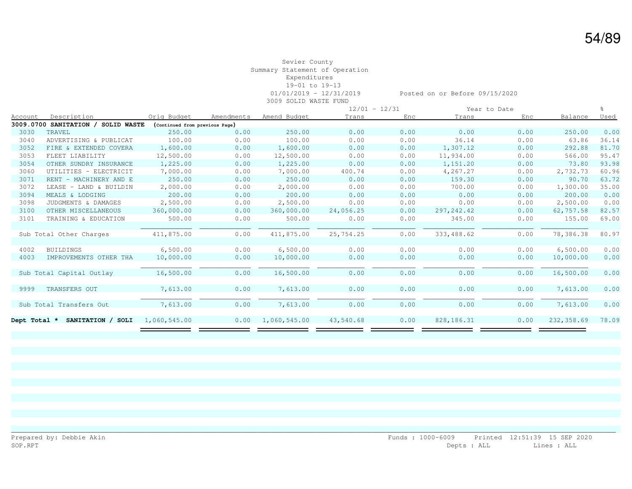#### Sevier County Summary Statement of Operation Expenditures 19-01 to 19-13 01/01/2019 - 12/31/2019 Posted on or Before 09/15/2020 3009 SOLID WASTE FUND

|              |                                    |                                |            |              |           | $12/01 - 12/31$ |              | Year to Date |            |       |
|--------------|------------------------------------|--------------------------------|------------|--------------|-----------|-----------------|--------------|--------------|------------|-------|
| Account      | Description                        | Orig Budget                    | Amendments | Amend Budget | Trans     | Enc             | Trans        | Enc          | Balance    | Used  |
|              | 3009.0700 SANITATION / SOLID WASTE | (Continued from previous Page) |            |              |           |                 |              |              |            |       |
| 3030         | TRAVEL                             | 250.00                         | 0.00       | 250.00       | 0.00      | 0.00            | 0.00         | 0.00         | 250.00     | 0.00  |
| 3040         | ADVERTISING & PUBLICAT             | 100.00                         | 0.00       | 100.00       | 0.00      | 0.00            | 36.14        | 0.00         | 63.86      | 36.14 |
| 3052         | FIRE & EXTENDED COVERA             | 1,600.00                       | 0.00       | 1,600.00     | 0.00      | 0.00            | 1,307.12     | 0.00         | 292.88     | 81.70 |
| 3053         | FLEET LIABILITY                    | 12,500.00                      | 0.00       | 12,500.00    | 0.00      | 0.00            | 11,934.00    | 0.00         | 566.00     | 95.47 |
| 3054         | OTHER SUNDRY INSURANCE             | 1,225.00                       | 0.00       | 1,225.00     | 0.00      | 0.00            | 1,151.20     | 0.00         | 73.80      | 93.98 |
| 3060         | UTILITIES - ELECTRICIT             | 7,000.00                       | 0.00       | 7,000.00     | 400.74    | 0.00            | 4,267.27     | 0.00         | 2,732.73   | 60.96 |
| 3071         | RENT - MACHINERY AND E             | 250.00                         | 0.00       | 250.00       | 0.00      | 0.00            | 159.30       | 0.00         | 90.70      | 63.72 |
| 3072         | LEASE - LAND & BUILDIN             | 2,000.00                       | 0.00       | 2,000.00     | 0.00      | 0.00            | 700.00       | 0.00         | 1,300.00   | 35.00 |
| 3094         | MEALS & LODGING                    | 200.00                         | 0.00       | 200.00       | 0.00      | 0.00            | 0.00         | 0.00         | 200.00     | 0.00  |
| 3098         | JUDGMENTS & DAMAGES                | 2,500.00                       | 0.00       | 2,500.00     | 0.00      | 0.00            | 0.00         | 0.00         | 2,500.00   | 0.00  |
| 3100         | OTHER MISCELLANEOUS                | 360,000.00                     | 0.00       | 360,000.00   | 24,056.25 | 0.00            | 297, 242.42  | 0.00         | 62,757.58  | 82.57 |
| 3101         | TRAINING & EDUCATION               | 500.00                         | 0.00       | 500.00       | 0.00      | 0.00            | 345.00       | 0.00         | 155.00     | 69.00 |
|              |                                    |                                |            |              |           |                 |              |              |            |       |
|              | Sub Total Other Charges            | 411,875.00                     | 0.00       | 411,875.00   | 25,754.25 | 0.00            | 333,488.62   | 0.00         | 78,386.38  | 80.97 |
|              |                                    |                                |            |              |           |                 |              |              |            |       |
| 4002         | <b>BUILDINGS</b>                   | 6,500.00                       | 0.00       | 6,500.00     | 0.00      | 0.00            | 0.00         | 0.00         | 6,500.00   | 0.00  |
| 4003         | IMPROVEMENTS OTHER THA             | 10,000.00                      | 0.00       | 10,000.00    | 0.00      | 0.00            | 0.00         | 0.00         | 10,000.00  | 0.00  |
|              |                                    |                                |            |              |           |                 |              |              |            |       |
|              | Sub Total Capital Outlay           | 16,500.00                      | 0.00       | 16,500.00    | 0.00      | 0.00            | 0.00         | 0.00         | 16,500.00  | 0.00  |
|              |                                    |                                |            |              |           |                 |              |              |            |       |
| 9999         | TRANSFERS OUT                      | 7,613.00                       | 0.00       | 7,613.00     | 0.00      | 0.00            | 0.00         | 0.00         | 7,613.00   | 0.00  |
|              |                                    |                                |            |              |           |                 |              |              |            |       |
|              | Sub Total Transfers Out            | 7,613.00                       | 0.00       | 7,613.00     | 0.00      | 0.00            | 0.00         | 0.00         | 7,613.00   | 0.00  |
|              |                                    |                                |            |              |           |                 |              |              |            |       |
| Dept Total * | SANITATION / SOLI                  | 1,060,545.00                   | 0.00       | 1,060,545.00 | 43,540.68 | 0.00            | 828, 186. 31 | 0.00         | 232,358.69 | 78.09 |
|              |                                    |                                |            |              |           |                 |              |              |            |       |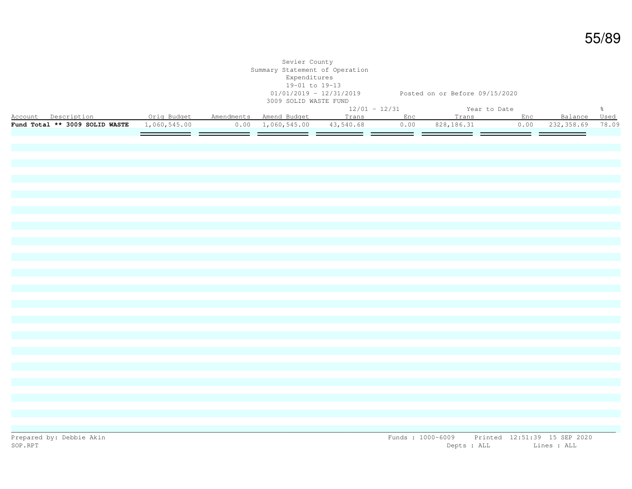|                                                                                                |  | Sevier County<br>Summary Statement of Operation<br>Expenditures<br>19-01 to 19-13<br>3009 SOLID WASTE FUND |                 | 01/01/2019 - 12/31/2019 Posted on or Before 09/15/2020 |  |               |
|------------------------------------------------------------------------------------------------|--|------------------------------------------------------------------------------------------------------------|-----------------|--------------------------------------------------------|--|---------------|
|                                                                                                |  |                                                                                                            | $12/01 - 12/31$ | Year to Date                                           |  | $\frac{6}{6}$ |
| Account Description 6 1 Orig Budget Amendments Amend Budget 1 Trans Enc Trans Enc Balance Used |  |                                                                                                            |                 |                                                        |  |               |
| <b>Fund Total ** 3009 SOLID WASTE</b> 1,060,545.00 0.00 1,060,545.00 43,540.68                 |  |                                                                                                            |                 | 0.00 828,186.31 0.00 232,358.69 78.09                  |  |               |
|                                                                                                |  |                                                                                                            |                 |                                                        |  |               |
|                                                                                                |  |                                                                                                            |                 |                                                        |  |               |
|                                                                                                |  |                                                                                                            |                 |                                                        |  |               |
|                                                                                                |  |                                                                                                            |                 |                                                        |  |               |
|                                                                                                |  |                                                                                                            |                 |                                                        |  |               |
|                                                                                                |  |                                                                                                            |                 |                                                        |  |               |
|                                                                                                |  |                                                                                                            |                 |                                                        |  |               |
|                                                                                                |  |                                                                                                            |                 |                                                        |  |               |
|                                                                                                |  |                                                                                                            |                 |                                                        |  |               |
|                                                                                                |  |                                                                                                            |                 |                                                        |  |               |
|                                                                                                |  |                                                                                                            |                 |                                                        |  |               |
|                                                                                                |  |                                                                                                            |                 |                                                        |  |               |
|                                                                                                |  |                                                                                                            |                 |                                                        |  |               |
|                                                                                                |  |                                                                                                            |                 |                                                        |  |               |
|                                                                                                |  |                                                                                                            |                 |                                                        |  |               |
|                                                                                                |  |                                                                                                            |                 |                                                        |  |               |
|                                                                                                |  |                                                                                                            |                 |                                                        |  |               |
|                                                                                                |  |                                                                                                            |                 |                                                        |  |               |
|                                                                                                |  |                                                                                                            |                 |                                                        |  |               |
|                                                                                                |  |                                                                                                            |                 |                                                        |  |               |
|                                                                                                |  |                                                                                                            |                 |                                                        |  |               |
|                                                                                                |  |                                                                                                            |                 |                                                        |  |               |
|                                                                                                |  |                                                                                                            |                 |                                                        |  |               |
|                                                                                                |  |                                                                                                            |                 |                                                        |  |               |
|                                                                                                |  |                                                                                                            |                 |                                                        |  |               |
|                                                                                                |  |                                                                                                            |                 |                                                        |  |               |
|                                                                                                |  |                                                                                                            |                 |                                                        |  |               |
|                                                                                                |  |                                                                                                            |                 |                                                        |  |               |
|                                                                                                |  |                                                                                                            |                 |                                                        |  |               |
|                                                                                                |  |                                                                                                            |                 |                                                        |  |               |
|                                                                                                |  |                                                                                                            |                 |                                                        |  |               |
|                                                                                                |  |                                                                                                            |                 |                                                        |  |               |
|                                                                                                |  |                                                                                                            |                 |                                                        |  |               |
|                                                                                                |  |                                                                                                            |                 |                                                        |  |               |
|                                                                                                |  |                                                                                                            |                 |                                                        |  |               |
|                                                                                                |  |                                                                                                            |                 |                                                        |  |               |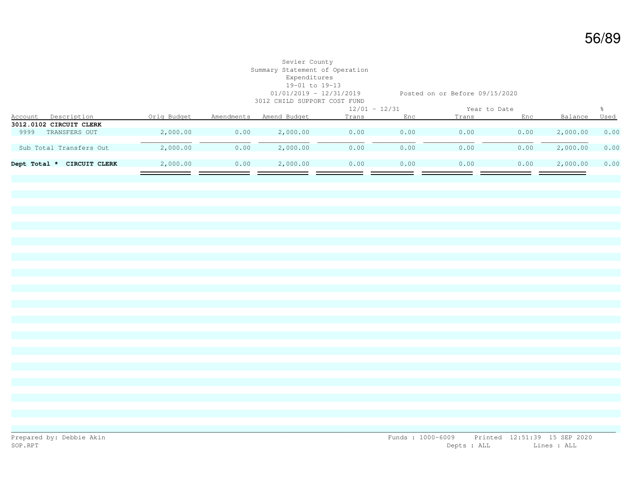### Sevier County Summary Statement of Operation Expenditures 19-01 to 19-13 3012 CHILD SUPPORT COST FUND

01/01/2019 - 12/31/2019 Posted on or Before 09/15/2020

|              |                         |             |            | www.comedited.com www.comedited.com |                 |      |              |      |          |      |
|--------------|-------------------------|-------------|------------|-------------------------------------|-----------------|------|--------------|------|----------|------|
|              |                         |             |            |                                     | $12/01 - 12/31$ |      | Year to Date |      |          |      |
| Account      | Description             | Orig Budget | Amendments | Amend Budget                        | Trans           | Enc  | Trans        | Enc  | Balance  | Used |
|              | 3012.0102 CIRCUIT CLERK |             |            |                                     |                 |      |              |      |          |      |
| 9999         | TRANSFERS OUT           | 2,000.00    | 0.00       | 2,000.00                            | 0.00            | 0.00 | 0.00         | 0.00 | 2,000.00 | 0.00 |
|              |                         |             |            |                                     |                 |      |              |      |          |      |
|              | Sub Total Transfers Out | 2,000.00    | 0.00       | 2,000.00                            | 0.00            | 0.00 | 0.00         | 0.00 | 2,000.00 | 0.00 |
|              |                         |             |            |                                     |                 |      |              |      |          |      |
| Dept Total * | CIRCUIT CLERK           | 2,000.00    | 0.00       | 2,000.00                            | 0.00            | 0.00 | 0.00         | 0.00 | 2,000.00 | 0.00 |
|              |                         |             |            |                                     |                 |      |              |      |          |      |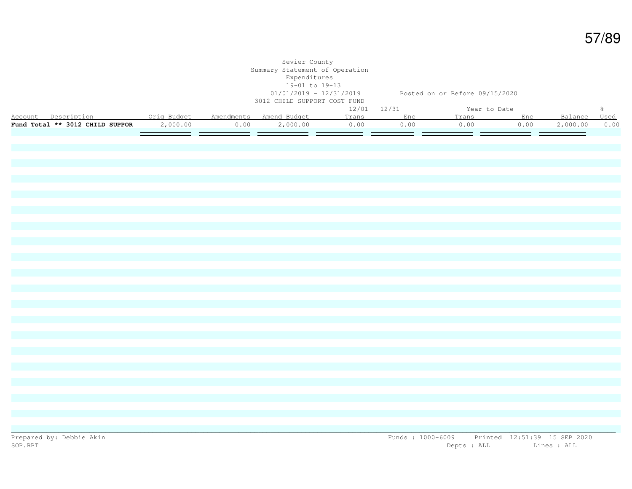|                                                                                              |          |                       | Sevier County<br>Summary Statement of Operation<br>Expenditures<br>19-01 to 19-13<br>3012 CHILD SUPPORT COST FUND | 01/01/2019 - 12/31/2019 Posted on or Before 09/15/2020 |      |              |               |          |               |
|----------------------------------------------------------------------------------------------|----------|-----------------------|-------------------------------------------------------------------------------------------------------------------|--------------------------------------------------------|------|--------------|---------------|----------|---------------|
|                                                                                              |          |                       |                                                                                                                   | $12/01 - 12/31$                                        |      | Year to Date |               |          | $\frac{6}{6}$ |
| Account Description . Orig Budget Amendments Amend Budget<br>Fund Total ** 3012 CHILD SUPPOR |          |                       |                                                                                                                   | Trans Enc                                              | 0.00 | Trans Enc    |               | Balance  | Used          |
|                                                                                              | 2,000.00 | 0.00<br>التوار السياس | 2,000.00                                                                                                          | 0.00<br>$\equiv$ $\equiv$                              | ___  | 0.00<br>ن ک  | 0.00<br>——  — | 2,000.00 | 0.00          |
|                                                                                              |          |                       |                                                                                                                   |                                                        |      |              |               |          |               |
|                                                                                              |          |                       |                                                                                                                   |                                                        |      |              |               |          |               |
|                                                                                              |          |                       |                                                                                                                   |                                                        |      |              |               |          |               |
|                                                                                              |          |                       |                                                                                                                   |                                                        |      |              |               |          |               |
|                                                                                              |          |                       |                                                                                                                   |                                                        |      |              |               |          |               |
|                                                                                              |          |                       |                                                                                                                   |                                                        |      |              |               |          |               |
|                                                                                              |          |                       |                                                                                                                   |                                                        |      |              |               |          |               |
|                                                                                              |          |                       |                                                                                                                   |                                                        |      |              |               |          |               |
|                                                                                              |          |                       |                                                                                                                   |                                                        |      |              |               |          |               |
|                                                                                              |          |                       |                                                                                                                   |                                                        |      |              |               |          |               |
|                                                                                              |          |                       |                                                                                                                   |                                                        |      |              |               |          |               |
|                                                                                              |          |                       |                                                                                                                   |                                                        |      |              |               |          |               |
|                                                                                              |          |                       |                                                                                                                   |                                                        |      |              |               |          |               |
|                                                                                              |          |                       |                                                                                                                   |                                                        |      |              |               |          |               |
|                                                                                              |          |                       |                                                                                                                   |                                                        |      |              |               |          |               |
|                                                                                              |          |                       |                                                                                                                   |                                                        |      |              |               |          |               |
|                                                                                              |          |                       |                                                                                                                   |                                                        |      |              |               |          |               |
|                                                                                              |          |                       |                                                                                                                   |                                                        |      |              |               |          |               |
|                                                                                              |          |                       |                                                                                                                   |                                                        |      |              |               |          |               |
|                                                                                              |          |                       |                                                                                                                   |                                                        |      |              |               |          |               |
|                                                                                              |          |                       |                                                                                                                   |                                                        |      |              |               |          |               |
|                                                                                              |          |                       |                                                                                                                   |                                                        |      |              |               |          |               |
|                                                                                              |          |                       |                                                                                                                   |                                                        |      |              |               |          |               |
|                                                                                              |          |                       |                                                                                                                   |                                                        |      |              |               |          |               |
|                                                                                              |          |                       |                                                                                                                   |                                                        |      |              |               |          |               |
|                                                                                              |          |                       |                                                                                                                   |                                                        |      |              |               |          |               |
|                                                                                              |          |                       |                                                                                                                   |                                                        |      |              |               |          |               |
|                                                                                              |          |                       |                                                                                                                   |                                                        |      |              |               |          |               |
|                                                                                              |          |                       |                                                                                                                   |                                                        |      |              |               |          |               |
|                                                                                              |          |                       |                                                                                                                   |                                                        |      |              |               |          |               |
|                                                                                              |          |                       |                                                                                                                   |                                                        |      |              |               |          |               |
|                                                                                              |          |                       |                                                                                                                   |                                                        |      |              |               |          |               |
|                                                                                              |          |                       |                                                                                                                   |                                                        |      |              |               |          |               |
|                                                                                              |          |                       |                                                                                                                   |                                                        |      |              |               |          |               |
|                                                                                              |          |                       |                                                                                                                   |                                                        |      |              |               |          |               |
|                                                                                              |          |                       |                                                                                                                   |                                                        |      |              |               |          |               |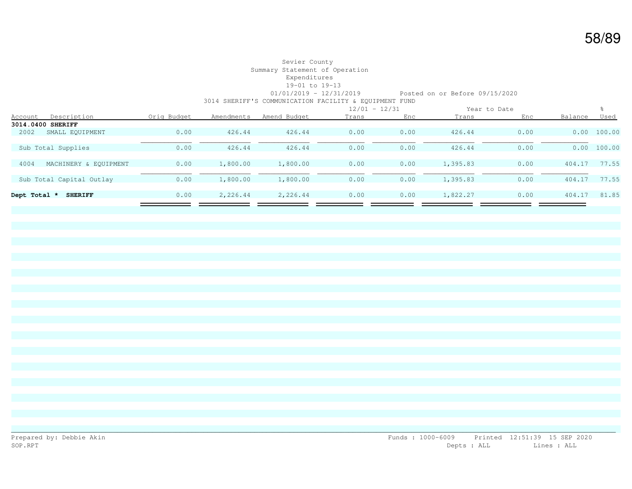#### Sevier County Summary Statement of Operation Expenditures 19-01 to 19-13 01/01/2019 - 12/31/2019 Posted on or Before 09/15/2020 3014 SHERIFF'S COMMUNICATION FACILITY & EQUIPMENT FUND

|              |                          |             |            |              |       | $12/01 - 12/31$ |          | Year to Date |         |        |
|--------------|--------------------------|-------------|------------|--------------|-------|-----------------|----------|--------------|---------|--------|
| Account      | Description              | Orig Budget | Amendments | Amend Budget | Trans | Enc             | Trans    | Enc          | Balance | Used   |
|              | 3014.0400 SHERIFF        |             |            |              |       |                 |          |              |         |        |
| 2002         | SMALL EQUIPMENT          | 0.00        | 426.44     | 426.44       | 0.00  | 0.00            | 426.44   | 0.00         | 0.00    | 100.00 |
|              |                          |             |            |              |       |                 |          |              |         |        |
|              | Sub Total Supplies       | 0.00        | 426.44     | 426.44       | 0.00  | 0.00            | 426.44   | 0.00         | 0.00    | 100.00 |
|              |                          |             |            |              |       |                 |          |              |         |        |
| 4004         | MACHINERY & EOUIPMENT    | 0.00        | 1,800.00   | 1,800.00     | 0.00  | 0.00            | 1,395.83 | 0.00         | 404.17  | 77.55  |
|              |                          |             |            |              |       |                 |          |              |         |        |
|              | Sub Total Capital Outlay | 0.00        | 1,800.00   | 1,800.00     | 0.00  | 0.00            | 1,395.83 | 0.00         | 404.17  | 77.55  |
|              |                          |             |            |              |       |                 |          |              |         |        |
| Dept Total * | <b>SHERIFF</b>           | 0.00        | 2,226.44   | 2,226.44     | 0.00  | 0.00            | 1,822.27 | 0.00         | 404.17  | 81.85  |
|              |                          |             |            |              |       |                 |          |              |         |        |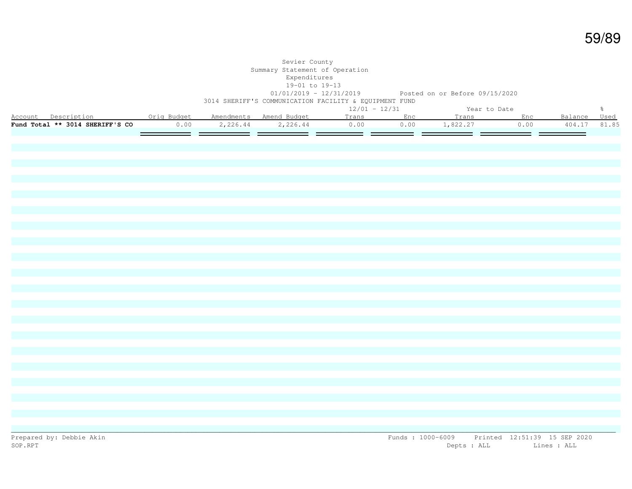|                                                           |      | Sevier County<br>Summary Statement of Operation<br>Expenditures<br>19-01 to 19-13<br>3014 SHERIFF'S COMMUNICATION FACILITY & EQUIPMENT FUND |                 |           | 01/01/2019 - 12/31/2019 Posted on or Before 09/15/2020 |      |              |               |
|-----------------------------------------------------------|------|---------------------------------------------------------------------------------------------------------------------------------------------|-----------------|-----------|--------------------------------------------------------|------|--------------|---------------|
|                                                           |      |                                                                                                                                             | $12/01 - 12/31$ |           | Year to Date                                           |      |              | $\frac{6}{6}$ |
| Account Description . Orig Budget Amendments Amend Budget |      |                                                                                                                                             |                 | Trans Enc | Trans                                                  | Enc  | Balance Used |               |
| Fund Total ** 3014 SHERIFF'S CO                           | 0.00 | 2, 226.44 2, 226.44 0.00                                                                                                                    |                 |           | $0.00$ 1,822.27                                        | 0.00 | 404.17       | 81.85         |
|                                                           |      |                                                                                                                                             |                 |           |                                                        |      |              |               |
|                                                           |      |                                                                                                                                             |                 |           |                                                        |      |              |               |
|                                                           |      |                                                                                                                                             |                 |           |                                                        |      |              |               |
|                                                           |      |                                                                                                                                             |                 |           |                                                        |      |              |               |
|                                                           |      |                                                                                                                                             |                 |           |                                                        |      |              |               |
|                                                           |      |                                                                                                                                             |                 |           |                                                        |      |              |               |
|                                                           |      |                                                                                                                                             |                 |           |                                                        |      |              |               |
|                                                           |      |                                                                                                                                             |                 |           |                                                        |      |              |               |
|                                                           |      |                                                                                                                                             |                 |           |                                                        |      |              |               |
|                                                           |      |                                                                                                                                             |                 |           |                                                        |      |              |               |
|                                                           |      |                                                                                                                                             |                 |           |                                                        |      |              |               |
|                                                           |      |                                                                                                                                             |                 |           |                                                        |      |              |               |
|                                                           |      |                                                                                                                                             |                 |           |                                                        |      |              |               |
|                                                           |      |                                                                                                                                             |                 |           |                                                        |      |              |               |
|                                                           |      |                                                                                                                                             |                 |           |                                                        |      |              |               |
|                                                           |      |                                                                                                                                             |                 |           |                                                        |      |              |               |
|                                                           |      |                                                                                                                                             |                 |           |                                                        |      |              |               |
|                                                           |      |                                                                                                                                             |                 |           |                                                        |      |              |               |
|                                                           |      |                                                                                                                                             |                 |           |                                                        |      |              |               |
|                                                           |      |                                                                                                                                             |                 |           |                                                        |      |              |               |
|                                                           |      |                                                                                                                                             |                 |           |                                                        |      |              |               |
|                                                           |      |                                                                                                                                             |                 |           |                                                        |      |              |               |
|                                                           |      |                                                                                                                                             |                 |           |                                                        |      |              |               |
|                                                           |      |                                                                                                                                             |                 |           |                                                        |      |              |               |
|                                                           |      |                                                                                                                                             |                 |           |                                                        |      |              |               |
|                                                           |      |                                                                                                                                             |                 |           |                                                        |      |              |               |
|                                                           |      |                                                                                                                                             |                 |           |                                                        |      |              |               |
|                                                           |      |                                                                                                                                             |                 |           |                                                        |      |              |               |
|                                                           |      |                                                                                                                                             |                 |           |                                                        |      |              |               |
|                                                           |      |                                                                                                                                             |                 |           |                                                        |      |              |               |
|                                                           |      |                                                                                                                                             |                 |           |                                                        |      |              |               |
|                                                           |      |                                                                                                                                             |                 |           |                                                        |      |              |               |
|                                                           |      |                                                                                                                                             |                 |           |                                                        |      |              |               |
|                                                           |      |                                                                                                                                             |                 |           |                                                        |      |              |               |
|                                                           |      |                                                                                                                                             |                 |           |                                                        |      |              |               |
|                                                           |      |                                                                                                                                             |                 |           |                                                        |      |              |               |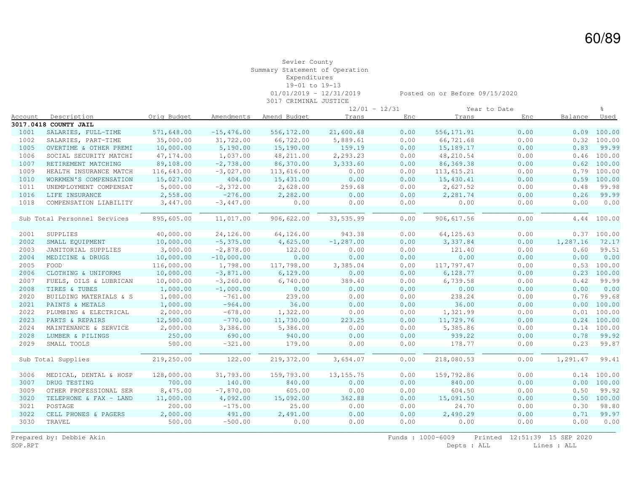## Sevier County Summary Statement of Operation Expenditures 19-01 to 19-13

3017 CRIMINAL JUSTICE

01/01/2019 - 12/31/2019 Posted on or Before 09/15/2020

| $12/01 - 12/31$<br>Year to Date<br>Description<br>Orig Budget<br>Balance<br>Amendments<br>Amend Budget<br>Trans<br>Enc<br>Trans<br>Enc<br>Used<br><u>Account</u><br>1001<br>SALARIES, FULL-TIME<br>571,648.00<br>$-15,476.00$<br>556,172.00<br>21,600.68<br>0.00<br>556, 171.91<br>0.00<br>100.00<br>0.09<br>66,722.00<br>5,889.61<br>0.00<br>66,721.68<br>0.00<br>1002<br>SALARIES, PART-TIME<br>35,000.00<br>31,722.00<br>$0.32$ 100.00<br>10,000.00<br>5,190.00<br>15,190.00<br>159.19<br>0.00<br>15,189.17<br>0.00<br>0.83<br>99.99<br>1005<br>OVERTIME & OTHER PREMI<br>1006<br>47,174.00<br>1,037.00<br>48, 211.00<br>2,293.23<br>0.00<br>48,210.54<br>0.00<br>$0.46$ 100.00<br>SOCIAL SECURITY MATCHI<br>89,108.00<br>$-2,738.00$<br>86,370.00<br>0.00<br>86, 369. 38<br>0.00<br>0.62 100.00<br>1007<br>RETIREMENT MATCHING<br>3,333.60<br>1009<br>116,643.00<br>$-3,027.00$<br>113,616.00<br>0.00<br>0.00<br>0.00<br>0.79<br>100.00<br>HEALTH INSURANCE MATCH<br>113,615.21<br>404.00<br>0.00<br>0.00<br>0.00<br>0.59 100.00<br>1010<br>WORKMEN'S COMPENSATION<br>15,027.00<br>15,431.00<br>15,430.41<br>1011<br>UNEMPLOYMENT COMPENSAT<br>5,000.00<br>$-2,372.00$<br>2,628.00<br>259.68<br>0.00<br>2,627.52<br>0.00<br>0.48<br>$-276.00$<br>0.00<br>0.00<br>0.26<br>99.99<br>1016<br>LIFE INSURANCE<br>2,558.00<br>2,282.00<br>0.00<br>2,281.74<br>1018<br>3,447.00<br>0.00<br>0.00<br>0.00<br>0.00<br>COMPENSATION LIABILITY<br>$-3,447.00$<br>0.00<br>0.00<br>895,605.00<br>11,017.00<br>906,622.00<br>33,535.99<br>0.00<br>906,617.56<br>0.00<br>4.44 100.00<br>Sub Total Personnel Services<br>40,000.00<br>24,126.00<br>64,126.00<br>943.38<br>0.00<br>64, 125.63<br>0.00<br>0.37 100.00<br>SUPPLIES<br>2001<br>0.00<br>0.00<br>2002<br>10,000.00<br>$-5,375.00$<br>4,625.00<br>$-1, 287.00$<br>3,337.84<br>1,287.16<br>SMALL EQUIPMENT<br>72.17<br>2003<br>3,000.00<br>$-2,878.00$<br>122.00<br>0.00<br>0.00<br>121.40<br>0.00<br>0.60<br>99.51<br>JANITORIAL SUPPLIES<br>2004<br>10,000.00<br>0.00<br>0.00<br>0.00<br>0.00<br>$-10,000.00$<br>0.00<br>0.00<br>0.00<br>MEDICINE & DRUGS<br>FOOD<br>116,000.00<br>117,798.00<br>0.00<br>117,797.47<br>0.00<br>0.53<br>100.00<br>2005<br>1,798.00<br>3,385.04<br>0.00<br>0.00<br>0.00<br>2006<br>CLOTHING & UNIFORMS<br>10,000.00<br>$-3,871.00$<br>6,129.00<br>6,128.77<br>0.23<br>100.00<br>0.00<br>2007<br>10,000.00<br>$-3, 260, 00$<br>6,740.00<br>389.40<br>0.00<br>6,739.58<br>0.42<br>99.99<br>FUELS, OILS & LUBRICAN<br>2008<br>1,000.00<br>0.00<br>0.00<br>0.00<br>0.00<br>0.00<br>0.00<br>0.00<br>TIRES & TUBES<br>$-1,000.00$<br>1,000.00<br>239.00<br>0.00<br>0.00<br>238.24<br>0.00<br>0.76<br>99.68<br>2020<br>BUILDING MATERIALS & S<br>$-761.00$<br>1,000.00<br>$-964.00$<br>36.00<br>0.00<br>36.00<br>0.00<br>2021<br>PAINTS & METALS<br>0.00<br>0.00<br>100.00<br>2022<br>PLUMBING & ELECTRICAL<br>2,000.00<br>$-678.00$<br>1,322.00<br>0.00<br>0.00<br>1,321.99<br>0.00<br>0.01<br>100.00<br>2023<br>PARTS & REPAIRS<br>12,500.00<br>$-770.00$<br>11,730.00<br>223.25<br>0.00<br>11,729.76<br>0.00<br>$0.24$ 100.00<br>2024<br>2,000.00<br>3,386.00<br>5,386.00<br>0.00<br>0.00<br>5,385.86<br>0.00<br>0.14<br>100.00<br>MAINTENANCE & SERVICE<br>2028<br>250.00<br>690.00<br>940.00<br>0.00<br>0.00<br>939.22<br>0.00<br>0.78<br>99.92<br>LUMBER & PILINGS<br>2029<br>500.00<br>$-321.00$<br>0.00<br>0.00<br>0.23<br>SMALL TOOLS<br>179.00<br>0.00<br>178.77<br>99.87<br>122.00<br>Sub Total Supplies<br>219,250.00<br>219,372.00<br>3,654.07<br>0.00<br>218,080.53<br>0.00<br>1,291.47<br>128,000.00<br>31,793.00<br>159,793.00<br>0.00<br>159,792.86<br>0.00<br>0.14 100.00<br>MEDICAL, DENTAL & HOSP<br>13, 155.75<br>3006<br>700.00<br>140.00<br>840.00<br>0.00<br>0.00<br>840.00<br>0.00<br>3007<br>DRUG TESTING<br>0.00 100.00<br>8,475.00<br>3009<br>$-7,870.00$<br>605.00<br>0.00<br>0.00<br>604.50<br>0.00<br>0.50<br>OTHER PROFESSIONAL SER<br>3020<br>TELEPHONE & FAX - LAND<br>11,000.00<br>4,092.00<br>15,092.00<br>362.88<br>0.00<br>15,091.50<br>0.00<br>0.50 100.00<br>3021<br>POSTAGE<br>200.00<br>$-175.00$<br>25.00<br>0.00<br>0.00<br>24.70<br>0.00<br>0.30<br>0.00<br>3022<br>2,000.00<br>491.00<br>2,491.00<br>0.00<br>0.00<br>2,490.29<br>0.71<br>CELL PHONES & PAGERS<br>3030<br>TRAVEL<br>500.00<br>$-500.00$<br>0.00<br>0.00<br>0.00<br>0.00<br>0.00<br>0.00 |  |  | CITTLITINI OUDITOL |  |  |       |
|--------------------------------------------------------------------------------------------------------------------------------------------------------------------------------------------------------------------------------------------------------------------------------------------------------------------------------------------------------------------------------------------------------------------------------------------------------------------------------------------------------------------------------------------------------------------------------------------------------------------------------------------------------------------------------------------------------------------------------------------------------------------------------------------------------------------------------------------------------------------------------------------------------------------------------------------------------------------------------------------------------------------------------------------------------------------------------------------------------------------------------------------------------------------------------------------------------------------------------------------------------------------------------------------------------------------------------------------------------------------------------------------------------------------------------------------------------------------------------------------------------------------------------------------------------------------------------------------------------------------------------------------------------------------------------------------------------------------------------------------------------------------------------------------------------------------------------------------------------------------------------------------------------------------------------------------------------------------------------------------------------------------------------------------------------------------------------------------------------------------------------------------------------------------------------------------------------------------------------------------------------------------------------------------------------------------------------------------------------------------------------------------------------------------------------------------------------------------------------------------------------------------------------------------------------------------------------------------------------------------------------------------------------------------------------------------------------------------------------------------------------------------------------------------------------------------------------------------------------------------------------------------------------------------------------------------------------------------------------------------------------------------------------------------------------------------------------------------------------------------------------------------------------------------------------------------------------------------------------------------------------------------------------------------------------------------------------------------------------------------------------------------------------------------------------------------------------------------------------------------------------------------------------------------------------------------------------------------------------------------------------------------------------------------------------------------------------------------------------------------------------------------------------------------------------------------------------------------------------------------------------------------------------------------------------------------------------------------------------------------------------------------------------------------------------------------------------------------------------------------------------------------------------------------------------------------------------------------------------------------------------------------------------------------------------------------------------------------------------------------------|--|--|--------------------|--|--|-------|
| 3017.0418 COUNTY JAIL                                                                                                                                                                                                                                                                                                                                                                                                                                                                                                                                                                                                                                                                                                                                                                                                                                                                                                                                                                                                                                                                                                                                                                                                                                                                                                                                                                                                                                                                                                                                                                                                                                                                                                                                                                                                                                                                                                                                                                                                                                                                                                                                                                                                                                                                                                                                                                                                                                                                                                                                                                                                                                                                                                                                                                                                                                                                                                                                                                                                                                                                                                                                                                                                                                                                                                                                                                                                                                                                                                                                                                                                                                                                                                                                                                                                                                                                                                                                                                                                                                                                                                                                                                                                                                                                                                                                                    |  |  |                    |  |  |       |
|                                                                                                                                                                                                                                                                                                                                                                                                                                                                                                                                                                                                                                                                                                                                                                                                                                                                                                                                                                                                                                                                                                                                                                                                                                                                                                                                                                                                                                                                                                                                                                                                                                                                                                                                                                                                                                                                                                                                                                                                                                                                                                                                                                                                                                                                                                                                                                                                                                                                                                                                                                                                                                                                                                                                                                                                                                                                                                                                                                                                                                                                                                                                                                                                                                                                                                                                                                                                                                                                                                                                                                                                                                                                                                                                                                                                                                                                                                                                                                                                                                                                                                                                                                                                                                                                                                                                                                          |  |  |                    |  |  |       |
|                                                                                                                                                                                                                                                                                                                                                                                                                                                                                                                                                                                                                                                                                                                                                                                                                                                                                                                                                                                                                                                                                                                                                                                                                                                                                                                                                                                                                                                                                                                                                                                                                                                                                                                                                                                                                                                                                                                                                                                                                                                                                                                                                                                                                                                                                                                                                                                                                                                                                                                                                                                                                                                                                                                                                                                                                                                                                                                                                                                                                                                                                                                                                                                                                                                                                                                                                                                                                                                                                                                                                                                                                                                                                                                                                                                                                                                                                                                                                                                                                                                                                                                                                                                                                                                                                                                                                                          |  |  |                    |  |  |       |
|                                                                                                                                                                                                                                                                                                                                                                                                                                                                                                                                                                                                                                                                                                                                                                                                                                                                                                                                                                                                                                                                                                                                                                                                                                                                                                                                                                                                                                                                                                                                                                                                                                                                                                                                                                                                                                                                                                                                                                                                                                                                                                                                                                                                                                                                                                                                                                                                                                                                                                                                                                                                                                                                                                                                                                                                                                                                                                                                                                                                                                                                                                                                                                                                                                                                                                                                                                                                                                                                                                                                                                                                                                                                                                                                                                                                                                                                                                                                                                                                                                                                                                                                                                                                                                                                                                                                                                          |  |  |                    |  |  |       |
|                                                                                                                                                                                                                                                                                                                                                                                                                                                                                                                                                                                                                                                                                                                                                                                                                                                                                                                                                                                                                                                                                                                                                                                                                                                                                                                                                                                                                                                                                                                                                                                                                                                                                                                                                                                                                                                                                                                                                                                                                                                                                                                                                                                                                                                                                                                                                                                                                                                                                                                                                                                                                                                                                                                                                                                                                                                                                                                                                                                                                                                                                                                                                                                                                                                                                                                                                                                                                                                                                                                                                                                                                                                                                                                                                                                                                                                                                                                                                                                                                                                                                                                                                                                                                                                                                                                                                                          |  |  |                    |  |  |       |
|                                                                                                                                                                                                                                                                                                                                                                                                                                                                                                                                                                                                                                                                                                                                                                                                                                                                                                                                                                                                                                                                                                                                                                                                                                                                                                                                                                                                                                                                                                                                                                                                                                                                                                                                                                                                                                                                                                                                                                                                                                                                                                                                                                                                                                                                                                                                                                                                                                                                                                                                                                                                                                                                                                                                                                                                                                                                                                                                                                                                                                                                                                                                                                                                                                                                                                                                                                                                                                                                                                                                                                                                                                                                                                                                                                                                                                                                                                                                                                                                                                                                                                                                                                                                                                                                                                                                                                          |  |  |                    |  |  |       |
|                                                                                                                                                                                                                                                                                                                                                                                                                                                                                                                                                                                                                                                                                                                                                                                                                                                                                                                                                                                                                                                                                                                                                                                                                                                                                                                                                                                                                                                                                                                                                                                                                                                                                                                                                                                                                                                                                                                                                                                                                                                                                                                                                                                                                                                                                                                                                                                                                                                                                                                                                                                                                                                                                                                                                                                                                                                                                                                                                                                                                                                                                                                                                                                                                                                                                                                                                                                                                                                                                                                                                                                                                                                                                                                                                                                                                                                                                                                                                                                                                                                                                                                                                                                                                                                                                                                                                                          |  |  |                    |  |  |       |
|                                                                                                                                                                                                                                                                                                                                                                                                                                                                                                                                                                                                                                                                                                                                                                                                                                                                                                                                                                                                                                                                                                                                                                                                                                                                                                                                                                                                                                                                                                                                                                                                                                                                                                                                                                                                                                                                                                                                                                                                                                                                                                                                                                                                                                                                                                                                                                                                                                                                                                                                                                                                                                                                                                                                                                                                                                                                                                                                                                                                                                                                                                                                                                                                                                                                                                                                                                                                                                                                                                                                                                                                                                                                                                                                                                                                                                                                                                                                                                                                                                                                                                                                                                                                                                                                                                                                                                          |  |  |                    |  |  |       |
|                                                                                                                                                                                                                                                                                                                                                                                                                                                                                                                                                                                                                                                                                                                                                                                                                                                                                                                                                                                                                                                                                                                                                                                                                                                                                                                                                                                                                                                                                                                                                                                                                                                                                                                                                                                                                                                                                                                                                                                                                                                                                                                                                                                                                                                                                                                                                                                                                                                                                                                                                                                                                                                                                                                                                                                                                                                                                                                                                                                                                                                                                                                                                                                                                                                                                                                                                                                                                                                                                                                                                                                                                                                                                                                                                                                                                                                                                                                                                                                                                                                                                                                                                                                                                                                                                                                                                                          |  |  |                    |  |  |       |
|                                                                                                                                                                                                                                                                                                                                                                                                                                                                                                                                                                                                                                                                                                                                                                                                                                                                                                                                                                                                                                                                                                                                                                                                                                                                                                                                                                                                                                                                                                                                                                                                                                                                                                                                                                                                                                                                                                                                                                                                                                                                                                                                                                                                                                                                                                                                                                                                                                                                                                                                                                                                                                                                                                                                                                                                                                                                                                                                                                                                                                                                                                                                                                                                                                                                                                                                                                                                                                                                                                                                                                                                                                                                                                                                                                                                                                                                                                                                                                                                                                                                                                                                                                                                                                                                                                                                                                          |  |  |                    |  |  |       |
|                                                                                                                                                                                                                                                                                                                                                                                                                                                                                                                                                                                                                                                                                                                                                                                                                                                                                                                                                                                                                                                                                                                                                                                                                                                                                                                                                                                                                                                                                                                                                                                                                                                                                                                                                                                                                                                                                                                                                                                                                                                                                                                                                                                                                                                                                                                                                                                                                                                                                                                                                                                                                                                                                                                                                                                                                                                                                                                                                                                                                                                                                                                                                                                                                                                                                                                                                                                                                                                                                                                                                                                                                                                                                                                                                                                                                                                                                                                                                                                                                                                                                                                                                                                                                                                                                                                                                                          |  |  |                    |  |  | 99.98 |
|                                                                                                                                                                                                                                                                                                                                                                                                                                                                                                                                                                                                                                                                                                                                                                                                                                                                                                                                                                                                                                                                                                                                                                                                                                                                                                                                                                                                                                                                                                                                                                                                                                                                                                                                                                                                                                                                                                                                                                                                                                                                                                                                                                                                                                                                                                                                                                                                                                                                                                                                                                                                                                                                                                                                                                                                                                                                                                                                                                                                                                                                                                                                                                                                                                                                                                                                                                                                                                                                                                                                                                                                                                                                                                                                                                                                                                                                                                                                                                                                                                                                                                                                                                                                                                                                                                                                                                          |  |  |                    |  |  |       |
|                                                                                                                                                                                                                                                                                                                                                                                                                                                                                                                                                                                                                                                                                                                                                                                                                                                                                                                                                                                                                                                                                                                                                                                                                                                                                                                                                                                                                                                                                                                                                                                                                                                                                                                                                                                                                                                                                                                                                                                                                                                                                                                                                                                                                                                                                                                                                                                                                                                                                                                                                                                                                                                                                                                                                                                                                                                                                                                                                                                                                                                                                                                                                                                                                                                                                                                                                                                                                                                                                                                                                                                                                                                                                                                                                                                                                                                                                                                                                                                                                                                                                                                                                                                                                                                                                                                                                                          |  |  |                    |  |  | 0.00  |
|                                                                                                                                                                                                                                                                                                                                                                                                                                                                                                                                                                                                                                                                                                                                                                                                                                                                                                                                                                                                                                                                                                                                                                                                                                                                                                                                                                                                                                                                                                                                                                                                                                                                                                                                                                                                                                                                                                                                                                                                                                                                                                                                                                                                                                                                                                                                                                                                                                                                                                                                                                                                                                                                                                                                                                                                                                                                                                                                                                                                                                                                                                                                                                                                                                                                                                                                                                                                                                                                                                                                                                                                                                                                                                                                                                                                                                                                                                                                                                                                                                                                                                                                                                                                                                                                                                                                                                          |  |  |                    |  |  |       |
|                                                                                                                                                                                                                                                                                                                                                                                                                                                                                                                                                                                                                                                                                                                                                                                                                                                                                                                                                                                                                                                                                                                                                                                                                                                                                                                                                                                                                                                                                                                                                                                                                                                                                                                                                                                                                                                                                                                                                                                                                                                                                                                                                                                                                                                                                                                                                                                                                                                                                                                                                                                                                                                                                                                                                                                                                                                                                                                                                                                                                                                                                                                                                                                                                                                                                                                                                                                                                                                                                                                                                                                                                                                                                                                                                                                                                                                                                                                                                                                                                                                                                                                                                                                                                                                                                                                                                                          |  |  |                    |  |  |       |
|                                                                                                                                                                                                                                                                                                                                                                                                                                                                                                                                                                                                                                                                                                                                                                                                                                                                                                                                                                                                                                                                                                                                                                                                                                                                                                                                                                                                                                                                                                                                                                                                                                                                                                                                                                                                                                                                                                                                                                                                                                                                                                                                                                                                                                                                                                                                                                                                                                                                                                                                                                                                                                                                                                                                                                                                                                                                                                                                                                                                                                                                                                                                                                                                                                                                                                                                                                                                                                                                                                                                                                                                                                                                                                                                                                                                                                                                                                                                                                                                                                                                                                                                                                                                                                                                                                                                                                          |  |  |                    |  |  |       |
|                                                                                                                                                                                                                                                                                                                                                                                                                                                                                                                                                                                                                                                                                                                                                                                                                                                                                                                                                                                                                                                                                                                                                                                                                                                                                                                                                                                                                                                                                                                                                                                                                                                                                                                                                                                                                                                                                                                                                                                                                                                                                                                                                                                                                                                                                                                                                                                                                                                                                                                                                                                                                                                                                                                                                                                                                                                                                                                                                                                                                                                                                                                                                                                                                                                                                                                                                                                                                                                                                                                                                                                                                                                                                                                                                                                                                                                                                                                                                                                                                                                                                                                                                                                                                                                                                                                                                                          |  |  |                    |  |  |       |
|                                                                                                                                                                                                                                                                                                                                                                                                                                                                                                                                                                                                                                                                                                                                                                                                                                                                                                                                                                                                                                                                                                                                                                                                                                                                                                                                                                                                                                                                                                                                                                                                                                                                                                                                                                                                                                                                                                                                                                                                                                                                                                                                                                                                                                                                                                                                                                                                                                                                                                                                                                                                                                                                                                                                                                                                                                                                                                                                                                                                                                                                                                                                                                                                                                                                                                                                                                                                                                                                                                                                                                                                                                                                                                                                                                                                                                                                                                                                                                                                                                                                                                                                                                                                                                                                                                                                                                          |  |  |                    |  |  |       |
|                                                                                                                                                                                                                                                                                                                                                                                                                                                                                                                                                                                                                                                                                                                                                                                                                                                                                                                                                                                                                                                                                                                                                                                                                                                                                                                                                                                                                                                                                                                                                                                                                                                                                                                                                                                                                                                                                                                                                                                                                                                                                                                                                                                                                                                                                                                                                                                                                                                                                                                                                                                                                                                                                                                                                                                                                                                                                                                                                                                                                                                                                                                                                                                                                                                                                                                                                                                                                                                                                                                                                                                                                                                                                                                                                                                                                                                                                                                                                                                                                                                                                                                                                                                                                                                                                                                                                                          |  |  |                    |  |  |       |
|                                                                                                                                                                                                                                                                                                                                                                                                                                                                                                                                                                                                                                                                                                                                                                                                                                                                                                                                                                                                                                                                                                                                                                                                                                                                                                                                                                                                                                                                                                                                                                                                                                                                                                                                                                                                                                                                                                                                                                                                                                                                                                                                                                                                                                                                                                                                                                                                                                                                                                                                                                                                                                                                                                                                                                                                                                                                                                                                                                                                                                                                                                                                                                                                                                                                                                                                                                                                                                                                                                                                                                                                                                                                                                                                                                                                                                                                                                                                                                                                                                                                                                                                                                                                                                                                                                                                                                          |  |  |                    |  |  |       |
|                                                                                                                                                                                                                                                                                                                                                                                                                                                                                                                                                                                                                                                                                                                                                                                                                                                                                                                                                                                                                                                                                                                                                                                                                                                                                                                                                                                                                                                                                                                                                                                                                                                                                                                                                                                                                                                                                                                                                                                                                                                                                                                                                                                                                                                                                                                                                                                                                                                                                                                                                                                                                                                                                                                                                                                                                                                                                                                                                                                                                                                                                                                                                                                                                                                                                                                                                                                                                                                                                                                                                                                                                                                                                                                                                                                                                                                                                                                                                                                                                                                                                                                                                                                                                                                                                                                                                                          |  |  |                    |  |  |       |
|                                                                                                                                                                                                                                                                                                                                                                                                                                                                                                                                                                                                                                                                                                                                                                                                                                                                                                                                                                                                                                                                                                                                                                                                                                                                                                                                                                                                                                                                                                                                                                                                                                                                                                                                                                                                                                                                                                                                                                                                                                                                                                                                                                                                                                                                                                                                                                                                                                                                                                                                                                                                                                                                                                                                                                                                                                                                                                                                                                                                                                                                                                                                                                                                                                                                                                                                                                                                                                                                                                                                                                                                                                                                                                                                                                                                                                                                                                                                                                                                                                                                                                                                                                                                                                                                                                                                                                          |  |  |                    |  |  |       |
|                                                                                                                                                                                                                                                                                                                                                                                                                                                                                                                                                                                                                                                                                                                                                                                                                                                                                                                                                                                                                                                                                                                                                                                                                                                                                                                                                                                                                                                                                                                                                                                                                                                                                                                                                                                                                                                                                                                                                                                                                                                                                                                                                                                                                                                                                                                                                                                                                                                                                                                                                                                                                                                                                                                                                                                                                                                                                                                                                                                                                                                                                                                                                                                                                                                                                                                                                                                                                                                                                                                                                                                                                                                                                                                                                                                                                                                                                                                                                                                                                                                                                                                                                                                                                                                                                                                                                                          |  |  |                    |  |  |       |
|                                                                                                                                                                                                                                                                                                                                                                                                                                                                                                                                                                                                                                                                                                                                                                                                                                                                                                                                                                                                                                                                                                                                                                                                                                                                                                                                                                                                                                                                                                                                                                                                                                                                                                                                                                                                                                                                                                                                                                                                                                                                                                                                                                                                                                                                                                                                                                                                                                                                                                                                                                                                                                                                                                                                                                                                                                                                                                                                                                                                                                                                                                                                                                                                                                                                                                                                                                                                                                                                                                                                                                                                                                                                                                                                                                                                                                                                                                                                                                                                                                                                                                                                                                                                                                                                                                                                                                          |  |  |                    |  |  |       |
|                                                                                                                                                                                                                                                                                                                                                                                                                                                                                                                                                                                                                                                                                                                                                                                                                                                                                                                                                                                                                                                                                                                                                                                                                                                                                                                                                                                                                                                                                                                                                                                                                                                                                                                                                                                                                                                                                                                                                                                                                                                                                                                                                                                                                                                                                                                                                                                                                                                                                                                                                                                                                                                                                                                                                                                                                                                                                                                                                                                                                                                                                                                                                                                                                                                                                                                                                                                                                                                                                                                                                                                                                                                                                                                                                                                                                                                                                                                                                                                                                                                                                                                                                                                                                                                                                                                                                                          |  |  |                    |  |  |       |
|                                                                                                                                                                                                                                                                                                                                                                                                                                                                                                                                                                                                                                                                                                                                                                                                                                                                                                                                                                                                                                                                                                                                                                                                                                                                                                                                                                                                                                                                                                                                                                                                                                                                                                                                                                                                                                                                                                                                                                                                                                                                                                                                                                                                                                                                                                                                                                                                                                                                                                                                                                                                                                                                                                                                                                                                                                                                                                                                                                                                                                                                                                                                                                                                                                                                                                                                                                                                                                                                                                                                                                                                                                                                                                                                                                                                                                                                                                                                                                                                                                                                                                                                                                                                                                                                                                                                                                          |  |  |                    |  |  |       |
|                                                                                                                                                                                                                                                                                                                                                                                                                                                                                                                                                                                                                                                                                                                                                                                                                                                                                                                                                                                                                                                                                                                                                                                                                                                                                                                                                                                                                                                                                                                                                                                                                                                                                                                                                                                                                                                                                                                                                                                                                                                                                                                                                                                                                                                                                                                                                                                                                                                                                                                                                                                                                                                                                                                                                                                                                                                                                                                                                                                                                                                                                                                                                                                                                                                                                                                                                                                                                                                                                                                                                                                                                                                                                                                                                                                                                                                                                                                                                                                                                                                                                                                                                                                                                                                                                                                                                                          |  |  |                    |  |  |       |
|                                                                                                                                                                                                                                                                                                                                                                                                                                                                                                                                                                                                                                                                                                                                                                                                                                                                                                                                                                                                                                                                                                                                                                                                                                                                                                                                                                                                                                                                                                                                                                                                                                                                                                                                                                                                                                                                                                                                                                                                                                                                                                                                                                                                                                                                                                                                                                                                                                                                                                                                                                                                                                                                                                                                                                                                                                                                                                                                                                                                                                                                                                                                                                                                                                                                                                                                                                                                                                                                                                                                                                                                                                                                                                                                                                                                                                                                                                                                                                                                                                                                                                                                                                                                                                                                                                                                                                          |  |  |                    |  |  |       |
|                                                                                                                                                                                                                                                                                                                                                                                                                                                                                                                                                                                                                                                                                                                                                                                                                                                                                                                                                                                                                                                                                                                                                                                                                                                                                                                                                                                                                                                                                                                                                                                                                                                                                                                                                                                                                                                                                                                                                                                                                                                                                                                                                                                                                                                                                                                                                                                                                                                                                                                                                                                                                                                                                                                                                                                                                                                                                                                                                                                                                                                                                                                                                                                                                                                                                                                                                                                                                                                                                                                                                                                                                                                                                                                                                                                                                                                                                                                                                                                                                                                                                                                                                                                                                                                                                                                                                                          |  |  |                    |  |  |       |
|                                                                                                                                                                                                                                                                                                                                                                                                                                                                                                                                                                                                                                                                                                                                                                                                                                                                                                                                                                                                                                                                                                                                                                                                                                                                                                                                                                                                                                                                                                                                                                                                                                                                                                                                                                                                                                                                                                                                                                                                                                                                                                                                                                                                                                                                                                                                                                                                                                                                                                                                                                                                                                                                                                                                                                                                                                                                                                                                                                                                                                                                                                                                                                                                                                                                                                                                                                                                                                                                                                                                                                                                                                                                                                                                                                                                                                                                                                                                                                                                                                                                                                                                                                                                                                                                                                                                                                          |  |  |                    |  |  |       |
|                                                                                                                                                                                                                                                                                                                                                                                                                                                                                                                                                                                                                                                                                                                                                                                                                                                                                                                                                                                                                                                                                                                                                                                                                                                                                                                                                                                                                                                                                                                                                                                                                                                                                                                                                                                                                                                                                                                                                                                                                                                                                                                                                                                                                                                                                                                                                                                                                                                                                                                                                                                                                                                                                                                                                                                                                                                                                                                                                                                                                                                                                                                                                                                                                                                                                                                                                                                                                                                                                                                                                                                                                                                                                                                                                                                                                                                                                                                                                                                                                                                                                                                                                                                                                                                                                                                                                                          |  |  |                    |  |  | 99.41 |
|                                                                                                                                                                                                                                                                                                                                                                                                                                                                                                                                                                                                                                                                                                                                                                                                                                                                                                                                                                                                                                                                                                                                                                                                                                                                                                                                                                                                                                                                                                                                                                                                                                                                                                                                                                                                                                                                                                                                                                                                                                                                                                                                                                                                                                                                                                                                                                                                                                                                                                                                                                                                                                                                                                                                                                                                                                                                                                                                                                                                                                                                                                                                                                                                                                                                                                                                                                                                                                                                                                                                                                                                                                                                                                                                                                                                                                                                                                                                                                                                                                                                                                                                                                                                                                                                                                                                                                          |  |  |                    |  |  |       |
|                                                                                                                                                                                                                                                                                                                                                                                                                                                                                                                                                                                                                                                                                                                                                                                                                                                                                                                                                                                                                                                                                                                                                                                                                                                                                                                                                                                                                                                                                                                                                                                                                                                                                                                                                                                                                                                                                                                                                                                                                                                                                                                                                                                                                                                                                                                                                                                                                                                                                                                                                                                                                                                                                                                                                                                                                                                                                                                                                                                                                                                                                                                                                                                                                                                                                                                                                                                                                                                                                                                                                                                                                                                                                                                                                                                                                                                                                                                                                                                                                                                                                                                                                                                                                                                                                                                                                                          |  |  |                    |  |  |       |
|                                                                                                                                                                                                                                                                                                                                                                                                                                                                                                                                                                                                                                                                                                                                                                                                                                                                                                                                                                                                                                                                                                                                                                                                                                                                                                                                                                                                                                                                                                                                                                                                                                                                                                                                                                                                                                                                                                                                                                                                                                                                                                                                                                                                                                                                                                                                                                                                                                                                                                                                                                                                                                                                                                                                                                                                                                                                                                                                                                                                                                                                                                                                                                                                                                                                                                                                                                                                                                                                                                                                                                                                                                                                                                                                                                                                                                                                                                                                                                                                                                                                                                                                                                                                                                                                                                                                                                          |  |  |                    |  |  | 99.92 |
|                                                                                                                                                                                                                                                                                                                                                                                                                                                                                                                                                                                                                                                                                                                                                                                                                                                                                                                                                                                                                                                                                                                                                                                                                                                                                                                                                                                                                                                                                                                                                                                                                                                                                                                                                                                                                                                                                                                                                                                                                                                                                                                                                                                                                                                                                                                                                                                                                                                                                                                                                                                                                                                                                                                                                                                                                                                                                                                                                                                                                                                                                                                                                                                                                                                                                                                                                                                                                                                                                                                                                                                                                                                                                                                                                                                                                                                                                                                                                                                                                                                                                                                                                                                                                                                                                                                                                                          |  |  |                    |  |  |       |
|                                                                                                                                                                                                                                                                                                                                                                                                                                                                                                                                                                                                                                                                                                                                                                                                                                                                                                                                                                                                                                                                                                                                                                                                                                                                                                                                                                                                                                                                                                                                                                                                                                                                                                                                                                                                                                                                                                                                                                                                                                                                                                                                                                                                                                                                                                                                                                                                                                                                                                                                                                                                                                                                                                                                                                                                                                                                                                                                                                                                                                                                                                                                                                                                                                                                                                                                                                                                                                                                                                                                                                                                                                                                                                                                                                                                                                                                                                                                                                                                                                                                                                                                                                                                                                                                                                                                                                          |  |  |                    |  |  | 98.80 |
|                                                                                                                                                                                                                                                                                                                                                                                                                                                                                                                                                                                                                                                                                                                                                                                                                                                                                                                                                                                                                                                                                                                                                                                                                                                                                                                                                                                                                                                                                                                                                                                                                                                                                                                                                                                                                                                                                                                                                                                                                                                                                                                                                                                                                                                                                                                                                                                                                                                                                                                                                                                                                                                                                                                                                                                                                                                                                                                                                                                                                                                                                                                                                                                                                                                                                                                                                                                                                                                                                                                                                                                                                                                                                                                                                                                                                                                                                                                                                                                                                                                                                                                                                                                                                                                                                                                                                                          |  |  |                    |  |  | 99.97 |
|                                                                                                                                                                                                                                                                                                                                                                                                                                                                                                                                                                                                                                                                                                                                                                                                                                                                                                                                                                                                                                                                                                                                                                                                                                                                                                                                                                                                                                                                                                                                                                                                                                                                                                                                                                                                                                                                                                                                                                                                                                                                                                                                                                                                                                                                                                                                                                                                                                                                                                                                                                                                                                                                                                                                                                                                                                                                                                                                                                                                                                                                                                                                                                                                                                                                                                                                                                                                                                                                                                                                                                                                                                                                                                                                                                                                                                                                                                                                                                                                                                                                                                                                                                                                                                                                                                                                                                          |  |  |                    |  |  | 0.00  |

Prepared by: Debbie Akin Funds : 1000-6009 Printed 12:51:39 15 SEP 2020 SOP.RPT Depts : ALL Lines : ALL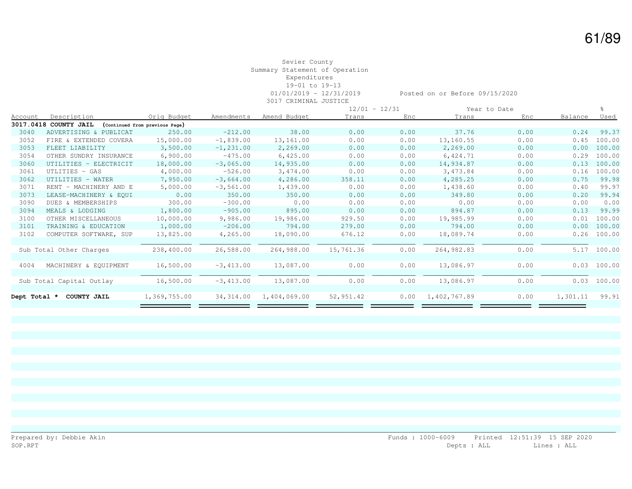#### Sevier County Summary Statement of Operation Expenditures 19-01 to 19-13 01/01/2019 - 12/31/2019 Posted on or Before 09/15/2020 3017 CRIMINAL JUSTICE

|                |                          |                                |              |              |           | $12/01 - 12/31$ |              | Year to Date |          |             |
|----------------|--------------------------|--------------------------------|--------------|--------------|-----------|-----------------|--------------|--------------|----------|-------------|
| <b>Account</b> | Description              | Orig Budget                    | Amendments   | Amend Budget | Trans     | Enc.            | Trans        | Enc          | Balance  | Used        |
|                | 3017.0418 COUNTY JAIL    | (Continued from previous Page) |              |              |           |                 |              |              |          |             |
| 3040           | ADVERTISING & PUBLICAT   | 250.00                         | $-212.00$    | 38.00        | 0.00      | 0.00            | 37.76        | 0.00         | 0.24     | 99.37       |
| 3052           | FIRE & EXTENDED COVERA   | 15,000.00                      | $-1,839.00$  | 13,161.00    | 0.00      | 0.00            | 13,160.55    | 0.00         | 0.45     | 100.00      |
| 3053           | FLEET LIABILITY          | 3,500.00                       | $-1, 231.00$ | 2,269.00     | 0.00      | 0.00            | 2,269.00     | 0.00         | 0.00     | 100.00      |
| 3054           | OTHER SUNDRY INSURANCE   | 6,900.00                       | $-475.00$    | 6,425.00     | 0.00      | 0.00            | 6,424.71     | 0.00         | 0.29     | 100.00      |
| 3060           | UTILITIES - ELECTRICIT   | 18,000.00                      | $-3,065.00$  | 14,935.00    | 0.00      | 0.00            | 14,934.87    | 0.00         | 0.13     | 100.00      |
| 3061           | UTLITIES - GAS           | 4,000.00                       | $-526.00$    | 3,474.00     | 0.00      | 0.00            | 3,473.84     | 0.00         | 0.16     | 100.00      |
| 3062           | UTILITIES - WATER        | 7,950.00                       | $-3,664.00$  | 4,286.00     | 358.11    | 0.00            | 4,285.25     | 0.00         | 0.75     | 99.98       |
| 3071           | RENT - MACHINERY AND E   | 5,000.00                       | $-3,561.00$  | 1,439.00     | 0.00      | 0.00            | 1,438.60     | 0.00         | 0.40     | 99.97       |
| 3073           | LEASE-MACHINERY & EOUI   | 0.00                           | 350.00       | 350.00       | 0.00      | 0.00            | 349.80       | 0.00         | 0.20     | 99.94       |
| 3090           | DUES & MEMBERSHIPS       | 300.00                         | $-300.00$    | 0.00         | 0.00      | 0.00            | 0.00         | 0.00         | 0.00     | 0.00        |
| 3094           | MEALS & LODGING          | 1,800.00                       | $-905.00$    | 895.00       | 0.00      | 0.00            | 894.87       | 0.00         | 0.13     | 99.99       |
| 3100           | OTHER MISCELLANEOUS      | 10,000.00                      | 9,986.00     | 19,986.00    | 929.50    | 0.00            | 19,985.99    | 0.00         | 0.01     | 100.00      |
| 3101           | TRAINING & EDUCATION     | 1,000.00                       | $-206.00$    | 794.00       | 279.00    | 0.00            | 794.00       | 0.00         | 0.00     | 100.00      |
| 3102           | COMPUTER SOFTWARE, SUP   | 13,825.00                      | 4,265.00     | 18,090.00    | 676.12    | 0.00            | 18,089.74    | 0.00         | 0.26     | 100.00      |
|                |                          |                                |              |              |           |                 |              |              |          |             |
|                | Sub Total Other Charges  | 238,400.00                     | 26,588.00    | 264,988.00   | 15,761.36 | 0.00            | 264,982.83   | 0.00         | 5.17     | 100.00      |
|                |                          |                                |              |              |           |                 |              |              |          |             |
| 4004           | MACHINERY & EQUIPMENT    | 16,500.00                      | $-3,413.00$  | 13,087.00    | 0.00      | 0.00            | 13,086.97    | 0.00         |          | 0.03 100.00 |
|                |                          |                                |              |              |           |                 |              |              |          |             |
|                | Sub Total Capital Outlay | 16,500.00                      | $-3,413.00$  | 13,087.00    | 0.00      | 0.00            | 13,086.97    | 0.00         | 0.03     | 100.00      |
|                |                          |                                |              |              |           |                 |              |              |          |             |
| Dept Total *   | COUNTY JAIL              | 1,369,755.00                   | 34, 314.00   | 1,404,069.00 | 52,951.42 | 0.00            | 1,402,767.89 | 0.00         | 1,301.11 | 99.91       |
|                |                          |                                |              |              |           |                 |              |              |          |             |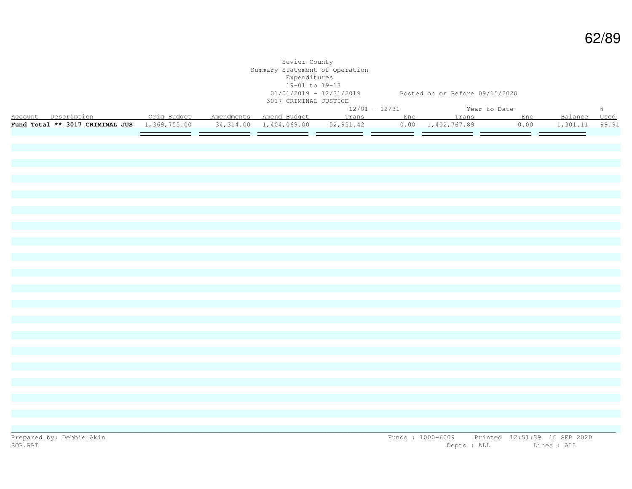|                                                                                                             |  | Sevier County<br>Summary Statement of Operation<br>Expenditures<br>19-01 to 19-13<br>3017 CRIMINAL JUSTICE |  | 01/01/2019 - 12/31/2019 Posted on or Before 09/15/2020 |  |                |               |
|-------------------------------------------------------------------------------------------------------------|--|------------------------------------------------------------------------------------------------------------|--|--------------------------------------------------------|--|----------------|---------------|
| Encount Description 12 Orig Budget Amendments Amend Budget 12/01 - 12/31 12 Year to Date                    |  |                                                                                                            |  |                                                        |  |                | $\frac{6}{6}$ |
|                                                                                                             |  |                                                                                                            |  |                                                        |  | Balance Used   |               |
| <b>Fund Total ** 3017 CRIMINAL JUS</b> 1,369,755.00 34,314.00 1,404,069.00 52,951.42 0.00 1,402,767.89 0.00 |  |                                                                                                            |  |                                                        |  | 1,301.11 99.91 |               |
|                                                                                                             |  |                                                                                                            |  |                                                        |  |                |               |
|                                                                                                             |  |                                                                                                            |  |                                                        |  |                |               |
|                                                                                                             |  |                                                                                                            |  |                                                        |  |                |               |
|                                                                                                             |  |                                                                                                            |  |                                                        |  |                |               |
|                                                                                                             |  |                                                                                                            |  |                                                        |  |                |               |
|                                                                                                             |  |                                                                                                            |  |                                                        |  |                |               |
|                                                                                                             |  |                                                                                                            |  |                                                        |  |                |               |
|                                                                                                             |  |                                                                                                            |  |                                                        |  |                |               |
|                                                                                                             |  |                                                                                                            |  |                                                        |  |                |               |
|                                                                                                             |  |                                                                                                            |  |                                                        |  |                |               |
|                                                                                                             |  |                                                                                                            |  |                                                        |  |                |               |
|                                                                                                             |  |                                                                                                            |  |                                                        |  |                |               |
|                                                                                                             |  |                                                                                                            |  |                                                        |  |                |               |
|                                                                                                             |  |                                                                                                            |  |                                                        |  |                |               |
|                                                                                                             |  |                                                                                                            |  |                                                        |  |                |               |
|                                                                                                             |  |                                                                                                            |  |                                                        |  |                |               |
|                                                                                                             |  |                                                                                                            |  |                                                        |  |                |               |
|                                                                                                             |  |                                                                                                            |  |                                                        |  |                |               |
|                                                                                                             |  |                                                                                                            |  |                                                        |  |                |               |
|                                                                                                             |  |                                                                                                            |  |                                                        |  |                |               |
|                                                                                                             |  |                                                                                                            |  |                                                        |  |                |               |
|                                                                                                             |  |                                                                                                            |  |                                                        |  |                |               |
|                                                                                                             |  |                                                                                                            |  |                                                        |  |                |               |
|                                                                                                             |  |                                                                                                            |  |                                                        |  |                |               |
|                                                                                                             |  |                                                                                                            |  |                                                        |  |                |               |
|                                                                                                             |  |                                                                                                            |  |                                                        |  |                |               |
|                                                                                                             |  |                                                                                                            |  |                                                        |  |                |               |
|                                                                                                             |  |                                                                                                            |  |                                                        |  |                |               |
|                                                                                                             |  |                                                                                                            |  |                                                        |  |                |               |
|                                                                                                             |  |                                                                                                            |  |                                                        |  |                |               |
|                                                                                                             |  |                                                                                                            |  |                                                        |  |                |               |
|                                                                                                             |  |                                                                                                            |  |                                                        |  |                |               |
|                                                                                                             |  |                                                                                                            |  |                                                        |  |                |               |
|                                                                                                             |  |                                                                                                            |  |                                                        |  |                |               |
|                                                                                                             |  |                                                                                                            |  |                                                        |  |                |               |
|                                                                                                             |  |                                                                                                            |  |                                                        |  |                |               |
|                                                                                                             |  |                                                                                                            |  |                                                        |  |                |               |
|                                                                                                             |  |                                                                                                            |  |                                                        |  |                |               |
|                                                                                                             |  |                                                                                                            |  |                                                        |  |                |               |
|                                                                                                             |  |                                                                                                            |  |                                                        |  |                |               |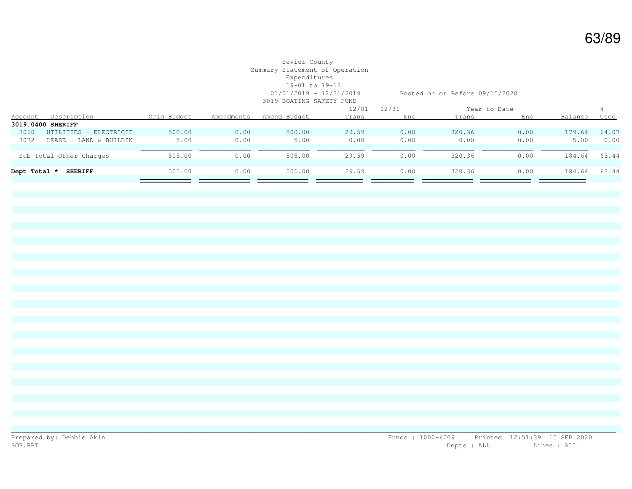#### Sevier County Summary Statement of Operation Expenditures 19-01 to 19-13 01/01/2019 - 12/31/2019 Posted on or Before 09/15/2020 3019 BOATING SAFETY FUND

|      |                                |             |            | UULU DUIILINU DIILDII LUND |       |                 |        |              |         |             |
|------|--------------------------------|-------------|------------|----------------------------|-------|-----------------|--------|--------------|---------|-------------|
|      |                                |             |            |                            |       | $12/01 - 12/31$ |        | Year to Date |         |             |
|      | Account Description            | Oria Budaet | Amendments | Amend Budget               | Trans | Enc             | Trans  | Enc          | Balance | <u>Used</u> |
|      | 3019.0400 SHERIFF              |             |            |                            |       |                 |        |              |         |             |
| 3060 | UTILITIES - ELECTRICIT         | 500.00      | 0.00       | 500.00                     | 29.59 | 0.00            | 320.36 | 0.00         | 179.64  | 64.07       |
| 3072 | LEASE<br>- LAND & BUILDIN      | 5.00        | 0.00       | 5.00                       | 0.00  | 0.00            | 0.00   | 0.00         | 5.00    | 0.00        |
|      |                                |             |            |                            |       |                 |        |              |         |             |
|      | Sub Total Other Charges        | 505.00      | 0.00       | 505.00                     | 29.59 | 0.00            | 320.36 | 0.00         | 184.64  | 63.44       |
|      |                                |             |            |                            |       |                 |        |              |         |             |
|      | <b>SHERIFF</b><br>Dept Total * | 505.00      | 0.00       | 505.00                     | 29.59 | 0.00            | 320.36 | 0.00         | 184.64  | 63.44       |
|      |                                |             |            |                            |       |                 |        |              |         |             |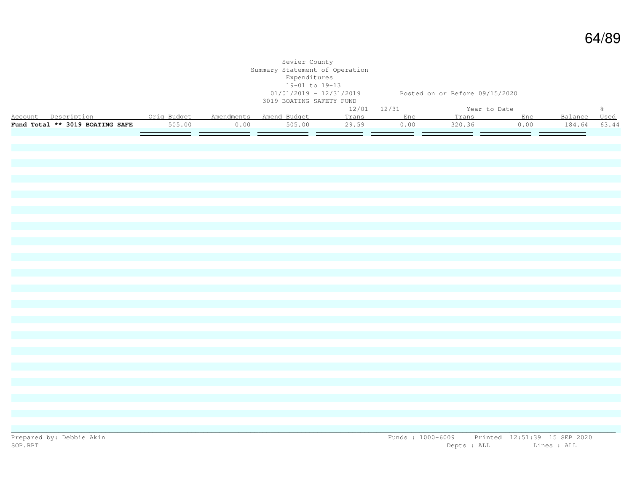|                                                         |        |       | Sevier County<br>Summary Statement of Operation<br>Expenditures<br>19-01 to 19-13<br>3019 BOATING SAFETY FUND |                 | 01/01/2019 - 12/31/2019 Posted on or Before 09/15/2020 |              |      |               |               |
|---------------------------------------------------------|--------|-------|---------------------------------------------------------------------------------------------------------------|-----------------|--------------------------------------------------------|--------------|------|---------------|---------------|
|                                                         |        |       |                                                                                                               | $12/01 - 12/31$ |                                                        | Year to Date |      |               | $\frac{6}{6}$ |
| Account Description 0rig Budget Amendments Amend Budget |        |       |                                                                                                               | Trans Enc       |                                                        | Trans Enc    |      | Balance Used  |               |
| Fund Total ** 3019 BOATING SAFE                         | 505.00 | 0.00  | 505.00                                                                                                        | 29.59           | 0.00                                                   | 320.36       | 0.00 | 184.64        | 63.44         |
|                                                         | ______ | ——  — | ——  —                                                                                                         |                 | — —                                                    |              | ———  | <u> e ser</u> |               |
|                                                         |        |       |                                                                                                               |                 |                                                        |              |      |               |               |
|                                                         |        |       |                                                                                                               |                 |                                                        |              |      |               |               |
|                                                         |        |       |                                                                                                               |                 |                                                        |              |      |               |               |
|                                                         |        |       |                                                                                                               |                 |                                                        |              |      |               |               |
|                                                         |        |       |                                                                                                               |                 |                                                        |              |      |               |               |
|                                                         |        |       |                                                                                                               |                 |                                                        |              |      |               |               |
|                                                         |        |       |                                                                                                               |                 |                                                        |              |      |               |               |
|                                                         |        |       |                                                                                                               |                 |                                                        |              |      |               |               |
|                                                         |        |       |                                                                                                               |                 |                                                        |              |      |               |               |
|                                                         |        |       |                                                                                                               |                 |                                                        |              |      |               |               |
|                                                         |        |       |                                                                                                               |                 |                                                        |              |      |               |               |
|                                                         |        |       |                                                                                                               |                 |                                                        |              |      |               |               |
|                                                         |        |       |                                                                                                               |                 |                                                        |              |      |               |               |
|                                                         |        |       |                                                                                                               |                 |                                                        |              |      |               |               |
|                                                         |        |       |                                                                                                               |                 |                                                        |              |      |               |               |
|                                                         |        |       |                                                                                                               |                 |                                                        |              |      |               |               |
|                                                         |        |       |                                                                                                               |                 |                                                        |              |      |               |               |
|                                                         |        |       |                                                                                                               |                 |                                                        |              |      |               |               |
|                                                         |        |       |                                                                                                               |                 |                                                        |              |      |               |               |
|                                                         |        |       |                                                                                                               |                 |                                                        |              |      |               |               |
|                                                         |        |       |                                                                                                               |                 |                                                        |              |      |               |               |
|                                                         |        |       |                                                                                                               |                 |                                                        |              |      |               |               |
|                                                         |        |       |                                                                                                               |                 |                                                        |              |      |               |               |
|                                                         |        |       |                                                                                                               |                 |                                                        |              |      |               |               |
|                                                         |        |       |                                                                                                               |                 |                                                        |              |      |               |               |
|                                                         |        |       |                                                                                                               |                 |                                                        |              |      |               |               |
|                                                         |        |       |                                                                                                               |                 |                                                        |              |      |               |               |
|                                                         |        |       |                                                                                                               |                 |                                                        |              |      |               |               |
|                                                         |        |       |                                                                                                               |                 |                                                        |              |      |               |               |
|                                                         |        |       |                                                                                                               |                 |                                                        |              |      |               |               |
|                                                         |        |       |                                                                                                               |                 |                                                        |              |      |               |               |
|                                                         |        |       |                                                                                                               |                 |                                                        |              |      |               |               |
|                                                         |        |       |                                                                                                               |                 |                                                        |              |      |               |               |
|                                                         |        |       |                                                                                                               |                 |                                                        |              |      |               |               |
|                                                         |        |       |                                                                                                               |                 |                                                        |              |      |               |               |
|                                                         |        |       |                                                                                                               |                 |                                                        |              |      |               |               |
|                                                         |        |       |                                                                                                               |                 |                                                        |              |      |               |               |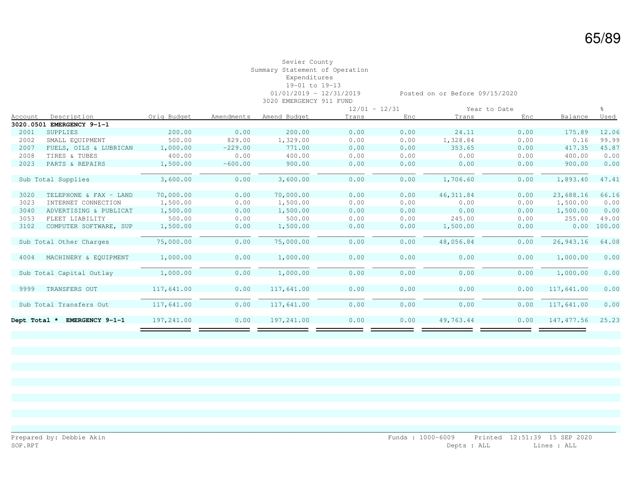#### Sevier County Summary Statement of Operation Expenditures 19-01 to 19-13 01/01/2019 - 12/31/2019 Posted on or Before 09/15/2020 3020 EMERGENCY 911 FUND

|                |                          |             |            |              | $12/01 - 12/31$ |      |            | Year to Date |             |        |
|----------------|--------------------------|-------------|------------|--------------|-----------------|------|------------|--------------|-------------|--------|
| <b>Account</b> | Description              | Orig Budget | Amendments | Amend Budget | Trans           | Enc  | Trans      | Enc          | Balance     | Used   |
| 3020.0501      | EMERGENCY 9-1-1          |             |            |              |                 |      |            |              |             |        |
| 2001           | SUPPLIES                 | 200.00      | 0.00       | 200.00       | 0.00            | 0.00 | 24.11      | 0.00         | 175.89      | 12.06  |
| 2002           | SMALL EQUIPMENT          | 500.00      | 829.00     | 1,329.00     | 0.00            | 0.00 | 1,328.84   | 0.00         | 0.16        | 99.99  |
| 2007           | FUELS, OILS & LUBRICAN   | 1,000.00    | $-229.00$  | 771.00       | 0.00            | 0.00 | 353.65     | 0.00         | 417.35      | 45.87  |
| 2008           | TIRES & TUBES            | 400.00      | 0.00       | 400.00       | 0.00            | 0.00 | 0.00       | 0.00         | 400.00      | 0.00   |
| 2023           | PARTS & REPAIRS          | 1,500.00    | $-600.00$  | 900.00       | 0.00            | 0.00 | 0.00       | 0.00         | 900.00      | 0.00   |
|                |                          |             |            |              |                 |      |            |              |             |        |
|                | Sub Total Supplies       | 3,600.00    | 0.00       | 3,600.00     | 0.00            | 0.00 | 1,706.60   | 0.00         | 1,893.40    | 47.41  |
|                |                          |             |            |              |                 |      |            |              |             |        |
| 3020           | TELEPHONE & FAX - LAND   | 70,000.00   | 0.00       | 70,000.00    | 0.00            | 0.00 | 46, 311.84 | 0.00         | 23,688.16   | 66.16  |
| 3023           | INTERNET CONNECTION      | 1,500.00    | 0.00       | 1,500.00     | 0.00            | 0.00 | 0.00       | 0.00         | 1,500.00    | 0.00   |
| 3040           | ADVERTISING & PUBLICAT   | 1,500.00    | 0.00       | 1,500.00     | 0.00            | 0.00 | 0.00       | 0.00         | 1,500.00    | 0.00   |
| 3053           | FLEET LIABILITY          | 500.00      | 0.00       | 500.00       | 0.00            | 0.00 | 245.00     | 0.00         | 255.00      | 49.00  |
| 3102           | COMPUTER SOFTWARE, SUP   | 1,500.00    | 0.00       | 1,500.00     | 0.00            | 0.00 | 1,500.00   | 0.00         | 0.00        | 100.00 |
|                |                          |             |            |              |                 |      |            |              |             |        |
|                | Sub Total Other Charges  | 75,000.00   | 0.00       | 75,000.00    | 0.00            | 0.00 | 48,056.84  | 0.00         | 26,943.16   | 64.08  |
|                |                          |             |            |              |                 |      |            |              |             |        |
| 4004           | MACHINERY & EQUIPMENT    | 1,000.00    | 0.00       | 1,000.00     | 0.00            | 0.00 | 0.00       | 0.00         | 1,000.00    | 0.00   |
|                |                          |             |            |              |                 |      |            |              |             |        |
|                | Sub Total Capital Outlay | 1,000.00    | 0.00       | 1,000.00     | 0.00            | 0.00 | 0.00       | 0.00         | 1,000.00    | 0.00   |
|                |                          |             |            |              |                 |      |            |              |             |        |
| 9999           | TRANSFERS OUT            | 117,641.00  | 0.00       | 117,641.00   | 0.00            | 0.00 | 0.00       | 0.00         | 117,641.00  | 0.00   |
|                |                          |             |            |              |                 |      |            |              |             |        |
|                | Sub Total Transfers Out  | 117,641.00  | 0.00       | 117,641.00   | 0.00            | 0.00 | 0.00       | 0.00         | 117,641.00  | 0.00   |
|                |                          |             |            |              |                 |      |            |              |             |        |
| Dept Total *   | EMERGENCY 9-1-1          | 197,241.00  | 0.00       | 197,241.00   | 0.00            | 0.00 | 49,763.44  | 0.00         | 147, 477.56 | 25.23  |
|                |                          |             |            |              |                 |      |            |              |             |        |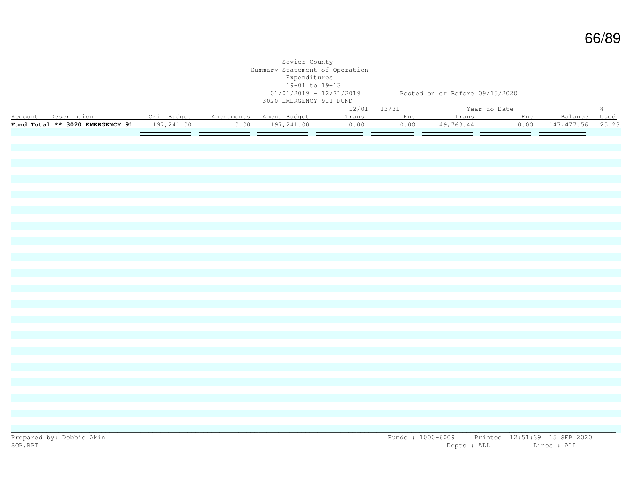|                                                           |         | Sevier County<br>Summary Statement of Operation<br>Expenditures<br>19-01 to 19-13<br>3020 EMERGENCY 911 FUND | 01/01/2019 - 12/31/2019 Posted on or Before 09/15/2020 |  |                                      |  |               |
|-----------------------------------------------------------|---------|--------------------------------------------------------------------------------------------------------------|--------------------------------------------------------|--|--------------------------------------|--|---------------|
|                                                           |         |                                                                                                              | $12/01 - 12/31$                                        |  | Year to Date                         |  | $\frac{6}{6}$ |
| Account Description . Orig Budget Amendments Amend Budget |         |                                                                                                              |                                                        |  | Trans Enc Trans Enc Balance Used     |  |               |
| Fund Total ** 3020 EMERGENCY 91 197,241.00                |         | $0.00$ 197, 241.00                                                                                           | 0.00                                                   |  | 0.00 49,763.44 0.00 147,477.56 25.23 |  |               |
|                                                           | _______ |                                                                                                              |                                                        |  |                                      |  |               |
|                                                           |         |                                                                                                              |                                                        |  |                                      |  |               |
|                                                           |         |                                                                                                              |                                                        |  |                                      |  |               |
|                                                           |         |                                                                                                              |                                                        |  |                                      |  |               |
|                                                           |         |                                                                                                              |                                                        |  |                                      |  |               |
|                                                           |         |                                                                                                              |                                                        |  |                                      |  |               |
|                                                           |         |                                                                                                              |                                                        |  |                                      |  |               |
|                                                           |         |                                                                                                              |                                                        |  |                                      |  |               |
|                                                           |         |                                                                                                              |                                                        |  |                                      |  |               |
|                                                           |         |                                                                                                              |                                                        |  |                                      |  |               |
|                                                           |         |                                                                                                              |                                                        |  |                                      |  |               |
|                                                           |         |                                                                                                              |                                                        |  |                                      |  |               |
|                                                           |         |                                                                                                              |                                                        |  |                                      |  |               |
|                                                           |         |                                                                                                              |                                                        |  |                                      |  |               |
|                                                           |         |                                                                                                              |                                                        |  |                                      |  |               |
|                                                           |         |                                                                                                              |                                                        |  |                                      |  |               |
|                                                           |         |                                                                                                              |                                                        |  |                                      |  |               |
|                                                           |         |                                                                                                              |                                                        |  |                                      |  |               |
|                                                           |         |                                                                                                              |                                                        |  |                                      |  |               |
|                                                           |         |                                                                                                              |                                                        |  |                                      |  |               |
|                                                           |         |                                                                                                              |                                                        |  |                                      |  |               |
|                                                           |         |                                                                                                              |                                                        |  |                                      |  |               |
|                                                           |         |                                                                                                              |                                                        |  |                                      |  |               |
|                                                           |         |                                                                                                              |                                                        |  |                                      |  |               |
|                                                           |         |                                                                                                              |                                                        |  |                                      |  |               |
|                                                           |         |                                                                                                              |                                                        |  |                                      |  |               |
|                                                           |         |                                                                                                              |                                                        |  |                                      |  |               |
|                                                           |         |                                                                                                              |                                                        |  |                                      |  |               |
|                                                           |         |                                                                                                              |                                                        |  |                                      |  |               |
|                                                           |         |                                                                                                              |                                                        |  |                                      |  |               |
|                                                           |         |                                                                                                              |                                                        |  |                                      |  |               |
|                                                           |         |                                                                                                              |                                                        |  |                                      |  |               |
|                                                           |         |                                                                                                              |                                                        |  |                                      |  |               |
|                                                           |         |                                                                                                              |                                                        |  |                                      |  |               |
|                                                           |         |                                                                                                              |                                                        |  |                                      |  |               |
|                                                           |         |                                                                                                              |                                                        |  |                                      |  |               |
|                                                           |         |                                                                                                              |                                                        |  |                                      |  |               |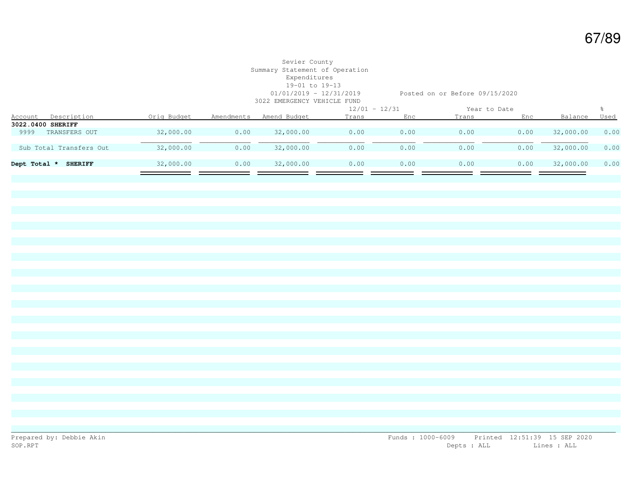## Sevier County Summary Statement of Operation Expenditures 19-01 to 19-13

01/01/2019 - 12/31/2019 Posted on or Before 09/15/2020

|              |                         |             |            | 3022 EMERGENCY VEHICLE FUND |                 |      |              |      |           |             |
|--------------|-------------------------|-------------|------------|-----------------------------|-----------------|------|--------------|------|-----------|-------------|
|              |                         |             |            |                             | $12/01 - 12/31$ |      | Year to Date |      |           |             |
| Account      | Description             | Orig Budget | Amendments | Amend Budget                | Trans           | Enc  | Trans        | Enc  | Balance   | <u>Used</u> |
|              | 3022.0400 SHERIFF       |             |            |                             |                 |      |              |      |           |             |
| 9999         | TRANSFERS OUT           | 32,000.00   | 0.00       | 32,000.00                   | 0.00            | 0.00 | 0.00         | 0.00 | 32,000.00 | 0.00        |
|              | Sub Total Transfers Out | 32,000.00   | 0.00       | 32,000.00                   | 0.00            | 0.00 | 0.00         | 0.00 | 32,000.00 | 0.00        |
| Dept Total * | <b>SHERIFF</b>          | 32,000.00   | 0.00       | 32,000.00                   | 0.00            | 0.00 | 0.00         | 0.00 | 32,000.00 | 0.00        |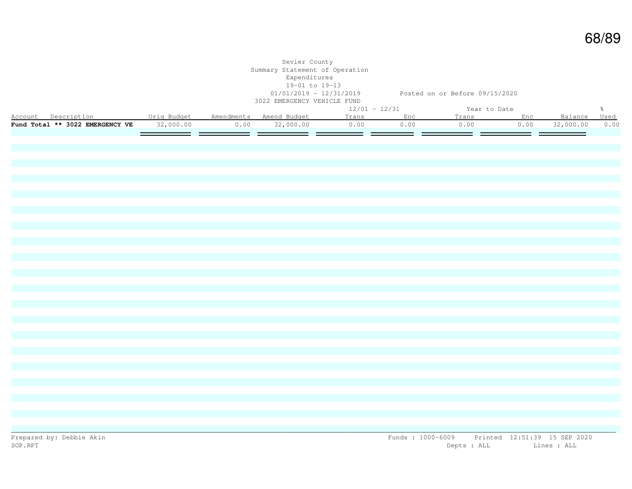|                                                           |           |      | Sevier County<br>Summary Statement of Operation<br>Expenditures<br>19-01 to 19-13<br>3022 EMERGENCY VEHICLE FUND | 01/01/2019 - 12/31/2019 Posted on or Before 09/15/2020 |                   |                      |           |              |               |
|-----------------------------------------------------------|-----------|------|------------------------------------------------------------------------------------------------------------------|--------------------------------------------------------|-------------------|----------------------|-----------|--------------|---------------|
|                                                           |           |      |                                                                                                                  | $12/01 - 12/31$                                        |                   | Year to Date         |           |              | $\frac{6}{6}$ |
| Account Description . Orig Budget Amendments Amend Budget |           |      |                                                                                                                  | Trans Enc                                              |                   |                      | Trans Enc | Balance Used |               |
| Fund Total ** 3022 EMERGENCY VE                           | 32,000.00 | 0.00 | 32,000.00                                                                                                        | 0.00                                                   | 0.00              | 0.00                 | 0.00      | 32,000.00    | 0.00          |
|                                                           | $=$       |      |                                                                                                                  |                                                        | $\equiv$ $\equiv$ | <u>estas de la p</u> |           |              |               |
|                                                           |           |      |                                                                                                                  |                                                        |                   |                      |           |              |               |
|                                                           |           |      |                                                                                                                  |                                                        |                   |                      |           |              |               |
|                                                           |           |      |                                                                                                                  |                                                        |                   |                      |           |              |               |
|                                                           |           |      |                                                                                                                  |                                                        |                   |                      |           |              |               |
|                                                           |           |      |                                                                                                                  |                                                        |                   |                      |           |              |               |
|                                                           |           |      |                                                                                                                  |                                                        |                   |                      |           |              |               |
|                                                           |           |      |                                                                                                                  |                                                        |                   |                      |           |              |               |
|                                                           |           |      |                                                                                                                  |                                                        |                   |                      |           |              |               |
|                                                           |           |      |                                                                                                                  |                                                        |                   |                      |           |              |               |
|                                                           |           |      |                                                                                                                  |                                                        |                   |                      |           |              |               |
|                                                           |           |      |                                                                                                                  |                                                        |                   |                      |           |              |               |
|                                                           |           |      |                                                                                                                  |                                                        |                   |                      |           |              |               |
|                                                           |           |      |                                                                                                                  |                                                        |                   |                      |           |              |               |
|                                                           |           |      |                                                                                                                  |                                                        |                   |                      |           |              |               |
|                                                           |           |      |                                                                                                                  |                                                        |                   |                      |           |              |               |
|                                                           |           |      |                                                                                                                  |                                                        |                   |                      |           |              |               |
|                                                           |           |      |                                                                                                                  |                                                        |                   |                      |           |              |               |
|                                                           |           |      |                                                                                                                  |                                                        |                   |                      |           |              |               |
|                                                           |           |      |                                                                                                                  |                                                        |                   |                      |           |              |               |
|                                                           |           |      |                                                                                                                  |                                                        |                   |                      |           |              |               |
|                                                           |           |      |                                                                                                                  |                                                        |                   |                      |           |              |               |
|                                                           |           |      |                                                                                                                  |                                                        |                   |                      |           |              |               |
|                                                           |           |      |                                                                                                                  |                                                        |                   |                      |           |              |               |
|                                                           |           |      |                                                                                                                  |                                                        |                   |                      |           |              |               |
|                                                           |           |      |                                                                                                                  |                                                        |                   |                      |           |              |               |
|                                                           |           |      |                                                                                                                  |                                                        |                   |                      |           |              |               |
|                                                           |           |      |                                                                                                                  |                                                        |                   |                      |           |              |               |
|                                                           |           |      |                                                                                                                  |                                                        |                   |                      |           |              |               |
|                                                           |           |      |                                                                                                                  |                                                        |                   |                      |           |              |               |
|                                                           |           |      |                                                                                                                  |                                                        |                   |                      |           |              |               |
|                                                           |           |      |                                                                                                                  |                                                        |                   |                      |           |              |               |
|                                                           |           |      |                                                                                                                  |                                                        |                   |                      |           |              |               |
|                                                           |           |      |                                                                                                                  |                                                        |                   |                      |           |              |               |
|                                                           |           |      |                                                                                                                  |                                                        |                   |                      |           |              |               |
|                                                           |           |      |                                                                                                                  |                                                        |                   |                      |           |              |               |
|                                                           |           |      |                                                                                                                  |                                                        |                   |                      |           |              |               |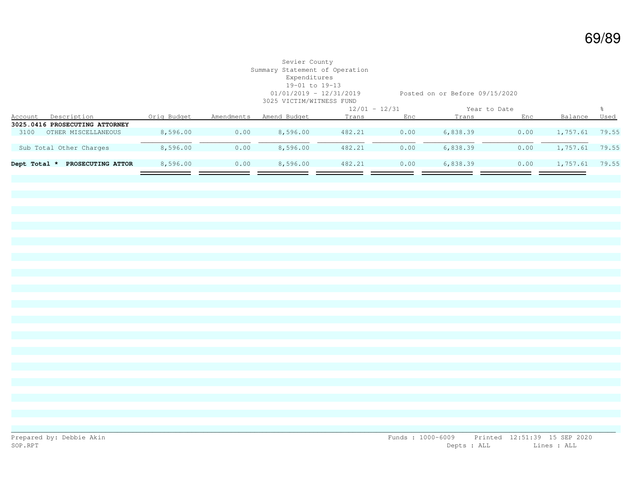### Sevier County Summary Statement of Operation Expenditures 19-01 to 19-13 3025 VICTIM/WITNESS FUND

01/01/2019 - 12/31/2019 Posted on or Before 09/15/2020

|              |                                |             |            |              | $12/01 - 12/31$ |      | Year to Date |      |          |       |
|--------------|--------------------------------|-------------|------------|--------------|-----------------|------|--------------|------|----------|-------|
| Account      | Description                    | Orig Budget | Amendments | Amend Budget | Trans           | Enc  | Trans        | Enc  | Balance  | Used  |
|              | 3025.0416 PROSECUTING ATTORNEY |             |            |              |                 |      |              |      |          |       |
| 3100         | OTHER MISCELLANEOUS            | 8,596.00    | 0.00       | 8,596.00     | 482.21          | 0.00 | 6,838.39     | 0.00 | 1,757.61 | 79.55 |
|              |                                |             |            |              |                 |      |              |      |          |       |
|              | Sub Total Other Charges        | 8,596.00    | 0.00       | 8,596.00     | 482.21          | 0.00 | 6,838.39     | 0.00 | 1,757.61 | 79.55 |
|              |                                |             |            |              |                 |      |              |      |          |       |
| Dept Total * | PROSECUTING ATTOR              | 8,596.00    | 0.00       | 8,596.00     | 482.21          | 0.00 | 6,838.39     | 0.00 | 1,757.61 | 79.55 |
|              |                                |             |            |              |                 |      |              |      |          |       |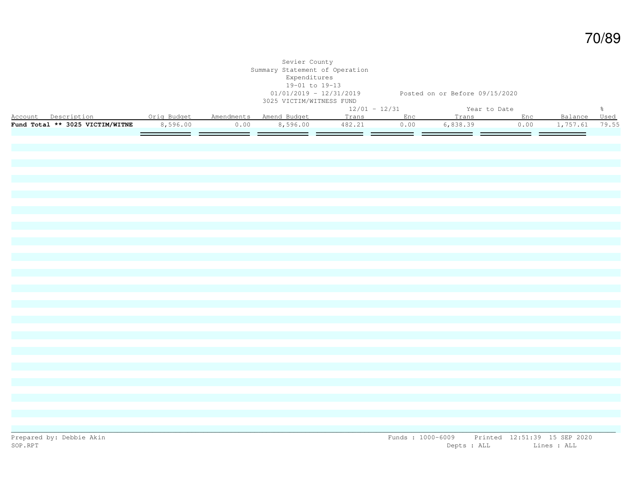|                                                         |          |      | Sevier County<br>Summary Statement of Operation<br>Expenditures<br>19-01 to 19-13<br>3025 VICTIM/WITNESS FUND | 01/01/2019 - 12/31/2019 Posted on or Before 09/15/2020 |           |                    |      |              |               |
|---------------------------------------------------------|----------|------|---------------------------------------------------------------------------------------------------------------|--------------------------------------------------------|-----------|--------------------|------|--------------|---------------|
|                                                         |          |      |                                                                                                               | $12/01 - 12/31$                                        |           | Year to Date       |      |              | $\frac{6}{6}$ |
| Account Description 0rig Budget Amendments Amend Budget |          |      |                                                                                                               |                                                        | Trans Enc | Trans Enc          |      | Balance Used |               |
| Fund Total ** 3025 VICTIM/WITNE                         | 8,596.00 | 0.00 | 8,596.00                                                                                                      | 482.21                                                 | 0.00      | 6,838.39           | 0.00 | 1,757.61     | 79.55         |
|                                                         |          |      |                                                                                                               | _____                                                  | ==        | <del>___</del> _ _ | -- - |              |               |
|                                                         |          |      |                                                                                                               |                                                        |           |                    |      |              |               |
|                                                         |          |      |                                                                                                               |                                                        |           |                    |      |              |               |
|                                                         |          |      |                                                                                                               |                                                        |           |                    |      |              |               |
|                                                         |          |      |                                                                                                               |                                                        |           |                    |      |              |               |
|                                                         |          |      |                                                                                                               |                                                        |           |                    |      |              |               |
|                                                         |          |      |                                                                                                               |                                                        |           |                    |      |              |               |
|                                                         |          |      |                                                                                                               |                                                        |           |                    |      |              |               |
|                                                         |          |      |                                                                                                               |                                                        |           |                    |      |              |               |
|                                                         |          |      |                                                                                                               |                                                        |           |                    |      |              |               |
|                                                         |          |      |                                                                                                               |                                                        |           |                    |      |              |               |
|                                                         |          |      |                                                                                                               |                                                        |           |                    |      |              |               |
|                                                         |          |      |                                                                                                               |                                                        |           |                    |      |              |               |
|                                                         |          |      |                                                                                                               |                                                        |           |                    |      |              |               |
|                                                         |          |      |                                                                                                               |                                                        |           |                    |      |              |               |
|                                                         |          |      |                                                                                                               |                                                        |           |                    |      |              |               |
|                                                         |          |      |                                                                                                               |                                                        |           |                    |      |              |               |
|                                                         |          |      |                                                                                                               |                                                        |           |                    |      |              |               |
|                                                         |          |      |                                                                                                               |                                                        |           |                    |      |              |               |
|                                                         |          |      |                                                                                                               |                                                        |           |                    |      |              |               |
|                                                         |          |      |                                                                                                               |                                                        |           |                    |      |              |               |
|                                                         |          |      |                                                                                                               |                                                        |           |                    |      |              |               |
|                                                         |          |      |                                                                                                               |                                                        |           |                    |      |              |               |
|                                                         |          |      |                                                                                                               |                                                        |           |                    |      |              |               |
|                                                         |          |      |                                                                                                               |                                                        |           |                    |      |              |               |
|                                                         |          |      |                                                                                                               |                                                        |           |                    |      |              |               |
|                                                         |          |      |                                                                                                               |                                                        |           |                    |      |              |               |
|                                                         |          |      |                                                                                                               |                                                        |           |                    |      |              |               |
|                                                         |          |      |                                                                                                               |                                                        |           |                    |      |              |               |
|                                                         |          |      |                                                                                                               |                                                        |           |                    |      |              |               |
|                                                         |          |      |                                                                                                               |                                                        |           |                    |      |              |               |
|                                                         |          |      |                                                                                                               |                                                        |           |                    |      |              |               |
|                                                         |          |      |                                                                                                               |                                                        |           |                    |      |              |               |
|                                                         |          |      |                                                                                                               |                                                        |           |                    |      |              |               |
|                                                         |          |      |                                                                                                               |                                                        |           |                    |      |              |               |
|                                                         |          |      |                                                                                                               |                                                        |           |                    |      |              |               |
|                                                         |          |      |                                                                                                               |                                                        |           |                    |      |              |               |
|                                                         |          |      |                                                                                                               |                                                        |           |                    |      |              |               |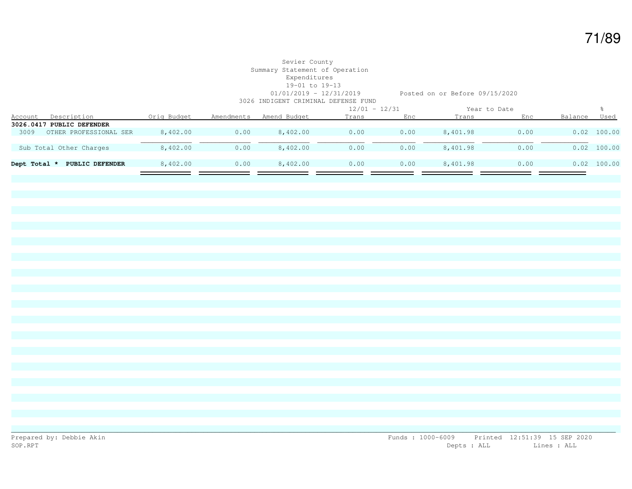#### Sevier County Summary Statement of Operation Expenditures 19-01 to 19-13 01/01/2019 - 12/31/2019 Posted on or Before 09/15/2020

3026 INDIGENT CRIMINAL DEFENSE FUND

|                |                           |             |            |              | $12/01 - 12/31$ |      | Year to Date |      |         |               |
|----------------|---------------------------|-------------|------------|--------------|-----------------|------|--------------|------|---------|---------------|
| <b>Account</b> | Description               | Orig Budget | Amendments | Amend Budget | Trans           | Enc  | Trans        | Enc  | Balance | Used          |
|                | 3026.0417 PUBLIC DEFENDER |             |            |              |                 |      |              |      |         |               |
| 3009           | OTHER PROFESSIONAL SER    | 8,402.00    | 0.00       | 8,402.00     | 0.00            | 0.00 | 8,401.98     | 0.00 |         | $0.02$ 100.00 |
|                |                           |             |            |              |                 |      |              |      |         |               |
|                | Sub Total Other Charges   | 8,402.00    | 0.00       | 8,402.00     | 0.00            | 0.00 | 8,401.98     | 0.00 |         | $0.02$ 100.00 |
|                |                           |             |            |              |                 |      |              |      |         |               |
| Dept Total *   | PUBLIC DEFENDER           | 8,402.00    | 0.00       | 8,402.00     | 0.00            | 0.00 | 8,401.98     | 0.00 |         | $0.02$ 100.00 |
|                |                           |             |            |              |                 |      |              |      |         |               |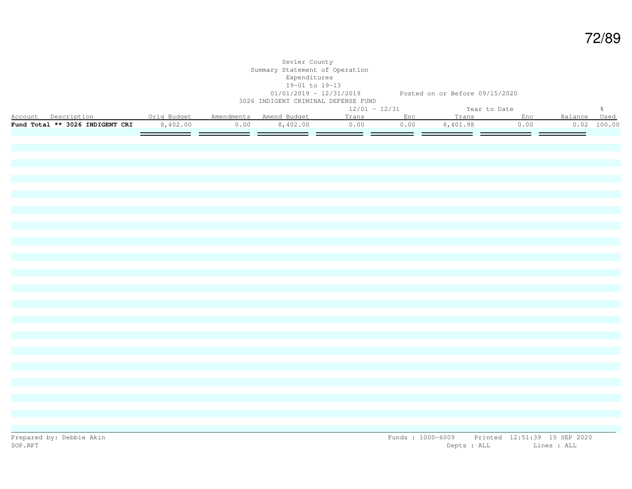|                                                                                              |                     |      | Sevier County<br>Summary Statement of Operation<br>Expenditures<br>19-01 to 19-13<br>3026 INDIGENT CRIMINAL DEFENSE FUND |                 | 01/01/2019 - 12/31/2019 Posted on or Before 09/15/2020 |                                 |             |                    |               |
|----------------------------------------------------------------------------------------------|---------------------|------|--------------------------------------------------------------------------------------------------------------------------|-----------------|--------------------------------------------------------|---------------------------------|-------------|--------------------|---------------|
|                                                                                              |                     |      |                                                                                                                          | $12/01 - 12/31$ |                                                        | Year to Date                    |             |                    | $\frac{6}{6}$ |
| Account Description . Orig Budget Amendments Amend Budget<br>Fund Total ** 3026 INDIGENT CRI | 8,402.00<br>_______ | 0.00 | 8,402.00                                                                                                                 | 0.00            | 0.00                                                   | Trans Enc Trans Enc<br>8,401.98 | 0.00<br>___ | Balance Used<br>-- | 0.02 100.00   |
|                                                                                              |                     |      |                                                                                                                          |                 |                                                        |                                 |             |                    |               |
|                                                                                              |                     |      |                                                                                                                          |                 |                                                        |                                 |             |                    |               |
|                                                                                              |                     |      |                                                                                                                          |                 |                                                        |                                 |             |                    |               |
|                                                                                              |                     |      |                                                                                                                          |                 |                                                        |                                 |             |                    |               |
|                                                                                              |                     |      |                                                                                                                          |                 |                                                        |                                 |             |                    |               |
|                                                                                              |                     |      |                                                                                                                          |                 |                                                        |                                 |             |                    |               |
|                                                                                              |                     |      |                                                                                                                          |                 |                                                        |                                 |             |                    |               |
|                                                                                              |                     |      |                                                                                                                          |                 |                                                        |                                 |             |                    |               |
|                                                                                              |                     |      |                                                                                                                          |                 |                                                        |                                 |             |                    |               |
|                                                                                              |                     |      |                                                                                                                          |                 |                                                        |                                 |             |                    |               |
|                                                                                              |                     |      |                                                                                                                          |                 |                                                        |                                 |             |                    |               |
|                                                                                              |                     |      |                                                                                                                          |                 |                                                        |                                 |             |                    |               |
|                                                                                              |                     |      |                                                                                                                          |                 |                                                        |                                 |             |                    |               |
|                                                                                              |                     |      |                                                                                                                          |                 |                                                        |                                 |             |                    |               |
|                                                                                              |                     |      |                                                                                                                          |                 |                                                        |                                 |             |                    |               |
|                                                                                              |                     |      |                                                                                                                          |                 |                                                        |                                 |             |                    |               |
|                                                                                              |                     |      |                                                                                                                          |                 |                                                        |                                 |             |                    |               |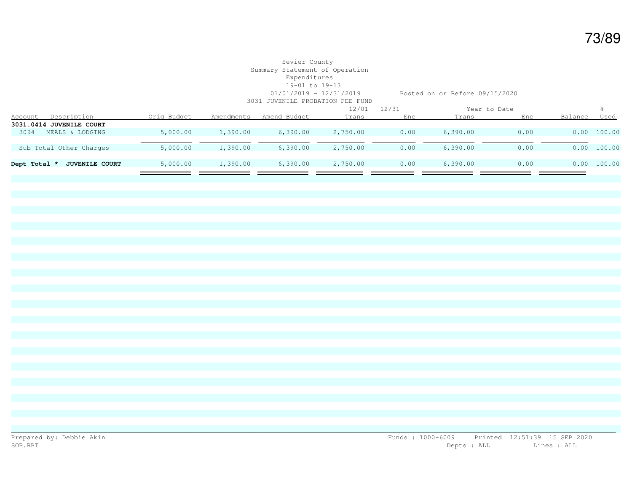# Sevier County Summary Statement of Operation Expenditures 19-01 to 19-13

01/01/2019 - 12/31/2019 Posted on or Before 09/15/2020

| 3031 JUVENILE PROBATION FEE FUND      |             |            |              |                 |      |              |      |         |             |  |
|---------------------------------------|-------------|------------|--------------|-----------------|------|--------------|------|---------|-------------|--|
|                                       |             |            |              | $12/01 - 12/31$ |      | Year to Date |      |         |             |  |
| Description<br>Account                | Orig Budget | Amendments | Amend Budget | Trans           | Enc  | Trans        | Enc  | Balance | Used        |  |
| 3031.0414 JUVENILE COURT              |             |            |              |                 |      |              |      |         |             |  |
| MEALS & LODGING<br>3094               | 5,000.00    | 1,390.00   | 6,390.00     | 2,750.00        | 0.00 | 6,390.00     | 0.00 |         | 0.00 100.00 |  |
|                                       |             |            |              |                 |      |              |      |         |             |  |
| Sub Total Other Charges               | 5,000.00    | 1,390.00   | 6,390.00     | 2,750.00        | 0.00 | 6,390.00     | 0.00 |         | 0.00 100.00 |  |
|                                       |             |            |              |                 |      |              |      |         |             |  |
| Dept Total *<br><b>JUVENILE COURT</b> | 5,000.00    | 1,390.00   | 6,390.00     | 2,750.00        | 0.00 | 6,390.00     | 0.00 |         | 0.00 100.00 |  |
|                                       |             |            |              |                 |      |              |      |         |             |  |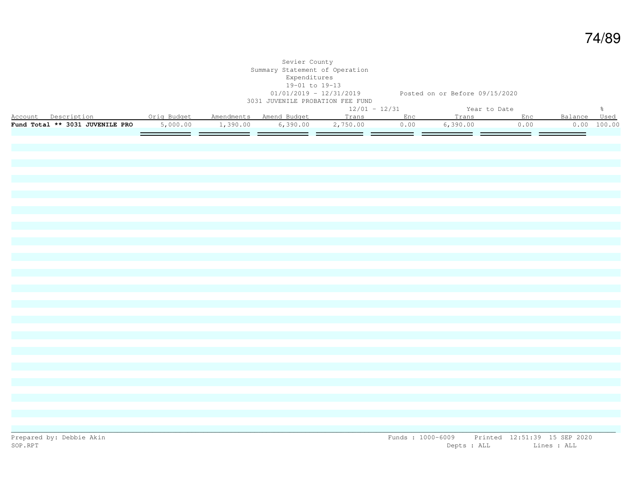|                                                                                              |          | Sevier County<br>Summary Statement of Operation<br>Expenditures<br>19-01 to 19-13<br>3031 JUVENILE PROBATION FEE FUND |                       | 01/01/2019 - 12/31/2019 Posted on or Before 09/15/2020 |                        |      |              |               |
|----------------------------------------------------------------------------------------------|----------|-----------------------------------------------------------------------------------------------------------------------|-----------------------|--------------------------------------------------------|------------------------|------|--------------|---------------|
|                                                                                              |          |                                                                                                                       | $12/01 - 12/31$       |                                                        | Year to Date           |      |              | $\frac{6}{3}$ |
| Account Description . Orig Budget Amendments Amend Budget<br>Fund Total ** 3031 JUVENILE PRO | 5,000.00 | 1,390.00 6,390.00                                                                                                     | Trans Enc<br>2,750.00 | 0.00                                                   | Trans Enc<br>6, 390.00 | 0.00 | Balance Used | 0.00 100.00   |
|                                                                                              |          |                                                                                                                       |                       |                                                        |                        |      |              |               |
|                                                                                              |          |                                                                                                                       |                       |                                                        |                        |      |              |               |
|                                                                                              |          |                                                                                                                       |                       |                                                        |                        |      |              |               |
|                                                                                              |          |                                                                                                                       |                       |                                                        |                        |      |              |               |
|                                                                                              |          |                                                                                                                       |                       |                                                        |                        |      |              |               |
|                                                                                              |          |                                                                                                                       |                       |                                                        |                        |      |              |               |
|                                                                                              |          |                                                                                                                       |                       |                                                        |                        |      |              |               |
|                                                                                              |          |                                                                                                                       |                       |                                                        |                        |      |              |               |
|                                                                                              |          |                                                                                                                       |                       |                                                        |                        |      |              |               |
|                                                                                              |          |                                                                                                                       |                       |                                                        |                        |      |              |               |
|                                                                                              |          |                                                                                                                       |                       |                                                        |                        |      |              |               |
|                                                                                              |          |                                                                                                                       |                       |                                                        |                        |      |              |               |
|                                                                                              |          |                                                                                                                       |                       |                                                        |                        |      |              |               |
|                                                                                              |          |                                                                                                                       |                       |                                                        |                        |      |              |               |
|                                                                                              |          |                                                                                                                       |                       |                                                        |                        |      |              |               |
|                                                                                              |          |                                                                                                                       |                       |                                                        |                        |      |              |               |
|                                                                                              |          |                                                                                                                       |                       |                                                        |                        |      |              |               |
|                                                                                              |          |                                                                                                                       |                       |                                                        |                        |      |              |               |
|                                                                                              |          |                                                                                                                       |                       |                                                        |                        |      |              |               |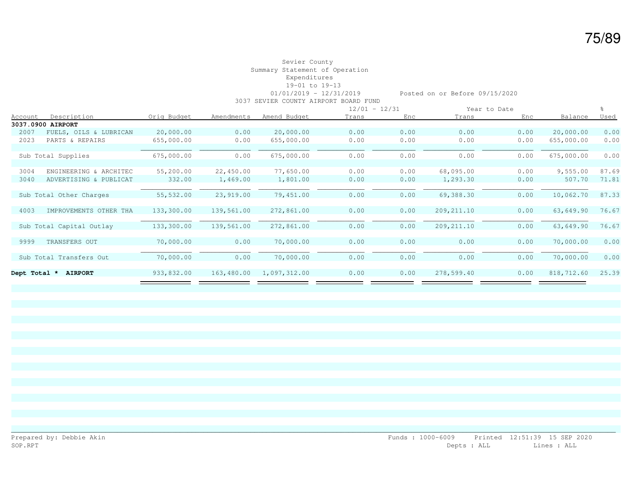## Sevier County Summary Statement of Operation Expenditures 19-01 to 19-13

 01/01/2019 - 12/31/2019 Posted on or Before 09/15/2020 3037 SEVIER COUNTY AIRPORT BOARD FUND

|                |                          |             |            |              |       | $12/01 - 12/31$ |              | Year to Date |            |       |
|----------------|--------------------------|-------------|------------|--------------|-------|-----------------|--------------|--------------|------------|-------|
| <b>Account</b> | Description              | Orig Budget | Amendments | Amend Budget | Trans | Enc             | <b>Trans</b> | Enc          | Balance    | Used  |
|                | 3037.0900 AIRPORT        |             |            |              |       |                 |              |              |            |       |
| 2007           | FUELS, OILS & LUBRICAN   | 20,000.00   | 0.00       | 20,000.00    | 0.00  | 0.00            | 0.00         | 0.00         | 20,000.00  | 0.00  |
| 2023           | PARTS & REPAIRS          | 655,000.00  | 0.00       | 655,000.00   | 0.00  | 0.00            | 0.00         | 0.00         | 655,000.00 | 0.00  |
|                |                          |             |            |              |       |                 |              |              |            |       |
|                | Sub Total Supplies       | 675,000.00  | 0.00       | 675,000.00   | 0.00  | 0.00            | 0.00         | 0.00         | 675,000.00 | 0.00  |
|                |                          |             |            |              |       |                 |              |              |            |       |
| 3004           | ENGINEERING & ARCHITEC   | 55,200.00   | 22,450.00  | 77,650.00    | 0.00  | 0.00            | 68,095.00    | 0.00         | 9,555.00   | 87.69 |
| 3040           | ADVERTISING & PUBLICAT   | 332.00      | 1,469.00   | 1,801.00     | 0.00  | 0.00            | 1,293.30     | 0.00         | 507.70     | 71.81 |
|                |                          |             |            |              |       |                 |              |              |            |       |
|                | Sub Total Other Charges  | 55,532.00   | 23,919.00  | 79,451.00    | 0.00  | 0.00            | 69,388.30    | 0.00         | 10,062.70  | 87.33 |
|                |                          |             |            |              |       |                 |              |              |            |       |
| 4003           | IMPROVEMENTS OTHER THA   | 133,300.00  | 139,561.00 | 272,861.00   | 0.00  | 0.00            | 209, 211.10  | 0.00         | 63,649.90  | 76.67 |
|                |                          |             |            |              |       |                 |              |              |            |       |
|                | Sub Total Capital Outlay | 133,300.00  | 139,561.00 | 272,861.00   | 0.00  | 0.00            | 209, 211.10  | 0.00         | 63,649.90  | 76.67 |
|                |                          |             |            |              |       |                 |              |              |            |       |
| 9999           | TRANSFERS OUT            | 70,000.00   | 0.00       | 70,000.00    | 0.00  | 0.00            | 0.00         | 0.00         | 70,000.00  | 0.00  |
|                |                          |             |            |              |       |                 |              |              |            |       |
|                | Sub Total Transfers Out  | 70,000.00   | 0.00       | 70,000.00    | 0.00  | 0.00            | 0.00         | 0.00         | 70,000.00  | 0.00  |
|                |                          |             |            |              |       |                 |              |              |            |       |
| Dept Total *   | <b>AIRPORT</b>           | 933,832.00  | 163,480.00 | 1,097,312.00 | 0.00  | 0.00            | 278,599.40   | 0.00         | 818,712.60 | 25.39 |
|                |                          |             |            |              |       |                 |              |              |            |       |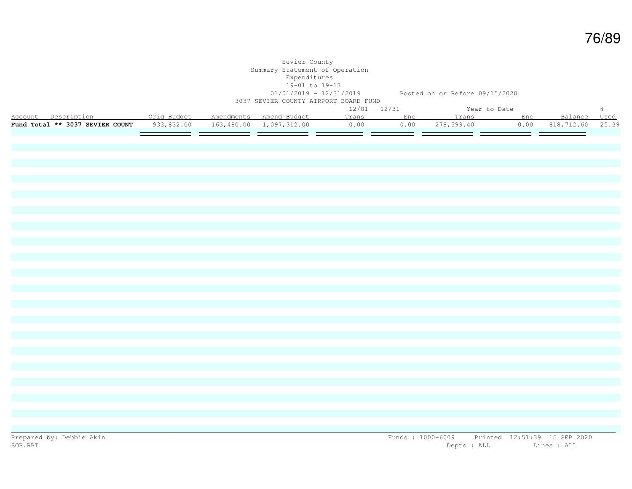|                                                                                              |            | Sevier County<br>Summary Statement of Operation<br>Expenditures<br>19-01 to 19-13 | 3037 SEVIER COUNTY AIRPORT BOARD FUND | 01/01/2019 - 12/31/2019 Posted on or Before 09/15/2020 |  |                                          |               |
|----------------------------------------------------------------------------------------------|------------|-----------------------------------------------------------------------------------|---------------------------------------|--------------------------------------------------------|--|------------------------------------------|---------------|
|                                                                                              |            |                                                                                   | $12/01 - 12/31$                       | Year to Date                                           |  |                                          | $\frac{6}{6}$ |
| Account Description . Orig Budget Amendments Amend Budget<br>Fund Total ** 3037 SEVIER COUNT | 933,832.00 |                                                                                   | 163,480.00 1,097,312.00 0.00          | Trans Enc Trans Enc<br>0.00 278,599.40                 |  | Balance Used<br>$0.00$ 818, 712.60 25.39 |               |
|                                                                                              |            |                                                                                   |                                       |                                                        |  |                                          |               |
|                                                                                              |            |                                                                                   |                                       |                                                        |  |                                          |               |
|                                                                                              |            |                                                                                   |                                       |                                                        |  |                                          |               |
|                                                                                              |            |                                                                                   |                                       |                                                        |  |                                          |               |
|                                                                                              |            |                                                                                   |                                       |                                                        |  |                                          |               |
|                                                                                              |            |                                                                                   |                                       |                                                        |  |                                          |               |
|                                                                                              |            |                                                                                   |                                       |                                                        |  |                                          |               |
|                                                                                              |            |                                                                                   |                                       |                                                        |  |                                          |               |
|                                                                                              |            |                                                                                   |                                       |                                                        |  |                                          |               |
|                                                                                              |            |                                                                                   |                                       |                                                        |  |                                          |               |
|                                                                                              |            |                                                                                   |                                       |                                                        |  |                                          |               |
|                                                                                              |            |                                                                                   |                                       |                                                        |  |                                          |               |
|                                                                                              |            |                                                                                   |                                       |                                                        |  |                                          |               |
|                                                                                              |            |                                                                                   |                                       |                                                        |  |                                          |               |
|                                                                                              |            |                                                                                   |                                       |                                                        |  |                                          |               |
|                                                                                              |            |                                                                                   |                                       |                                                        |  |                                          |               |
|                                                                                              |            |                                                                                   |                                       |                                                        |  |                                          |               |
|                                                                                              |            |                                                                                   |                                       |                                                        |  |                                          |               |
|                                                                                              |            |                                                                                   |                                       |                                                        |  |                                          |               |

Prepared by: Debbie Akin Funds : 1000-6009 Printed 12:51:39 15 SEP 2020<br>SOP.RPT Depts : ALL Lines : ALL Lines : ALL

Depts : ALL Lines : ALL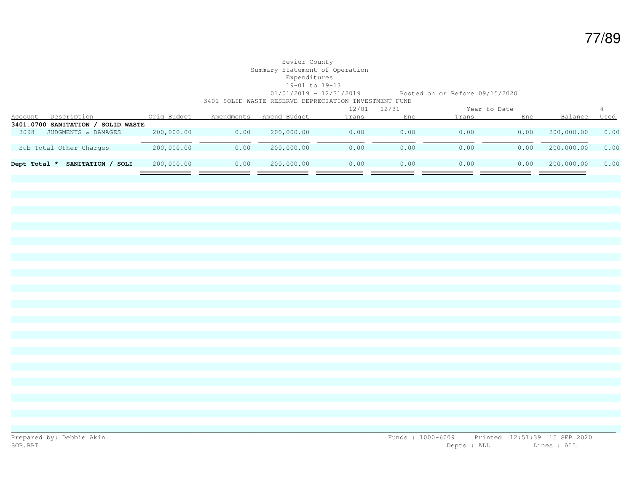#### Sevier County Summary Statement of Operation Expenditures 19-01 to 19-13 01/01/2019 - 12/31/2019 Posted on or Before 09/15/2020 3401 SOLID WASTE RESERVE DEPRECIATION INVESTMENT FUND

|                |                                         |             |            |              |       | $12/01 - 12/31$ |       | Year to Date |            |      |
|----------------|-----------------------------------------|-------------|------------|--------------|-------|-----------------|-------|--------------|------------|------|
| <u>Account</u> | Description                             | Orig Budget | Amendments | Amend Budget | Trans | Enc             | Trans | Enc          | Balance    | Used |
|                | 3401.0700 SANITATION /<br>' SOLID WASTE |             |            |              |       |                 |       |              |            |      |
| 3098           | JUDGMENTS & DAMAGES                     | 200,000.00  | 0.00       | 200,000.00   | 0.00  | 0.00            | 0.00  | 0.00         | 200,000.00 | 0.00 |
|                |                                         |             |            |              |       |                 |       |              |            |      |
|                | Sub Total Other Charges                 | 200,000.00  | 0.00       | 200,000.00   | 0.00  | 0.00            | 0.00  | 0.00         | 200,000.00 | 0.00 |
|                |                                         |             |            |              |       |                 |       |              |            |      |
| Dept Total *   | SANITATION /<br>SOLI                    | 200,000.00  | 0.00       | 200,000.00   | 0.00  | 0.00            | 0.00  | 0.00         | 200,000.00 | 0.00 |
|                |                                         |             |            |              |       |                 |       |              |            |      |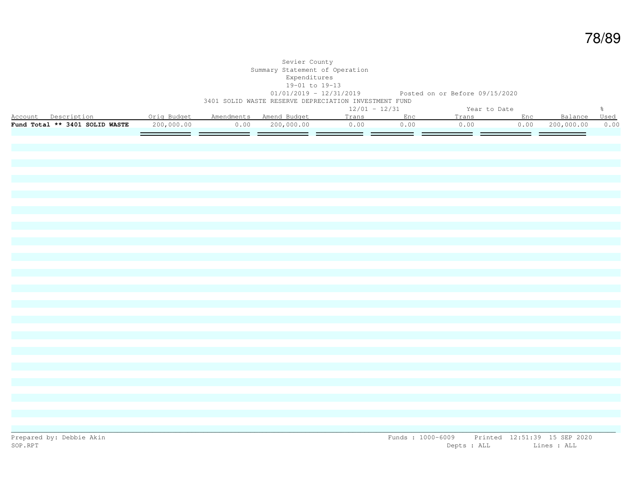#### Sevier County Summary Statement of Operation Expenditures  $19-01$  to  $19-13$ <br> $01/01/2019 - 12/31/2019$ Posted on or Before 09/15/2020 3401 SOLID WASTE RESERVE DEPRECIATION INVESTMENT FUND

|                                |             |            |              |       | $12/01 - 12/31$ |       | Year to Date |            |      |
|--------------------------------|-------------|------------|--------------|-------|-----------------|-------|--------------|------------|------|
| Account<br>Description         | Oria Budget | Amendments | Amend Budget | Trans |                 | rans. | $Fn \cap$    |            | Used |
| Fund Total ** 3401 SOLID WASTE | 200,000.00  | 0.00       | 200,000.00   | 1.00  | 1.00            | D.OO  | 0.00         | 200,000.00 | 0.00 |
|                                |             |            |              |       |                 |       |              |            |      |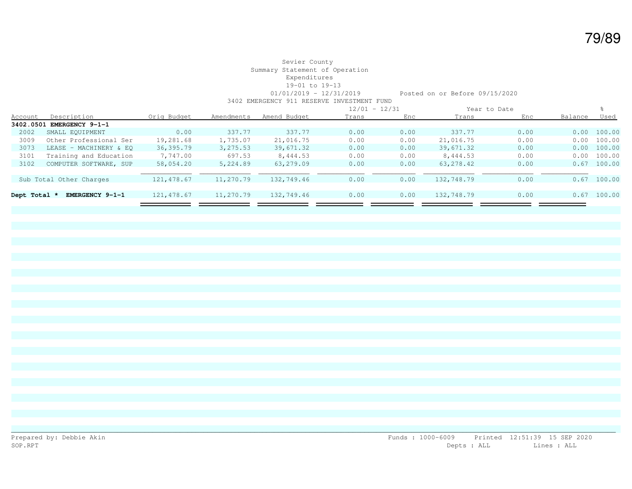#### Sevier County Summary Statement of Operation Expenditures 19-01 to 19-13 01/01/2019 - 12/31/2019 Posted on or Before 09/15/2020 3402 EMERGENCY 911 RESERVE INVESTMENT FUND

|              |                           |             |            |              |       | $12/01 - 12/31$ |            | Year to Date |         |               |
|--------------|---------------------------|-------------|------------|--------------|-------|-----------------|------------|--------------|---------|---------------|
| Account      | Description               | Orig Budget | Amendments | Amend Budget | Trans | Enc             | Trans      | Enc          | Balance | Used          |
|              | 3402.0501 EMERGENCY 9-1-1 |             |            |              |       |                 |            |              |         |               |
| 2002         | SMALL EQUIPMENT           | 0.00        | 337.77     | 337.77       | 0.00  | 0.00            | 337.77     | 0.00         |         | 0.00 100.00   |
| 3009         | Other Professional Ser    | 19,281.68   | 1,735.07   | 21,016.75    | 0.00  | 0.00            | 21,016.75  | 0.00         | 0.00    | 100.00        |
| 3073         | LEASE - MACHINERY & EO    | 36,395.79   | 3,275.53   | 39,671.32    | 0.00  | 0.00            | 39,671.32  | 0.00         |         | 0.00 100.00   |
| 3101         | Training and Education    | 7,747.00    | 697.53     | 8,444.53     | 0.00  | 0.00            | 8,444.53   | 0.00         | 0.00    | 100.00        |
| 3102         | COMPUTER SOFTWARE, SUP    | 58,054.20   | 5,224.89   | 63,279.09    | 0.00  | 0.00            | 63, 278.42 | 0.00         |         | $0.67$ 100.00 |
|              |                           |             |            |              |       |                 |            |              |         |               |
|              | Sub Total Other Charges   | 121, 478.67 | 11,270.79  | 132,749.46   | 0.00  | 0.00            | 132,748.79 | 0.00         | 0.67    | 100.00        |
|              |                           |             |            |              |       |                 |            |              |         |               |
| Dept Total * | EMERGENCY 9-1-1           | 121,478.67  | 11,270.79  | 132,749.46   | 0.00  | 0.00            | 132,748.79 | 0.00         | 0.67    | 100.00        |
|              |                           |             |            |              |       |                 |            |              |         |               |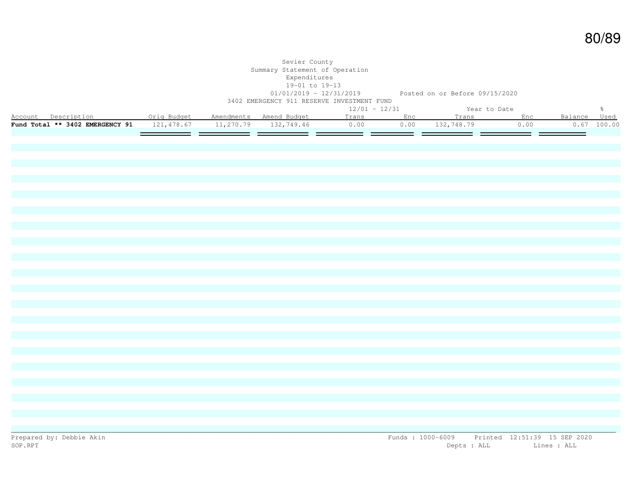|                                                                             |  | Sevier County<br>Summary Statement of Operation<br>Expenditures<br>19-01 to 19-13<br>3402 EMERGENCY 911 RESERVE INVESTMENT FUND | 01/01/2019 - 12/31/2019 Posted on or Before 09/15/2020 |  |                          |     |              |               |
|-----------------------------------------------------------------------------|--|---------------------------------------------------------------------------------------------------------------------------------|--------------------------------------------------------|--|--------------------------|-----|--------------|---------------|
|                                                                             |  |                                                                                                                                 | $12/01 - 12/31$                                        |  | Year to Date             |     |              | $\frac{6}{6}$ |
| Account Description Orig Budget Amendments Amend Budget                     |  |                                                                                                                                 |                                                        |  | <b>Trans</b> Enc Trans   | Enc | Balance Used |               |
| <b>Fund Total ** 3402 EMERGENCY 91</b> 121,478.67 11,270.79 132,749.46 0.00 |  |                                                                                                                                 |                                                        |  | $0.00$ $132,748.79$ 0.00 |     |              | 0.67 100.00   |
|                                                                             |  |                                                                                                                                 |                                                        |  |                          |     |              |               |
|                                                                             |  |                                                                                                                                 |                                                        |  |                          |     |              |               |
|                                                                             |  |                                                                                                                                 |                                                        |  |                          |     |              |               |
|                                                                             |  |                                                                                                                                 |                                                        |  |                          |     |              |               |
|                                                                             |  |                                                                                                                                 |                                                        |  |                          |     |              |               |
|                                                                             |  |                                                                                                                                 |                                                        |  |                          |     |              |               |
|                                                                             |  |                                                                                                                                 |                                                        |  |                          |     |              |               |
|                                                                             |  |                                                                                                                                 |                                                        |  |                          |     |              |               |
|                                                                             |  |                                                                                                                                 |                                                        |  |                          |     |              |               |
|                                                                             |  |                                                                                                                                 |                                                        |  |                          |     |              |               |
|                                                                             |  |                                                                                                                                 |                                                        |  |                          |     |              |               |
|                                                                             |  |                                                                                                                                 |                                                        |  |                          |     |              |               |
|                                                                             |  |                                                                                                                                 |                                                        |  |                          |     |              |               |
|                                                                             |  |                                                                                                                                 |                                                        |  |                          |     |              |               |
|                                                                             |  |                                                                                                                                 |                                                        |  |                          |     |              |               |
|                                                                             |  |                                                                                                                                 |                                                        |  |                          |     |              |               |
|                                                                             |  |                                                                                                                                 |                                                        |  |                          |     |              |               |
|                                                                             |  |                                                                                                                                 |                                                        |  |                          |     |              |               |
|                                                                             |  |                                                                                                                                 |                                                        |  |                          |     |              |               |
|                                                                             |  |                                                                                                                                 |                                                        |  |                          |     |              |               |
|                                                                             |  |                                                                                                                                 |                                                        |  |                          |     |              |               |
|                                                                             |  |                                                                                                                                 |                                                        |  |                          |     |              |               |
|                                                                             |  |                                                                                                                                 |                                                        |  |                          |     |              |               |
|                                                                             |  |                                                                                                                                 |                                                        |  |                          |     |              |               |
|                                                                             |  |                                                                                                                                 |                                                        |  |                          |     |              |               |
|                                                                             |  |                                                                                                                                 |                                                        |  |                          |     |              |               |
|                                                                             |  |                                                                                                                                 |                                                        |  |                          |     |              |               |
|                                                                             |  |                                                                                                                                 |                                                        |  |                          |     |              |               |
|                                                                             |  |                                                                                                                                 |                                                        |  |                          |     |              |               |
|                                                                             |  |                                                                                                                                 |                                                        |  |                          |     |              |               |
|                                                                             |  |                                                                                                                                 |                                                        |  |                          |     |              |               |
|                                                                             |  |                                                                                                                                 |                                                        |  |                          |     |              |               |
|                                                                             |  |                                                                                                                                 |                                                        |  |                          |     |              |               |
|                                                                             |  |                                                                                                                                 |                                                        |  |                          |     |              |               |
|                                                                             |  |                                                                                                                                 |                                                        |  |                          |     |              |               |
|                                                                             |  |                                                                                                                                 |                                                        |  |                          |     |              |               |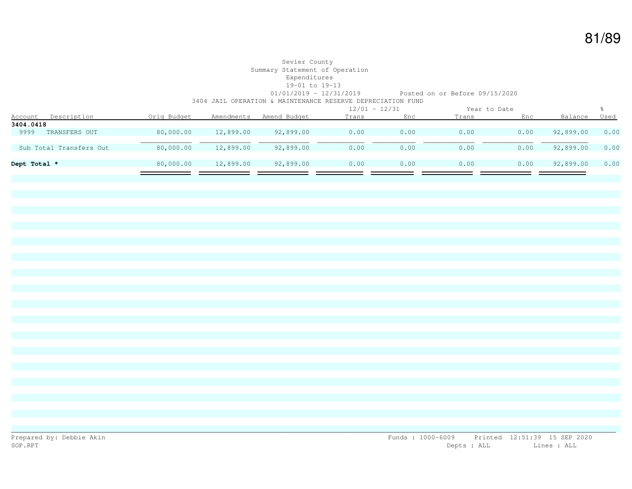#### Sevier County Summary Statement of Operation Expenditures 19-01 to 19-13 01/01/2019 - 12/31/2019 Posted on or Before 09/15/2020 3404 JAIL OPERATION & MAINTENANCE RESERVE DEPRECIATION FUND

|                               |             |            |              |       | $12/01 - 12/31$ |       | Year to Date |           |      |
|-------------------------------|-------------|------------|--------------|-------|-----------------|-------|--------------|-----------|------|
| Description<br><u>Account</u> | Orig Budget | Amendments | Amend Budget | Trans | Enc             | Trans | Enc          | Balance   | Used |
| 3404.0418                     |             |            |              |       |                 |       |              |           |      |
| 9999<br>TRANSFERS OUT         | 80,000.00   | 12,899.00  | 92,899.00    | 0.00  | 0.00            | 0.00  | 0.00         | 92,899.00 | 0.00 |
|                               |             |            |              |       |                 |       |              |           |      |
| Sub Total Transfers Out       | 80,000.00   | 12,899.00  | 92,899.00    | 0.00  | 0.00            | 0.00  | 0.00         | 92,899.00 | 0.00 |
|                               |             |            |              |       |                 |       |              |           |      |
| Dept Total *                  | 80,000.00   | 12,899.00  | 92,899.00    | 0.00  | 0.00            | 0.00  | 0.00         | 92,899.00 | 0.00 |
|                               |             |            |              |       |                 |       |              |           |      |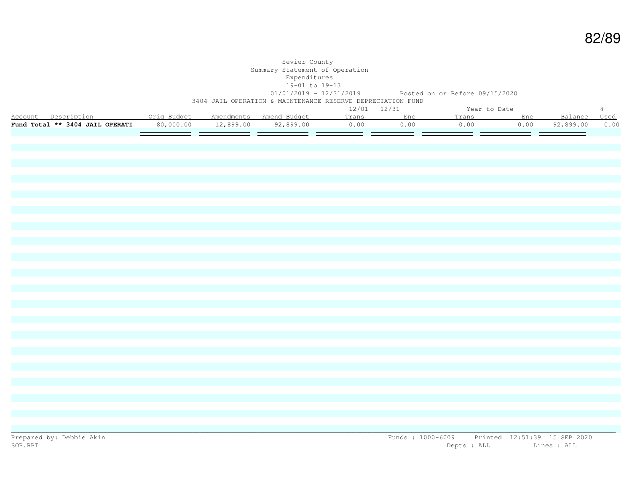### Sevier County Summary Statement of Operation Expenditures 19-01 to 19-13 01/01/2019 - 12/31/2019 Posted on or Before 09/15/2020 3404 JAIL OPERATION & MAINTENANCE RESERVE DEPRECIATION FUND

|         |                                 |             |            |              |       | $12/01 - 12/31$ |       | Year to Date |           |      |
|---------|---------------------------------|-------------|------------|--------------|-------|-----------------|-------|--------------|-----------|------|
| Account | Description                     | Oria Budaet | Amendments | Amend Budget | Trans |                 | rans" |              |           | Used |
|         | Fund Total ** 3404 JAIL OPERATI | 80,000.00   | 12,899.00  | 92,899.00    | J.OO  |                 | 0.00  | 0.00         | 92,899.00 | 0.00 |
|         |                                 |             |            |              |       |                 |       |              |           |      |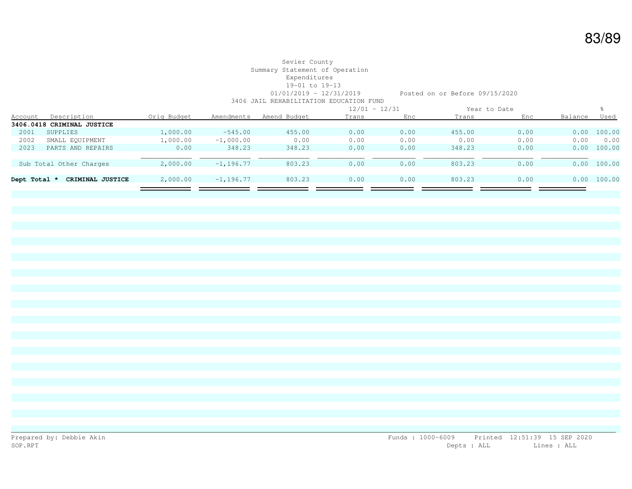#### Sevier County Summary Statement of Operation Expenditures 19-01 to 19-13 01/01/2019 - 12/31/2019 Posted on or Before 09/15/2020 3406 JAIL REHABILITATION EDUCATION FUND

|              |                            |             |               | $12/01 - 12/31$ |       | Year to Date |        |      |         |             |
|--------------|----------------------------|-------------|---------------|-----------------|-------|--------------|--------|------|---------|-------------|
| Account      | Description                | Orig Budget | Amendments    | Amend Budget    | Trans | Enc          | Trans  | Enc  | Balance | <u>Used</u> |
|              | 3406.0418 CRIMINAL JUSTICE |             |               |                 |       |              |        |      |         |             |
| 2001         | SUPPLIES                   | 1,000.00    | $-545.00$     | 455.00          | 0.00  | 0.00         | 455.00 | 0.00 |         | 0.00 100.00 |
| 2002         | SMALL EQUIPMENT            | 1,000.00    | $-1,000.00$   | 0.00            | 0.00  | 0.00         | 0.00   | 0.00 | 0.00    | 0.00        |
| 2023         | PARTS AND REPAIRS          | 0.00        | 348.23        | 348.23          | 0.00  | 0.00         | 348.23 | 0.00 | 0.00    | 100.00      |
|              |                            |             |               |                 |       |              |        |      |         |             |
|              | Sub Total Other Charges    | 2,000.00    | $-1.196.77$   | 803.23          | 0.00  | 0.00         | 803.23 | 0.00 |         | 0.00 100.00 |
|              |                            |             |               |                 |       |              |        |      |         |             |
| Dept Total * | CRIMINAL JUSTICE           | 2,000.00    | $-1, 196, 77$ | 803.23          | 0.00  | 0.00         | 803.23 | 0.00 | 0.00    | 100.00      |
|              |                            |             |               |                 |       |              |        |      |         |             |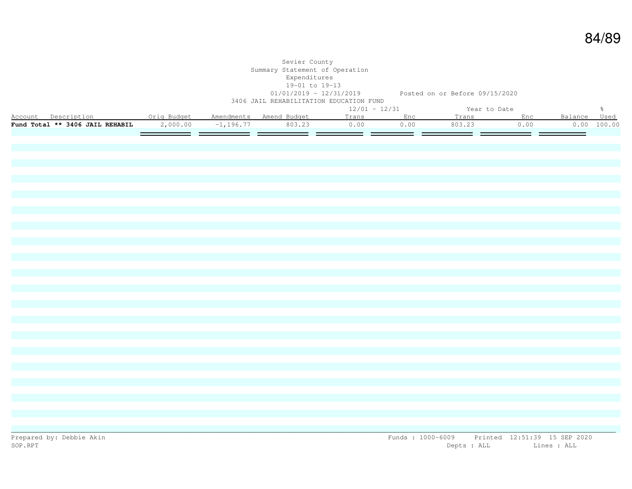|                                                           |                   | Sevier County<br>Summary Statement of Operation<br>Expenditures<br>19-01 to 19-13<br>3406 JAIL REHABILITATION EDUCATION FUND |                     |                 |           | 01/01/2019 - 12/31/2019 Posted on or Before 09/15/2020 |                                   |              |               |
|-----------------------------------------------------------|-------------------|------------------------------------------------------------------------------------------------------------------------------|---------------------|-----------------|-----------|--------------------------------------------------------|-----------------------------------|--------------|---------------|
|                                                           |                   |                                                                                                                              |                     | $12/01 - 12/31$ |           | Year to Date                                           |                                   |              | $\frac{9}{6}$ |
| Account Description . Orig Budget Amendments Amend Budget |                   |                                                                                                                              |                     |                 | Trans Enc | Trans Enc                                              |                                   | Balance Used |               |
| Fund Total ** 3406 JAIL REHABIL                           | 2,000.00          |                                                                                                                              | $-1, 196.77$ 803.23 | 0.00            | 0.00      | 803.23                                                 | 0.00                              |              | 0.00 100.00   |
|                                                           | $=$ $=$<br>$\sim$ |                                                                                                                              |                     |                 |           |                                                        | $\hspace{0.1cm} = \hspace{0.1cm}$ | —            |               |
|                                                           |                   |                                                                                                                              |                     |                 |           |                                                        |                                   |              |               |
|                                                           |                   |                                                                                                                              |                     |                 |           |                                                        |                                   |              |               |
|                                                           |                   |                                                                                                                              |                     |                 |           |                                                        |                                   |              |               |
|                                                           |                   |                                                                                                                              |                     |                 |           |                                                        |                                   |              |               |
|                                                           |                   |                                                                                                                              |                     |                 |           |                                                        |                                   |              |               |
|                                                           |                   |                                                                                                                              |                     |                 |           |                                                        |                                   |              |               |
|                                                           |                   |                                                                                                                              |                     |                 |           |                                                        |                                   |              |               |
|                                                           |                   |                                                                                                                              |                     |                 |           |                                                        |                                   |              |               |
|                                                           |                   |                                                                                                                              |                     |                 |           |                                                        |                                   |              |               |
|                                                           |                   |                                                                                                                              |                     |                 |           |                                                        |                                   |              |               |
|                                                           |                   |                                                                                                                              |                     |                 |           |                                                        |                                   |              |               |
|                                                           |                   |                                                                                                                              |                     |                 |           |                                                        |                                   |              |               |
|                                                           |                   |                                                                                                                              |                     |                 |           |                                                        |                                   |              |               |
|                                                           |                   |                                                                                                                              |                     |                 |           |                                                        |                                   |              |               |
|                                                           |                   |                                                                                                                              |                     |                 |           |                                                        |                                   |              |               |
|                                                           |                   |                                                                                                                              |                     |                 |           |                                                        |                                   |              |               |
|                                                           |                   |                                                                                                                              |                     |                 |           |                                                        |                                   |              |               |
|                                                           |                   |                                                                                                                              |                     |                 |           |                                                        |                                   |              |               |
|                                                           |                   |                                                                                                                              |                     |                 |           |                                                        |                                   |              |               |
|                                                           |                   |                                                                                                                              |                     |                 |           |                                                        |                                   |              |               |
|                                                           |                   |                                                                                                                              |                     |                 |           |                                                        |                                   |              |               |
|                                                           |                   |                                                                                                                              |                     |                 |           |                                                        |                                   |              |               |
|                                                           |                   |                                                                                                                              |                     |                 |           |                                                        |                                   |              |               |
|                                                           |                   |                                                                                                                              |                     |                 |           |                                                        |                                   |              |               |
|                                                           |                   |                                                                                                                              |                     |                 |           |                                                        |                                   |              |               |
|                                                           |                   |                                                                                                                              |                     |                 |           |                                                        |                                   |              |               |
|                                                           |                   |                                                                                                                              |                     |                 |           |                                                        |                                   |              |               |
|                                                           |                   |                                                                                                                              |                     |                 |           |                                                        |                                   |              |               |
|                                                           |                   |                                                                                                                              |                     |                 |           |                                                        |                                   |              |               |
|                                                           |                   |                                                                                                                              |                     |                 |           |                                                        |                                   |              |               |
|                                                           |                   |                                                                                                                              |                     |                 |           |                                                        |                                   |              |               |
|                                                           |                   |                                                                                                                              |                     |                 |           |                                                        |                                   |              |               |
|                                                           |                   |                                                                                                                              |                     |                 |           |                                                        |                                   |              |               |
|                                                           |                   |                                                                                                                              |                     |                 |           |                                                        |                                   |              |               |
|                                                           |                   |                                                                                                                              |                     |                 |           |                                                        |                                   |              |               |
|                                                           |                   |                                                                                                                              |                     |                 |           |                                                        |                                   |              |               |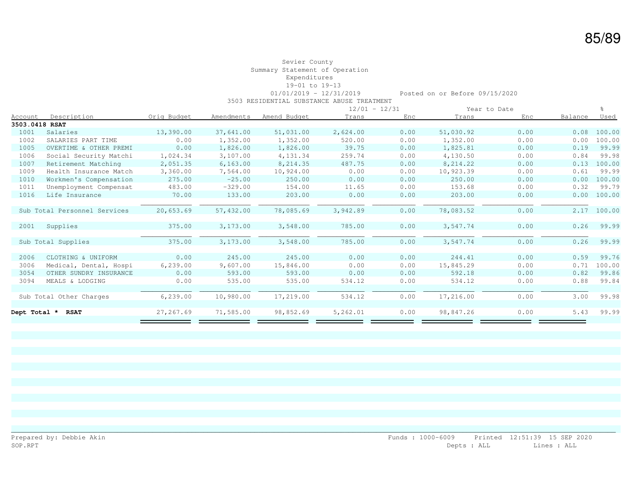### Sevier County Summary Statement of Operation Expenditures 19-01 to 19-13

01/01/2019 - 12/31/2019 Posted on or Before 09/15/2020

3503 RESIDENTIAL SUBSTANCE ABUSE TREATMENT

|                |                              |             |            |              | $12/01 - 12/31$ |      | Year to Date |      |         |             |
|----------------|------------------------------|-------------|------------|--------------|-----------------|------|--------------|------|---------|-------------|
| <b>Account</b> | Description                  | Orig Budget | Amendments | Amend Budget | Trans           | Enc  | Trans        | Enc  | Balance | <u>Used</u> |
| 3503.0418 RSAT |                              |             |            |              |                 |      |              |      |         |             |
| 1001           | Salaries                     | 13,390.00   | 37,641.00  | 51,031.00    | 2,624.00        | 0.00 | 51,030.92    | 0.00 | 0.08    | 100.00      |
| 1002           | SALARIES PART TIME           | 0.00        | 1,352.00   | 1,352.00     | 520.00          | 0.00 | 1,352.00     | 0.00 | 0.00    | 100.00      |
| 1005           | OVERTIME & OTHER PREMI       | 0.00        | 1,826.00   | 1,826.00     | 39.75           | 0.00 | 1,825.81     | 0.00 | 0.19    | 99.99       |
| 1006           | Social Security Matchi       | 1,024.34    | 3,107.00   | 4,131.34     | 259.74          | 0.00 | 4,130.50     | 0.00 | 0.84    | 99.98       |
| 1007           | Retirement Matching          | 2,051.35    | 6, 163, 00 | 8,214.35     | 487.75          | 0.00 | 8,214.22     | 0.00 | 0.13    | 100.00      |
| 1009           | Health Insurance Match       | 3,360.00    | 7,564.00   | 10,924.00    | 0.00            | 0.00 | 10,923.39    | 0.00 | 0.61    | 99.99       |
| 1010           | Workmen's Compensation       | 275.00      | $-25.00$   | 250.00       | 0.00            | 0.00 | 250.00       | 0.00 | 0.00    | 100.00      |
| 1011           | Unemployment Compensat       | 483.00      | $-329.00$  | 154.00       | 11.65           | 0.00 | 153.68       | 0.00 | 0.32    | 99.79       |
| 1016           | Life Insurance               | 70.00       | 133.00     | 203.00       | 0.00            | 0.00 | 203.00       | 0.00 | 0.00    | 100.00      |
|                |                              |             |            |              |                 |      |              |      |         |             |
|                | Sub Total Personnel Services | 20,653.69   | 57,432.00  | 78,085.69    | 3,942.89        | 0.00 | 78,083.52    | 0.00 | 2.17    | 100.00      |
|                |                              |             |            |              |                 |      |              |      |         |             |
| 2001           | Supplies                     | 375.00      | 3,173.00   | 3,548.00     | 785.00          | 0.00 | 3,547.74     | 0.00 | 0.26    | 99.99       |
|                |                              |             |            |              |                 |      |              |      |         |             |
|                | Sub Total Supplies           | 375.00      | 3,173.00   | 3,548.00     | 785.00          | 0.00 | 3,547.74     | 0.00 | 0.26    | 99.99       |
|                |                              |             |            |              |                 |      |              |      |         |             |
| 2006           | CLOTHING & UNIFORM           | 0.00        | 245.00     | 245.00       | 0.00            | 0.00 | 244.41       | 0.00 | 0.59    | 99.76       |
| 3006           | Medical, Dental, Hospi       | 6,239.00    | 9,607.00   | 15,846.00    | 0.00            | 0.00 | 15,845.29    | 0.00 | 0.71    | 100.00      |
| 3054           | OTHER SUNDRY INSURANCE       | 0.00        | 593.00     | 593.00       | 0.00            | 0.00 | 592.18       | 0.00 | 0.82    | 99.86       |
| 3094           | MEALS & LODGING              | 0.00        | 535.00     | 535.00       | 534.12          | 0.00 | 534.12       | 0.00 | 0.88    | 99.84       |
|                |                              |             |            |              |                 |      |              |      |         |             |
|                | Sub Total Other Charges      | 6, 239.00   | 10,980.00  | 17,219.00    | 534.12          | 0.00 | 17,216.00    | 0.00 | 3.00    | 99.98       |
|                |                              |             |            |              |                 |      |              |      |         |             |
| Dept Total *   | <b>RSAT</b>                  | 27,267.69   | 71,585.00  | 98,852.69    | 5,262.01        | 0.00 | 98,847.26    | 0.00 | 5.43    | 99.99       |
|                |                              |             |            |              |                 |      |              |      |         |             |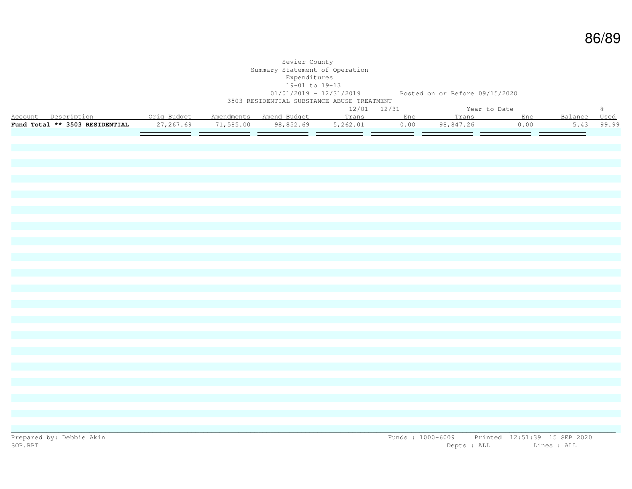|                                                                                                                |            | Sevier County<br>Summary Statement of Operation<br>Expenditures<br>19-01 to 19-13<br>3503 RESIDENTIAL SUBSTANCE ABUSE TREATMENT |  | 01/01/2019 - 12/31/2019 Posted on or Before 09/15/2020 |                                                     |      |                          |               |
|----------------------------------------------------------------------------------------------------------------|------------|---------------------------------------------------------------------------------------------------------------------------------|--|--------------------------------------------------------|-----------------------------------------------------|------|--------------------------|---------------|
|                                                                                                                |            | $12/01 - 12/31$                                                                                                                 |  |                                                        | Year to Date                                        |      |                          | $\frac{6}{6}$ |
| eal to bate<br>Account Description     Orig Budget Amendments Amend Budget     Trans     Enc     Trans     Enc |            |                                                                                                                                 |  |                                                        |                                                     |      | Balance Used             |               |
| Fund Total ** 3503 RESIDENTIAL                                                                                 | 27, 267.69 |                                                                                                                                 |  |                                                        | $71,585.00$ $98,852.69$ $5,262.01$ 0.00 $98,847.26$ | 0.00 |                          | 5.43 99.99    |
|                                                                                                                |            |                                                                                                                                 |  |                                                        |                                                     | ___  | $\overline{\phantom{a}}$ |               |
|                                                                                                                |            |                                                                                                                                 |  |                                                        |                                                     |      |                          |               |
|                                                                                                                |            |                                                                                                                                 |  |                                                        |                                                     |      |                          |               |
|                                                                                                                |            |                                                                                                                                 |  |                                                        |                                                     |      |                          |               |
|                                                                                                                |            |                                                                                                                                 |  |                                                        |                                                     |      |                          |               |
|                                                                                                                |            |                                                                                                                                 |  |                                                        |                                                     |      |                          |               |
|                                                                                                                |            |                                                                                                                                 |  |                                                        |                                                     |      |                          |               |
|                                                                                                                |            |                                                                                                                                 |  |                                                        |                                                     |      |                          |               |
|                                                                                                                |            |                                                                                                                                 |  |                                                        |                                                     |      |                          |               |
|                                                                                                                |            |                                                                                                                                 |  |                                                        |                                                     |      |                          |               |
|                                                                                                                |            |                                                                                                                                 |  |                                                        |                                                     |      |                          |               |
|                                                                                                                |            |                                                                                                                                 |  |                                                        |                                                     |      |                          |               |
|                                                                                                                |            |                                                                                                                                 |  |                                                        |                                                     |      |                          |               |
|                                                                                                                |            |                                                                                                                                 |  |                                                        |                                                     |      |                          |               |
|                                                                                                                |            |                                                                                                                                 |  |                                                        |                                                     |      |                          |               |
|                                                                                                                |            |                                                                                                                                 |  |                                                        |                                                     |      |                          |               |
|                                                                                                                |            |                                                                                                                                 |  |                                                        |                                                     |      |                          |               |
|                                                                                                                |            |                                                                                                                                 |  |                                                        |                                                     |      |                          |               |
|                                                                                                                |            |                                                                                                                                 |  |                                                        |                                                     |      |                          |               |
|                                                                                                                |            |                                                                                                                                 |  |                                                        |                                                     |      |                          |               |
|                                                                                                                |            |                                                                                                                                 |  |                                                        |                                                     |      |                          |               |
|                                                                                                                |            |                                                                                                                                 |  |                                                        |                                                     |      |                          |               |
|                                                                                                                |            |                                                                                                                                 |  |                                                        |                                                     |      |                          |               |
|                                                                                                                |            |                                                                                                                                 |  |                                                        |                                                     |      |                          |               |
|                                                                                                                |            |                                                                                                                                 |  |                                                        |                                                     |      |                          |               |
|                                                                                                                |            |                                                                                                                                 |  |                                                        |                                                     |      |                          |               |
|                                                                                                                |            |                                                                                                                                 |  |                                                        |                                                     |      |                          |               |
|                                                                                                                |            |                                                                                                                                 |  |                                                        |                                                     |      |                          |               |
|                                                                                                                |            |                                                                                                                                 |  |                                                        |                                                     |      |                          |               |
|                                                                                                                |            |                                                                                                                                 |  |                                                        |                                                     |      |                          |               |
|                                                                                                                |            |                                                                                                                                 |  |                                                        |                                                     |      |                          |               |
|                                                                                                                |            |                                                                                                                                 |  |                                                        |                                                     |      |                          |               |
|                                                                                                                |            |                                                                                                                                 |  |                                                        |                                                     |      |                          |               |
|                                                                                                                |            |                                                                                                                                 |  |                                                        |                                                     |      |                          |               |
|                                                                                                                |            |                                                                                                                                 |  |                                                        |                                                     |      |                          |               |
|                                                                                                                |            |                                                                                                                                 |  |                                                        |                                                     |      |                          |               |
|                                                                                                                |            |                                                                                                                                 |  |                                                        |                                                     |      |                          |               |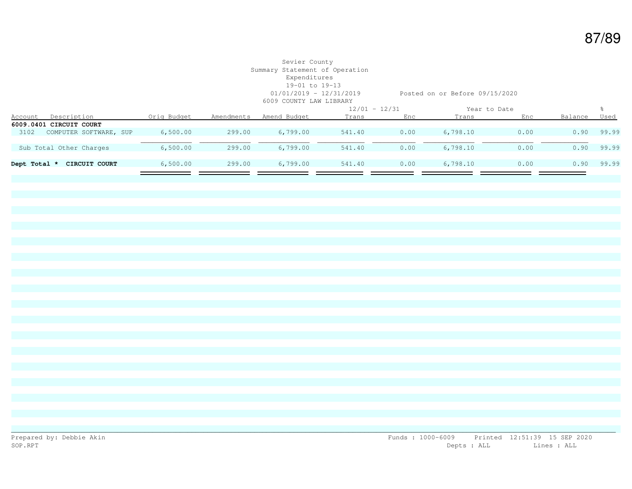## Sevier County Summary Statement of Operation Expenditures 19-01 to 19-13 6009 COUNTY LAW LIBRARY

01/01/2019 - 12/31/2019 Posted on or Before 09/15/2020

|              |                         |             |            |              | $12/01 - 12/31$ |      | Year to Date |      |         |       |
|--------------|-------------------------|-------------|------------|--------------|-----------------|------|--------------|------|---------|-------|
| Account      | Description             | Orig Budget | Amendments | Amend Budget | Trans           | Enc  | Trans        | Enc  | Balance | Used  |
|              | 6009.0401 CIRCUIT COURT |             |            |              |                 |      |              |      |         |       |
| 3102         | COMPUTER SOFTWARE, SUP  | 6,500.00    | 299.00     | 6,799.00     | 541.40          | 0.00 | 6,798.10     | 0.00 | 0.90    | 99.99 |
|              |                         |             |            |              |                 |      |              |      |         |       |
|              | Sub Total Other Charges | 6,500.00    | 299.00     | 6,799.00     | 541.40          | 0.00 | 6,798.10     | 0.00 | 0.90    | 99.99 |
|              |                         |             |            |              |                 |      |              |      |         |       |
| Dept Total * | CIRCUIT COURT           | 6,500.00    | 299.00     | 6,799.00     | 541.40          | 0.00 | 6,798.10     | 0.00 | 0.90    | 99.99 |
|              |                         |             |            |              |                 |      |              |      |         |       |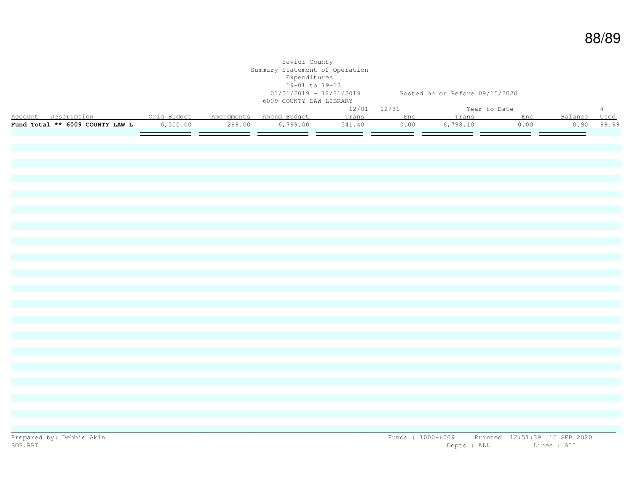| $12/01 - 12/31$<br>$\frac{5}{6}$<br>Year to Date<br>Account Description . Orig Budget Amendments Amend Budget<br>Enc<br>Balance<br>Used<br>Trans<br>Trans Enc<br>Fund Total ** 6009 COUNTY LAW L<br>6,500.00<br>299.00<br>6,799.00<br>541.40<br>0.00<br>6,798.10<br>0.00<br>0.90<br>99.99<br>= =<br>- -<br>$=$ $=$<br>=<br>— — |  | 01/01/2019 - 12/31/2019 Posted on or Before 09/15/2020 |  |  | Sevier County<br>Summary Statement of Operation<br>Expenditures<br>19-01 to 19-13<br>6009 COUNTY LAW LIBRARY |  |  |
|--------------------------------------------------------------------------------------------------------------------------------------------------------------------------------------------------------------------------------------------------------------------------------------------------------------------------------|--|--------------------------------------------------------|--|--|--------------------------------------------------------------------------------------------------------------|--|--|
|                                                                                                                                                                                                                                                                                                                                |  |                                                        |  |  |                                                                                                              |  |  |
|                                                                                                                                                                                                                                                                                                                                |  |                                                        |  |  |                                                                                                              |  |  |
|                                                                                                                                                                                                                                                                                                                                |  |                                                        |  |  |                                                                                                              |  |  |
|                                                                                                                                                                                                                                                                                                                                |  |                                                        |  |  |                                                                                                              |  |  |
|                                                                                                                                                                                                                                                                                                                                |  |                                                        |  |  |                                                                                                              |  |  |
|                                                                                                                                                                                                                                                                                                                                |  |                                                        |  |  |                                                                                                              |  |  |
|                                                                                                                                                                                                                                                                                                                                |  |                                                        |  |  |                                                                                                              |  |  |
|                                                                                                                                                                                                                                                                                                                                |  |                                                        |  |  |                                                                                                              |  |  |
|                                                                                                                                                                                                                                                                                                                                |  |                                                        |  |  |                                                                                                              |  |  |
|                                                                                                                                                                                                                                                                                                                                |  |                                                        |  |  |                                                                                                              |  |  |
|                                                                                                                                                                                                                                                                                                                                |  |                                                        |  |  |                                                                                                              |  |  |
|                                                                                                                                                                                                                                                                                                                                |  |                                                        |  |  |                                                                                                              |  |  |
|                                                                                                                                                                                                                                                                                                                                |  |                                                        |  |  |                                                                                                              |  |  |
|                                                                                                                                                                                                                                                                                                                                |  |                                                        |  |  |                                                                                                              |  |  |
|                                                                                                                                                                                                                                                                                                                                |  |                                                        |  |  |                                                                                                              |  |  |
|                                                                                                                                                                                                                                                                                                                                |  |                                                        |  |  |                                                                                                              |  |  |
|                                                                                                                                                                                                                                                                                                                                |  |                                                        |  |  |                                                                                                              |  |  |
|                                                                                                                                                                                                                                                                                                                                |  |                                                        |  |  |                                                                                                              |  |  |
|                                                                                                                                                                                                                                                                                                                                |  |                                                        |  |  |                                                                                                              |  |  |
|                                                                                                                                                                                                                                                                                                                                |  |                                                        |  |  |                                                                                                              |  |  |
|                                                                                                                                                                                                                                                                                                                                |  |                                                        |  |  |                                                                                                              |  |  |
|                                                                                                                                                                                                                                                                                                                                |  |                                                        |  |  |                                                                                                              |  |  |
|                                                                                                                                                                                                                                                                                                                                |  |                                                        |  |  |                                                                                                              |  |  |
|                                                                                                                                                                                                                                                                                                                                |  |                                                        |  |  |                                                                                                              |  |  |
|                                                                                                                                                                                                                                                                                                                                |  |                                                        |  |  |                                                                                                              |  |  |
|                                                                                                                                                                                                                                                                                                                                |  |                                                        |  |  |                                                                                                              |  |  |
|                                                                                                                                                                                                                                                                                                                                |  |                                                        |  |  |                                                                                                              |  |  |
|                                                                                                                                                                                                                                                                                                                                |  |                                                        |  |  |                                                                                                              |  |  |
|                                                                                                                                                                                                                                                                                                                                |  |                                                        |  |  |                                                                                                              |  |  |
|                                                                                                                                                                                                                                                                                                                                |  |                                                        |  |  |                                                                                                              |  |  |
|                                                                                                                                                                                                                                                                                                                                |  |                                                        |  |  |                                                                                                              |  |  |
|                                                                                                                                                                                                                                                                                                                                |  |                                                        |  |  |                                                                                                              |  |  |
|                                                                                                                                                                                                                                                                                                                                |  |                                                        |  |  |                                                                                                              |  |  |
|                                                                                                                                                                                                                                                                                                                                |  |                                                        |  |  |                                                                                                              |  |  |
|                                                                                                                                                                                                                                                                                                                                |  |                                                        |  |  |                                                                                                              |  |  |
|                                                                                                                                                                                                                                                                                                                                |  |                                                        |  |  |                                                                                                              |  |  |
|                                                                                                                                                                                                                                                                                                                                |  |                                                        |  |  |                                                                                                              |  |  |
|                                                                                                                                                                                                                                                                                                                                |  |                                                        |  |  |                                                                                                              |  |  |
|                                                                                                                                                                                                                                                                                                                                |  |                                                        |  |  |                                                                                                              |  |  |
|                                                                                                                                                                                                                                                                                                                                |  |                                                        |  |  |                                                                                                              |  |  |